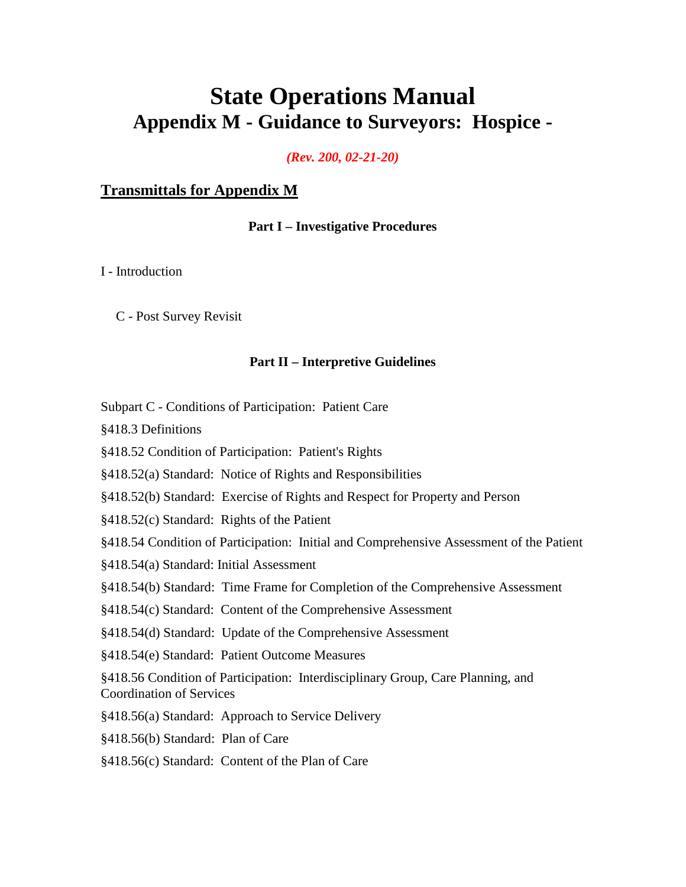# **State Operations Manual Appendix M - Guidance to Surveyors: Hospice -**

*(Rev. 200, 02-21-20)* 

# **[Transmittals for Appendix M](#page-181-0)**

#### **Part I – Investigative Procedures**

[I - Introduction](#page-5-0)

C - Post Survey Revisit

#### **[Part II – Interpretive Guidelines](#page-21-0)**

Subpart C - Conditions of Participation: Patient Care

§418.3 Definitions

§418.52 Condition of Participation: Patient's Rights

§418.52(a) Standard: Notice of Rights and Responsibilities

§418.52(b) Standard: Exercise of Rights and Respect for Property and Person

§418.52(c) Standard: Rights of the Patient

§418.54 Condition of Participation: Initial and Comprehensive Assessment of the Patient

§418.54(a) Standard: Initial Assessment

§418.54(b) Standard: Time Frame for Completion of the Comprehensive Assessment

§418.54(c) Standard: Content of the Comprehensive Assessment

§418.54(d) Standard: Update of the Comprehensive Assessment

§418.54(e) Standard: Patient Outcome Measures

§418.56 Condition of Participation: Interdisciplinary Group, Care Planning, and Coordination of Services

§418.56(a) Standard: Approach to Service Delivery

§418.56(b) Standard: Plan of Care

§418.56(c) Standard: Content of the Plan of Care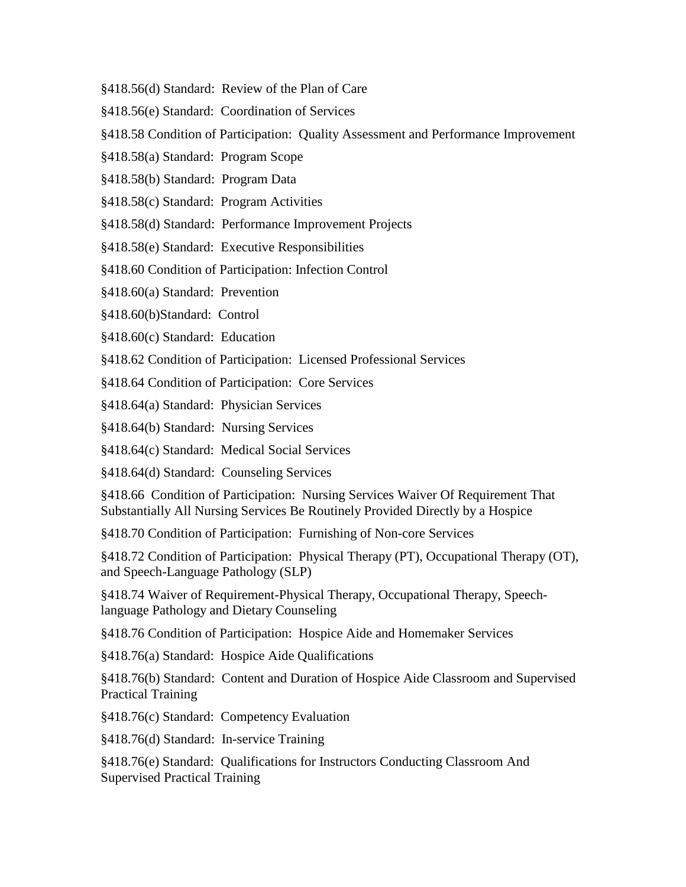- §418.56(d) Standard: Review of the Plan of Care
- §418.56(e) Standard: Coordination of Services
- §418.58 Condition of Participation: Quality Assessment and Performance Improvement
- §418.58(a) Standard: Program Scope
- §418.58(b) Standard: Program Data
- §418.58(c) Standard: Program Activities
- §418.58(d) Standard: Performance Improvement Projects
- §418.58(e) Standard: Executive Responsibilities
- §418.60 Condition of Participation: Infection Control
- §418.60(a) Standard: Prevention
- §418.60(b)Standard: Control
- §418.60(c) Standard: Education
- §418.62 Condition of Participation: Licensed Professional Services
- §418.64 Condition of Participation: Core Services
- §418.64(a) Standard: Physician Services
- §418.64(b) Standard: Nursing Services
- §418.64(c) Standard: Medical Social Services
- §418.64(d) Standard: Counseling Services

§418.66 Condition of Participation: Nursing Services Waiver Of Requirement That Substantially All Nursing Services Be Routinely Provided Directly by a Hospice

§418.70 Condition of Participation: Furnishing of Non-core Services

§418.72 Condition of Participation: Physical Therapy (PT), Occupational Therapy (OT), and Speech-Language Pathology (SLP)

§418.74 Waiver of Requirement-Physical Therapy, Occupational Therapy, Speechlanguage Pathology and Dietary Counseling

§418.76 Condition of Participation: Hospice Aide and Homemaker Services

§418.76(a) Standard: Hospice Aide Qualifications

§418.76(b) Standard: Content and Duration of Hospice Aide Classroom and Supervised Practical Training

§418.76(c) Standard: Competency Evaluation

§418.76(d) Standard: In-service Training

§418.76(e) Standard: Qualifications for Instructors Conducting Classroom And Supervised Practical Training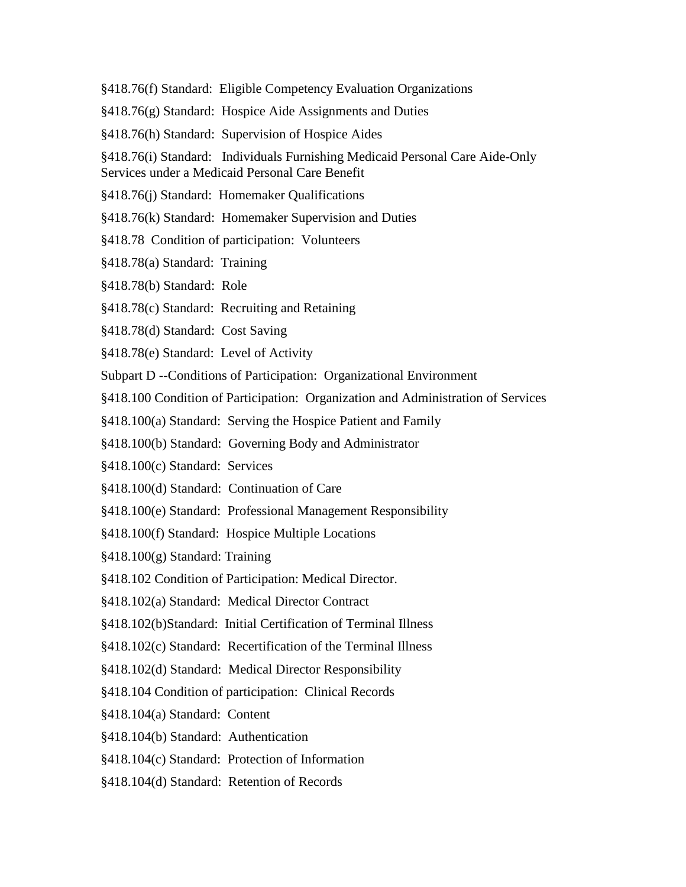- §418.76(f) Standard: Eligible Competency Evaluation Organizations
- §418.76(g) Standard: Hospice Aide Assignments and Duties
- §418.76(h) Standard: Supervision of Hospice Aides

§418.76(i) Standard: Individuals Furnishing Medicaid Personal Care Aide-Only Services under a Medicaid Personal Care Benefit

- §418.76(j) Standard: Homemaker Qualifications
- §418.76(k) Standard: Homemaker Supervision and Duties
- §418.78 Condition of participation: Volunteers
- §418.78(a) Standard: Training
- §418.78(b) Standard: Role
- §418.78(c) Standard: Recruiting and Retaining
- §418.78(d) Standard: Cost Saving
- §418.78(e) Standard: Level of Activity
- Subpart D --Conditions of Participation: Organizational Environment
- §418.100 Condition of Participation: Organization and Administration of Services
- §418.100(a) Standard: Serving the Hospice Patient and Family
- §418.100(b) Standard: Governing Body and Administrator
- §418.100(c) Standard: Services
- §418.100(d) Standard: Continuation of Care
- §418.100(e) Standard: Professional Management Responsibility
- §418.100(f) Standard: Hospice Multiple Locations
- §418.100(g) Standard: Training
- §418.102 Condition of Participation: Medical Director.
- §418.102(a) Standard: Medical Director Contract
- §418.102(b)Standard: Initial Certification of Terminal Illness
- §418.102(c) Standard: Recertification of the Terminal Illness
- §418.102(d) Standard: Medical Director Responsibility
- §418.104 Condition of participation: Clinical Records
- §418.104(a) Standard: Content
- §418.104(b) Standard: Authentication
- §418.104(c) Standard: Protection of Information
- §418.104(d) Standard: Retention of Records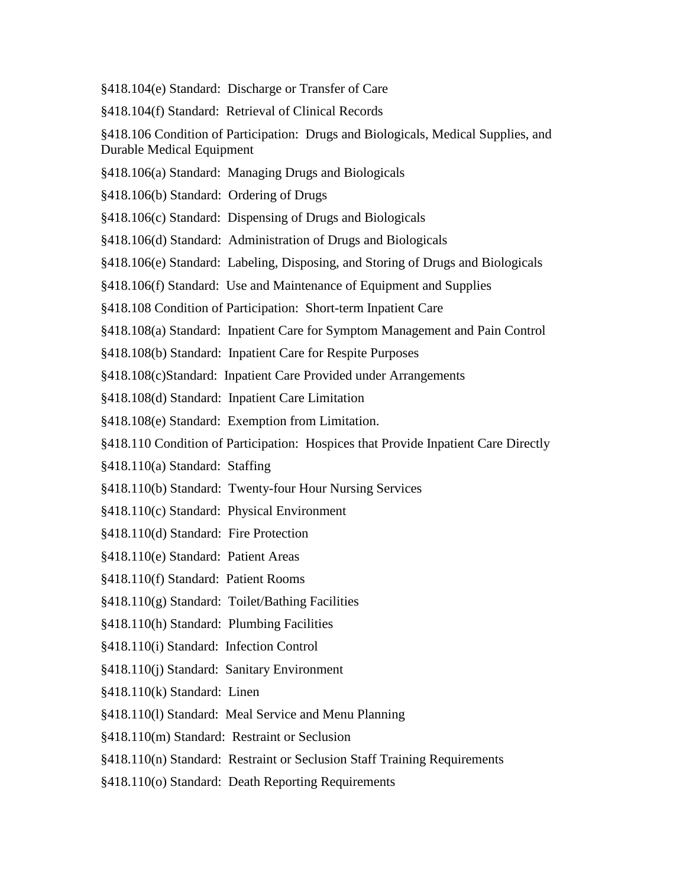§418.104(e) Standard: Discharge or Transfer of Care

§418.104(f) Standard: Retrieval of Clinical Records

§418.106 Condition of Participation: Drugs and Biologicals, Medical Supplies, and Durable Medical Equipment

- §418.106(a) Standard: Managing Drugs and Biologicals
- §418.106(b) Standard: Ordering of Drugs
- §418.106(c) Standard: Dispensing of Drugs and Biologicals
- §418.106(d) Standard: Administration of Drugs and Biologicals
- §418.106(e) Standard: Labeling, Disposing, and Storing of Drugs and Biologicals
- §418.106(f) Standard: Use and Maintenance of Equipment and Supplies
- §418.108 Condition of Participation: Short-term Inpatient Care
- §418.108(a) Standard: Inpatient Care for Symptom Management and Pain Control
- §418.108(b) Standard: Inpatient Care for Respite Purposes
- §418.108(c)Standard: Inpatient Care Provided under Arrangements
- §418.108(d) Standard: Inpatient Care Limitation
- §418.108(e) Standard: Exemption from Limitation.
- §418.110 Condition of Participation: Hospices that Provide Inpatient Care Directly
- §418.110(a) Standard: Staffing
- §418.110(b) Standard: Twenty-four Hour Nursing Services
- §418.110(c) Standard: Physical Environment
- §418.110(d) Standard: Fire Protection
- §418.110(e) Standard: Patient Areas
- §418.110(f) Standard: Patient Rooms
- §418.110(g) Standard: Toilet/Bathing Facilities
- §418.110(h) Standard: Plumbing Facilities
- §418.110(i) Standard: Infection Control
- §418.110(j) Standard: Sanitary Environment
- §418.110(k) Standard: Linen
- §418.110(l) Standard: Meal Service and Menu Planning
- §418.110(m) Standard: Restraint or Seclusion
- §418.110(n) Standard: Restraint or Seclusion Staff Training Requirements
- §418.110(o) Standard: Death Reporting Requirements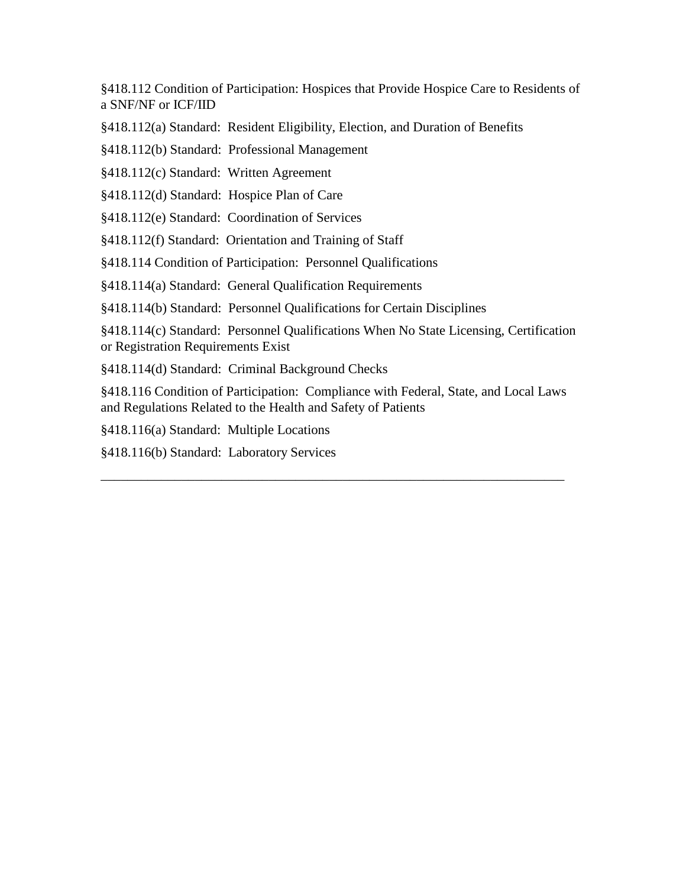§418.112 Condition of Participation: Hospices that Provide Hospice Care to Residents of a SNF/NF or ICF/IID

§418.112(a) Standard: Resident Eligibility, Election, and Duration of Benefits

§418.112(b) Standard: Professional Management

§418.112(c) Standard: Written Agreement

§418.112(d) Standard: Hospice Plan of Care

§418.112(e) Standard: Coordination of Services

§418.112(f) Standard: Orientation and Training of Staff

§418.114 Condition of Participation: Personnel Qualifications

§418.114(a) Standard: General Qualification Requirements

§418.114(b) Standard: Personnel Qualifications for Certain Disciplines

§418.114(c) Standard: Personnel Qualifications When No State Licensing, Certification or Registration Requirements Exist

§418.114(d) Standard: Criminal Background Checks

§418.116 Condition of Participation: Compliance with Federal, State, and Local Laws and Regulations Related to the Health and Safety of Patients

\_\_\_\_\_\_\_\_\_\_\_\_\_\_\_\_\_\_\_\_\_\_\_\_\_\_\_\_\_\_\_\_\_\_\_\_\_\_\_\_\_\_\_\_\_\_\_\_\_\_\_\_\_\_\_\_\_\_\_\_\_\_\_\_\_\_\_\_\_

§418.116(a) Standard: Multiple Locations

§418.116(b) Standard: Laboratory Services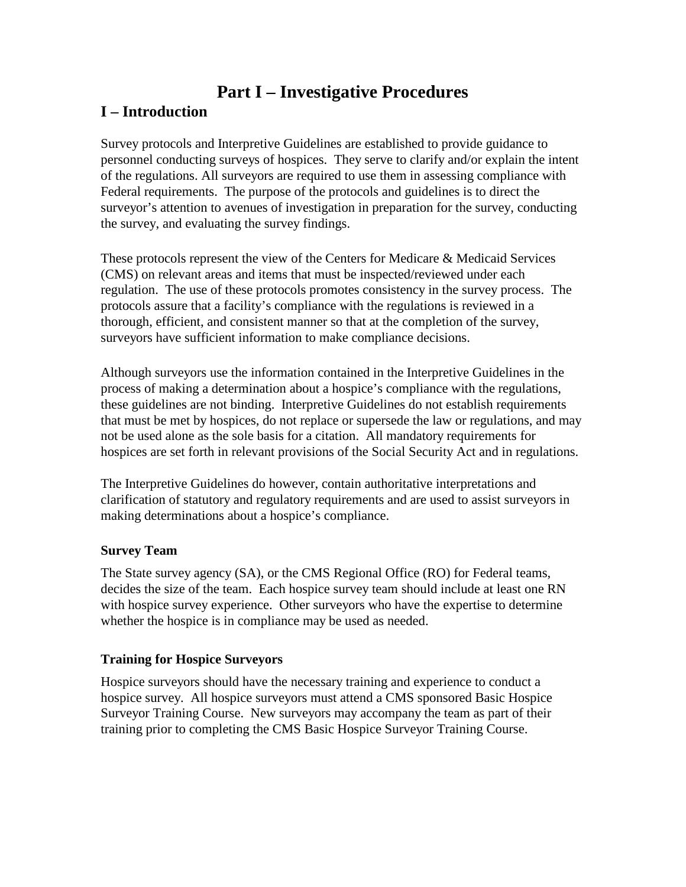# **Part I – Investigative Procedures**

# <span id="page-5-0"></span>**I – Introduction**

Survey protocols and Interpretive Guidelines are established to provide guidance to personnel conducting surveys of hospices. They serve to clarify and/or explain the intent of the regulations. All surveyors are required to use them in assessing compliance with Federal requirements. The purpose of the protocols and guidelines is to direct the surveyor's attention to avenues of investigation in preparation for the survey, conducting the survey, and evaluating the survey findings.

These protocols represent the view of the Centers for Medicare & Medicaid Services (CMS) on relevant areas and items that must be inspected/reviewed under each regulation. The use of these protocols promotes consistency in the survey process. The protocols assure that a facility's compliance with the regulations is reviewed in a thorough, efficient, and consistent manner so that at the completion of the survey, surveyors have sufficient information to make compliance decisions.

Although surveyors use the information contained in the Interpretive Guidelines in the process of making a determination about a hospice's compliance with the regulations, these guidelines are not binding. Interpretive Guidelines do not establish requirements that must be met by hospices, do not replace or supersede the law or regulations, and may not be used alone as the sole basis for a citation. All mandatory requirements for hospices are set forth in relevant provisions of the Social Security Act and in regulations.

The Interpretive Guidelines do however, contain authoritative interpretations and clarification of statutory and regulatory requirements and are used to assist surveyors in making determinations about a hospice's compliance.

#### **Survey Team**

The State survey agency (SA), or the CMS Regional Office (RO) for Federal teams, decides the size of the team. Each hospice survey team should include at least one RN with hospice survey experience. Other surveyors who have the expertise to determine whether the hospice is in compliance may be used as needed.

# **Training for Hospice Surveyors**

Hospice surveyors should have the necessary training and experience to conduct a hospice survey. All hospice surveyors must attend a CMS sponsored Basic Hospice Surveyor Training Course. New surveyors may accompany the team as part of their training prior to completing the CMS Basic Hospice Surveyor Training Course.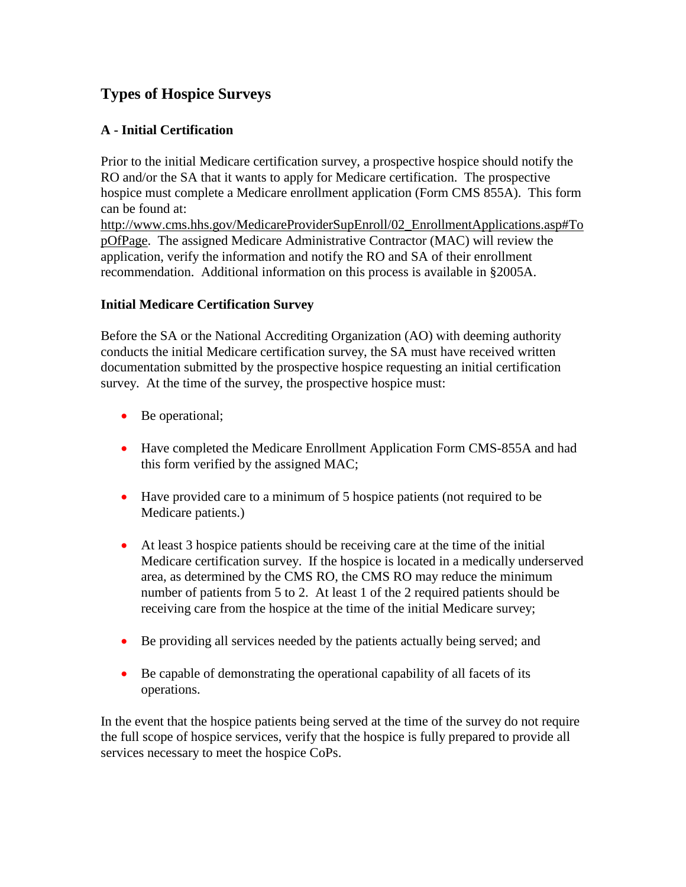# **Types of Hospice Surveys**

### **A - Initial Certification**

Prior to the initial Medicare certification survey, a prospective hospice should notify the RO and/or the SA that it wants to apply for Medicare certification. The prospective hospice must complete a Medicare enrollment application (Form CMS 855A). This form can be found at:

[http://www.cms.hhs.gov/MedicareProviderSupEnroll/02\\_EnrollmentApplications.asp#To](http://www.cms.hhs.gov/MedicareProviderSupEnroll/02_EnrollmentApplications.asp#TopOfPage) [pOfPage.](http://www.cms.hhs.gov/MedicareProviderSupEnroll/02_EnrollmentApplications.asp#TopOfPage) The assigned Medicare Administrative Contractor (MAC) will review the application, verify the information and notify the RO and SA of their enrollment recommendation. Additional information on this process is available in §2005A.

### **Initial Medicare Certification Survey**

Before the SA or the National Accrediting Organization (AO) with deeming authority conducts the initial Medicare certification survey, the SA must have received written documentation submitted by the prospective hospice requesting an initial certification survey. At the time of the survey, the prospective hospice must:

- Be operational:
- Have completed the Medicare Enrollment Application Form CMS-855A and had this form verified by the assigned MAC;
- Have provided care to a minimum of 5 hospice patients (not required to be Medicare patients.)
- At least 3 hospice patients should be receiving care at the time of the initial Medicare certification survey. If the hospice is located in a medically underserved area, as determined by the CMS RO, the CMS RO may reduce the minimum number of patients from 5 to 2. At least 1 of the 2 required patients should be receiving care from the hospice at the time of the initial Medicare survey;
- Be providing all services needed by the patients actually being served; and
- Be capable of demonstrating the operational capability of all facets of its operations.

In the event that the hospice patients being served at the time of the survey do not require the full scope of hospice services, verify that the hospice is fully prepared to provide all services necessary to meet the hospice CoPs.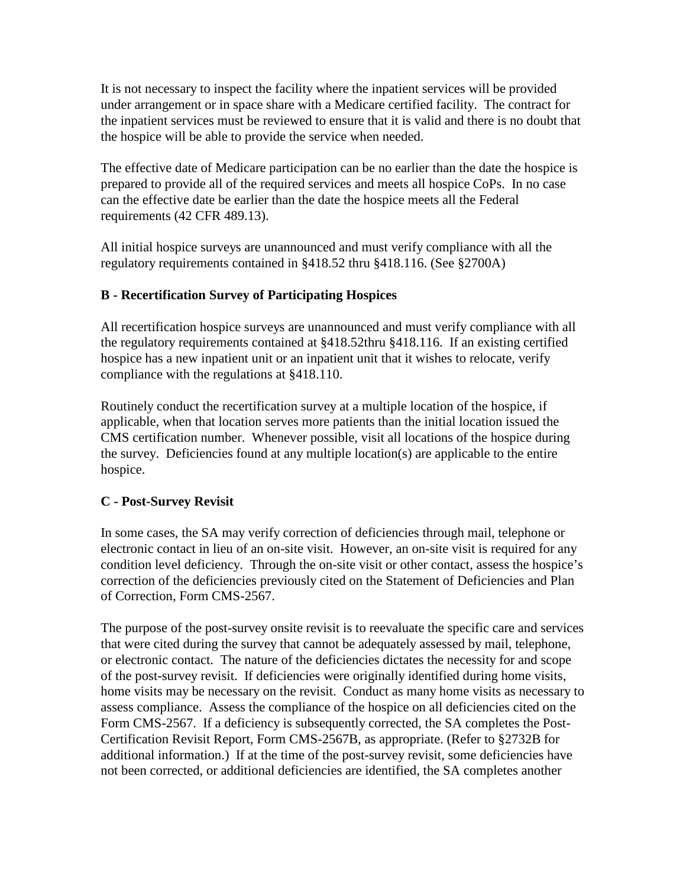It is not necessary to inspect the facility where the inpatient services will be provided under arrangement or in space share with a Medicare certified facility. The contract for the inpatient services must be reviewed to ensure that it is valid and there is no doubt that the hospice will be able to provide the service when needed.

The effective date of Medicare participation can be no earlier than the date the hospice is prepared to provide all of the required services and meets all hospice CoPs. In no case can the effective date be earlier than the date the hospice meets all the Federal requirements (42 CFR 489.13).

All initial hospice surveys are unannounced and must verify compliance with all the regulatory requirements contained in §418.52 thru §418.116. (See §2700A)

# **B - Recertification Survey of Participating Hospices**

All recertification hospice surveys are unannounced and must verify compliance with all the regulatory requirements contained at §418.52thru §418.116. If an existing certified hospice has a new inpatient unit or an inpatient unit that it wishes to relocate, verify compliance with the regulations at §418.110.

Routinely conduct the recertification survey at a multiple location of the hospice, if applicable, when that location serves more patients than the initial location issued the CMS certification number. Whenever possible, visit all locations of the hospice during the survey. Deficiencies found at any multiple location(s) are applicable to the entire hospice.

# **C - Post-Survey Revisit**

In some cases, the SA may verify correction of deficiencies through mail, telephone or electronic contact in lieu of an on-site visit. However, an on-site visit is required for any condition level deficiency. Through the on-site visit or other contact, assess the hospice's correction of the deficiencies previously cited on the Statement of Deficiencies and Plan of Correction, Form CMS-2567.

The purpose of the post-survey onsite revisit is to reevaluate the specific care and services that were cited during the survey that cannot be adequately assessed by mail, telephone, or electronic contact. The nature of the deficiencies dictates the necessity for and scope of the post-survey revisit. If deficiencies were originally identified during home visits, home visits may be necessary on the revisit. Conduct as many home visits as necessary to assess compliance. Assess the compliance of the hospice on all deficiencies cited on the Form CMS-2567. If a deficiency is subsequently corrected, the SA completes the Post-Certification Revisit Report, Form CMS-2567B, as appropriate. (Refer to §2732B for additional information.) If at the time of the post-survey revisit, some deficiencies have not been corrected, or additional deficiencies are identified, the SA completes another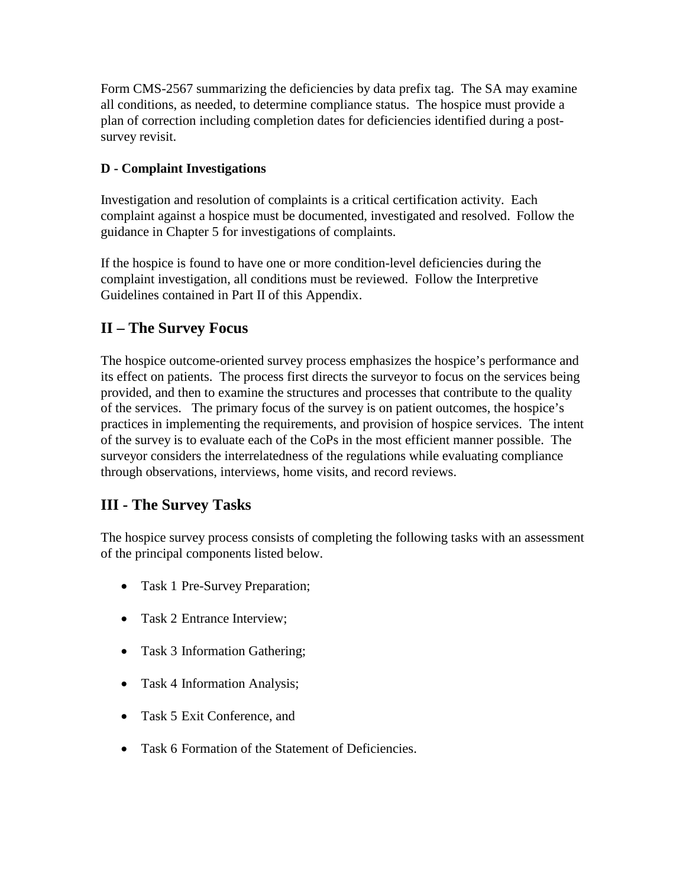Form CMS-2567 summarizing the deficiencies by data prefix tag. The SA may examine all conditions, as needed, to determine compliance status. The hospice must provide a plan of correction including completion dates for deficiencies identified during a postsurvey revisit.

# **D - Complaint Investigations**

Investigation and resolution of complaints is a critical certification activity. Each complaint against a hospice must be documented, investigated and resolved. Follow the guidance in Chapter 5 for investigations of complaints.

If the hospice is found to have one or more condition-level deficiencies during the complaint investigation, all conditions must be reviewed. Follow the Interpretive Guidelines contained in Part II of this Appendix.

# **II – The Survey Focus**

The hospice outcome-oriented survey process emphasizes the hospice's performance and its effect on patients. The process first directs the surveyor to focus on the services being provided, and then to examine the structures and processes that contribute to the quality of the services. The primary focus of the survey is on patient outcomes, the hospice's practices in implementing the requirements, and provision of hospice services. The intent of the survey is to evaluate each of the CoPs in the most efficient manner possible. The surveyor considers the interrelatedness of the regulations while evaluating compliance through observations, interviews, home visits, and record reviews.

# **III - The Survey Tasks**

The hospice survey process consists of completing the following tasks with an assessment of the principal components listed below.

- Task 1 Pre-Survey Preparation;
- Task 2 Entrance Interview:
- Task 3 Information Gathering;
- Task 4 Information Analysis;
- Task 5 Exit Conference, and
- Task 6 Formation of the Statement of Deficiencies.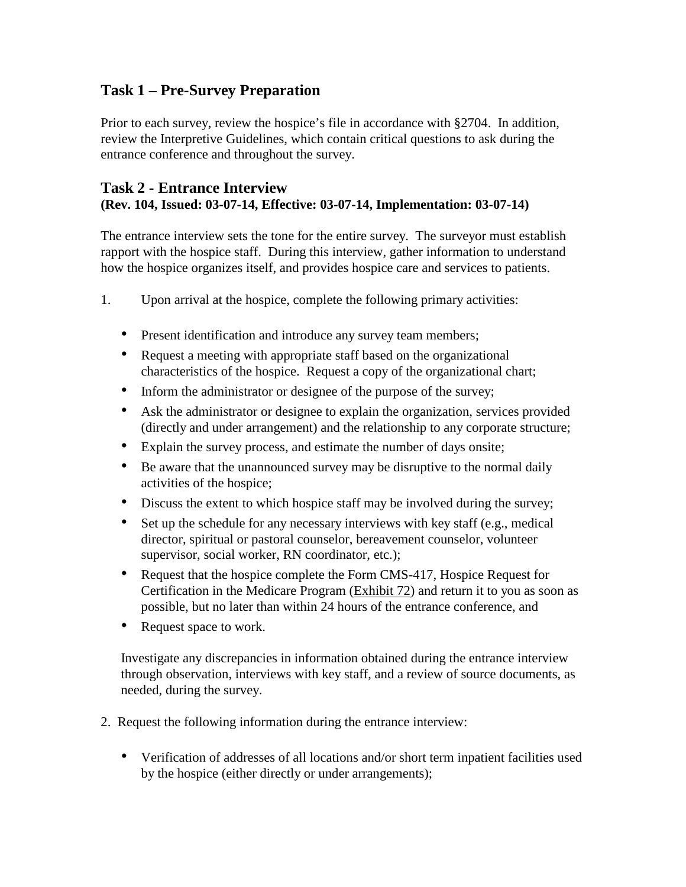# **Task 1 – Pre-Survey Preparation**

Prior to each survey, review the hospice's file in accordance with §2704. In addition, review the Interpretive Guidelines, which contain critical questions to ask during the entrance conference and throughout the survey.

### **Task 2 - Entrance Interview (Rev. 104, Issued: 03-07-14, Effective: 03-07-14, Implementation: 03-07-14)**

The entrance interview sets the tone for the entire survey. The surveyor must establish rapport with the hospice staff. During this interview, gather information to understand how the hospice organizes itself, and provides hospice care and services to patients.

- 1. Upon arrival at the hospice, complete the following primary activities:
	- Present identification and introduce any survey team members;
	- Request a meeting with appropriate staff based on the organizational characteristics of the hospice. Request a copy of the organizational chart;
	- Inform the administrator or designee of the purpose of the survey;
	- Ask the administrator or designee to explain the organization, services provided (directly and under arrangement) and the relationship to any corporate structure;
	- Explain the survey process, and estimate the number of days onsite;
	- Be aware that the unannounced survey may be disruptive to the normal daily activities of the hospice;
	- Discuss the extent to which hospice staff may be involved during the survey;
	- Set up the schedule for any necessary interviews with key staff (e.g., medical director, spiritual or pastoral counselor, bereavement counselor, volunteer supervisor, social worker, RN coordinator, etc.);
	- Request that the hospice complete the Form CMS-417, Hospice Request for Certification in the Medicare Program (Exhibit 72) and return it to you as soon as possible, but no later than within 24 hours of the entrance conference, and
	- Request space to work.

Investigate any discrepancies in information obtained during the entrance interview through observation, interviews with key staff, and a review of source documents, as needed, during the survey.

- 2. Request the following information during the entrance interview:
	- Verification of addresses of all locations and/or short term inpatient facilities used by the hospice (either directly or under arrangements);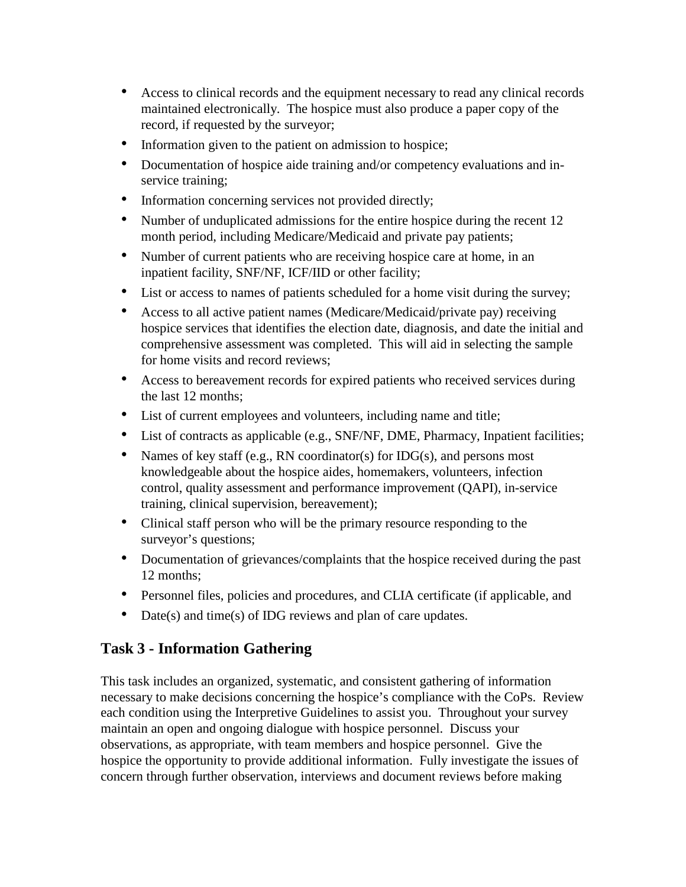- Access to clinical records and the equipment necessary to read any clinical records maintained electronically. The hospice must also produce a paper copy of the record, if requested by the surveyor;
- Information given to the patient on admission to hospice;
- Documentation of hospice aide training and/or competency evaluations and inservice training;
- Information concerning services not provided directly;
- Number of unduplicated admissions for the entire hospice during the recent 12 month period, including Medicare/Medicaid and private pay patients;
- Number of current patients who are receiving hospice care at home, in an inpatient facility, SNF/NF, ICF/IID or other facility;
- List or access to names of patients scheduled for a home visit during the survey;
- Access to all active patient names (Medicare/Medicaid/private pay) receiving hospice services that identifies the election date, diagnosis, and date the initial and comprehensive assessment was completed. This will aid in selecting the sample for home visits and record reviews;
- Access to bereavement records for expired patients who received services during the last 12 months;
- List of current employees and volunteers, including name and title;
- List of contracts as applicable (e.g., SNF/NF, DME, Pharmacy, Inpatient facilities;
- Names of key staff (e.g., RN coordinator(s) for IDG(s), and persons most knowledgeable about the hospice aides, homemakers, volunteers, infection control, quality assessment and performance improvement (QAPI), in-service training, clinical supervision, bereavement);
- Clinical staff person who will be the primary resource responding to the surveyor's questions;
- Documentation of grievances/complaints that the hospice received during the past 12 months;
- Personnel files, policies and procedures, and CLIA certificate (if applicable, and
- Date(s) and time(s) of IDG reviews and plan of care updates.

# **Task 3 - Information Gathering**

This task includes an organized, systematic, and consistent gathering of information necessary to make decisions concerning the hospice's compliance with the CoPs. Review each condition using the Interpretive Guidelines to assist you. Throughout your survey maintain an open and ongoing dialogue with hospice personnel. Discuss your observations, as appropriate, with team members and hospice personnel. Give the hospice the opportunity to provide additional information. Fully investigate the issues of concern through further observation, interviews and document reviews before making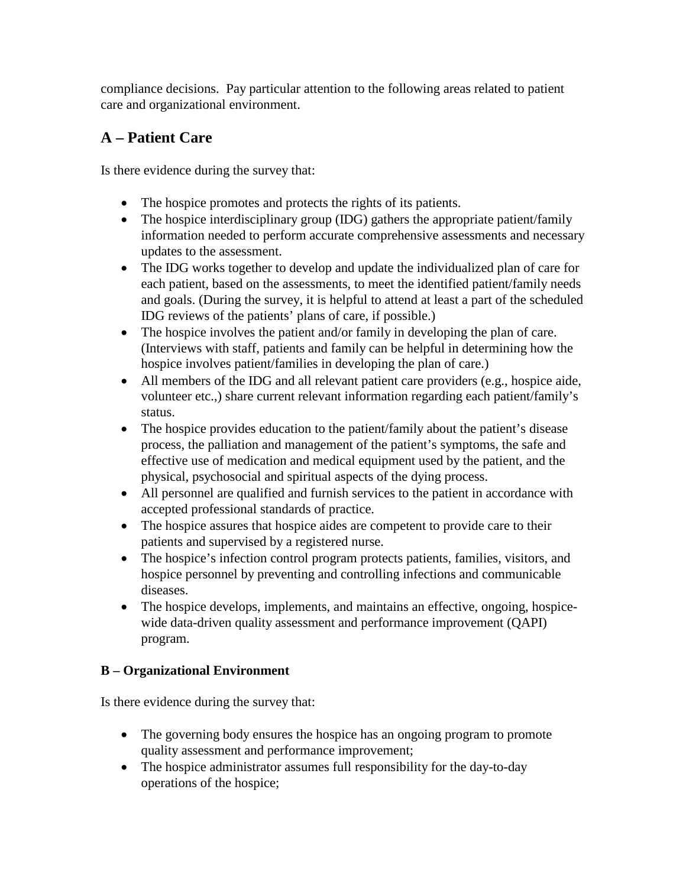compliance decisions. Pay particular attention to the following areas related to patient care and organizational environment.

# **A – Patient Care**

Is there evidence during the survey that:

- The hospice promotes and protects the rights of its patients.
- The hospice interdisciplinary group (IDG) gathers the appropriate patient/family information needed to perform accurate comprehensive assessments and necessary updates to the assessment.
- The IDG works together to develop and update the individualized plan of care for each patient, based on the assessments, to meet the identified patient/family needs and goals. (During the survey, it is helpful to attend at least a part of the scheduled IDG reviews of the patients' plans of care, if possible.)
- The hospice involves the patient and/or family in developing the plan of care. (Interviews with staff, patients and family can be helpful in determining how the hospice involves patient/families in developing the plan of care.)
- All members of the IDG and all relevant patient care providers (e.g., hospice aide, volunteer etc.,) share current relevant information regarding each patient/family's status.
- The hospice provides education to the patient/family about the patient's disease process, the palliation and management of the patient's symptoms, the safe and effective use of medication and medical equipment used by the patient, and the physical, psychosocial and spiritual aspects of the dying process.
- All personnel are qualified and furnish services to the patient in accordance with accepted professional standards of practice.
- The hospice assures that hospice aides are competent to provide care to their patients and supervised by a registered nurse.
- The hospice's infection control program protects patients, families, visitors, and hospice personnel by preventing and controlling infections and communicable diseases.
- The hospice develops, implements, and maintains an effective, ongoing, hospicewide data-driven quality assessment and performance improvement (QAPI) program.

# **B – Organizational Environment**

Is there evidence during the survey that:

- The governing body ensures the hospice has an ongoing program to promote quality assessment and performance improvement;
- The hospice administrator assumes full responsibility for the day-to-day operations of the hospice;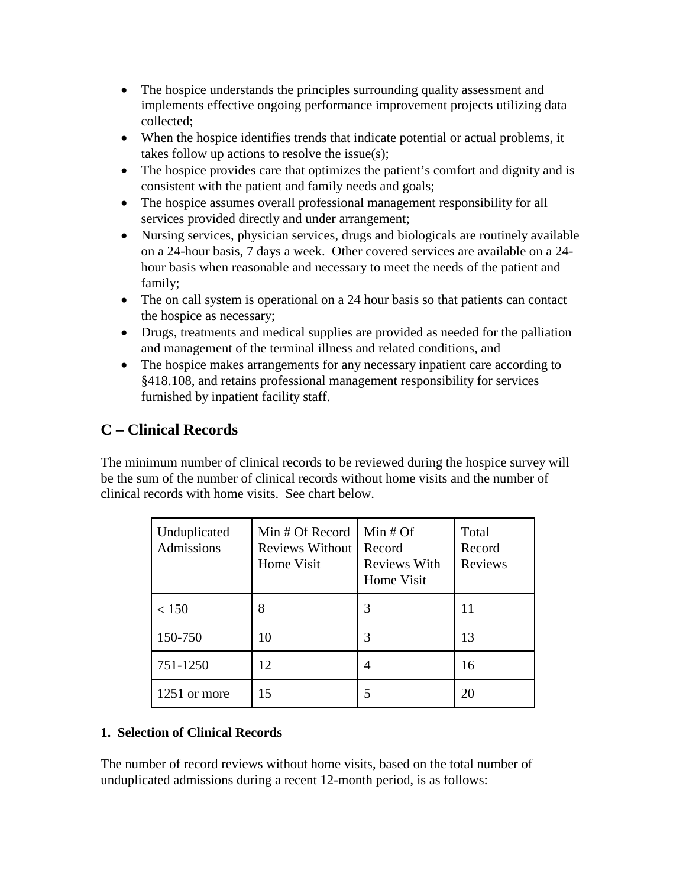- The hospice understands the principles surrounding quality assessment and implements effective ongoing performance improvement projects utilizing data collected;
- When the hospice identifies trends that indicate potential or actual problems, it takes follow up actions to resolve the issue(s);
- The hospice provides care that optimizes the patient's comfort and dignity and is consistent with the patient and family needs and goals;
- The hospice assumes overall professional management responsibility for all services provided directly and under arrangement;
- Nursing services, physician services, drugs and biologicals are routinely available on a 24-hour basis, 7 days a week. Other covered services are available on a 24 hour basis when reasonable and necessary to meet the needs of the patient and family;
- The on call system is operational on a 24 hour basis so that patients can contact the hospice as necessary;
- Drugs, treatments and medical supplies are provided as needed for the palliation and management of the terminal illness and related conditions, and
- The hospice makes arrangements for any necessary inpatient care according to §418.108, and retains professional management responsibility for services furnished by inpatient facility staff.

# **C – Clinical Records**

The minimum number of clinical records to be reviewed during the hospice survey will be the sum of the number of clinical records without home visits and the number of clinical records with home visits. See chart below.

| Unduplicated<br>Admissions | Min # Of Record<br><b>Reviews Without</b><br>Home Visit | Min $#$ Of<br>Record<br><b>Reviews With</b><br>Home Visit | Total<br>Record<br>Reviews |
|----------------------------|---------------------------------------------------------|-----------------------------------------------------------|----------------------------|
| < 150                      | 8                                                       | 3                                                         | 11                         |
| 150-750                    | 10                                                      | 3                                                         | 13                         |
| 751-1250                   | 12                                                      | 4                                                         | 16                         |
| 1251 or more               | 15                                                      | 5                                                         | 20                         |

# **1. Selection of Clinical Records**

The number of record reviews without home visits, based on the total number of unduplicated admissions during a recent 12-month period, is as follows: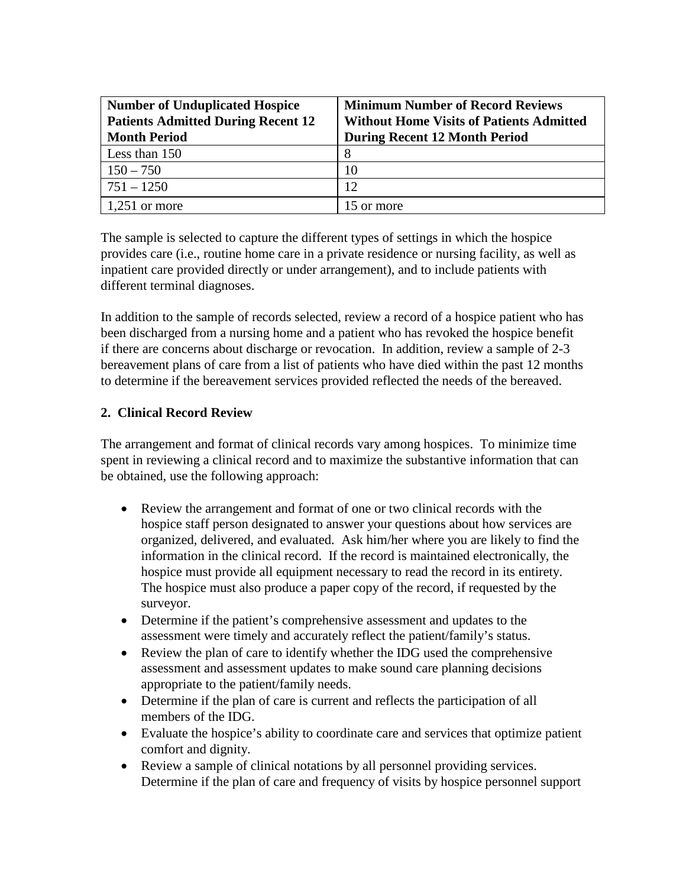| <b>Number of Unduplicated Hospice</b>     | <b>Minimum Number of Record Reviews</b>         |
|-------------------------------------------|-------------------------------------------------|
| <b>Patients Admitted During Recent 12</b> | <b>Without Home Visits of Patients Admitted</b> |
| <b>Month Period</b>                       | <b>During Recent 12 Month Period</b>            |
| Less than 150                             | 8                                               |
| $150 - 750$                               | 10                                              |
| $751 - 1250$                              | 12                                              |
| 1,251 or more                             | 15 or more                                      |

The sample is selected to capture the different types of settings in which the hospice provides care (i.e., routine home care in a private residence or nursing facility, as well as inpatient care provided directly or under arrangement), and to include patients with different terminal diagnoses.

In addition to the sample of records selected, review a record of a hospice patient who has been discharged from a nursing home and a patient who has revoked the hospice benefit if there are concerns about discharge or revocation. In addition, review a sample of 2-3 bereavement plans of care from a list of patients who have died within the past 12 months to determine if the bereavement services provided reflected the needs of the bereaved.

### **2. Clinical Record Review**

The arrangement and format of clinical records vary among hospices. To minimize time spent in reviewing a clinical record and to maximize the substantive information that can be obtained, use the following approach:

- Review the arrangement and format of one or two clinical records with the hospice staff person designated to answer your questions about how services are organized, delivered, and evaluated. Ask him/her where you are likely to find the information in the clinical record. If the record is maintained electronically, the hospice must provide all equipment necessary to read the record in its entirety. The hospice must also produce a paper copy of the record, if requested by the surveyor.
- Determine if the patient's comprehensive assessment and updates to the assessment were timely and accurately reflect the patient/family's status.
- Review the plan of care to identify whether the IDG used the comprehensive assessment and assessment updates to make sound care planning decisions appropriate to the patient/family needs.
- Determine if the plan of care is current and reflects the participation of all members of the IDG.
- Evaluate the hospice's ability to coordinate care and services that optimize patient comfort and dignity.
- Review a sample of clinical notations by all personnel providing services. Determine if the plan of care and frequency of visits by hospice personnel support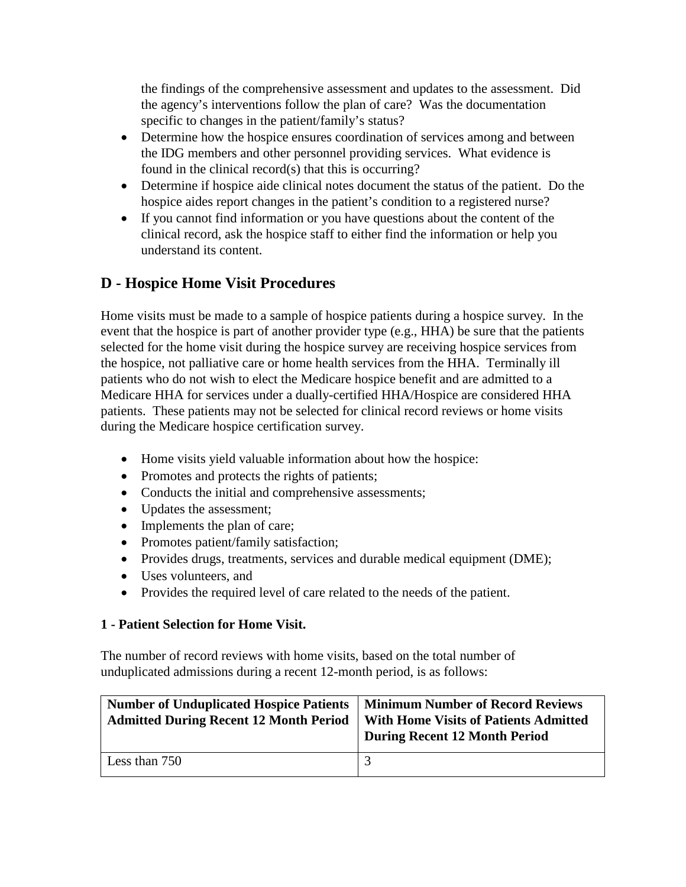the findings of the comprehensive assessment and updates to the assessment. Did the agency's interventions follow the plan of care? Was the documentation specific to changes in the patient/family's status?

- Determine how the hospice ensures coordination of services among and between the IDG members and other personnel providing services. What evidence is found in the clinical record(s) that this is occurring?
- Determine if hospice aide clinical notes document the status of the patient. Do the hospice aides report changes in the patient's condition to a registered nurse?
- If you cannot find information or you have questions about the content of the clinical record, ask the hospice staff to either find the information or help you understand its content.

# **D - Hospice Home Visit Procedures**

Home visits must be made to a sample of hospice patients during a hospice survey. In the event that the hospice is part of another provider type (e.g., HHA) be sure that the patients selected for the home visit during the hospice survey are receiving hospice services from the hospice, not palliative care or home health services from the HHA. Terminally ill patients who do not wish to elect the Medicare hospice benefit and are admitted to a Medicare HHA for services under a dually-certified HHA/Hospice are considered HHA patients. These patients may not be selected for clinical record reviews or home visits during the Medicare hospice certification survey.

- Home visits yield valuable information about how the hospice:
- Promotes and protects the rights of patients;
- Conducts the initial and comprehensive assessments;
- Updates the assessment;
- Implements the plan of care;
- Promotes patient/family satisfaction;
- Provides drugs, treatments, services and durable medical equipment (DME);
- Uses volunteers, and
- Provides the required level of care related to the needs of the patient.

#### **1 - Patient Selection for Home Visit.**

The number of record reviews with home visits, based on the total number of unduplicated admissions during a recent 12-month period, is as follows:

| <b>Number of Unduplicated Hospice Patients</b><br><b>Admitted During Recent 12 Month Period</b> | <b>Minimum Number of Record Reviews</b><br><b>With Home Visits of Patients Admitted</b><br><b>During Recent 12 Month Period</b> |
|-------------------------------------------------------------------------------------------------|---------------------------------------------------------------------------------------------------------------------------------|
| Less than 750                                                                                   |                                                                                                                                 |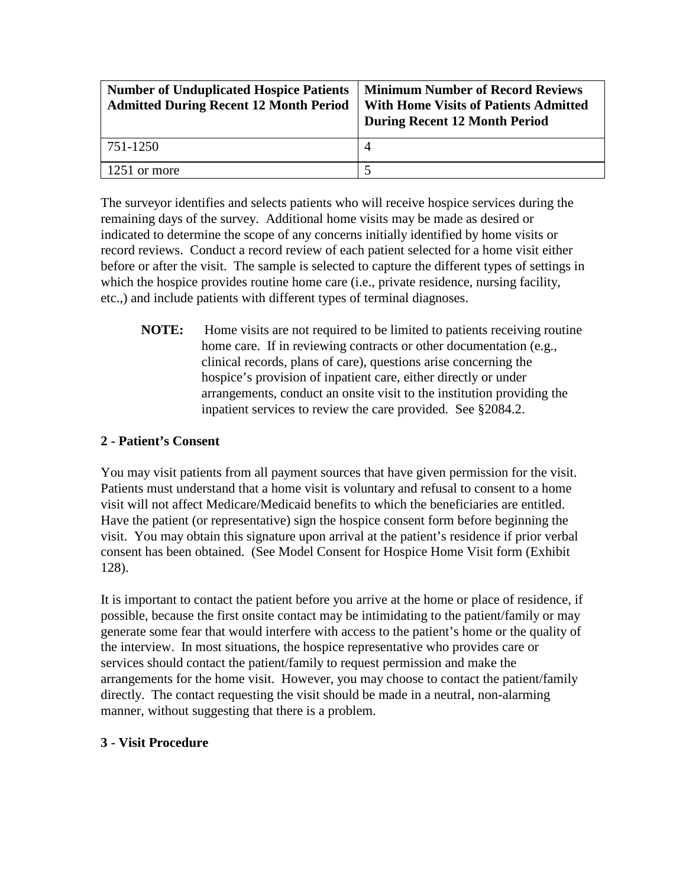| <b>Number of Unduplicated Hospice Patients</b><br><b>Admitted During Recent 12 Month Period</b> | <b>Minimum Number of Record Reviews</b><br><b>With Home Visits of Patients Admitted</b><br><b>During Recent 12 Month Period</b> |
|-------------------------------------------------------------------------------------------------|---------------------------------------------------------------------------------------------------------------------------------|
| 751-1250                                                                                        |                                                                                                                                 |
| 1251 or more                                                                                    |                                                                                                                                 |

The surveyor identifies and selects patients who will receive hospice services during the remaining days of the survey. Additional home visits may be made as desired or indicated to determine the scope of any concerns initially identified by home visits or record reviews. Conduct a record review of each patient selected for a home visit either before or after the visit. The sample is selected to capture the different types of settings in which the hospice provides routine home care (i.e., private residence, nursing facility, etc.,) and include patients with different types of terminal diagnoses.

**NOTE:** Home visits are not required to be limited to patients receiving routine home care. If in reviewing contracts or other documentation (e.g., clinical records, plans of care), questions arise concerning the hospice's provision of inpatient care, either directly or under arrangements, conduct an onsite visit to the institution providing the inpatient services to review the care provided. See §2084.2.

### **2 - Patient's Consent**

You may visit patients from all payment sources that have given permission for the visit. Patients must understand that a home visit is voluntary and refusal to consent to a home visit will not affect Medicare/Medicaid benefits to which the beneficiaries are entitled. Have the patient (or representative) sign the hospice consent form before beginning the visit. You may obtain this signature upon arrival at the patient's residence if prior verbal consent has been obtained. (See Model Consent for Hospice Home Visit form [\(Exhibit](http://www.cms.hhs.gov/manuals/107_som/som107c09_exhibitstoc.asp)  [128\)](http://www.cms.hhs.gov/manuals/107_som/som107c09_exhibitstoc.asp).

It is important to contact the patient before you arrive at the home or place of residence, if possible, because the first onsite contact may be intimidating to the patient/family or may generate some fear that would interfere with access to the patient's home or the quality of the interview. In most situations, the hospice representative who provides care or services should contact the patient/family to request permission and make the arrangements for the home visit. However, you may choose to contact the patient/family directly. The contact requesting the visit should be made in a neutral, non-alarming manner, without suggesting that there is a problem.

#### **3 - Visit Procedure**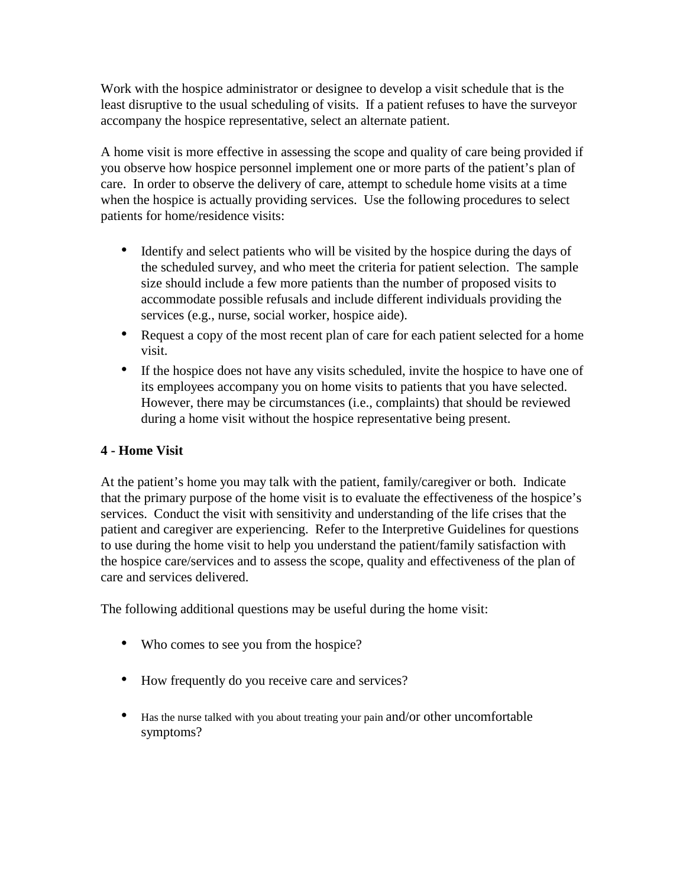Work with the hospice administrator or designee to develop a visit schedule that is the least disruptive to the usual scheduling of visits. If a patient refuses to have the surveyor accompany the hospice representative, select an alternate patient.

A home visit is more effective in assessing the scope and quality of care being provided if you observe how hospice personnel implement one or more parts of the patient's plan of care. In order to observe the delivery of care, attempt to schedule home visits at a time when the hospice is actually providing services. Use the following procedures to select patients for home/residence visits:

- Identify and select patients who will be visited by the hospice during the days of the scheduled survey, and who meet the criteria for patient selection. The sample size should include a few more patients than the number of proposed visits to accommodate possible refusals and include different individuals providing the services (e.g., nurse, social worker, hospice aide).
- Request a copy of the most recent plan of care for each patient selected for a home visit.
- If the hospice does not have any visits scheduled, invite the hospice to have one of its employees accompany you on home visits to patients that you have selected. However, there may be circumstances (i.e., complaints) that should be reviewed during a home visit without the hospice representative being present.

#### **4 - Home Visit**

At the patient's home you may talk with the patient, family/caregiver or both. Indicate that the primary purpose of the home visit is to evaluate the effectiveness of the hospice's services. Conduct the visit with sensitivity and understanding of the life crises that the patient and caregiver are experiencing. Refer to the Interpretive Guidelines for questions to use during the home visit to help you understand the patient/family satisfaction with the hospice care/services and to assess the scope, quality and effectiveness of the plan of care and services delivered.

The following additional questions may be useful during the home visit:

- Who comes to see you from the hospice?
- How frequently do you receive care and services?
- Has the nurse talked with you about treating your pain and/or other uncomfortable symptoms?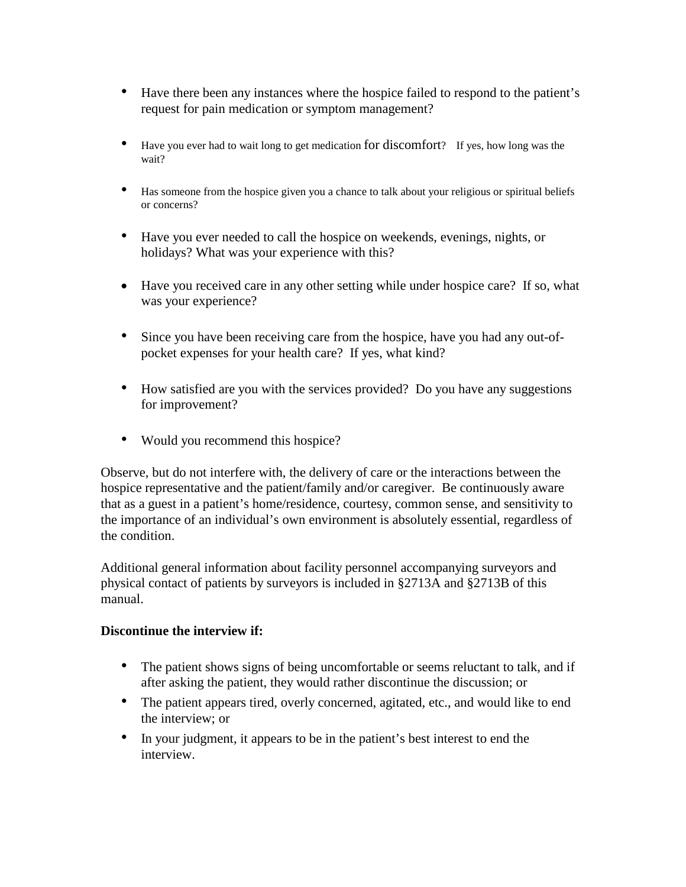- Have there been any instances where the hospice failed to respond to the patient's request for pain medication or symptom management?
- Have you ever had to wait long to get medication for discomfort? If yes, how long was the wait?
- Has someone from the hospice given you a chance to talk about your religious or spiritual beliefs or concerns?
- Have you ever needed to call the hospice on weekends, evenings, nights, or holidays? What was your experience with this?
- Have you received care in any other setting while under hospice care? If so, what was your experience?
- Since you have been receiving care from the hospice, have you had any out-ofpocket expenses for your health care? If yes, what kind?
- How satisfied are you with the services provided? Do you have any suggestions for improvement?
- Would you recommend this hospice?

Observe, but do not interfere with, the delivery of care or the interactions between the hospice representative and the patient/family and/or caregiver. Be continuously aware that as a guest in a patient's home/residence, courtesy, common sense, and sensitivity to the importance of an individual's own environment is absolutely essential, regardless of the condition.

Additional general information about facility personnel accompanying surveyors and physical contact of patients by surveyors is included in §2713A and §2713B of this manual.

#### **Discontinue the interview if:**

- The patient shows signs of being uncomfortable or seems reluctant to talk, and if after asking the patient, they would rather discontinue the discussion; or
- The patient appears tired, overly concerned, agitated, etc., and would like to end the interview; or
- In your judgment, it appears to be in the patient's best interest to end the interview.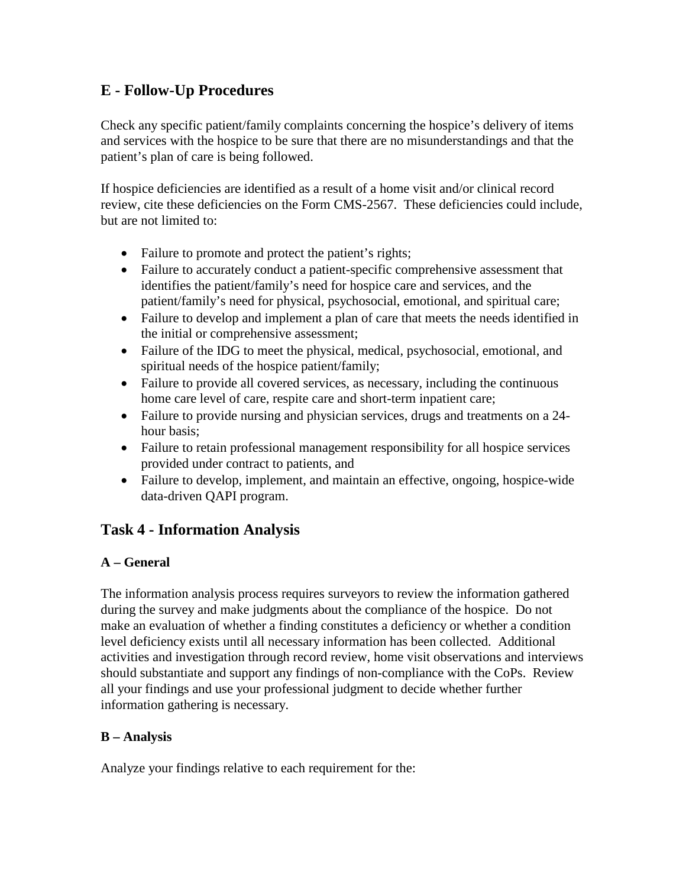# **E - Follow-Up Procedures**

Check any specific patient/family complaints concerning the hospice's delivery of items and services with the hospice to be sure that there are no misunderstandings and that the patient's plan of care is being followed.

If hospice deficiencies are identified as a result of a home visit and/or clinical record review, cite these deficiencies on the Form CMS-2567. These deficiencies could include, but are not limited to:

- Failure to promote and protect the patient's rights;
- Failure to accurately conduct a patient-specific comprehensive assessment that identifies the patient/family's need for hospice care and services, and the patient/family's need for physical, psychosocial, emotional, and spiritual care;
- Failure to develop and implement a plan of care that meets the needs identified in the initial or comprehensive assessment;
- Failure of the IDG to meet the physical, medical, psychosocial, emotional, and spiritual needs of the hospice patient/family;
- Failure to provide all covered services, as necessary, including the continuous home care level of care, respite care and short-term inpatient care;
- Failure to provide nursing and physician services, drugs and treatments on a 24hour basis;
- Failure to retain professional management responsibility for all hospice services provided under contract to patients, and
- Failure to develop, implement, and maintain an effective, ongoing, hospice-wide data-driven QAPI program.

# **Task 4 - Information Analysis**

# **A – General**

The information analysis process requires surveyors to review the information gathered during the survey and make judgments about the compliance of the hospice. Do not make an evaluation of whether a finding constitutes a deficiency or whether a condition level deficiency exists until all necessary information has been collected. Additional activities and investigation through record review, home visit observations and interviews should substantiate and support any findings of non-compliance with the CoPs. Review all your findings and use your professional judgment to decide whether further information gathering is necessary.

# **B – Analysis**

Analyze your findings relative to each requirement for the: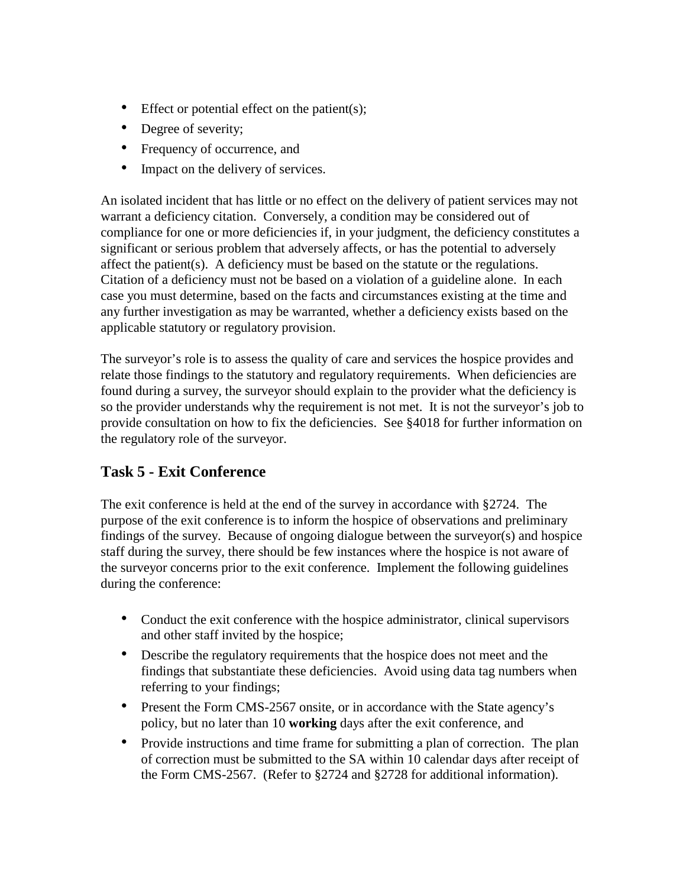- Effect or potential effect on the patient(s);
- Degree of severity;
- Frequency of occurrence, and
- Impact on the delivery of services.

An isolated incident that has little or no effect on the delivery of patient services may not warrant a deficiency citation. Conversely, a condition may be considered out of compliance for one or more deficiencies if, in your judgment, the deficiency constitutes a significant or serious problem that adversely affects, or has the potential to adversely affect the patient(s). A deficiency must be based on the statute or the regulations. Citation of a deficiency must not be based on a violation of a guideline alone. In each case you must determine, based on the facts and circumstances existing at the time and any further investigation as may be warranted, whether a deficiency exists based on the applicable statutory or regulatory provision.

The surveyor's role is to assess the quality of care and services the hospice provides and relate those findings to the statutory and regulatory requirements. When deficiencies are found during a survey, the surveyor should explain to the provider what the deficiency is so the provider understands why the requirement is not met. It is not the surveyor's job to provide consultation on how to fix the deficiencies. See §4018 for further information on the regulatory role of the surveyor.

# **Task 5 - Exit Conference**

The exit conference is held at the end of the survey in accordance with §2724. The purpose of the exit conference is to inform the hospice of observations and preliminary findings of the survey. Because of ongoing dialogue between the surveyor(s) and hospice staff during the survey, there should be few instances where the hospice is not aware of the surveyor concerns prior to the exit conference. Implement the following guidelines during the conference:

- Conduct the exit conference with the hospice administrator, clinical supervisors and other staff invited by the hospice;
- Describe the regulatory requirements that the hospice does not meet and the findings that substantiate these deficiencies. Avoid using data tag numbers when referring to your findings;
- Present the Form CMS-2567 onsite, or in accordance with the State agency's policy, but no later than 10 **working** days after the exit conference, and
- Provide instructions and time frame for submitting a plan of correction. The plan of correction must be submitted to the SA within 10 calendar days after receipt of the Form CMS-2567. (Refer to §2724 and §2728 for additional information).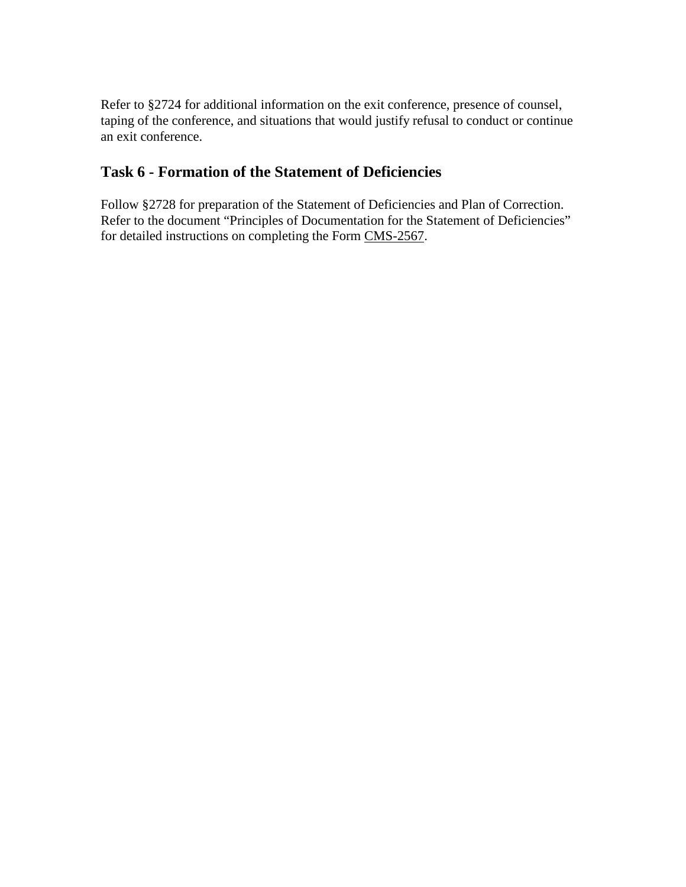Refer to §2724 for additional information on the exit conference, presence of counsel, taping of the conference, and situations that would justify refusal to conduct or continue an exit conference.

# **Task 6 - Formation of the Statement of Deficiencies**

Follow §2728 for preparation of the Statement of Deficiencies and Plan of Correction. Refer to the document "Principles of Documentation for the Statement of Deficiencies" for detailed instructions on completing the Form [CMS-2567.](http://www.cms.hhs.gov/regulations/)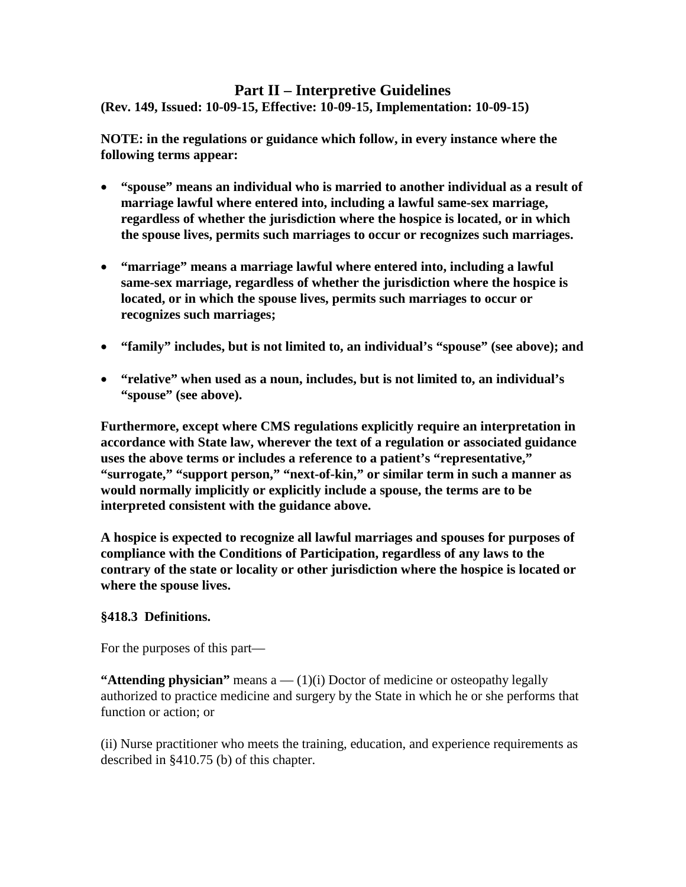#### <span id="page-21-0"></span>**Part II – Interpretive Guidelines (Rev. 149, Issued: 10-09-15, Effective: 10-09-15, Implementation: 10-09-15)**

**NOTE: in the regulations or guidance which follow, in every instance where the following terms appear:** 

- **"spouse" means an individual who is married to another individual as a result of marriage lawful where entered into, including a lawful same-sex marriage, regardless of whether the jurisdiction where the hospice is located, or in which the spouse lives, permits such marriages to occur or recognizes such marriages.**
- **"marriage" means a marriage lawful where entered into, including a lawful same-sex marriage, regardless of whether the jurisdiction where the hospice is located, or in which the spouse lives, permits such marriages to occur or recognizes such marriages;**
- **"family" includes, but is not limited to, an individual's "spouse" (see above); and**
- **"relative" when used as a noun, includes, but is not limited to, an individual's "spouse" (see above).**

**Furthermore, except where CMS regulations explicitly require an interpretation in accordance with State law, wherever the text of a regulation or associated guidance uses the above terms or includes a reference to a patient's "representative," "surrogate," "support person," "next-of-kin," or similar term in such a manner as would normally implicitly or explicitly include a spouse, the terms are to be interpreted consistent with the guidance above.**

**A hospice is expected to recognize all lawful marriages and spouses for purposes of compliance with the Conditions of Participation, regardless of any laws to the contrary of the state or locality or other jurisdiction where the hospice is located or where the spouse lives.**

#### **§418.3 Definitions.**

For the purposes of this part—

**"Attending physician"** means a — (1)(i) Doctor of medicine or osteopathy legally authorized to practice medicine and surgery by the State in which he or she performs that function or action; or

(ii) Nurse practitioner who meets the training, education, and experience requirements as described in §410.75 (b) of this chapter.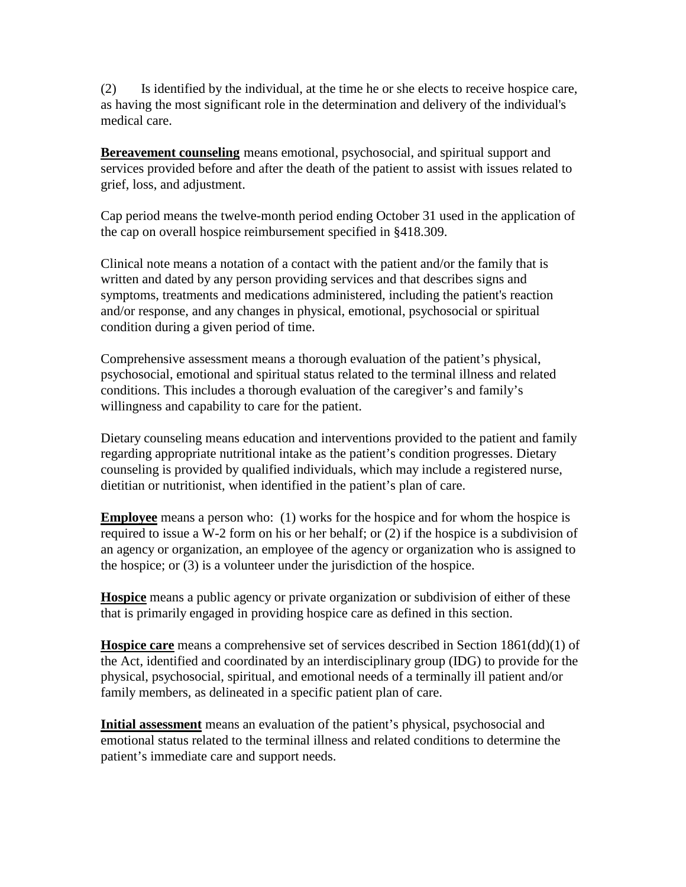(2) Is identified by the individual, at the time he or she elects to receive hospice care, as having the most significant role in the determination and delivery of the individual's medical care.

**Bereavement counseling** means emotional, psychosocial, and spiritual support and services provided before and after the death of the patient to assist with issues related to grief, loss, and adjustment.

Cap period means the twelve-month period ending October 31 used in the application of the cap on overall hospice reimbursement specified in §418.309.

Clinical note means a notation of a contact with the patient and/or the family that is written and dated by any person providing services and that describes signs and symptoms, treatments and medications administered, including the patient's reaction and/or response, and any changes in physical, emotional, psychosocial or spiritual condition during a given period of time.

Comprehensive assessment means a thorough evaluation of the patient's physical, psychosocial, emotional and spiritual status related to the terminal illness and related conditions. This includes a thorough evaluation of the caregiver's and family's willingness and capability to care for the patient.

Dietary counseling means education and interventions provided to the patient and family regarding appropriate nutritional intake as the patient's condition progresses. Dietary counseling is provided by qualified individuals, which may include a registered nurse, dietitian or nutritionist, when identified in the patient's plan of care.

**Employee** means a person who: (1) works for the hospice and for whom the hospice is required to issue a W-2 form on his or her behalf; or (2) if the hospice is a subdivision of an agency or organization, an employee of the agency or organization who is assigned to the hospice; or (3) is a volunteer under the jurisdiction of the hospice.

**Hospice** means a public agency or private organization or subdivision of either of these that is primarily engaged in providing hospice care as defined in this section.

**Hospice care** means a comprehensive set of services described in Section 1861(dd)(1) of the Act, identified and coordinated by an interdisciplinary group (IDG) to provide for the physical, psychosocial, spiritual, and emotional needs of a terminally ill patient and/or family members, as delineated in a specific patient plan of care.

**Initial assessment** means an evaluation of the patient's physical, psychosocial and emotional status related to the terminal illness and related conditions to determine the patient's immediate care and support needs.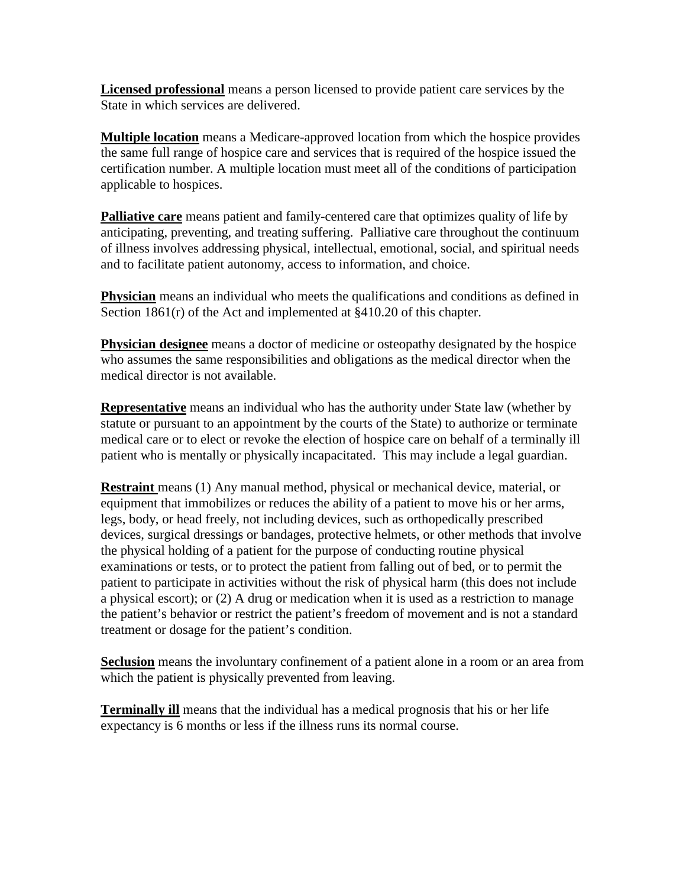**Licensed professional** means a person licensed to provide patient care services by the State in which services are delivered.

**Multiple location** means a Medicare-approved location from which the hospice provides the same full range of hospice care and services that is required of the hospice issued the certification number. A multiple location must meet all of the conditions of participation applicable to hospices.

**Palliative care** means patient and family-centered care that optimizes quality of life by anticipating, preventing, and treating suffering. Palliative care throughout the continuum of illness involves addressing physical, intellectual, emotional, social, and spiritual needs and to facilitate patient autonomy, access to information, and choice.

**Physician** means an individual who meets the qualifications and conditions as defined in Section 1861(r) of the Act and implemented at §410.20 of this chapter.

**Physician designee** means a doctor of medicine or osteopathy designated by the hospice who assumes the same responsibilities and obligations as the medical director when the medical director is not available.

**Representative** means an individual who has the authority under State law (whether by statute or pursuant to an appointment by the courts of the State) to authorize or terminate medical care or to elect or revoke the election of hospice care on behalf of a terminally ill patient who is mentally or physically incapacitated. This may include a legal guardian.

**Restraint** means (1) Any manual method, physical or mechanical device, material, or equipment that immobilizes or reduces the ability of a patient to move his or her arms, legs, body, or head freely, not including devices, such as orthopedically prescribed devices, surgical dressings or bandages, protective helmets, or other methods that involve the physical holding of a patient for the purpose of conducting routine physical examinations or tests, or to protect the patient from falling out of bed, or to permit the patient to participate in activities without the risk of physical harm (this does not include a physical escort); or (2) A drug or medication when it is used as a restriction to manage the patient's behavior or restrict the patient's freedom of movement and is not a standard treatment or dosage for the patient's condition.

**Seclusion** means the involuntary confinement of a patient alone in a room or an area from which the patient is physically prevented from leaving.

**Terminally ill** means that the individual has a medical prognosis that his or her life expectancy is 6 months or less if the illness runs its normal course.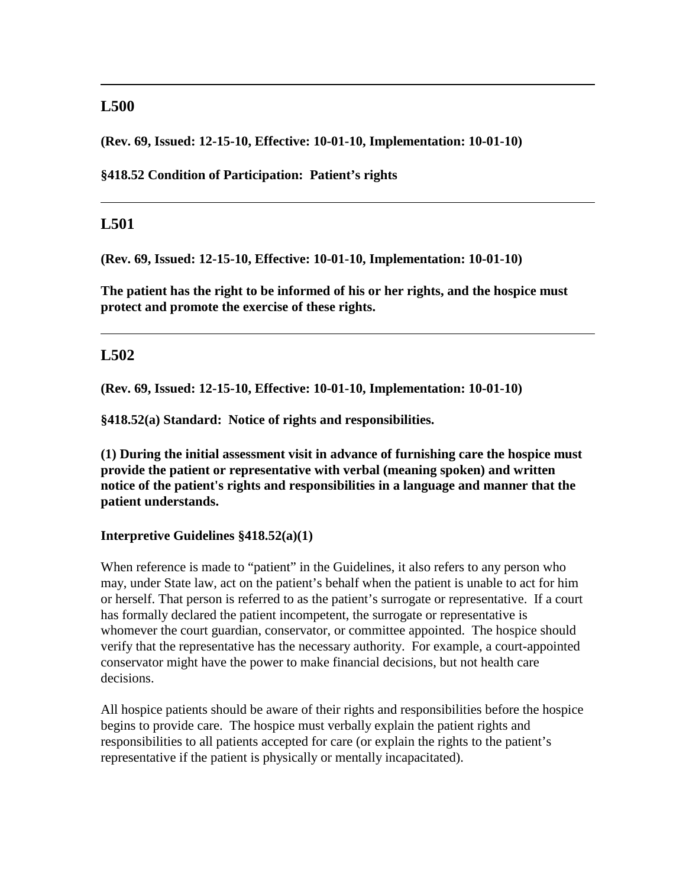### **L500**

**(Rev. 69, Issued: 12-15-10, Effective: 10-01-10, Implementation: 10-01-10)** 

**§418.52 Condition of Participation: Patient's rights** 

#### **L501**

**(Rev. 69, Issued: 12-15-10, Effective: 10-01-10, Implementation: 10-01-10)** 

**The patient has the right to be informed of his or her rights, and the hospice must protect and promote the exercise of these rights.** 

#### **L502**

**(Rev. 69, Issued: 12-15-10, Effective: 10-01-10, Implementation: 10-01-10)** 

**§418.52(a) Standard: Notice of rights and responsibilities.**

**(1) During the initial assessment visit in advance of furnishing care the hospice must provide the patient or representative with verbal (meaning spoken) and written notice of the patient's rights and responsibilities in a language and manner that the patient understands.** 

#### **Interpretive Guidelines §418.52(a)(1)**

When reference is made to "patient" in the Guidelines, it also refers to any person who may, under State law, act on the patient's behalf when the patient is unable to act for him or herself. That person is referred to as the patient's surrogate or representative. If a court has formally declared the patient incompetent, the surrogate or representative is whomever the court guardian, conservator, or committee appointed. The hospice should verify that the representative has the necessary authority. For example, a court-appointed conservator might have the power to make financial decisions, but not health care decisions.

All hospice patients should be aware of their rights and responsibilities before the hospice begins to provide care. The hospice must verbally explain the patient rights and responsibilities to all patients accepted for care (or explain the rights to the patient's representative if the patient is physically or mentally incapacitated).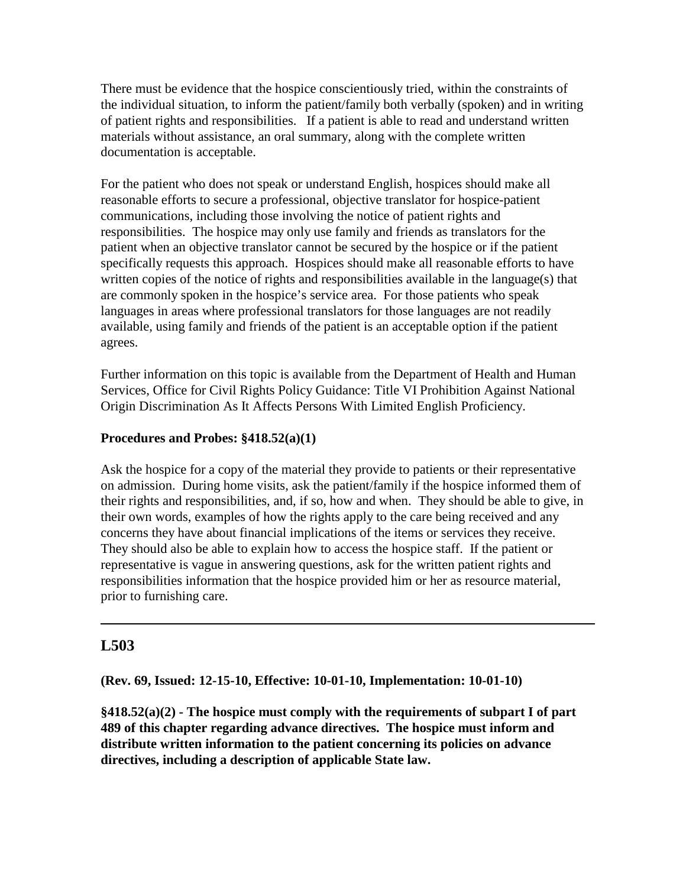There must be evidence that the hospice conscientiously tried, within the constraints of the individual situation, to inform the patient/family both verbally (spoken) and in writing of patient rights and responsibilities. If a patient is able to read and understand written materials without assistance, an oral summary, along with the complete written documentation is acceptable.

For the patient who does not speak or understand English, hospices should make all reasonable efforts to secure a professional, objective translator for hospice-patient communications, including those involving the notice of patient rights and responsibilities. The hospice may only use family and friends as translators for the patient when an objective translator cannot be secured by the hospice or if the patient specifically requests this approach. Hospices should make all reasonable efforts to have written copies of the notice of rights and responsibilities available in the language(s) that are commonly spoken in the hospice's service area. For those patients who speak languages in areas where professional translators for those languages are not readily available, using family and friends of the patient is an acceptable option if the patient agrees.

Further information on this topic is available from the Department of Health and Human Services, Office for Civil Rights Policy Guidance: Title VI Prohibition Against National Origin Discrimination As It Affects Persons With Limited English Proficiency.

#### **Procedures and Probes: §418.52(a)(1)**

Ask the hospice for a copy of the material they provide to patients or their representative on admission. During home visits, ask the patient/family if the hospice informed them of their rights and responsibilities, and, if so, how and when. They should be able to give, in their own words, examples of how the rights apply to the care being received and any concerns they have about financial implications of the items or services they receive. They should also be able to explain how to access the hospice staff. If the patient or representative is vague in answering questions, ask for the written patient rights and responsibilities information that the hospice provided him or her as resource material, prior to furnishing care.

# **L503**

**(Rev. 69, Issued: 12-15-10, Effective: 10-01-10, Implementation: 10-01-10)** 

**§418.52(a)(2) - The hospice must comply with the requirements of subpart I of part 489 of this chapter regarding advance directives. The hospice must inform and distribute written information to the patient concerning its policies on advance directives, including a description of applicable State law.**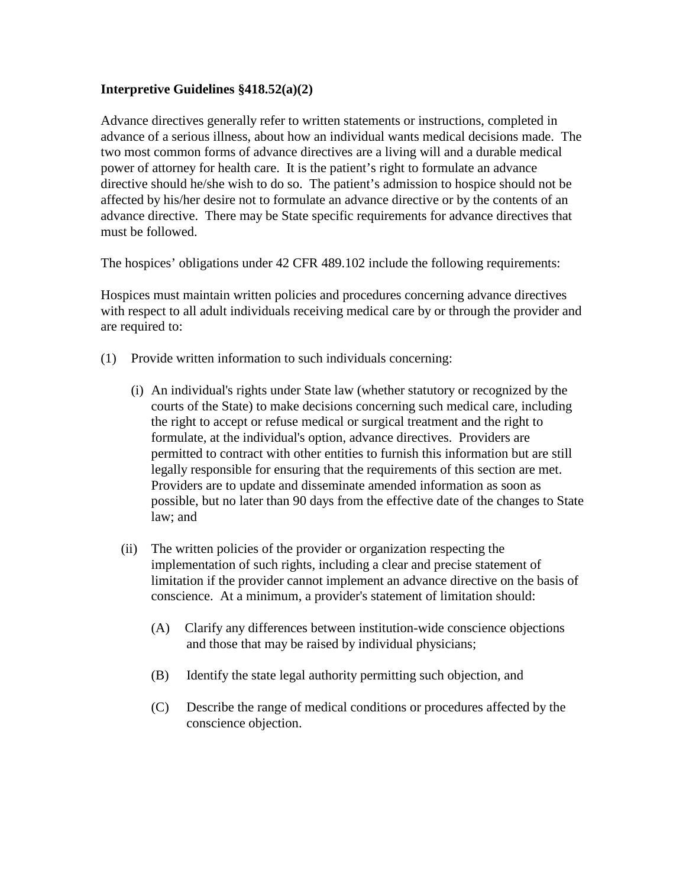#### **Interpretive Guidelines §418.52(a)(2)**

Advance directives generally refer to written statements or instructions, completed in advance of a serious illness, about how an individual wants medical decisions made. The two most common forms of advance directives are a living will and a durable medical power of attorney for health care. It is the patient's right to formulate an advance directive should he/she wish to do so. The patient's admission to hospice should not be affected by his/her desire not to formulate an advance directive or by the contents of an advance directive. There may be State specific requirements for advance directives that must be followed.

The hospices' obligations under 42 CFR 489.102 include the following requirements:

Hospices must maintain written policies and procedures concerning advance directives with respect to all adult individuals receiving medical care by or through the provider and are required to:

- (1) Provide written information to such individuals concerning:
	- (i) An individual's rights under State law (whether statutory or recognized by the courts of the State) to make decisions concerning such medical care, including the right to accept or refuse medical or surgical treatment and the right to formulate, at the individual's option, advance directives. Providers are permitted to contract with other entities to furnish this information but are still legally responsible for ensuring that the requirements of this section are met. Providers are to update and disseminate amended information as soon as possible, but no later than 90 days from the effective date of the changes to State law; and
	- (ii) The written policies of the provider or organization respecting the implementation of such rights, including a clear and precise statement of limitation if the provider cannot implement an advance directive on the basis of conscience. At a minimum, a provider's statement of limitation should:
		- (A) Clarify any differences between institution-wide conscience objections and those that may be raised by individual physicians;
		- (B) Identify the state legal authority permitting such objection, and
		- (C) Describe the range of medical conditions or procedures affected by the conscience objection.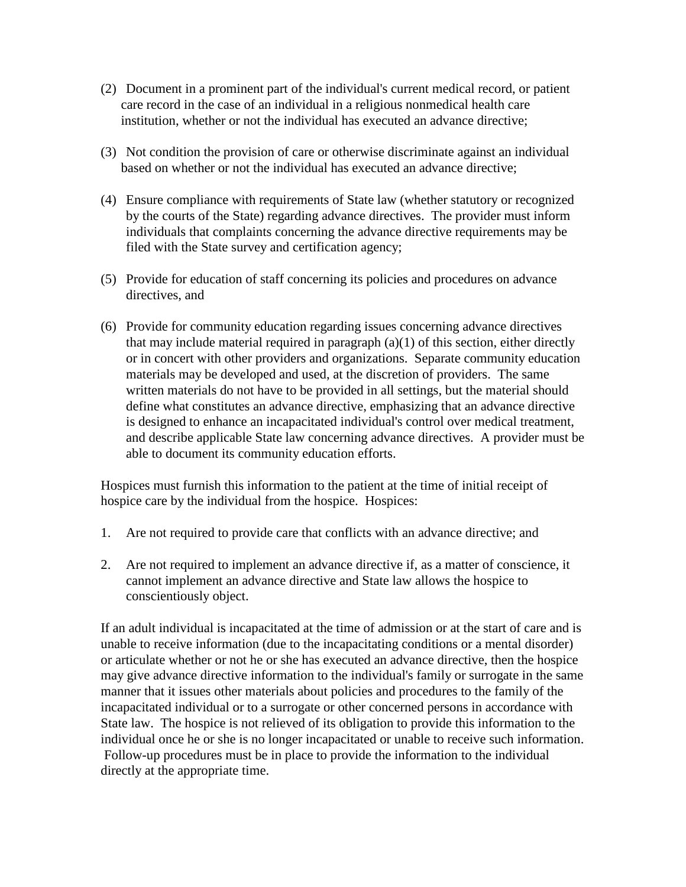- (2) Document in a prominent part of the individual's current medical record, or patient care record in the case of an individual in a religious nonmedical health care institution, whether or not the individual has executed an advance directive;
- (3) Not condition the provision of care or otherwise discriminate against an individual based on whether or not the individual has executed an advance directive;
- (4) Ensure compliance with requirements of State law (whether statutory or recognized by the courts of the State) regarding advance directives. The provider must inform individuals that complaints concerning the advance directive requirements may be filed with the State survey and certification agency;
- (5) Provide for education of staff concerning its policies and procedures on advance directives, and
- (6) Provide for community education regarding issues concerning advance directives that may include material required in paragraph  $(a)(1)$  of this section, either directly or in concert with other providers and organizations. Separate community education materials may be developed and used, at the discretion of providers. The same written materials do not have to be provided in all settings, but the material should define what constitutes an advance directive, emphasizing that an advance directive is designed to enhance an incapacitated individual's control over medical treatment, and describe applicable State law concerning advance directives. A provider must be able to document its community education efforts.

Hospices must furnish this information to the patient at the time of initial receipt of hospice care by the individual from the hospice. Hospices:

- 1. Are not required to provide care that conflicts with an advance directive; and
- 2. Are not required to implement an advance directive if, as a matter of conscience, it cannot implement an advance directive and State law allows the hospice to conscientiously object.

If an adult individual is incapacitated at the time of admission or at the start of care and is unable to receive information (due to the incapacitating conditions or a mental disorder) or articulate whether or not he or she has executed an advance directive, then the hospice may give advance directive information to the individual's family or surrogate in the same manner that it issues other materials about policies and procedures to the family of the incapacitated individual or to a surrogate or other concerned persons in accordance with State law. The hospice is not relieved of its obligation to provide this information to the individual once he or she is no longer incapacitated or unable to receive such information. Follow-up procedures must be in place to provide the information to the individual directly at the appropriate time.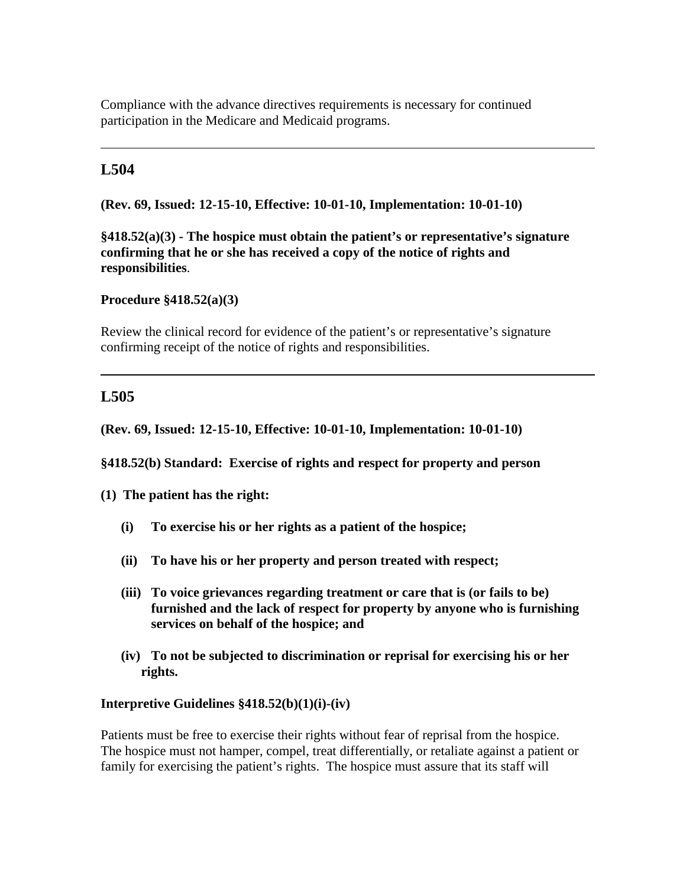Compliance with the advance directives requirements is necessary for continued participation in the Medicare and Medicaid programs.

# **L504**

**(Rev. 69, Issued: 12-15-10, Effective: 10-01-10, Implementation: 10-01-10)** 

**§418.52(a)(3) - The hospice must obtain the patient's or representative's signature confirming that he or she has received a copy of the notice of rights and responsibilities**.

**Procedure §418.52(a)(3)** 

Review the clinical record for evidence of the patient's or representative's signature confirming receipt of the notice of rights and responsibilities.

# **L505**

**(Rev. 69, Issued: 12-15-10, Effective: 10-01-10, Implementation: 10-01-10)** 

**§418.52(b) Standard: Exercise of rights and respect for property and person**

**(1) The patient has the right:**

- **(i) To exercise his or her rights as a patient of the hospice;**
- **(ii) To have his or her property and person treated with respect;**
- **(iii) To voice grievances regarding treatment or care that is (or fails to be) furnished and the lack of respect for property by anyone who is furnishing services on behalf of the hospice; and**
- **(iv) To not be subjected to discrimination or reprisal for exercising his or her rights.**

#### **Interpretive Guidelines §418.52(b)(1)(i)-(iv)**

Patients must be free to exercise their rights without fear of reprisal from the hospice. The hospice must not hamper, compel, treat differentially, or retaliate against a patient or family for exercising the patient's rights. The hospice must assure that its staff will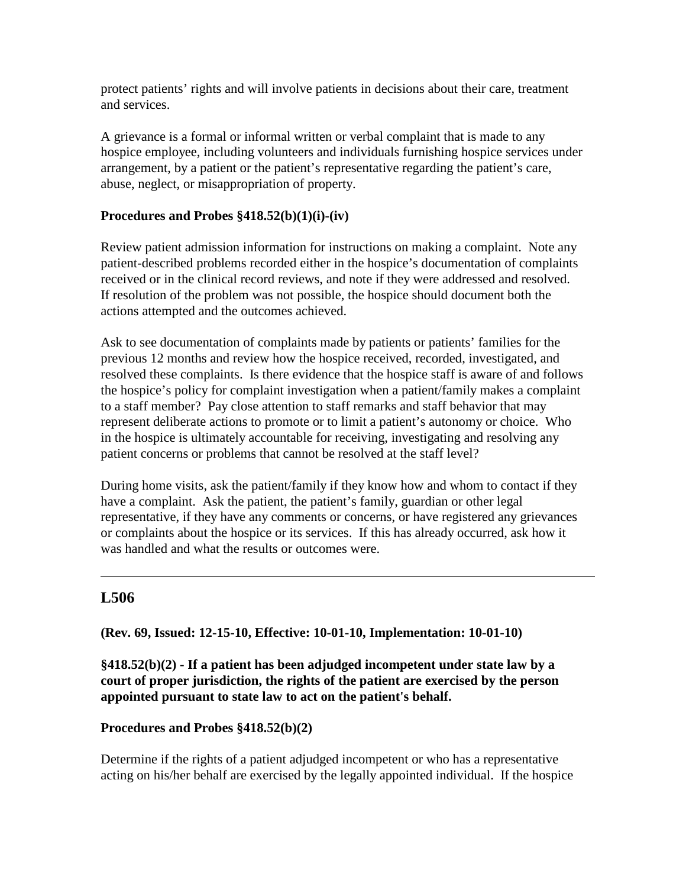protect patients' rights and will involve patients in decisions about their care, treatment and services.

A grievance is a formal or informal written or verbal complaint that is made to any hospice employee, including volunteers and individuals furnishing hospice services under arrangement, by a patient or the patient's representative regarding the patient's care, abuse, neglect, or misappropriation of property.

#### **Procedures and Probes §418.52(b)(1)(i)-(iv)**

Review patient admission information for instructions on making a complaint. Note any patient-described problems recorded either in the hospice's documentation of complaints received or in the clinical record reviews, and note if they were addressed and resolved. If resolution of the problem was not possible, the hospice should document both the actions attempted and the outcomes achieved.

Ask to see documentation of complaints made by patients or patients' families for the previous 12 months and review how the hospice received, recorded, investigated, and resolved these complaints. Is there evidence that the hospice staff is aware of and follows the hospice's policy for complaint investigation when a patient/family makes a complaint to a staff member? Pay close attention to staff remarks and staff behavior that may represent deliberate actions to promote or to limit a patient's autonomy or choice. Who in the hospice is ultimately accountable for receiving, investigating and resolving any patient concerns or problems that cannot be resolved at the staff level?

During home visits, ask the patient/family if they know how and whom to contact if they have a complaint. Ask the patient, the patient's family, guardian or other legal representative, if they have any comments or concerns, or have registered any grievances or complaints about the hospice or its services. If this has already occurred, ask how it was handled and what the results or outcomes were.

# **L506**

**(Rev. 69, Issued: 12-15-10, Effective: 10-01-10, Implementation: 10-01-10)** 

**§418.52(b)(2) - If a patient has been adjudged incompetent under state law by a court of proper jurisdiction, the rights of the patient are exercised by the person appointed pursuant to state law to act on the patient's behalf.** 

#### **Procedures and Probes §418.52(b)(2)**

Determine if the rights of a patient adjudged incompetent or who has a representative acting on his/her behalf are exercised by the legally appointed individual. If the hospice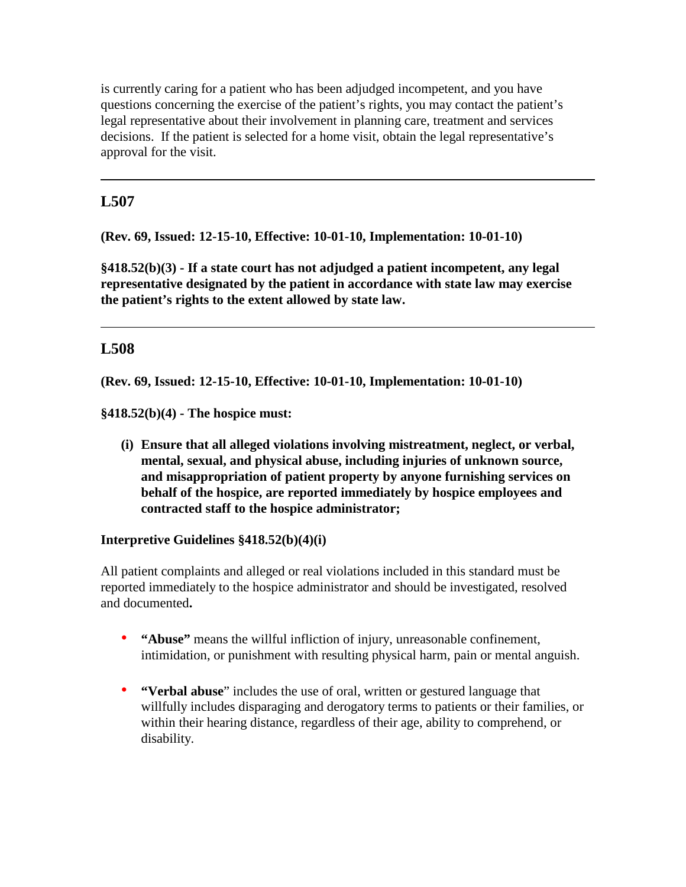is currently caring for a patient who has been adjudged incompetent, and you have questions concerning the exercise of the patient's rights, you may contact the patient's legal representative about their involvement in planning care, treatment and services decisions. If the patient is selected for a home visit, obtain the legal representative's approval for the visit.

# **L507**

**(Rev. 69, Issued: 12-15-10, Effective: 10-01-10, Implementation: 10-01-10)** 

**§418.52(b)(3) - If a state court has not adjudged a patient incompetent, any legal representative designated by the patient in accordance with state law may exercise the patient's rights to the extent allowed by state law.** 

# **L508**

**(Rev. 69, Issued: 12-15-10, Effective: 10-01-10, Implementation: 10-01-10)** 

**§418.52(b)(4) - The hospice must:**

**(i) Ensure that all alleged violations involving mistreatment, neglect, or verbal, mental, sexual, and physical abuse, including injuries of unknown source, and misappropriation of patient property by anyone furnishing services on behalf of the hospice, are reported immediately by hospice employees and contracted staff to the hospice administrator;**

#### **Interpretive Guidelines §418.52(b)(4)(i)**

All patient complaints and alleged or real violations included in this standard must be reported immediately to the hospice administrator and should be investigated, resolved and documented**.** 

- **"Abuse"** means the willful infliction of injury, unreasonable confinement, intimidation, or punishment with resulting physical harm, pain or mental anguish.
- **"Verbal abuse**" includes the use of oral, written or gestured language that willfully includes disparaging and derogatory terms to patients or their families, or within their hearing distance, regardless of their age, ability to comprehend, or disability.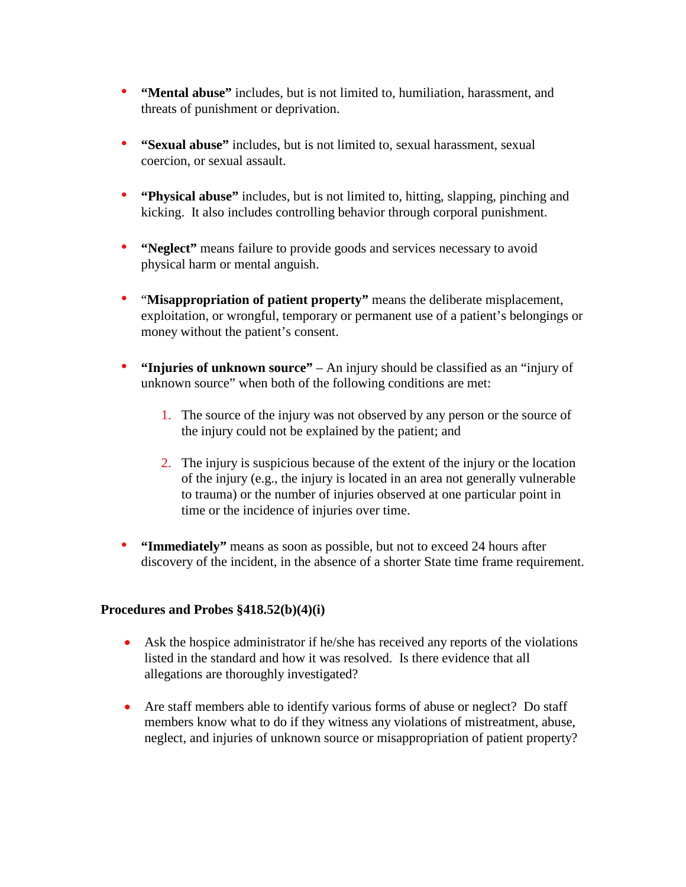- **"Mental abuse"** includes, but is not limited to, humiliation, harassment, and threats of punishment or deprivation.
- **"Sexual abuse"** includes, but is not limited to, sexual harassment, sexual coercion, or sexual assault.
- **"Physical abuse"** includes, but is not limited to, hitting, slapping, pinching and kicking. It also includes controlling behavior through corporal punishment.
- **"Neglect"** means failure to provide goods and services necessary to avoid physical harm or mental anguish.
- "**Misappropriation of patient property"** means the deliberate misplacement, exploitation, or wrongful, temporary or permanent use of a patient's belongings or money without the patient's consent.
- **"Injuries of unknown source"**  An injury should be classified as an "injury of unknown source" when both of the following conditions are met:
	- 1. The source of the injury was not observed by any person or the source of the injury could not be explained by the patient; and
	- 2. The injury is suspicious because of the extent of the injury or the location of the injury (e.g., the injury is located in an area not generally vulnerable to trauma) or the number of injuries observed at one particular point in time or the incidence of injuries over time.
- **"Immediately"** means as soon as possible, but not to exceed 24 hours after discovery of the incident, in the absence of a shorter State time frame requirement.

#### **Procedures and Probes §418.52(b)(4)(i)**

- Ask the hospice administrator if he/she has received any reports of the violations listed in the standard and how it was resolved. Is there evidence that all allegations are thoroughly investigated?
- Are staff members able to identify various forms of abuse or neglect? Do staff members know what to do if they witness any violations of mistreatment, abuse, neglect, and injuries of unknown source or misappropriation of patient property?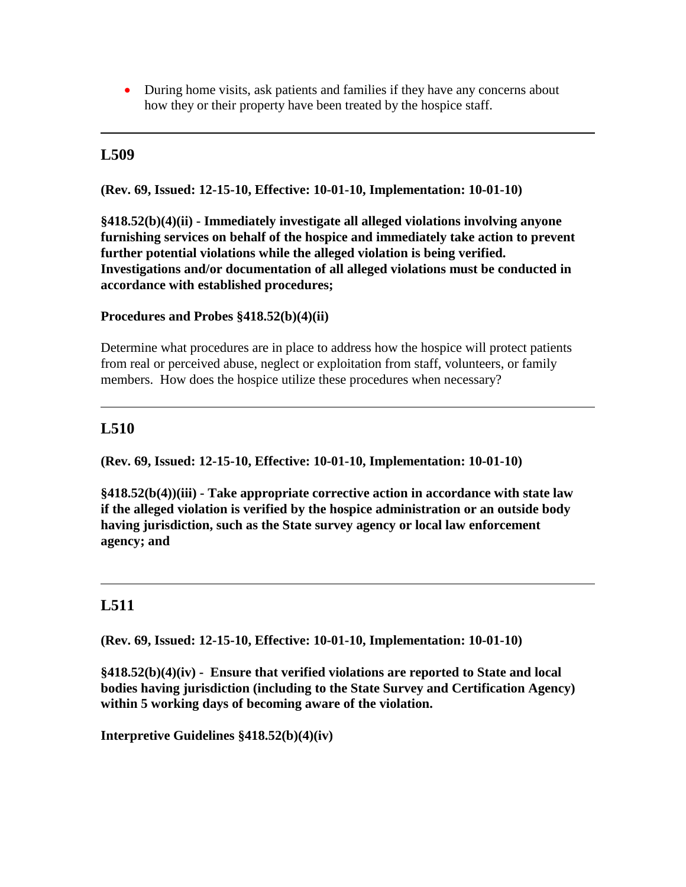• During home visits, ask patients and families if they have any concerns about how they or their property have been treated by the hospice staff.

### **L509**

**(Rev. 69, Issued: 12-15-10, Effective: 10-01-10, Implementation: 10-01-10)** 

**§418.52(b)(4)(ii) - Immediately investigate all alleged violations involving anyone furnishing services on behalf of the hospice and immediately take action to prevent further potential violations while the alleged violation is being verified. Investigations and/or documentation of all alleged violations must be conducted in accordance with established procedures;**

**Procedures and Probes §418.52(b)(4)(ii)** 

Determine what procedures are in place to address how the hospice will protect patients from real or perceived abuse, neglect or exploitation from staff, volunteers, or family members. How does the hospice utilize these procedures when necessary?

#### **L510**

**(Rev. 69, Issued: 12-15-10, Effective: 10-01-10, Implementation: 10-01-10)** 

**§418.52(b(4))(iii) - Take appropriate corrective action in accordance with state law if the alleged violation is verified by the hospice administration or an outside body having jurisdiction, such as the State survey agency or local law enforcement agency; and** 

# **L511**

**(Rev. 69, Issued: 12-15-10, Effective: 10-01-10, Implementation: 10-01-10)** 

**§418.52(b)(4)(iv) - Ensure that verified violations are reported to State and local bodies having jurisdiction (including to the State Survey and Certification Agency) within 5 working days of becoming aware of the violation.** 

**Interpretive Guidelines §418.52(b)(4)(iv)**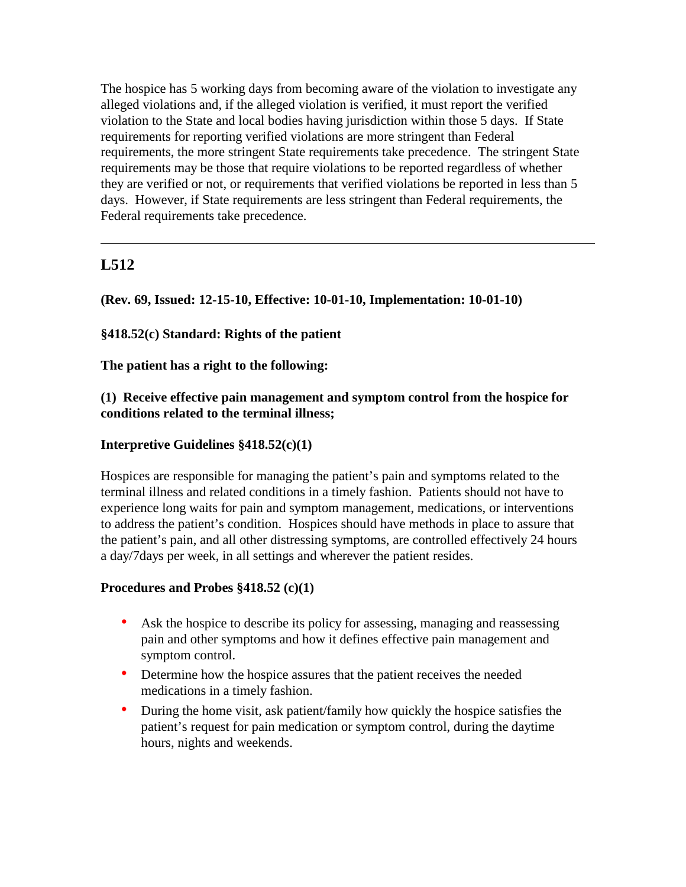The hospice has 5 working days from becoming aware of the violation to investigate any alleged violations and, if the alleged violation is verified, it must report the verified violation to the State and local bodies having jurisdiction within those 5 days. If State requirements for reporting verified violations are more stringent than Federal requirements, the more stringent State requirements take precedence. The stringent State requirements may be those that require violations to be reported regardless of whether they are verified or not, or requirements that verified violations be reported in less than 5 days. However, if State requirements are less stringent than Federal requirements, the Federal requirements take precedence.

# **L512**

**(Rev. 69, Issued: 12-15-10, Effective: 10-01-10, Implementation: 10-01-10)** 

### **§418.52(c) Standard: Rights of the patient**

**The patient has a right to the following:** 

#### **(1) Receive effective pain management and symptom control from the hospice for conditions related to the terminal illness;**

#### **Interpretive Guidelines §418.52(c)(1)**

Hospices are responsible for managing the patient's pain and symptoms related to the terminal illness and related conditions in a timely fashion. Patients should not have to experience long waits for pain and symptom management, medications, or interventions to address the patient's condition. Hospices should have methods in place to assure that the patient's pain, and all other distressing symptoms, are controlled effectively 24 hours a day/7days per week, in all settings and wherever the patient resides.

#### **Procedures and Probes §418.52 (c)(1)**

- Ask the hospice to describe its policy for assessing, managing and reassessing pain and other symptoms and how it defines effective pain management and symptom control.
- Determine how the hospice assures that the patient receives the needed medications in a timely fashion.
- During the home visit, ask patient/family how quickly the hospice satisfies the patient's request for pain medication or symptom control, during the daytime hours, nights and weekends.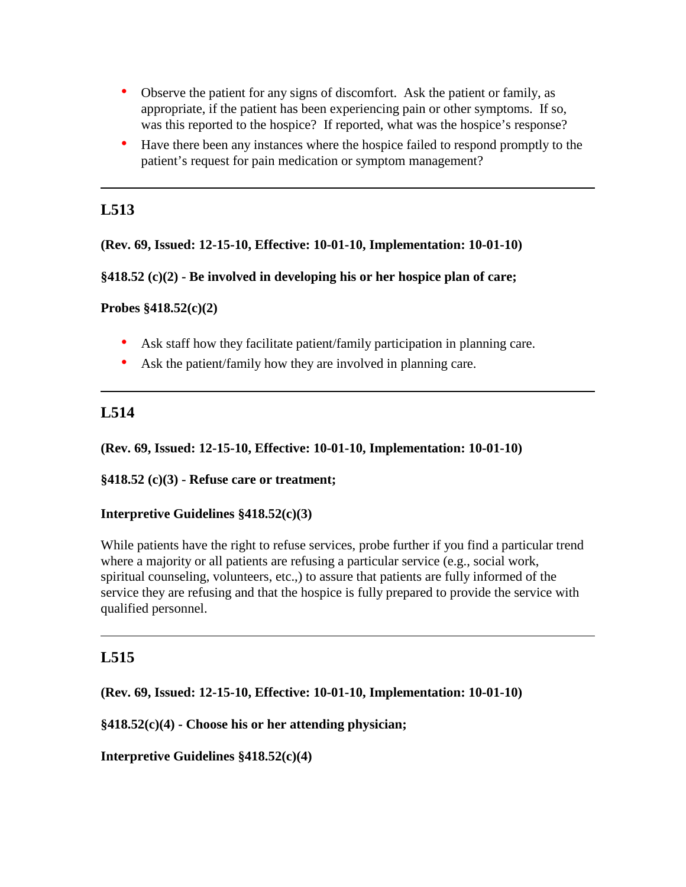- Observe the patient for any signs of discomfort. Ask the patient or family, as appropriate, if the patient has been experiencing pain or other symptoms. If so, was this reported to the hospice? If reported, what was the hospice's response?
- Have there been any instances where the hospice failed to respond promptly to the patient's request for pain medication or symptom management?

# **L513**

**(Rev. 69, Issued: 12-15-10, Effective: 10-01-10, Implementation: 10-01-10)** 

**§418.52 (c)(2) - Be involved in developing his or her hospice plan of care;**

**Probes §418.52(c)(2)** 

- Ask staff how they facilitate patient/family participation in planning care.
- Ask the patient/family how they are involved in planning care.

# **L514**

**(Rev. 69, Issued: 12-15-10, Effective: 10-01-10, Implementation: 10-01-10)** 

**§418.52 (c)(3) - Refuse care or treatment;**

#### **Interpretive Guidelines §418.52(c)(3)**

While patients have the right to refuse services, probe further if you find a particular trend where a majority or all patients are refusing a particular service (e.g., social work, spiritual counseling, volunteers, etc.,) to assure that patients are fully informed of the service they are refusing and that the hospice is fully prepared to provide the service with qualified personnel.

# **L515**

**(Rev. 69, Issued: 12-15-10, Effective: 10-01-10, Implementation: 10-01-10)** 

**§418.52(c)(4) - Choose his or her attending physician;**

**Interpretive Guidelines §418.52(c)(4)**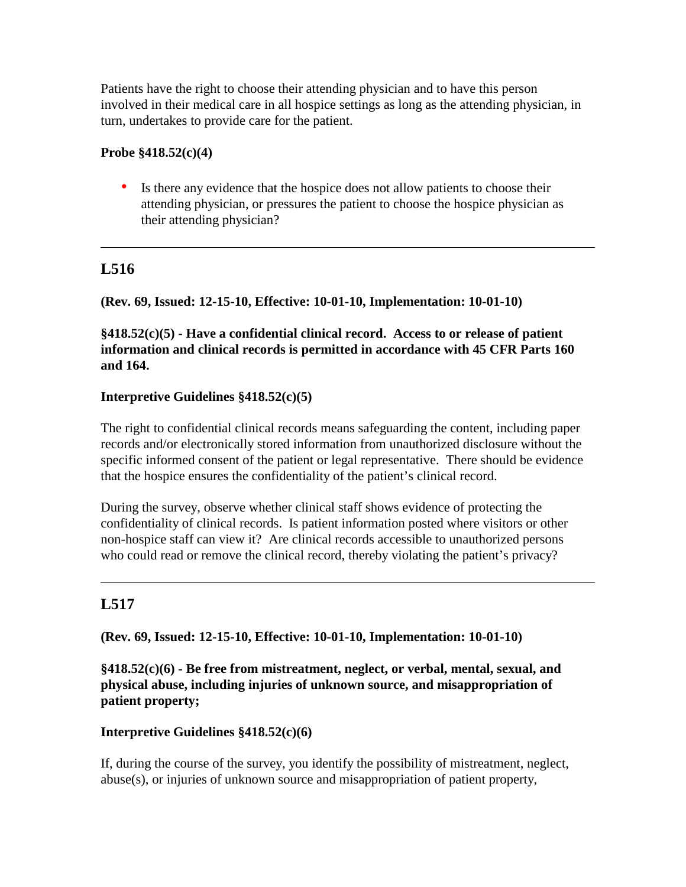Patients have the right to choose their attending physician and to have this person involved in their medical care in all hospice settings as long as the attending physician, in turn, undertakes to provide care for the patient.

#### **Probe §418.52(c)(4)**

• Is there any evidence that the hospice does not allow patients to choose their attending physician, or pressures the patient to choose the hospice physician as their attending physician?

# **L516**

# **(Rev. 69, Issued: 12-15-10, Effective: 10-01-10, Implementation: 10-01-10)**

**§418.52(c)(5) - Have a confidential clinical record. Access to or release of patient information and clinical records is permitted in accordance with 45 CFR Parts 160 and 164.** 

### **Interpretive Guidelines §418.52(c)(5)**

The right to confidential clinical records means safeguarding the content, including paper records and/or electronically stored information from unauthorized disclosure without the specific informed consent of the patient or legal representative. There should be evidence that the hospice ensures the confidentiality of the patient's clinical record.

During the survey, observe whether clinical staff shows evidence of protecting the confidentiality of clinical records. Is patient information posted where visitors or other non-hospice staff can view it? Are clinical records accessible to unauthorized persons who could read or remove the clinical record, thereby violating the patient's privacy?

# **L517**

**(Rev. 69, Issued: 12-15-10, Effective: 10-01-10, Implementation: 10-01-10)** 

**§418.52(c)(6) - Be free from mistreatment, neglect, or verbal, mental, sexual, and physical abuse, including injuries of unknown source, and misappropriation of patient property;**

#### **Interpretive Guidelines §418.52(c)(6)**

If, during the course of the survey, you identify the possibility of mistreatment, neglect, abuse(s), or injuries of unknown source and misappropriation of patient property,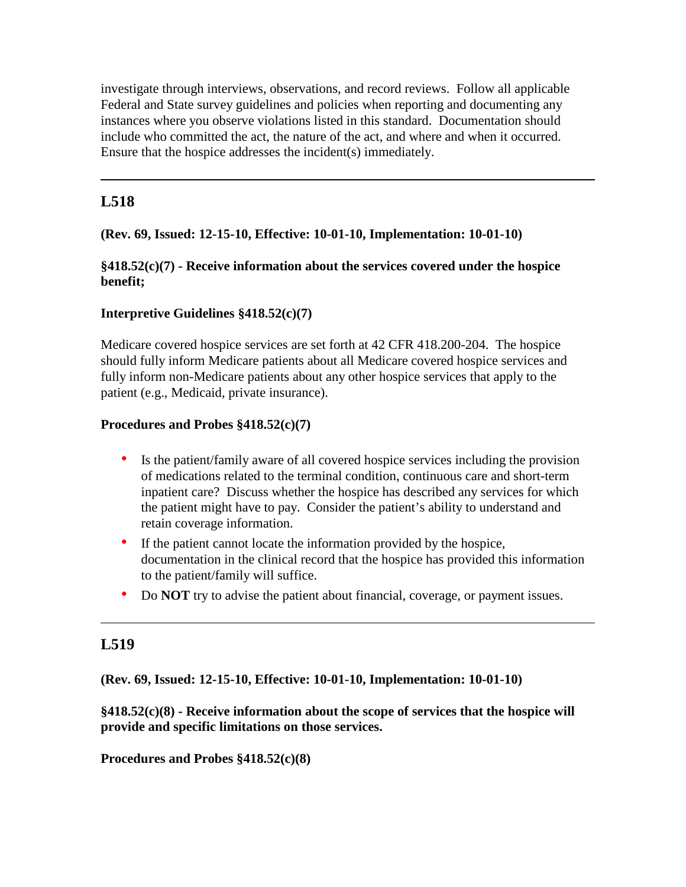investigate through interviews, observations, and record reviews. Follow all applicable Federal and State survey guidelines and policies when reporting and documenting any instances where you observe violations listed in this standard. Documentation should include who committed the act, the nature of the act, and where and when it occurred. Ensure that the hospice addresses the incident(s) immediately.

# **L518**

## **(Rev. 69, Issued: 12-15-10, Effective: 10-01-10, Implementation: 10-01-10)**

## **§418.52(c)(7) - Receive information about the services covered under the hospice benefit;**

### **Interpretive Guidelines §418.52(c)(7)**

Medicare covered hospice services are set forth at 42 CFR 418.200-204. The hospice should fully inform Medicare patients about all Medicare covered hospice services and fully inform non-Medicare patients about any other hospice services that apply to the patient (e.g., Medicaid, private insurance).

### **Procedures and Probes §418.52(c)(7)**

- Is the patient/family aware of all covered hospice services including the provision of medications related to the terminal condition, continuous care and short-term inpatient care? Discuss whether the hospice has described any services for which the patient might have to pay. Consider the patient's ability to understand and retain coverage information.
- If the patient cannot locate the information provided by the hospice, documentation in the clinical record that the hospice has provided this information to the patient/family will suffice.
- Do **NOT** try to advise the patient about financial, coverage, or payment issues.

## **L519**

## **(Rev. 69, Issued: 12-15-10, Effective: 10-01-10, Implementation: 10-01-10)**

**§418.52(c)(8) - Receive information about the scope of services that the hospice will provide and specific limitations on those services.**

**Procedures and Probes §418.52(c)(8)**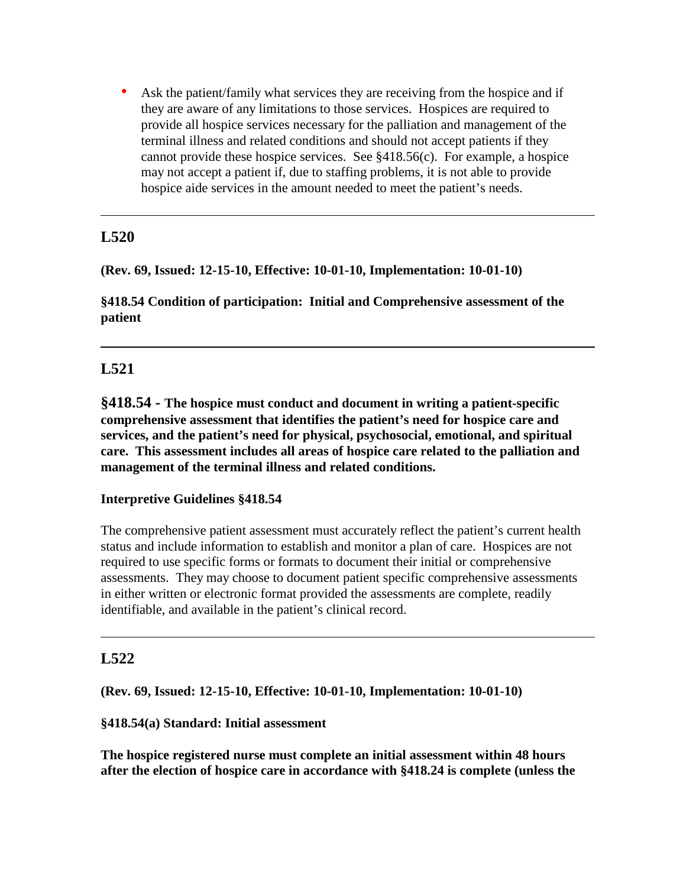• Ask the patient/family what services they are receiving from the hospice and if they are aware of any limitations to those services. Hospices are required to provide all hospice services necessary for the palliation and management of the terminal illness and related conditions and should not accept patients if they cannot provide these hospice services. See §418.56(c). For example, a hospice may not accept a patient if, due to staffing problems, it is not able to provide hospice aide services in the amount needed to meet the patient's needs.

# **L520**

**(Rev. 69, Issued: 12-15-10, Effective: 10-01-10, Implementation: 10-01-10)** 

**§418.54 Condition of participation: Initial and Comprehensive assessment of the patient**

# **L521**

**§418.54 - The hospice must conduct and document in writing a patient-specific comprehensive assessment that identifies the patient's need for hospice care and services, and the patient's need for physical, psychosocial, emotional, and spiritual care. This assessment includes all areas of hospice care related to the palliation and management of the terminal illness and related conditions.**

## **Interpretive Guidelines §418.54**

The comprehensive patient assessment must accurately reflect the patient's current health status and include information to establish and monitor a plan of care. Hospices are not required to use specific forms or formats to document their initial or comprehensive assessments. They may choose to document patient specific comprehensive assessments in either written or electronic format provided the assessments are complete, readily identifiable, and available in the patient's clinical record.

## **L522**

**(Rev. 69, Issued: 12-15-10, Effective: 10-01-10, Implementation: 10-01-10)** 

#### **§418.54(a) Standard: Initial assessment**

**The hospice registered nurse must complete an initial assessment within 48 hours after the election of hospice care in accordance with §418.24 is complete (unless the**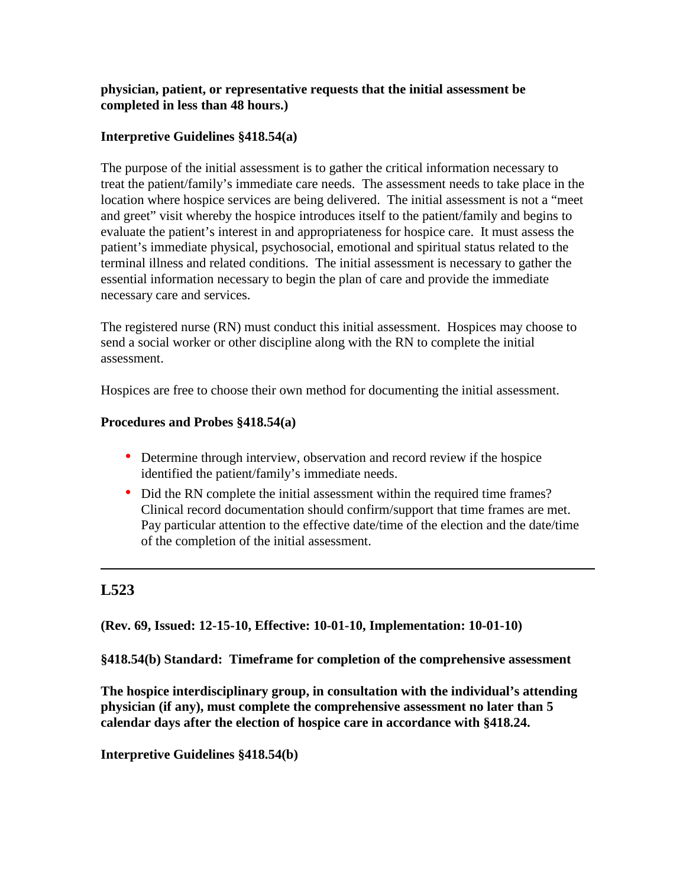## **physician, patient, or representative requests that the initial assessment be completed in less than 48 hours.)**

## **Interpretive Guidelines §418.54(a)**

The purpose of the initial assessment is to gather the critical information necessary to treat the patient/family's immediate care needs. The assessment needs to take place in the location where hospice services are being delivered. The initial assessment is not a "meet and greet" visit whereby the hospice introduces itself to the patient/family and begins to evaluate the patient's interest in and appropriateness for hospice care. It must assess the patient's immediate physical, psychosocial, emotional and spiritual status related to the terminal illness and related conditions. The initial assessment is necessary to gather the essential information necessary to begin the plan of care and provide the immediate necessary care and services.

The registered nurse (RN) must conduct this initial assessment. Hospices may choose to send a social worker or other discipline along with the RN to complete the initial assessment.

Hospices are free to choose their own method for documenting the initial assessment.

## **Procedures and Probes §418.54(a)**

- Determine through interview, observation and record review if the hospice identified the patient/family's immediate needs.
- Did the RN complete the initial assessment within the required time frames? Clinical record documentation should confirm/support that time frames are met. Pay particular attention to the effective date/time of the election and the date/time of the completion of the initial assessment.

# **L523**

**(Rev. 69, Issued: 12-15-10, Effective: 10-01-10, Implementation: 10-01-10)** 

**§418.54(b) Standard: Timeframe for completion of the comprehensive assessment** 

**The hospice interdisciplinary group, in consultation with the individual's attending physician (if any), must complete the comprehensive assessment no later than 5 calendar days after the election of hospice care in accordance with §418.24.**

**Interpretive Guidelines §418.54(b)**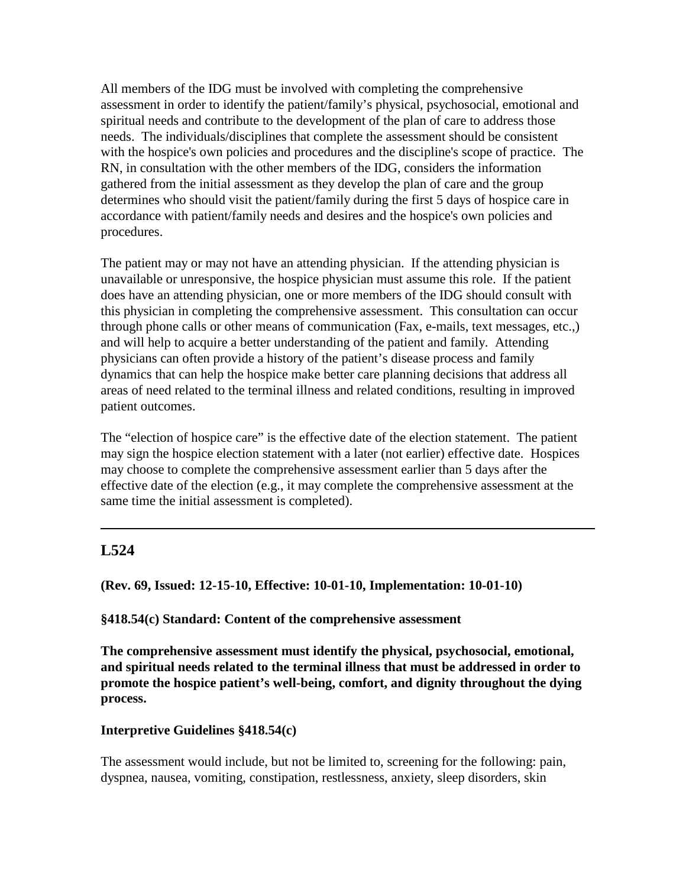All members of the IDG must be involved with completing the comprehensive assessment in order to identify the patient/family's physical, psychosocial, emotional and spiritual needs and contribute to the development of the plan of care to address those needs. The individuals/disciplines that complete the assessment should be consistent with the hospice's own policies and procedures and the discipline's scope of practice. The RN, in consultation with the other members of the IDG, considers the information gathered from the initial assessment as they develop the plan of care and the group determines who should visit the patient/family during the first 5 days of hospice care in accordance with patient/family needs and desires and the hospice's own policies and procedures.

The patient may or may not have an attending physician. If the attending physician is unavailable or unresponsive, the hospice physician must assume this role. If the patient does have an attending physician, one or more members of the IDG should consult with this physician in completing the comprehensive assessment. This consultation can occur through phone calls or other means of communication (Fax, e-mails, text messages, etc.,) and will help to acquire a better understanding of the patient and family. Attending physicians can often provide a history of the patient's disease process and family dynamics that can help the hospice make better care planning decisions that address all areas of need related to the terminal illness and related conditions, resulting in improved patient outcomes.

The "election of hospice care" is the effective date of the election statement. The patient may sign the hospice election statement with a later (not earlier) effective date. Hospices may choose to complete the comprehensive assessment earlier than 5 days after the effective date of the election (e.g., it may complete the comprehensive assessment at the same time the initial assessment is completed).

# **L524**

**(Rev. 69, Issued: 12-15-10, Effective: 10-01-10, Implementation: 10-01-10)** 

#### **§418.54(c) Standard: Content of the comprehensive assessment**

**The comprehensive assessment must identify the physical, psychosocial, emotional, and spiritual needs related to the terminal illness that must be addressed in order to promote the hospice patient's well-being, comfort, and dignity throughout the dying process.** 

#### **Interpretive Guidelines §418.54(c)**

The assessment would include, but not be limited to, screening for the following: pain, dyspnea, nausea, vomiting, constipation, restlessness, anxiety, sleep disorders, skin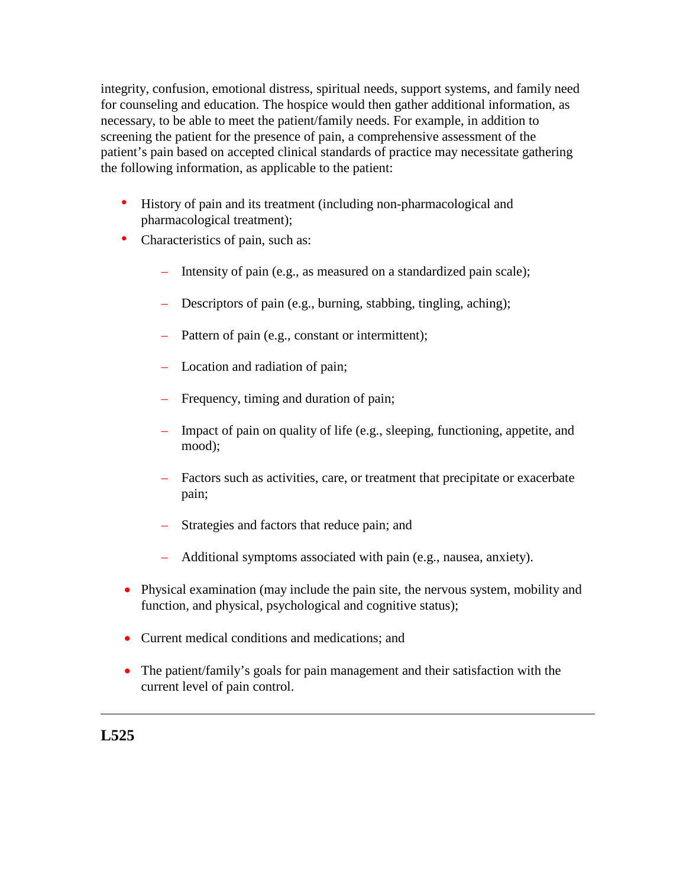integrity, confusion, emotional distress, spiritual needs, support systems, and family need for counseling and education. The hospice would then gather additional information, as necessary, to be able to meet the patient/family needs. For example, in addition to screening the patient for the presence of pain, a comprehensive assessment of the patient's pain based on accepted clinical standards of practice may necessitate gathering the following information, as applicable to the patient:

- History of pain and its treatment (including non-pharmacological and pharmacological treatment);
- Characteristics of pain, such as:
	- Intensity of pain (e.g., as measured on a standardized pain scale);
	- Descriptors of pain (e.g., burning, stabbing, tingling, aching);
	- Pattern of pain (e.g., constant or intermittent);
	- Location and radiation of pain;
	- Frequency, timing and duration of pain;
	- Impact of pain on quality of life (e.g., sleeping, functioning, appetite, and mood);
	- Factors such as activities, care, or treatment that precipitate or exacerbate pain;
	- Strategies and factors that reduce pain; and
	- Additional symptoms associated with pain (e.g., nausea, anxiety).
- Physical examination (may include the pain site, the nervous system, mobility and function, and physical, psychological and cognitive status);
- Current medical conditions and medications; and
- The patient/family's goals for pain management and their satisfaction with the current level of pain control.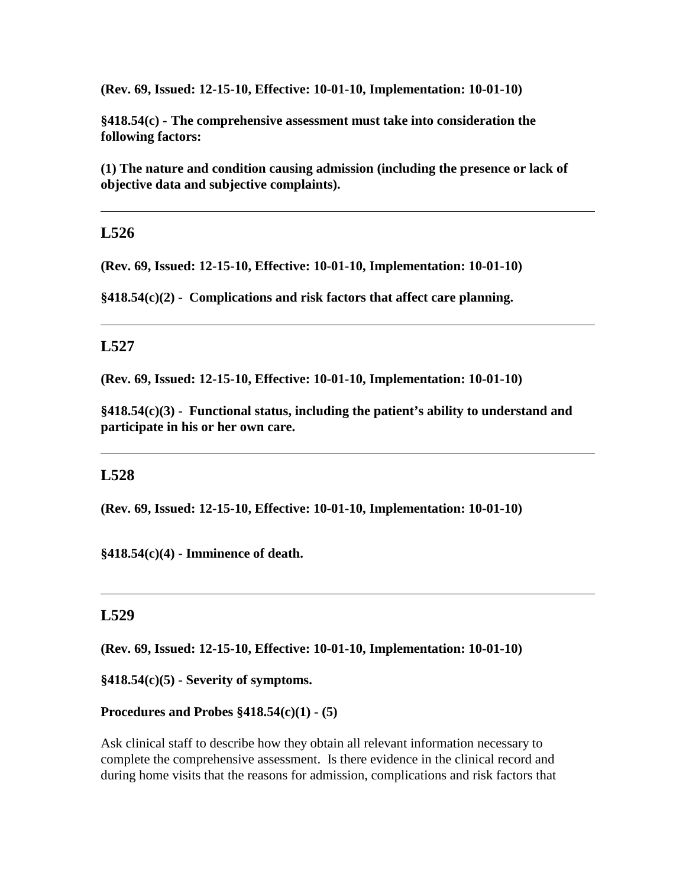**(Rev. 69, Issued: 12-15-10, Effective: 10-01-10, Implementation: 10-01-10)** 

**§418.54(c) - The comprehensive assessment must take into consideration the following factors:** 

**(1) The nature and condition causing admission (including the presence or lack of objective data and subjective complaints).** 

## **L526**

**(Rev. 69, Issued: 12-15-10, Effective: 10-01-10, Implementation: 10-01-10)** 

**§418.54(c)(2) - Complications and risk factors that affect care planning.** 

## **L527**

**(Rev. 69, Issued: 12-15-10, Effective: 10-01-10, Implementation: 10-01-10)** 

**§418.54(c)(3) - Functional status, including the patient's ability to understand and participate in his or her own care.**

## **L528**

**(Rev. 69, Issued: 12-15-10, Effective: 10-01-10, Implementation: 10-01-10)** 

**§418.54(c)(4) - Imminence of death.**

## **L529**

**(Rev. 69, Issued: 12-15-10, Effective: 10-01-10, Implementation: 10-01-10)** 

**§418.54(c)(5) - Severity of symptoms.** 

#### **Procedures and Probes §418.54(c)(1) - (5)**

Ask clinical staff to describe how they obtain all relevant information necessary to complete the comprehensive assessment. Is there evidence in the clinical record and during home visits that the reasons for admission, complications and risk factors that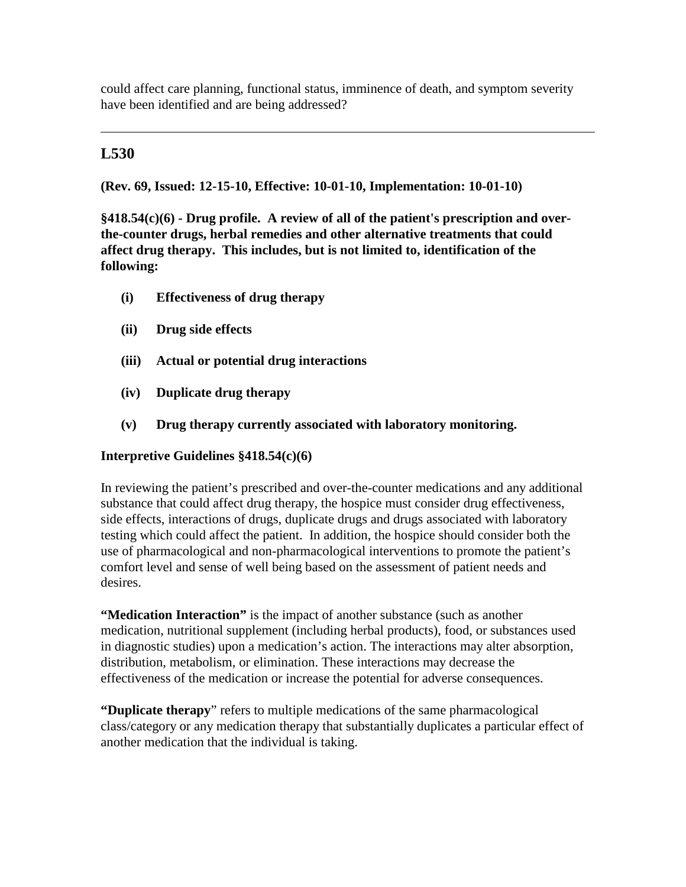could affect care planning, functional status, imminence of death, and symptom severity have been identified and are being addressed?

# **L530**

**(Rev. 69, Issued: 12-15-10, Effective: 10-01-10, Implementation: 10-01-10)** 

**§418.54(c)(6) - Drug profile. A review of all of the patient's prescription and overthe-counter drugs, herbal remedies and other alternative treatments that could affect drug therapy. This includes, but is not limited to, identification of the following:** 

- **(i) Effectiveness of drug therapy**
- **(ii) Drug side effects**
- **(iii) Actual or potential drug interactions**
- **(iv) Duplicate drug therapy**
- **(v) Drug therapy currently associated with laboratory monitoring.**

## **Interpretive Guidelines §418.54(c)(6)**

In reviewing the patient's prescribed and over-the-counter medications and any additional substance that could affect drug therapy, the hospice must consider drug effectiveness, side effects, interactions of drugs, duplicate drugs and drugs associated with laboratory testing which could affect the patient. In addition, the hospice should consider both the use of pharmacological and non-pharmacological interventions to promote the patient's comfort level and sense of well being based on the assessment of patient needs and desires.

**"Medication Interaction"** is the impact of another substance (such as another medication, nutritional supplement (including herbal products), food, or substances used in diagnostic studies) upon a medication's action. The interactions may alter absorption, distribution, metabolism, or elimination. These interactions may decrease the effectiveness of the medication or increase the potential for adverse consequences.

**"Duplicate therapy**" refers to multiple medications of the same pharmacological class/category or any medication therapy that substantially duplicates a particular effect of another medication that the individual is taking.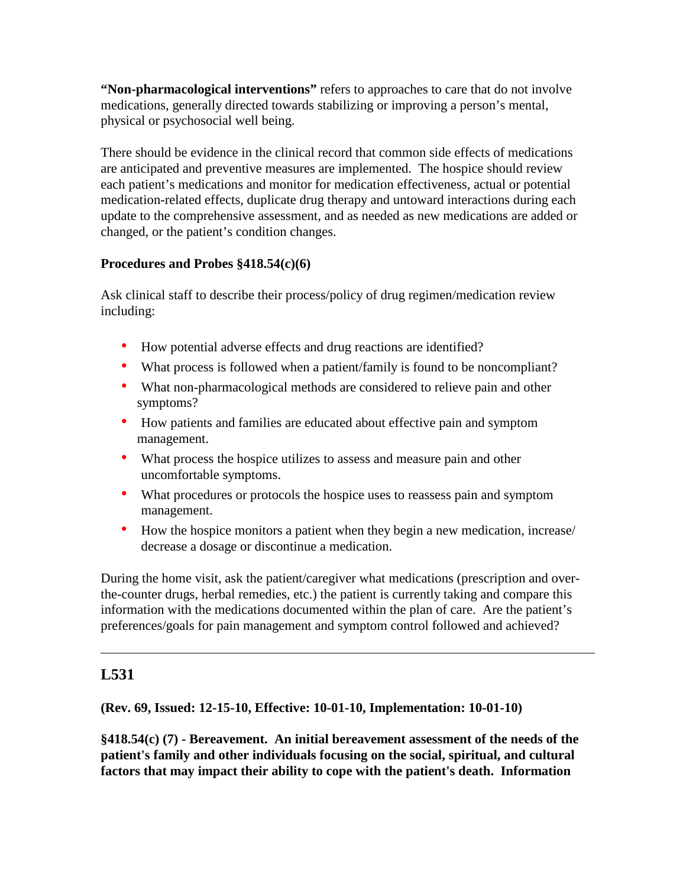**"Non-pharmacological interventions"** refers to approaches to care that do not involve medications, generally directed towards stabilizing or improving a person's mental, physical or psychosocial well being.

There should be evidence in the clinical record that common side effects of medications are anticipated and preventive measures are implemented. The hospice should review each patient's medications and monitor for medication effectiveness, actual or potential medication-related effects, duplicate drug therapy and untoward interactions during each update to the comprehensive assessment, and as needed as new medications are added or changed, or the patient's condition changes.

## **Procedures and Probes §418.54(c)(6)**

Ask clinical staff to describe their process/policy of drug regimen/medication review including:

- How potential adverse effects and drug reactions are identified?
- What process is followed when a patient/family is found to be noncompliant?
- What non-pharmacological methods are considered to relieve pain and other symptoms?
- How patients and families are educated about effective pain and symptom management.
- What process the hospice utilizes to assess and measure pain and other uncomfortable symptoms.
- What procedures or protocols the hospice uses to reassess pain and symptom management.
- How the hospice monitors a patient when they begin a new medication, increase/ decrease a dosage or discontinue a medication.

During the home visit, ask the patient/caregiver what medications (prescription and overthe-counter drugs, herbal remedies, etc.) the patient is currently taking and compare this information with the medications documented within the plan of care. Are the patient's preferences/goals for pain management and symptom control followed and achieved?

# **L531**

# **(Rev. 69, Issued: 12-15-10, Effective: 10-01-10, Implementation: 10-01-10)**

**§418.54(c) (7) - Bereavement. An initial bereavement assessment of the needs of the patient's family and other individuals focusing on the social, spiritual, and cultural factors that may impact their ability to cope with the patient's death. Information**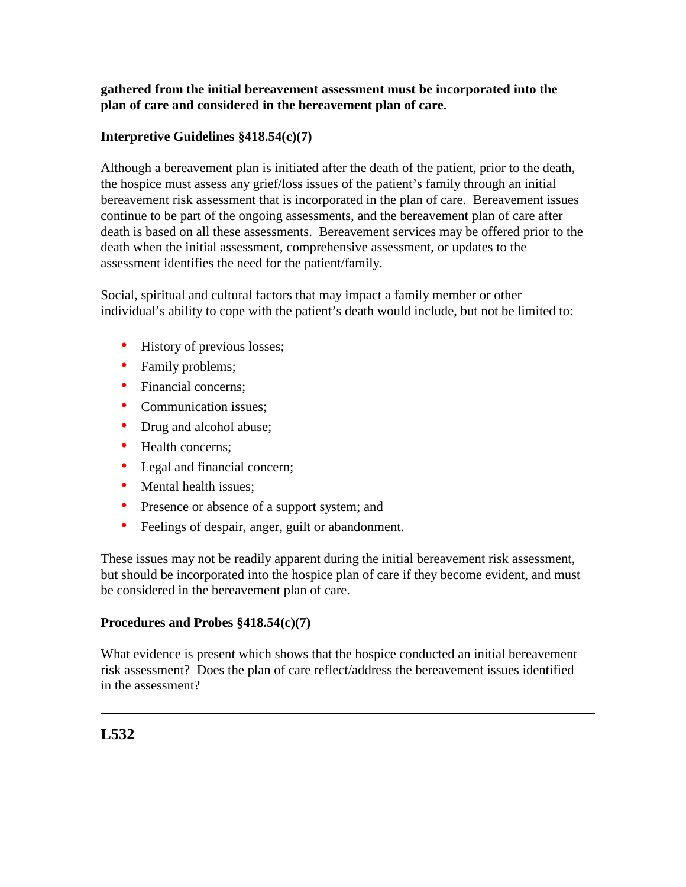## **gathered from the initial bereavement assessment must be incorporated into the plan of care and considered in the bereavement plan of care.**

## **Interpretive Guidelines §418.54(c)(7)**

Although a bereavement plan is initiated after the death of the patient, prior to the death, the hospice must assess any grief/loss issues of the patient's family through an initial bereavement risk assessment that is incorporated in the plan of care. Bereavement issues continue to be part of the ongoing assessments, and the bereavement plan of care after death is based on all these assessments. Bereavement services may be offered prior to the death when the initial assessment, comprehensive assessment, or updates to the assessment identifies the need for the patient/family.

Social, spiritual and cultural factors that may impact a family member or other individual's ability to cope with the patient's death would include, but not be limited to:

- History of previous losses;
- Family problems;
- Financial concerns:
- Communication issues;
- Drug and alcohol abuse;
- Health concerns;
- Legal and financial concern;
- Mental health issues;
- Presence or absence of a support system; and
- Feelings of despair, anger, guilt or abandonment.

These issues may not be readily apparent during the initial bereavement risk assessment, but should be incorporated into the hospice plan of care if they become evident, and must be considered in the bereavement plan of care.

## **Procedures and Probes §418.54(c)(7)**

What evidence is present which shows that the hospice conducted an initial bereavement risk assessment? Does the plan of care reflect/address the bereavement issues identified in the assessment?

# **L532**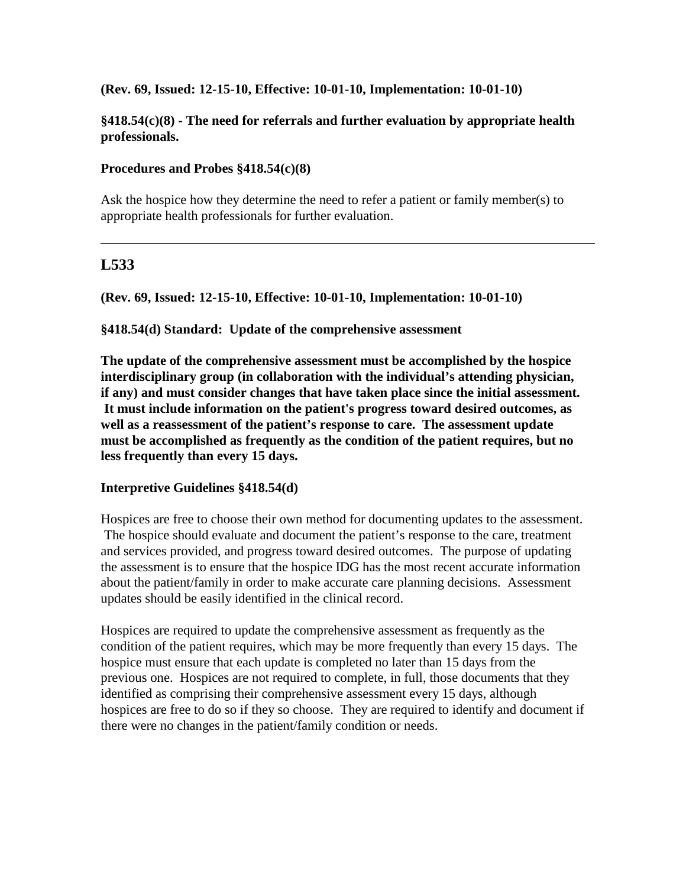### **(Rev. 69, Issued: 12-15-10, Effective: 10-01-10, Implementation: 10-01-10)**

### **§418.54(c)(8) - The need for referrals and further evaluation by appropriate health professionals.**

#### **Procedures and Probes §418.54(c)(8)**

Ask the hospice how they determine the need to refer a patient or family member(s) to appropriate health professionals for further evaluation.

## **L533**

**(Rev. 69, Issued: 12-15-10, Effective: 10-01-10, Implementation: 10-01-10)** 

**§418.54(d) Standard: Update of the comprehensive assessment** 

**The update of the comprehensive assessment must be accomplished by the hospice interdisciplinary group (in collaboration with the individual's attending physician, if any) and must consider changes that have taken place since the initial assessment. It must include information on the patient's progress toward desired outcomes, as well as a reassessment of the patient's response to care. The assessment update must be accomplished as frequently as the condition of the patient requires, but no less frequently than every 15 days.** 

## **Interpretive Guidelines §418.54(d)**

Hospices are free to choose their own method for documenting updates to the assessment. The hospice should evaluate and document the patient's response to the care, treatment and services provided, and progress toward desired outcomes. The purpose of updating the assessment is to ensure that the hospice IDG has the most recent accurate information about the patient/family in order to make accurate care planning decisions. Assessment updates should be easily identified in the clinical record.

Hospices are required to update the comprehensive assessment as frequently as the condition of the patient requires, which may be more frequently than every 15 days. The hospice must ensure that each update is completed no later than 15 days from the previous one. Hospices are not required to complete, in full, those documents that they identified as comprising their comprehensive assessment every 15 days, although hospices are free to do so if they so choose. They are required to identify and document if there were no changes in the patient/family condition or needs.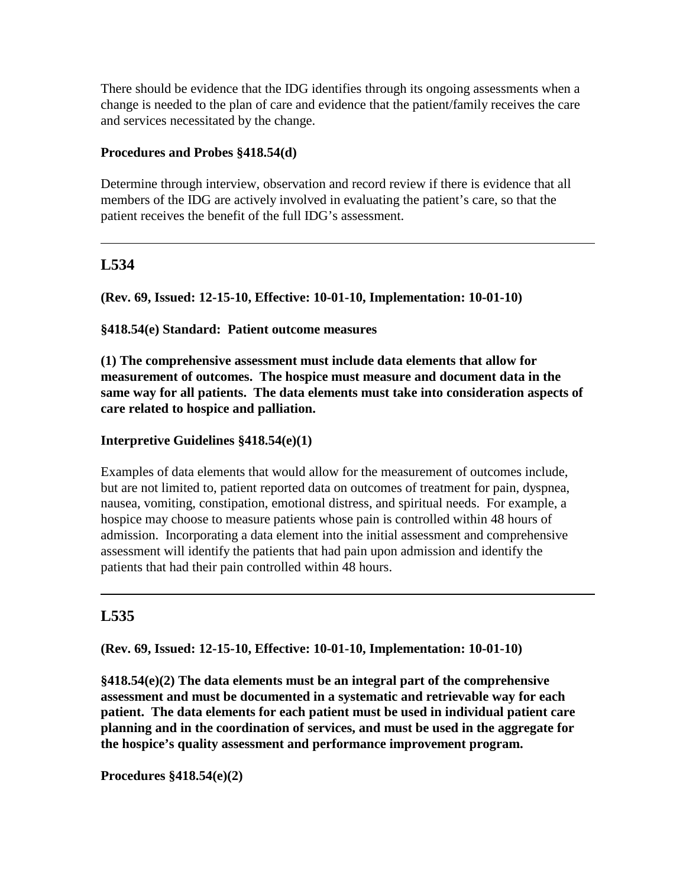There should be evidence that the IDG identifies through its ongoing assessments when a change is needed to the plan of care and evidence that the patient/family receives the care and services necessitated by the change.

### **Procedures and Probes §418.54(d)**

Determine through interview, observation and record review if there is evidence that all members of the IDG are actively involved in evaluating the patient's care, so that the patient receives the benefit of the full IDG's assessment.

# **L534**

**(Rev. 69, Issued: 12-15-10, Effective: 10-01-10, Implementation: 10-01-10)** 

### **§418.54(e) Standard: Patient outcome measures**

**(1) The comprehensive assessment must include data elements that allow for measurement of outcomes. The hospice must measure and document data in the same way for all patients. The data elements must take into consideration aspects of care related to hospice and palliation.**

### **Interpretive Guidelines §418.54(e)(1)**

Examples of data elements that would allow for the measurement of outcomes include, but are not limited to, patient reported data on outcomes of treatment for pain, dyspnea, nausea, vomiting, constipation, emotional distress, and spiritual needs. For example, a hospice may choose to measure patients whose pain is controlled within 48 hours of admission. Incorporating a data element into the initial assessment and comprehensive assessment will identify the patients that had pain upon admission and identify the patients that had their pain controlled within 48 hours.

# **L535**

**(Rev. 69, Issued: 12-15-10, Effective: 10-01-10, Implementation: 10-01-10)** 

**§418.54(e)(2) The data elements must be an integral part of the comprehensive assessment and must be documented in a systematic and retrievable way for each patient. The data elements for each patient must be used in individual patient care planning and in the coordination of services, and must be used in the aggregate for the hospice's quality assessment and performance improvement program.**

**Procedures §418.54(e)(2)**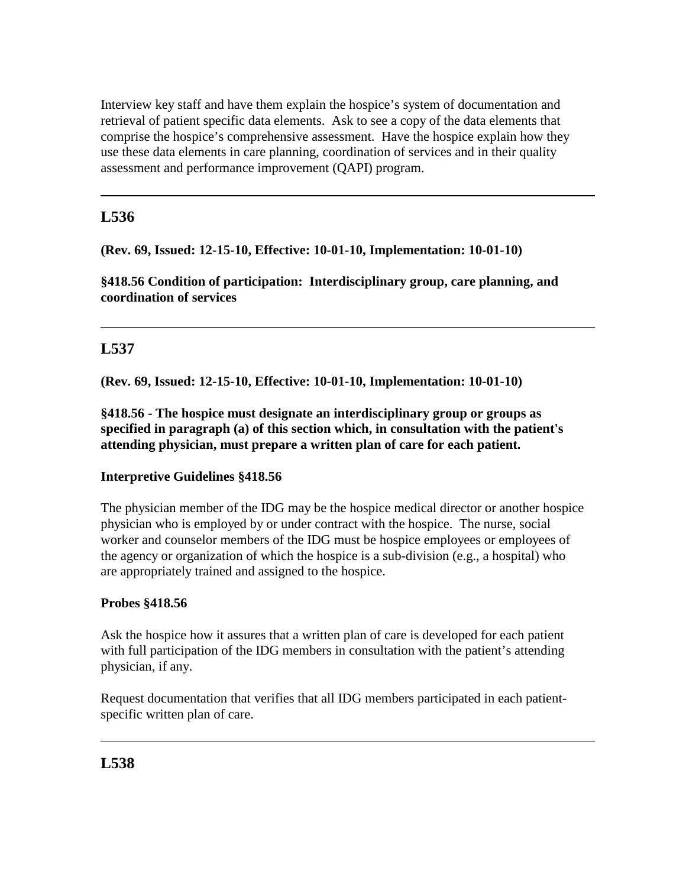Interview key staff and have them explain the hospice's system of documentation and retrieval of patient specific data elements. Ask to see a copy of the data elements that comprise the hospice's comprehensive assessment. Have the hospice explain how they use these data elements in care planning, coordination of services and in their quality assessment and performance improvement (QAPI) program.

# **L536**

**(Rev. 69, Issued: 12-15-10, Effective: 10-01-10, Implementation: 10-01-10)** 

**§418.56 Condition of participation: Interdisciplinary group, care planning, and coordination of services** 

# **L537**

**(Rev. 69, Issued: 12-15-10, Effective: 10-01-10, Implementation: 10-01-10)** 

**§418.56 - The hospice must designate an interdisciplinary group or groups as specified in paragraph (a) of this section which, in consultation with the patient's attending physician, must prepare a written plan of care for each patient.**

# **Interpretive Guidelines §418.56**

The physician member of the IDG may be the hospice medical director or another hospice physician who is employed by or under contract with the hospice. The nurse, social worker and counselor members of the IDG must be hospice employees or employees of the agency or organization of which the hospice is a sub-division (e.g., a hospital) who are appropriately trained and assigned to the hospice.

# **Probes §418.56**

Ask the hospice how it assures that a written plan of care is developed for each patient with full participation of the IDG members in consultation with the patient's attending physician, if any.

Request documentation that verifies that all IDG members participated in each patientspecific written plan of care.

# **L538**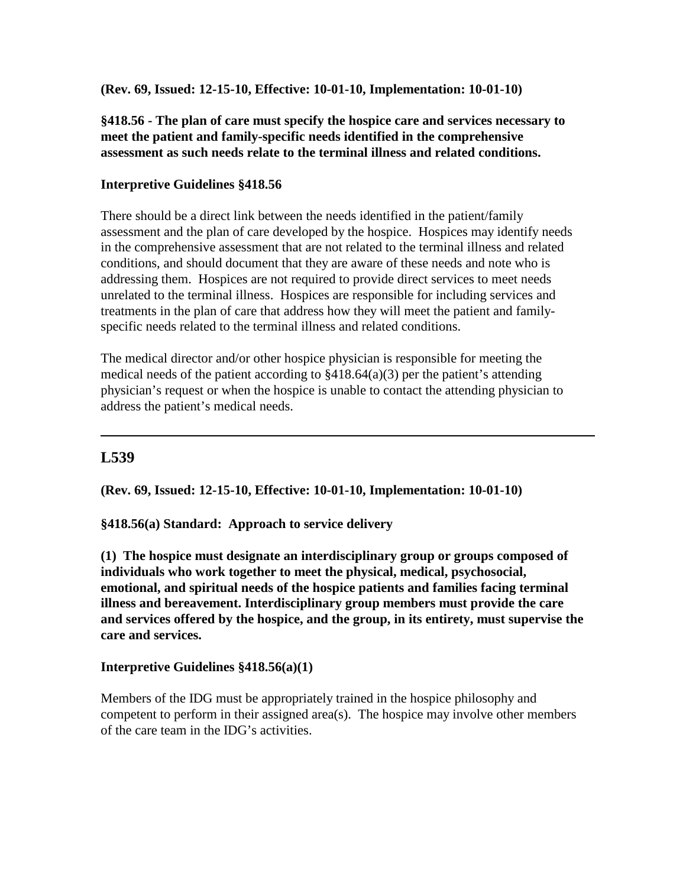**(Rev. 69, Issued: 12-15-10, Effective: 10-01-10, Implementation: 10-01-10)** 

## **§418.56 - The plan of care must specify the hospice care and services necessary to meet the patient and family-specific needs identified in the comprehensive assessment as such needs relate to the terminal illness and related conditions.**

### **Interpretive Guidelines §418.56**

There should be a direct link between the needs identified in the patient/family assessment and the plan of care developed by the hospice. Hospices may identify needs in the comprehensive assessment that are not related to the terminal illness and related conditions, and should document that they are aware of these needs and note who is addressing them. Hospices are not required to provide direct services to meet needs unrelated to the terminal illness. Hospices are responsible for including services and treatments in the plan of care that address how they will meet the patient and familyspecific needs related to the terminal illness and related conditions.

The medical director and/or other hospice physician is responsible for meeting the medical needs of the patient according to  $\S418.64(a)(3)$  per the patient's attending physician's request or when the hospice is unable to contact the attending physician to address the patient's medical needs.

# **L539**

**(Rev. 69, Issued: 12-15-10, Effective: 10-01-10, Implementation: 10-01-10)** 

**§418.56(a) Standard: Approach to service delivery** 

**(1) The hospice must designate an interdisciplinary group or groups composed of individuals who work together to meet the physical, medical, psychosocial, emotional, and spiritual needs of the hospice patients and families facing terminal illness and bereavement. Interdisciplinary group members must provide the care and services offered by the hospice, and the group, in its entirety, must supervise the care and services.** 

#### **Interpretive Guidelines §418.56(a)(1)**

Members of the IDG must be appropriately trained in the hospice philosophy and competent to perform in their assigned area(s). The hospice may involve other members of the care team in the IDG's activities.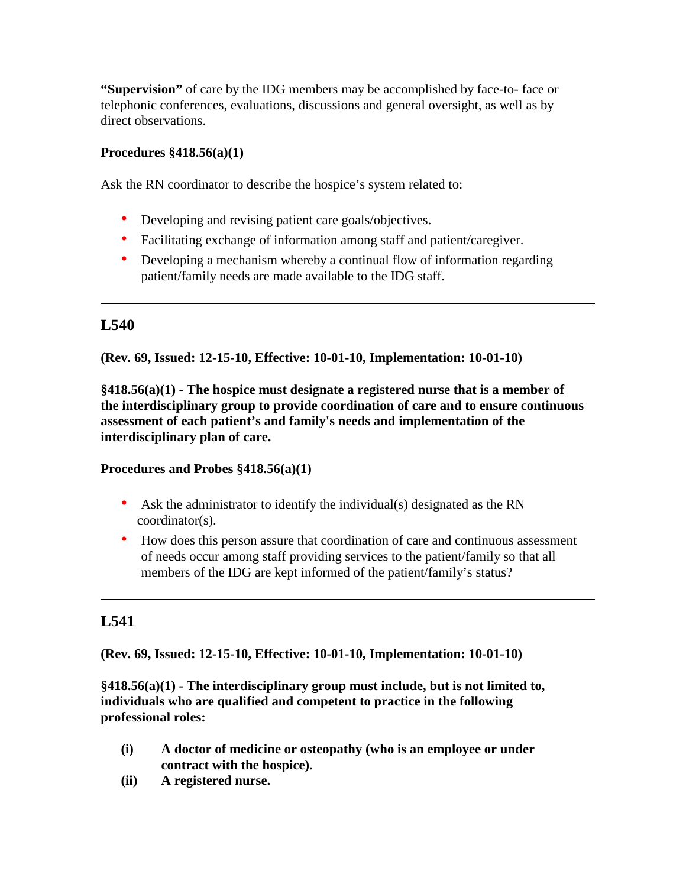**"Supervision"** of care by the IDG members may be accomplished by face-to- face or telephonic conferences, evaluations, discussions and general oversight, as well as by direct observations.

## **Procedures §418.56(a)(1)**

Ask the RN coordinator to describe the hospice's system related to:

- Developing and revising patient care goals/objectives.
- Facilitating exchange of information among staff and patient/caregiver.
- Developing a mechanism whereby a continual flow of information regarding patient/family needs are made available to the IDG staff.

# **L540**

**(Rev. 69, Issued: 12-15-10, Effective: 10-01-10, Implementation: 10-01-10)** 

**§418.56(a)(1) - The hospice must designate a registered nurse that is a member of the interdisciplinary group to provide coordination of care and to ensure continuous assessment of each patient's and family's needs and implementation of the interdisciplinary plan of care.**

## **Procedures and Probes §418.56(a)(1)**

- Ask the administrator to identify the individual(s) designated as the RN coordinator(s).
- How does this person assure that coordination of care and continuous assessment of needs occur among staff providing services to the patient/family so that all members of the IDG are kept informed of the patient/family's status?

# **L541**

**(Rev. 69, Issued: 12-15-10, Effective: 10-01-10, Implementation: 10-01-10)** 

**§418.56(a)(1) - The interdisciplinary group must include, but is not limited to, individuals who are qualified and competent to practice in the following professional roles:** 

- **(i) A doctor of medicine or osteopathy (who is an employee or under contract with the hospice).**
- **(ii) A registered nurse.**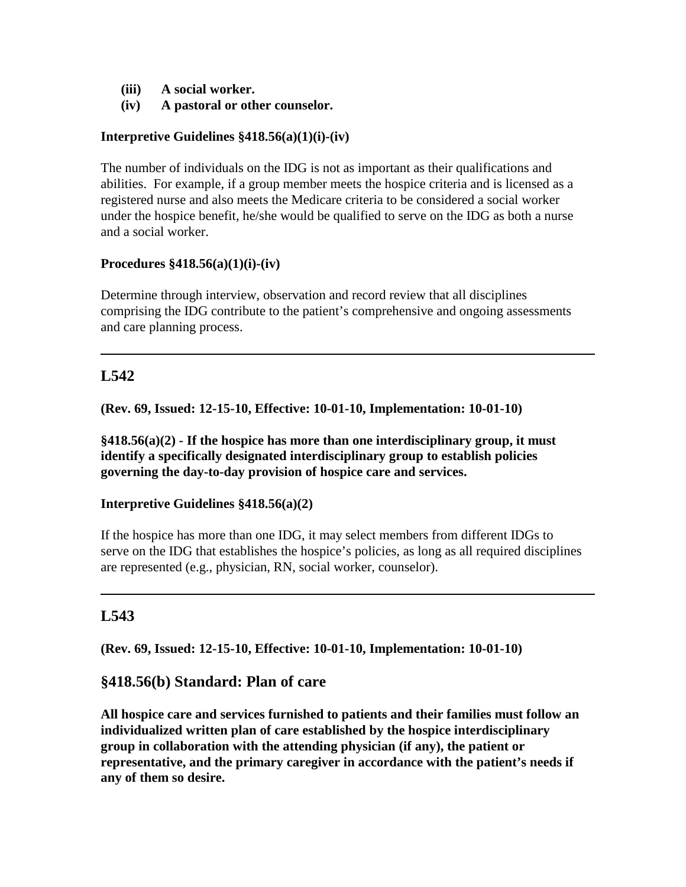- **(iii) A social worker.**
- **(iv) A pastoral or other counselor.**

### **Interpretive Guidelines §418.56(a)(1)(i)-(iv)**

The number of individuals on the IDG is not as important as their qualifications and abilities. For example, if a group member meets the hospice criteria and is licensed as a registered nurse and also meets the Medicare criteria to be considered a social worker under the hospice benefit, he/she would be qualified to serve on the IDG as both a nurse and a social worker.

#### **Procedures §418.56(a)(1)(i)-(iv)**

Determine through interview, observation and record review that all disciplines comprising the IDG contribute to the patient's comprehensive and ongoing assessments and care planning process.

# **L542**

**(Rev. 69, Issued: 12-15-10, Effective: 10-01-10, Implementation: 10-01-10)** 

**§418.56(a)(2) - If the hospice has more than one interdisciplinary group, it must identify a specifically designated interdisciplinary group to establish policies governing the day-to-day provision of hospice care and services.** 

## **Interpretive Guidelines §418.56(a)(2)**

If the hospice has more than one IDG, it may select members from different IDGs to serve on the IDG that establishes the hospice's policies, as long as all required disciplines are represented (e.g., physician, RN, social worker, counselor).

# **L543**

**(Rev. 69, Issued: 12-15-10, Effective: 10-01-10, Implementation: 10-01-10)** 

## **§418.56(b) Standard: Plan of care**

**All hospice care and services furnished to patients and their families must follow an individualized written plan of care established by the hospice interdisciplinary group in collaboration with the attending physician (if any), the patient or representative, and the primary caregiver in accordance with the patient's needs if any of them so desire.**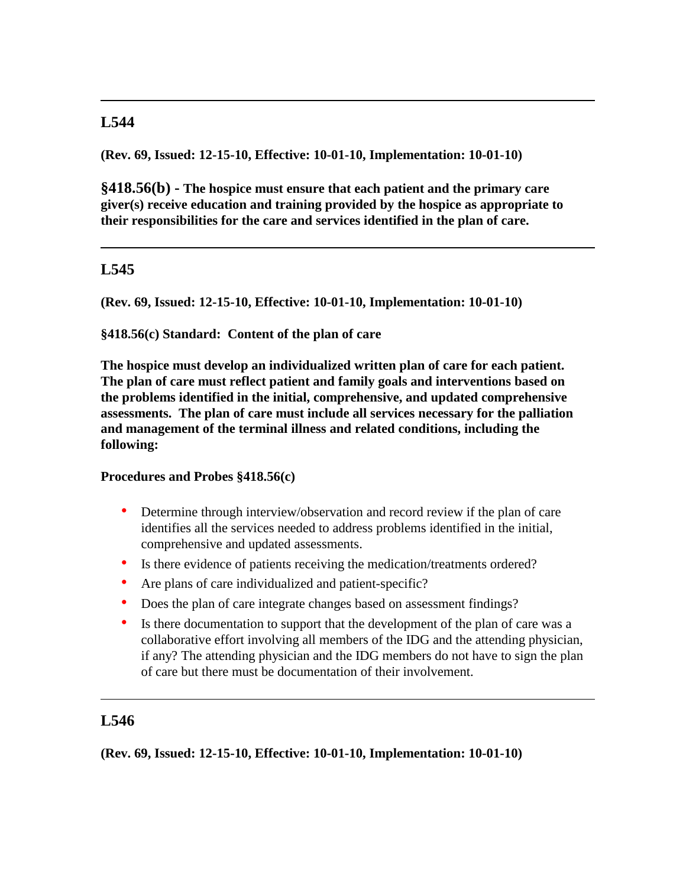**(Rev. 69, Issued: 12-15-10, Effective: 10-01-10, Implementation: 10-01-10)** 

**§418.56(b) - The hospice must ensure that each patient and the primary care giver(s) receive education and training provided by the hospice as appropriate to their responsibilities for the care and services identified in the plan of care.** 

# **L545**

**(Rev. 69, Issued: 12-15-10, Effective: 10-01-10, Implementation: 10-01-10)** 

**§418.56(c) Standard: Content of the plan of care** 

**The hospice must develop an individualized written plan of care for each patient. The plan of care must reflect patient and family goals and interventions based on the problems identified in the initial, comprehensive, and updated comprehensive assessments. The plan of care must include all services necessary for the palliation and management of the terminal illness and related conditions, including the following:** 

## **Procedures and Probes §418.56(c)**

- Determine through interview/observation and record review if the plan of care identifies all the services needed to address problems identified in the initial, comprehensive and updated assessments.
- Is there evidence of patients receiving the medication/treatments ordered?
- Are plans of care individualized and patient-specific?
- Does the plan of care integrate changes based on assessment findings?
- Is there documentation to support that the development of the plan of care was a collaborative effort involving all members of the IDG and the attending physician, if any? The attending physician and the IDG members do not have to sign the plan of care but there must be documentation of their involvement.

# **L546**

**(Rev. 69, Issued: 12-15-10, Effective: 10-01-10, Implementation: 10-01-10)**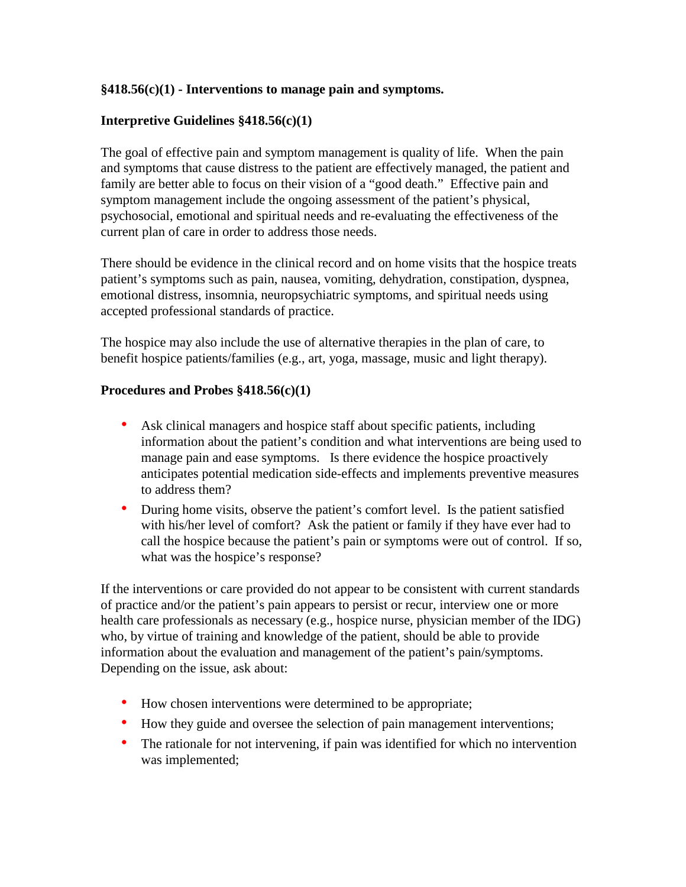### **§418.56(c)(1) - Interventions to manage pain and symptoms.**

### **Interpretive Guidelines §418.56(c)(1)**

The goal of effective pain and symptom management is quality of life. When the pain and symptoms that cause distress to the patient are effectively managed, the patient and family are better able to focus on their vision of a "good death." Effective pain and symptom management include the ongoing assessment of the patient's physical, psychosocial, emotional and spiritual needs and re-evaluating the effectiveness of the current plan of care in order to address those needs.

There should be evidence in the clinical record and on home visits that the hospice treats patient's symptoms such as pain, nausea, vomiting, dehydration, constipation, dyspnea, emotional distress, insomnia, neuropsychiatric symptoms, and spiritual needs using accepted professional standards of practice.

The hospice may also include the use of alternative therapies in the plan of care, to benefit hospice patients/families (e.g., art, yoga, massage, music and light therapy).

#### **Procedures and Probes §418.56(c)(1)**

- Ask clinical managers and hospice staff about specific patients, including information about the patient's condition and what interventions are being used to manage pain and ease symptoms. Is there evidence the hospice proactively anticipates potential medication side-effects and implements preventive measures to address them?
- During home visits, observe the patient's comfort level. Is the patient satisfied with his/her level of comfort? Ask the patient or family if they have ever had to call the hospice because the patient's pain or symptoms were out of control. If so, what was the hospice's response?

If the interventions or care provided do not appear to be consistent with current standards of practice and/or the patient's pain appears to persist or recur, interview one or more health care professionals as necessary (e.g., hospice nurse, physician member of the IDG) who, by virtue of training and knowledge of the patient, should be able to provide information about the evaluation and management of the patient's pain/symptoms. Depending on the issue, ask about:

- How chosen interventions were determined to be appropriate;
- How they guide and oversee the selection of pain management interventions;
- The rationale for not intervening, if pain was identified for which no intervention was implemented;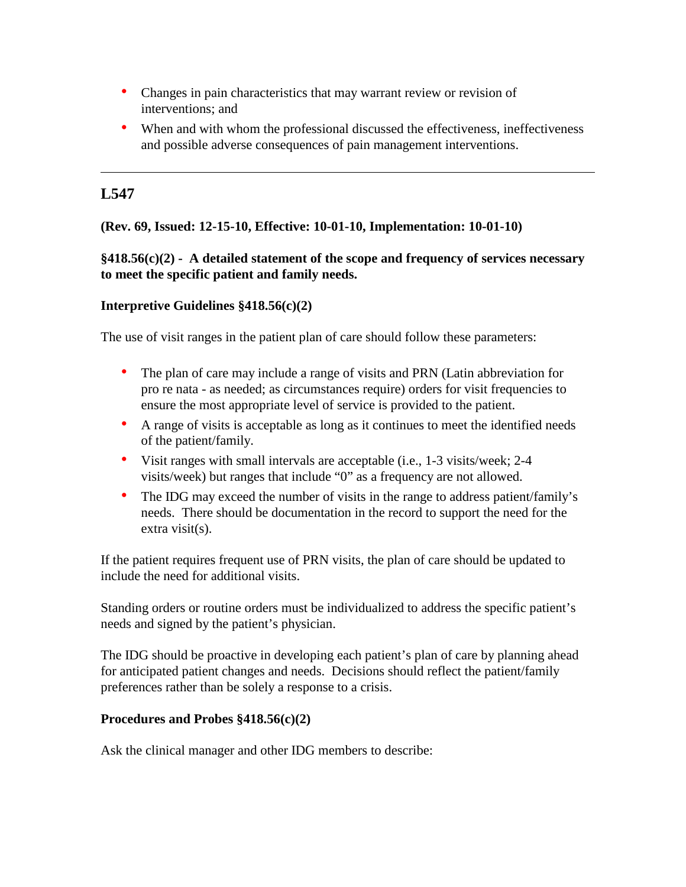- Changes in pain characteristics that may warrant review or revision of interventions; and
- When and with whom the professional discussed the effectiveness, ineffectiveness and possible adverse consequences of pain management interventions.

## **(Rev. 69, Issued: 12-15-10, Effective: 10-01-10, Implementation: 10-01-10)**

## **§418.56(c)(2) - A detailed statement of the scope and frequency of services necessary to meet the specific patient and family needs.**

## **Interpretive Guidelines §418.56(c)(2)**

The use of visit ranges in the patient plan of care should follow these parameters:

- The plan of care may include a range of visits and PRN (Latin abbreviation for pro re nata - as needed; as circumstances require) orders for visit frequencies to ensure the most appropriate level of service is provided to the patient.
- A range of visits is acceptable as long as it continues to meet the identified needs of the patient/family.
- Visit ranges with small intervals are acceptable (i.e., 1-3 visits/week; 2-4 visits/week) but ranges that include "0" as a frequency are not allowed.
- The IDG may exceed the number of visits in the range to address patient/family's needs. There should be documentation in the record to support the need for the extra visit(s).

If the patient requires frequent use of PRN visits, the plan of care should be updated to include the need for additional visits.

Standing orders or routine orders must be individualized to address the specific patient's needs and signed by the patient's physician.

The IDG should be proactive in developing each patient's plan of care by planning ahead for anticipated patient changes and needs. Decisions should reflect the patient/family preferences rather than be solely a response to a crisis.

## **Procedures and Probes §418.56(c)(2)**

Ask the clinical manager and other IDG members to describe: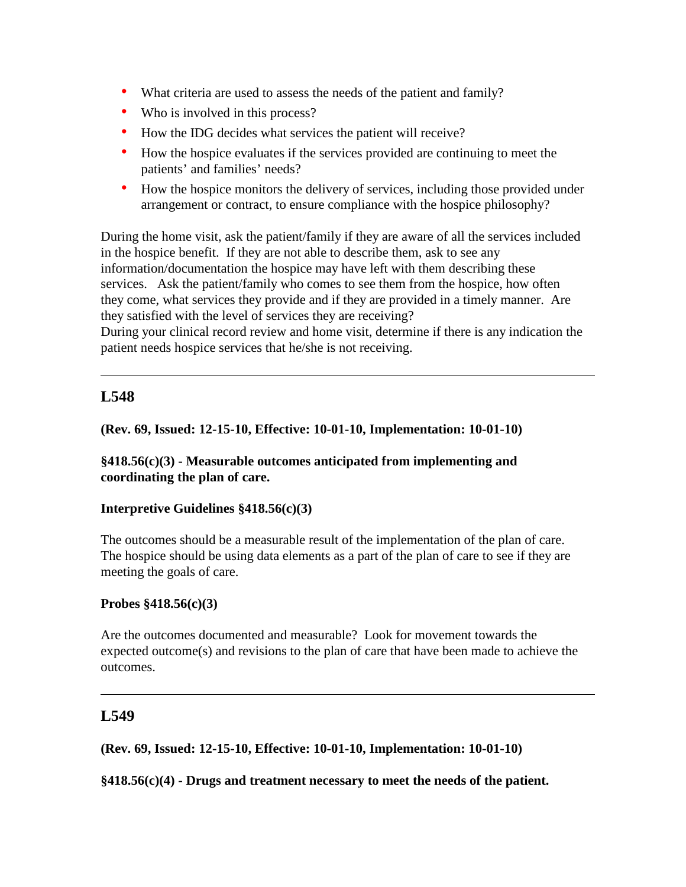- What criteria are used to assess the needs of the patient and family?
- Who is involved in this process?
- How the IDG decides what services the patient will receive?
- How the hospice evaluates if the services provided are continuing to meet the patients' and families' needs?
- How the hospice monitors the delivery of services, including those provided under arrangement or contract, to ensure compliance with the hospice philosophy?

During the home visit, ask the patient/family if they are aware of all the services included in the hospice benefit. If they are not able to describe them, ask to see any information/documentation the hospice may have left with them describing these services. Ask the patient/family who comes to see them from the hospice, how often they come, what services they provide and if they are provided in a timely manner. Are they satisfied with the level of services they are receiving?

During your clinical record review and home visit, determine if there is any indication the patient needs hospice services that he/she is not receiving.

# **L548**

### **(Rev. 69, Issued: 12-15-10, Effective: 10-01-10, Implementation: 10-01-10)**

### **§418.56(c)(3) - Measurable outcomes anticipated from implementing and coordinating the plan of care.**

#### **Interpretive Guidelines §418.56(c)(3)**

The outcomes should be a measurable result of the implementation of the plan of care. The hospice should be using data elements as a part of the plan of care to see if they are meeting the goals of care.

#### **Probes §418.56(c)(3)**

Are the outcomes documented and measurable? Look for movement towards the expected outcome(s) and revisions to the plan of care that have been made to achieve the outcomes.

# **L549**

**(Rev. 69, Issued: 12-15-10, Effective: 10-01-10, Implementation: 10-01-10)** 

**§418.56(c)(4) - Drugs and treatment necessary to meet the needs of the patient.**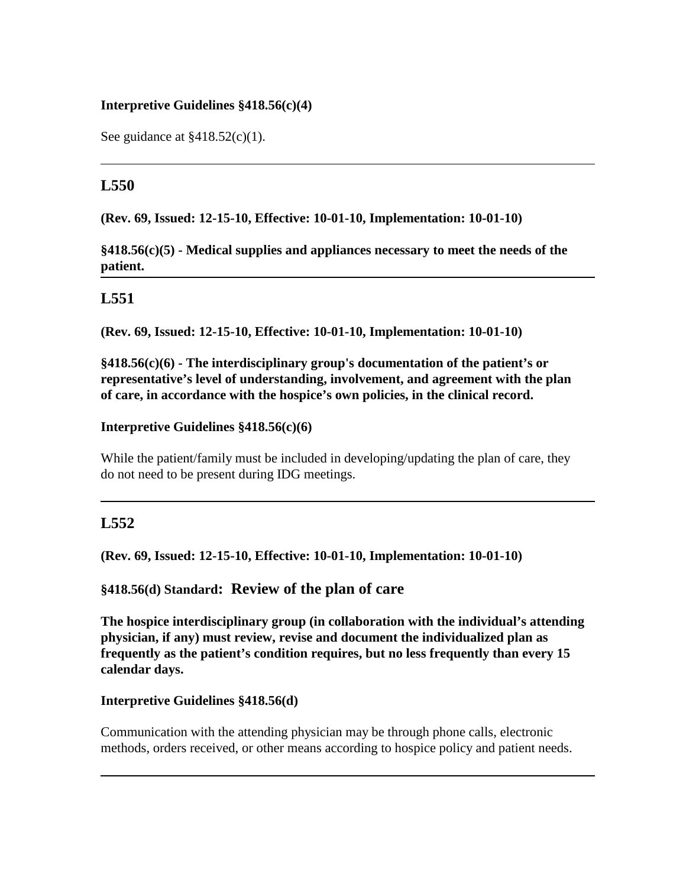### **Interpretive Guidelines §418.56(c)(4)**

See guidance at  $\frac{$418.52(c)}{1}$ .

## **L550**

**(Rev. 69, Issued: 12-15-10, Effective: 10-01-10, Implementation: 10-01-10)** 

**§418.56(c)(5) - Medical supplies and appliances necessary to meet the needs of the patient.**

## **L551**

**(Rev. 69, Issued: 12-15-10, Effective: 10-01-10, Implementation: 10-01-10)** 

**§418.56(c)(6) - The interdisciplinary group's documentation of the patient's or representative's level of understanding, involvement, and agreement with the plan of care, in accordance with the hospice's own policies, in the clinical record.** 

#### **Interpretive Guidelines §418.56(c)(6)**

While the patient/family must be included in developing/updating the plan of care, they do not need to be present during IDG meetings.

## **L552**

**(Rev. 69, Issued: 12-15-10, Effective: 10-01-10, Implementation: 10-01-10)** 

**§418.56(d) Standard: Review of the plan of care** 

**The hospice interdisciplinary group (in collaboration with the individual's attending physician, if any) must review, revise and document the individualized plan as frequently as the patient's condition requires, but no less frequently than every 15 calendar days.**

#### **Interpretive Guidelines §418.56(d)**

Communication with the attending physician may be through phone calls, electronic methods, orders received, or other means according to hospice policy and patient needs.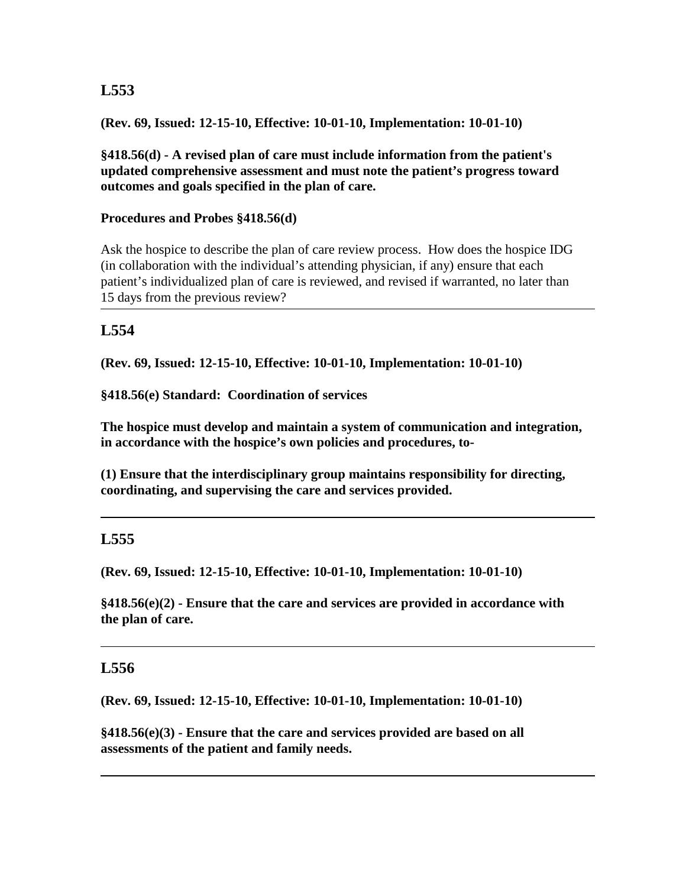**(Rev. 69, Issued: 12-15-10, Effective: 10-01-10, Implementation: 10-01-10)** 

**§418.56(d) - A revised plan of care must include information from the patient's updated comprehensive assessment and must note the patient's progress toward outcomes and goals specified in the plan of care.** 

#### **Procedures and Probes §418.56(d)**

Ask the hospice to describe the plan of care review process. How does the hospice IDG (in collaboration with the individual's attending physician, if any) ensure that each patient's individualized plan of care is reviewed, and revised if warranted, no later than 15 days from the previous review?

## **L554**

**(Rev. 69, Issued: 12-15-10, Effective: 10-01-10, Implementation: 10-01-10)** 

**§418.56(e) Standard: Coordination of services** 

**The hospice must develop and maintain a system of communication and integration, in accordance with the hospice's own policies and procedures, to-** 

**(1) Ensure that the interdisciplinary group maintains responsibility for directing, coordinating, and supervising the care and services provided.**

## **L555**

**(Rev. 69, Issued: 12-15-10, Effective: 10-01-10, Implementation: 10-01-10)** 

**§418.56(e)(2) - Ensure that the care and services are provided in accordance with the plan of care.**

## **L556**

**(Rev. 69, Issued: 12-15-10, Effective: 10-01-10, Implementation: 10-01-10)** 

**§418.56(e)(3) - Ensure that the care and services provided are based on all assessments of the patient and family needs.**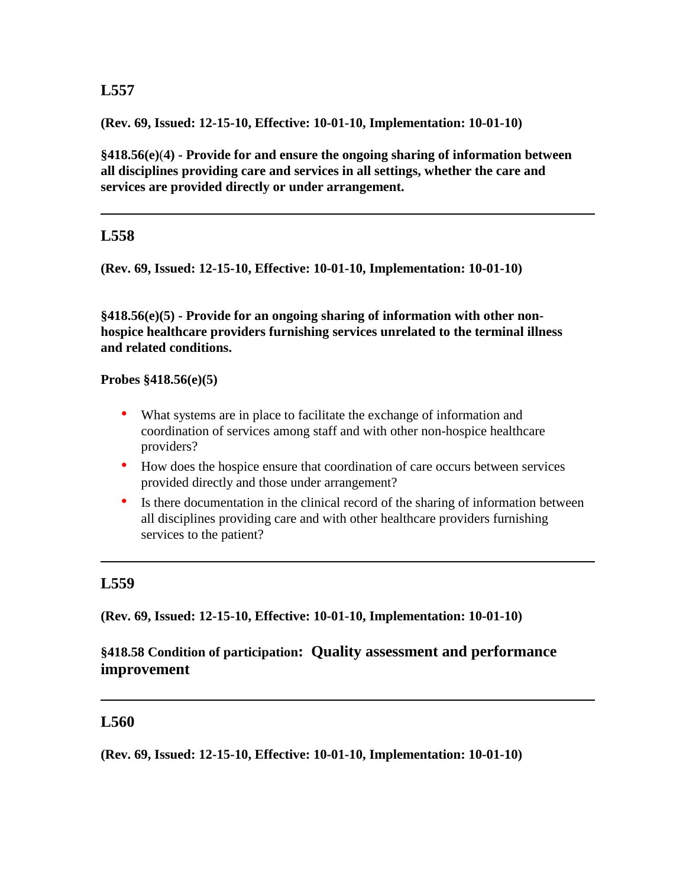**(Rev. 69, Issued: 12-15-10, Effective: 10-01-10, Implementation: 10-01-10)** 

**§418.56(e)**(**4) - Provide for and ensure the ongoing sharing of information between all disciplines providing care and services in all settings, whether the care and services are provided directly or under arrangement.** 

# **L558**

**(Rev. 69, Issued: 12-15-10, Effective: 10-01-10, Implementation: 10-01-10)** 

**§418.56(e)(5) - Provide for an ongoing sharing of information with other nonhospice healthcare providers furnishing services unrelated to the terminal illness and related conditions.**

#### **Probes §418.56(e)(5)**

- What systems are in place to facilitate the exchange of information and coordination of services among staff and with other non-hospice healthcare providers?
- How does the hospice ensure that coordination of care occurs between services provided directly and those under arrangement?
- Is there documentation in the clinical record of the sharing of information between all disciplines providing care and with other healthcare providers furnishing services to the patient?

# **L559**

**(Rev. 69, Issued: 12-15-10, Effective: 10-01-10, Implementation: 10-01-10)** 

# **§418.58 Condition of participation: Quality assessment and performance improvement**

## **L560**

**(Rev. 69, Issued: 12-15-10, Effective: 10-01-10, Implementation: 10-01-10)**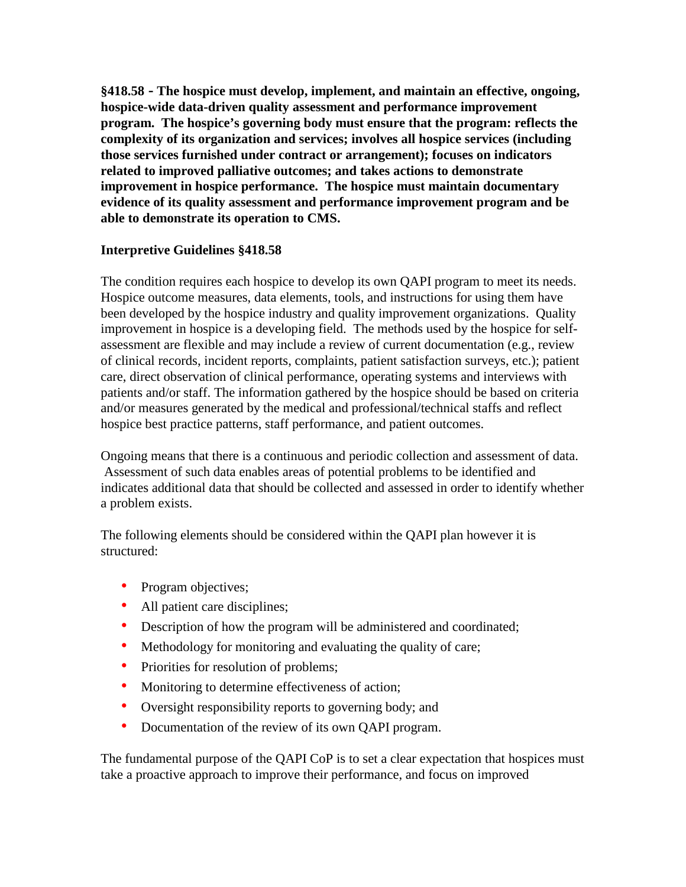**§418.58 - The hospice must develop, implement, and maintain an effective, ongoing, hospice-wide data-driven quality assessment and performance improvement program. The hospice's governing body must ensure that the program: reflects the complexity of its organization and services; involves all hospice services (including those services furnished under contract or arrangement); focuses on indicators related to improved palliative outcomes; and takes actions to demonstrate improvement in hospice performance. The hospice must maintain documentary evidence of its quality assessment and performance improvement program and be able to demonstrate its operation to CMS.**

### **Interpretive Guidelines §418.58**

The condition requires each hospice to develop its own QAPI program to meet its needs. Hospice outcome measures, data elements, tools, and instructions for using them have been developed by the hospice industry and quality improvement organizations. Quality improvement in hospice is a developing field. The methods used by the hospice for selfassessment are flexible and may include a review of current documentation (e.g., review of clinical records, incident reports, complaints, patient satisfaction surveys, etc.); patient care, direct observation of clinical performance, operating systems and interviews with patients and/or staff. The information gathered by the hospice should be based on criteria and/or measures generated by the medical and professional/technical staffs and reflect hospice best practice patterns, staff performance, and patient outcomes.

Ongoing means that there is a continuous and periodic collection and assessment of data. Assessment of such data enables areas of potential problems to be identified and indicates additional data that should be collected and assessed in order to identify whether a problem exists.

The following elements should be considered within the QAPI plan however it is structured:

- Program objectives;
- All patient care disciplines;
- Description of how the program will be administered and coordinated;
- Methodology for monitoring and evaluating the quality of care;
- Priorities for resolution of problems;
- Monitoring to determine effectiveness of action;
- Oversight responsibility reports to governing body; and
- Documentation of the review of its own QAPI program.

The fundamental purpose of the QAPI CoP is to set a clear expectation that hospices must take a proactive approach to improve their performance, and focus on improved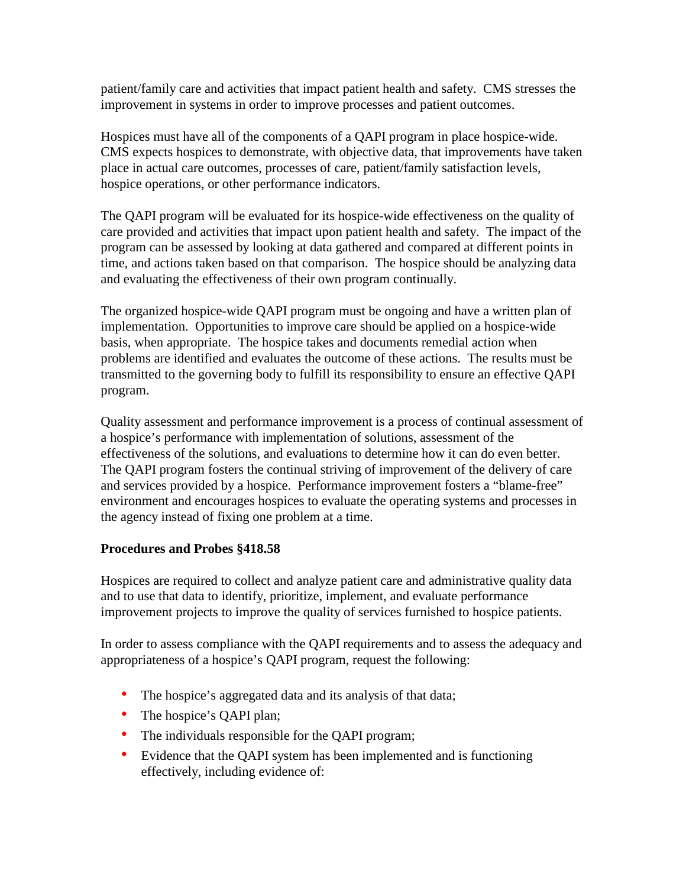patient/family care and activities that impact patient health and safety. CMS stresses the improvement in systems in order to improve processes and patient outcomes.

Hospices must have all of the components of a QAPI program in place hospice-wide. CMS expects hospices to demonstrate, with objective data, that improvements have taken place in actual care outcomes, processes of care, patient/family satisfaction levels, hospice operations, or other performance indicators.

The QAPI program will be evaluated for its hospice-wide effectiveness on the quality of care provided and activities that impact upon patient health and safety. The impact of the program can be assessed by looking at data gathered and compared at different points in time, and actions taken based on that comparison. The hospice should be analyzing data and evaluating the effectiveness of their own program continually.

The organized hospice-wide QAPI program must be ongoing and have a written plan of implementation. Opportunities to improve care should be applied on a hospice-wide basis, when appropriate. The hospice takes and documents remedial action when problems are identified and evaluates the outcome of these actions. The results must be transmitted to the governing body to fulfill its responsibility to ensure an effective QAPI program.

Quality assessment and performance improvement is a process of continual assessment of a hospice's performance with implementation of solutions, assessment of the effectiveness of the solutions, and evaluations to determine how it can do even better. The QAPI program fosters the continual striving of improvement of the delivery of care and services provided by a hospice. Performance improvement fosters a "blame-free" environment and encourages hospices to evaluate the operating systems and processes in the agency instead of fixing one problem at a time.

## **Procedures and Probes §418.58**

Hospices are required to collect and analyze patient care and administrative quality data and to use that data to identify, prioritize, implement, and evaluate performance improvement projects to improve the quality of services furnished to hospice patients.

In order to assess compliance with the QAPI requirements and to assess the adequacy and appropriateness of a hospice's QAPI program, request the following:

- The hospice's aggregated data and its analysis of that data;
- The hospice's OAPI plan;
- The individuals responsible for the QAPI program;
- Evidence that the QAPI system has been implemented and is functioning effectively, including evidence of: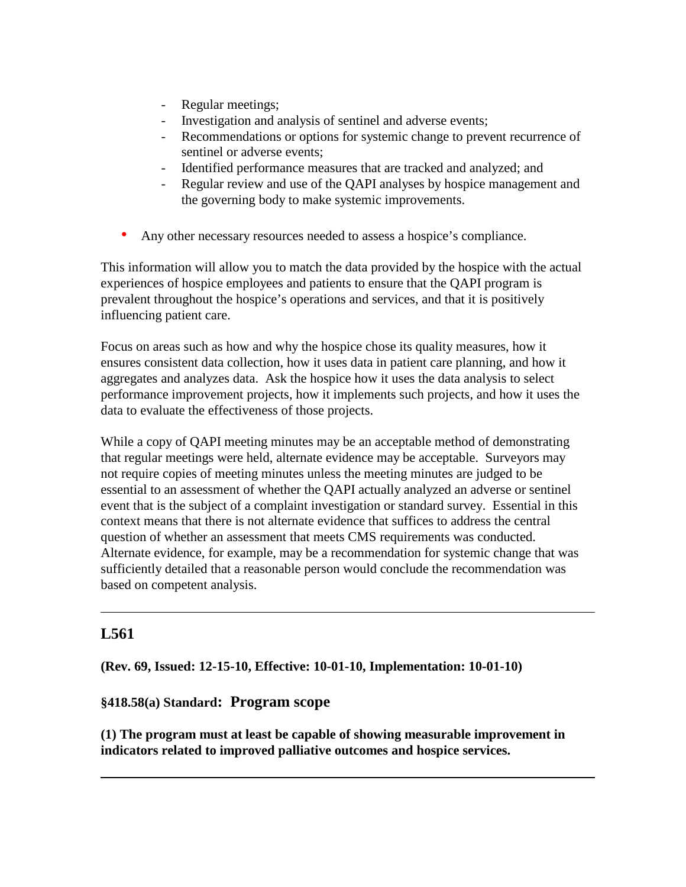- Regular meetings;
- Investigation and analysis of sentinel and adverse events;
- Recommendations or options for systemic change to prevent recurrence of sentinel or adverse events;
- Identified performance measures that are tracked and analyzed; and
- Regular review and use of the QAPI analyses by hospice management and the governing body to make systemic improvements.
- Any other necessary resources needed to assess a hospice's compliance.

This information will allow you to match the data provided by the hospice with the actual experiences of hospice employees and patients to ensure that the QAPI program is prevalent throughout the hospice's operations and services, and that it is positively influencing patient care.

Focus on areas such as how and why the hospice chose its quality measures, how it ensures consistent data collection, how it uses data in patient care planning, and how it aggregates and analyzes data. Ask the hospice how it uses the data analysis to select performance improvement projects, how it implements such projects, and how it uses the data to evaluate the effectiveness of those projects.

While a copy of QAPI meeting minutes may be an acceptable method of demonstrating that regular meetings were held, alternate evidence may be acceptable. Surveyors may not require copies of meeting minutes unless the meeting minutes are judged to be essential to an assessment of whether the QAPI actually analyzed an adverse or sentinel event that is the subject of a complaint investigation or standard survey. Essential in this context means that there is not alternate evidence that suffices to address the central question of whether an assessment that meets CMS requirements was conducted. Alternate evidence, for example, may be a recommendation for systemic change that was sufficiently detailed that a reasonable person would conclude the recommendation was based on competent analysis.

# **L561**

**(Rev. 69, Issued: 12-15-10, Effective: 10-01-10, Implementation: 10-01-10)** 

## **§418.58(a) Standard: Program scope**

**(1) The program must at least be capable of showing measurable improvement in indicators related to improved palliative outcomes and hospice services.**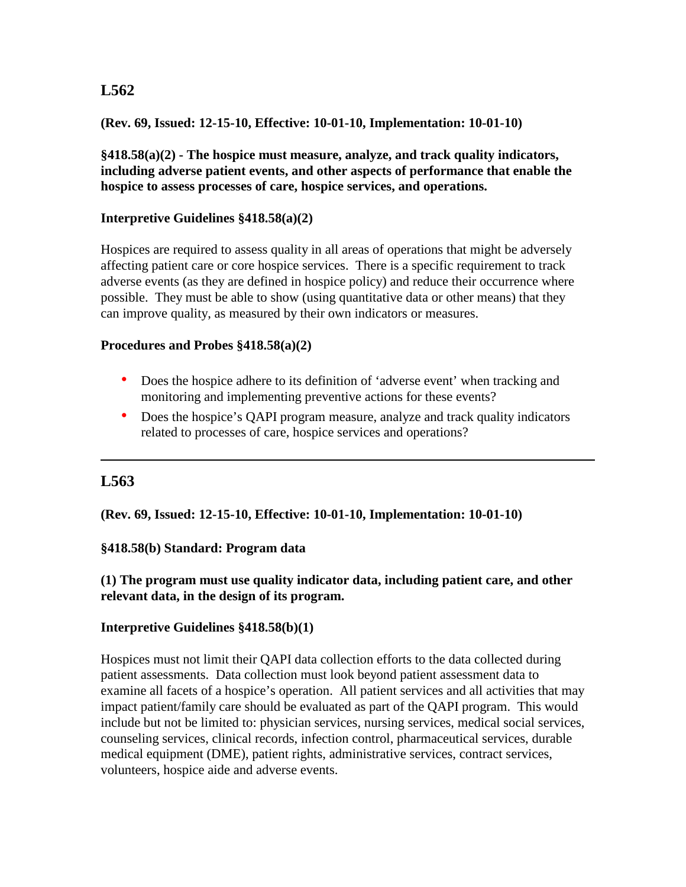### **(Rev. 69, Issued: 12-15-10, Effective: 10-01-10, Implementation: 10-01-10)**

**§418.58(a)(2) - The hospice must measure, analyze, and track quality indicators, including adverse patient events, and other aspects of performance that enable the hospice to assess processes of care, hospice services, and operations.**

#### **Interpretive Guidelines §418.58(a)(2)**

Hospices are required to assess quality in all areas of operations that might be adversely affecting patient care or core hospice services. There is a specific requirement to track adverse events (as they are defined in hospice policy) and reduce their occurrence where possible. They must be able to show (using quantitative data or other means) that they can improve quality, as measured by their own indicators or measures.

#### **Procedures and Probes §418.58(a)(2)**

- Does the hospice adhere to its definition of 'adverse event' when tracking and monitoring and implementing preventive actions for these events?
- Does the hospice's QAPI program measure, analyze and track quality indicators related to processes of care, hospice services and operations?

# **L563**

**(Rev. 69, Issued: 12-15-10, Effective: 10-01-10, Implementation: 10-01-10)** 

#### **§418.58(b) Standard: Program data**

### **(1) The program must use quality indicator data, including patient care, and other relevant data, in the design of its program.**

#### **Interpretive Guidelines §418.58(b)(1)**

Hospices must not limit their QAPI data collection efforts to the data collected during patient assessments. Data collection must look beyond patient assessment data to examine all facets of a hospice's operation. All patient services and all activities that may impact patient/family care should be evaluated as part of the QAPI program. This would include but not be limited to: physician services, nursing services, medical social services, counseling services, clinical records, infection control, pharmaceutical services, durable medical equipment (DME), patient rights, administrative services, contract services, volunteers, hospice aide and adverse events.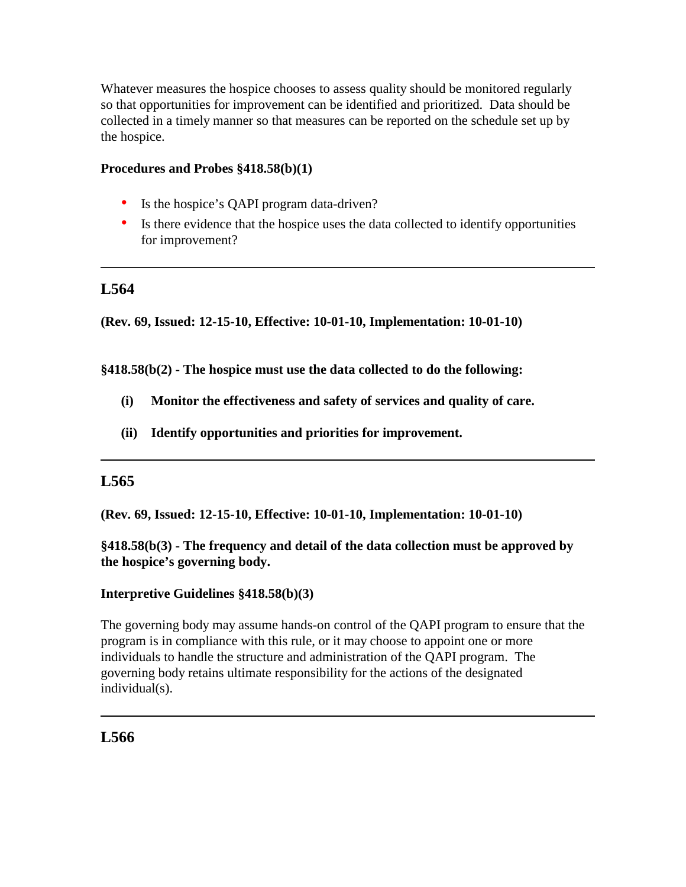Whatever measures the hospice chooses to assess quality should be monitored regularly so that opportunities for improvement can be identified and prioritized. Data should be collected in a timely manner so that measures can be reported on the schedule set up by the hospice.

### **Procedures and Probes §418.58(b)(1)**

- Is the hospice's QAPI program data-driven?
- Is there evidence that the hospice uses the data collected to identify opportunities for improvement?

# **L564**

**(Rev. 69, Issued: 12-15-10, Effective: 10-01-10, Implementation: 10-01-10)** 

**§418.58(b(2) - The hospice must use the data collected to do the following:**

- **(i) Monitor the effectiveness and safety of services and quality of care.**
- **(ii) Identify opportunities and priorities for improvement.**

## **L565**

**(Rev. 69, Issued: 12-15-10, Effective: 10-01-10, Implementation: 10-01-10)** 

**§418.58(b(3) - The frequency and detail of the data collection must be approved by the hospice's governing body.** 

#### **Interpretive Guidelines §418.58(b)(3)**

The governing body may assume hands-on control of the QAPI program to ensure that the program is in compliance with this rule, or it may choose to appoint one or more individuals to handle the structure and administration of the QAPI program. The governing body retains ultimate responsibility for the actions of the designated individual(s).

# **L566**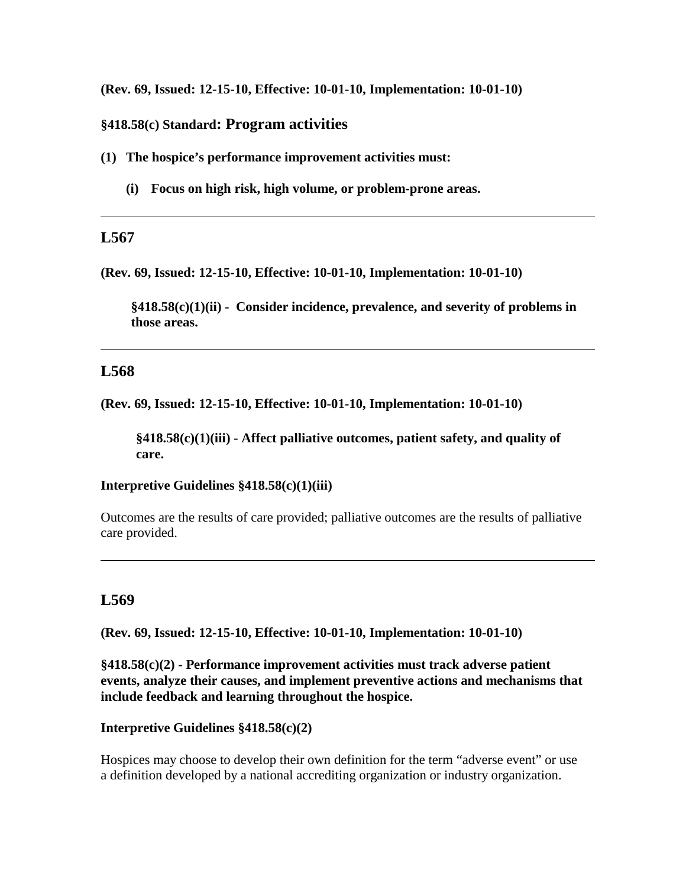**(Rev. 69, Issued: 12-15-10, Effective: 10-01-10, Implementation: 10-01-10)** 

### **§418.58(c) Standard: Program activities**

**(1) The hospice's performance improvement activities must:**

**(i) Focus on high risk, high volume, or problem-prone areas.**

### **L567**

**(Rev. 69, Issued: 12-15-10, Effective: 10-01-10, Implementation: 10-01-10)** 

**§418.58(c)(1)(ii) - Consider incidence, prevalence, and severity of problems in those areas.** 

## **L568**

**(Rev. 69, Issued: 12-15-10, Effective: 10-01-10, Implementation: 10-01-10)** 

**§418.58(c)(1)(iii) - Affect palliative outcomes, patient safety, and quality of care.**

**Interpretive Guidelines §418.58(c)(1)(iii)** 

Outcomes are the results of care provided; palliative outcomes are the results of palliative care provided.

## **L569**

**(Rev. 69, Issued: 12-15-10, Effective: 10-01-10, Implementation: 10-01-10)** 

**§418.58(c)(2) - Performance improvement activities must track adverse patient events, analyze their causes, and implement preventive actions and mechanisms that include feedback and learning throughout the hospice.**

#### **Interpretive Guidelines §418.58(c)(2)**

Hospices may choose to develop their own definition for the term "adverse event" or use a definition developed by a national accrediting organization or industry organization.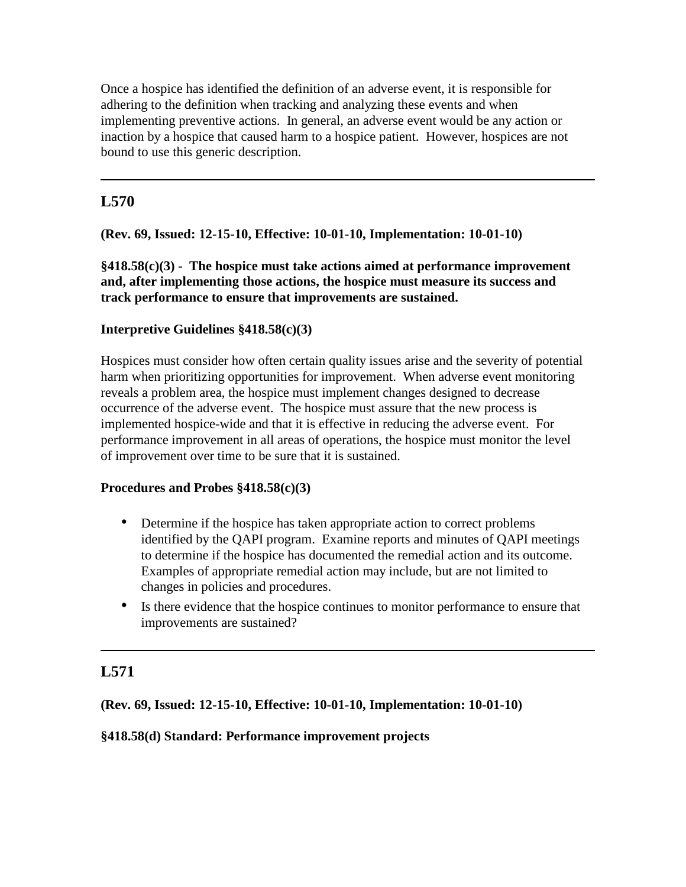Once a hospice has identified the definition of an adverse event, it is responsible for adhering to the definition when tracking and analyzing these events and when implementing preventive actions. In general, an adverse event would be any action or inaction by a hospice that caused harm to a hospice patient. However, hospices are not bound to use this generic description.

# **L570**

## **(Rev. 69, Issued: 12-15-10, Effective: 10-01-10, Implementation: 10-01-10)**

**§418.58(c)(3) - The hospice must take actions aimed at performance improvement and, after implementing those actions, the hospice must measure its success and track performance to ensure that improvements are sustained.**

## **Interpretive Guidelines §418.58(c)(3)**

Hospices must consider how often certain quality issues arise and the severity of potential harm when prioritizing opportunities for improvement. When adverse event monitoring reveals a problem area, the hospice must implement changes designed to decrease occurrence of the adverse event. The hospice must assure that the new process is implemented hospice-wide and that it is effective in reducing the adverse event. For performance improvement in all areas of operations, the hospice must monitor the level of improvement over time to be sure that it is sustained.

## **Procedures and Probes §418.58(c)(3)**

- Determine if the hospice has taken appropriate action to correct problems identified by the QAPI program. Examine reports and minutes of QAPI meetings to determine if the hospice has documented the remedial action and its outcome. Examples of appropriate remedial action may include, but are not limited to changes in policies and procedures.
- Is there evidence that the hospice continues to monitor performance to ensure that improvements are sustained?

# **L571**

**(Rev. 69, Issued: 12-15-10, Effective: 10-01-10, Implementation: 10-01-10)** 

## **§418.58(d) Standard: Performance improvement projects**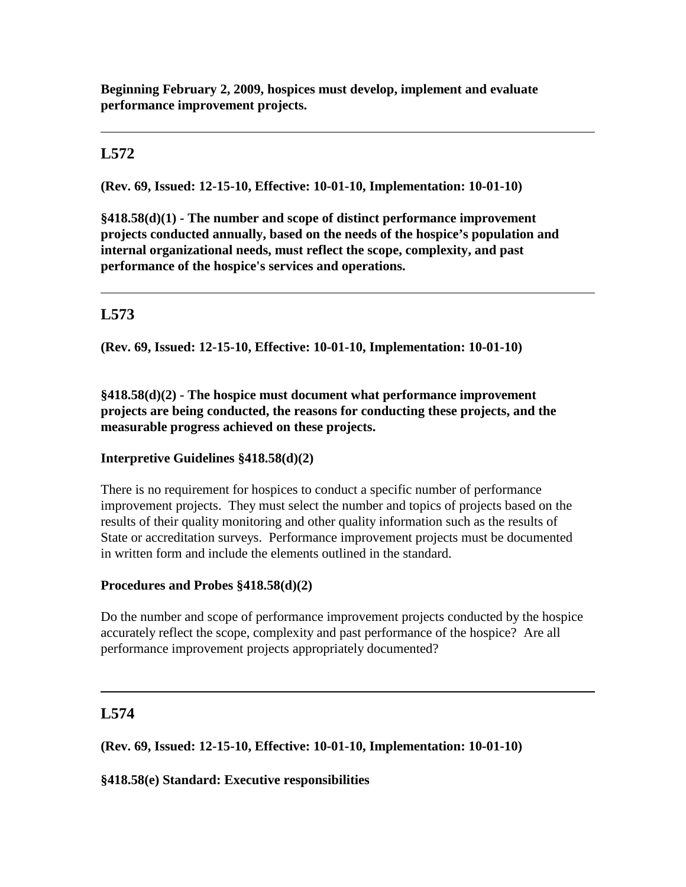**Beginning February 2, 2009, hospices must develop, implement and evaluate performance improvement projects.** 

# **L572**

**(Rev. 69, Issued: 12-15-10, Effective: 10-01-10, Implementation: 10-01-10)** 

**§418.58(d)(1) - The number and scope of distinct performance improvement projects conducted annually, based on the needs of the hospice's population and internal organizational needs, must reflect the scope, complexity, and past performance of the hospice's services and operations.**

# **L573**

**(Rev. 69, Issued: 12-15-10, Effective: 10-01-10, Implementation: 10-01-10)** 

**§418.58(d)(2) - The hospice must document what performance improvement projects are being conducted, the reasons for conducting these projects, and the measurable progress achieved on these projects.**

## **Interpretive Guidelines §418.58(d)(2)**

There is no requirement for hospices to conduct a specific number of performance improvement projects. They must select the number and topics of projects based on the results of their quality monitoring and other quality information such as the results of State or accreditation surveys. Performance improvement projects must be documented in written form and include the elements outlined in the standard.

## **Procedures and Probes §418.58(d)(2)**

Do the number and scope of performance improvement projects conducted by the hospice accurately reflect the scope, complexity and past performance of the hospice? Are all performance improvement projects appropriately documented?

# **L574**

**(Rev. 69, Issued: 12-15-10, Effective: 10-01-10, Implementation: 10-01-10)** 

**§418.58(e) Standard: Executive responsibilities**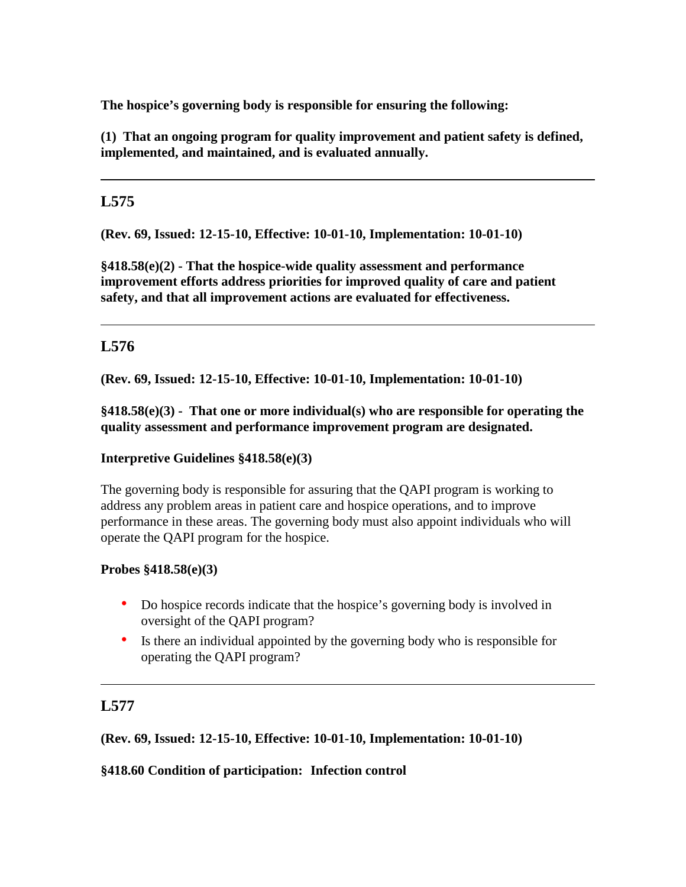**The hospice's governing body is responsible for ensuring the following:**

**(1) That an ongoing program for quality improvement and patient safety is defined, implemented, and maintained, and is evaluated annually.**

# **L575**

**(Rev. 69, Issued: 12-15-10, Effective: 10-01-10, Implementation: 10-01-10)** 

**§418.58(e)(2) - That the hospice-wide quality assessment and performance improvement efforts address priorities for improved quality of care and patient safety, and that all improvement actions are evaluated for effectiveness.** 

# **L576**

**(Rev. 69, Issued: 12-15-10, Effective: 10-01-10, Implementation: 10-01-10)** 

**§418.58(e)(3) - That one or more individual(s) who are responsible for operating the quality assessment and performance improvement program are designated.** 

# **Interpretive Guidelines §418.58(e)(3)**

The governing body is responsible for assuring that the QAPI program is working to address any problem areas in patient care and hospice operations, and to improve performance in these areas. The governing body must also appoint individuals who will operate the QAPI program for the hospice.

# **Probes §418.58(e)(3)**

- Do hospice records indicate that the hospice's governing body is involved in oversight of the QAPI program?
- Is there an individual appointed by the governing body who is responsible for operating the QAPI program?

# **L577**

**(Rev. 69, Issued: 12-15-10, Effective: 10-01-10, Implementation: 10-01-10)** 

# **§418.60 Condition of participation: Infection control**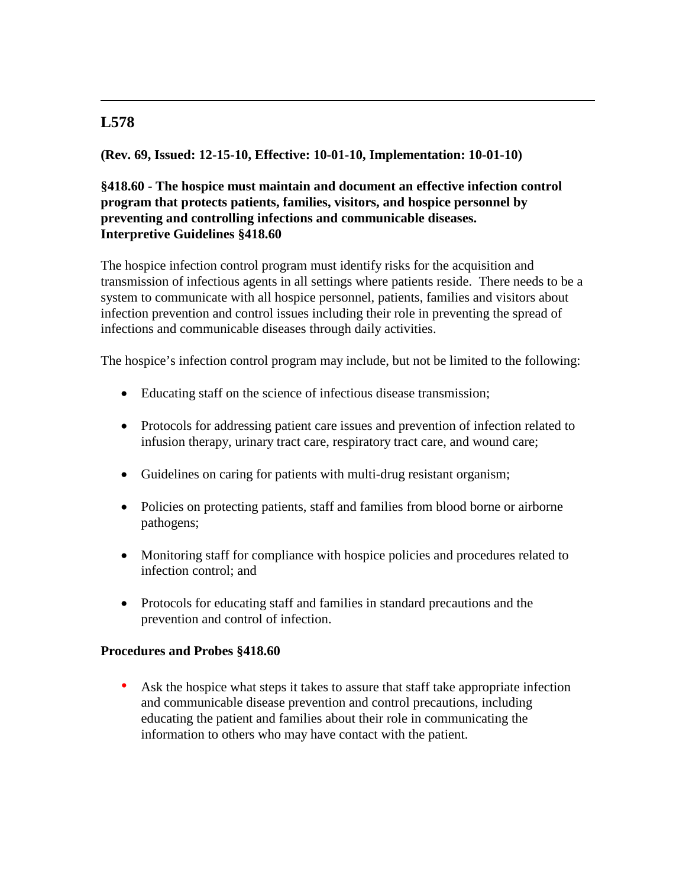## **(Rev. 69, Issued: 12-15-10, Effective: 10-01-10, Implementation: 10-01-10)**

## **§418.60 - The hospice must maintain and document an effective infection control program that protects patients, families, visitors, and hospice personnel by preventing and controlling infections and communicable diseases. Interpretive Guidelines §418.60**

The hospice infection control program must identify risks for the acquisition and transmission of infectious agents in all settings where patients reside. There needs to be a system to communicate with all hospice personnel, patients, families and visitors about infection prevention and control issues including their role in preventing the spread of infections and communicable diseases through daily activities.

The hospice's infection control program may include, but not be limited to the following:

- Educating staff on the science of infectious disease transmission;
- Protocols for addressing patient care issues and prevention of infection related to infusion therapy, urinary tract care, respiratory tract care, and wound care;
- Guidelines on caring for patients with multi-drug resistant organism;
- Policies on protecting patients, staff and families from blood borne or airborne pathogens;
- Monitoring staff for compliance with hospice policies and procedures related to infection control; and
- Protocols for educating staff and families in standard precautions and the prevention and control of infection.

#### **Procedures and Probes §418.60**

Ask the hospice what steps it takes to assure that staff take appropriate infection and communicable disease prevention and control precautions, including educating the patient and families about their role in communicating the information to others who may have contact with the patient.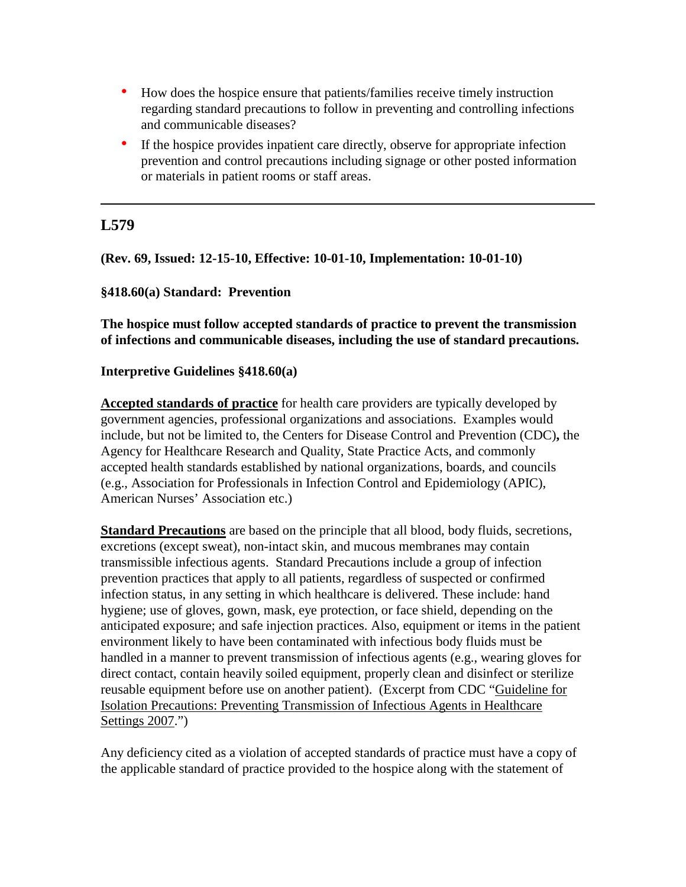- How does the hospice ensure that patients/families receive timely instruction regarding standard precautions to follow in preventing and controlling infections and communicable diseases?
- If the hospice provides inpatient care directly, observe for appropriate infection prevention and control precautions including signage or other posted information or materials in patient rooms or staff areas.

**(Rev. 69, Issued: 12-15-10, Effective: 10-01-10, Implementation: 10-01-10)**

### **§418.60(a) Standard: Prevention**

**The hospice must follow accepted standards of practice to prevent the transmission of infections and communicable diseases, including the use of standard precautions.**

### **Interpretive Guidelines §418.60(a)**

**Accepted standards of practice** for health care providers are typically developed by government agencies, professional organizations and associations. Examples would include, but not be limited to, the Centers for Disease Control and Prevention (CDC)**,** the Agency for Healthcare Research and Quality, State Practice Acts, and commonly accepted health standards established by national organizations, boards, and councils (e.g., Association for Professionals in Infection Control and Epidemiology (APIC), American Nurses' Association etc.)

**Standard Precautions** are based on the principle that all blood, body fluids, secretions, excretions (except sweat), non-intact skin, and mucous membranes may contain transmissible infectious agents. Standard Precautions include a group of infection prevention practices that apply to all patients, regardless of suspected or confirmed infection status, in any setting in which healthcare is delivered. These include: hand hygiene; use of gloves, gown, mask, eye protection, or face shield, depending on the anticipated exposure; and safe injection practices. Also, equipment or items in the patient environment likely to have been contaminated with infectious body fluids must be handled in a manner to prevent transmission of infectious agents (e.g., wearing gloves for direct contact, contain heavily soiled equipment, properly clean and disinfect or sterilize reusable equipment before use on another patient). (Excerpt from CDC ["Guideline for](http://www.cdc.gov/ncidod/dhqp/pdf/guidelines/Isolation2007.pdf)  [Isolation Precautions: Preventing Transmission of Infectious Agents in Healthcare](http://www.cdc.gov/ncidod/dhqp/pdf/guidelines/Isolation2007.pdf)  [Settings 2007.](http://www.cdc.gov/ncidod/dhqp/pdf/guidelines/Isolation2007.pdf)")

Any deficiency cited as a violation of accepted standards of practice must have a copy of the applicable standard of practice provided to the hospice along with the statement of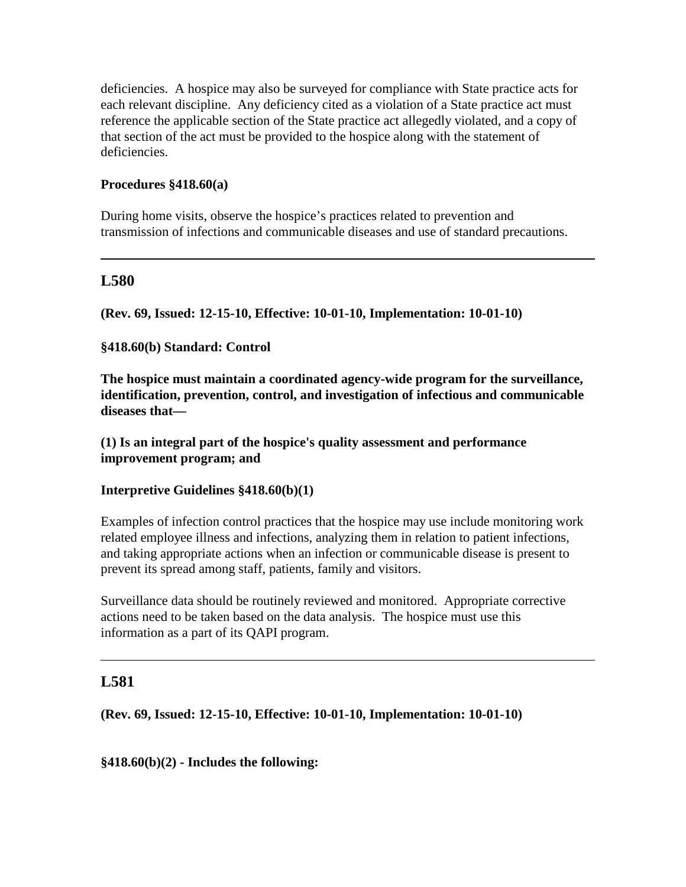deficiencies. A hospice may also be surveyed for compliance with State practice acts for each relevant discipline. Any deficiency cited as a violation of a State practice act must reference the applicable section of the State practice act allegedly violated, and a copy of that section of the act must be provided to the hospice along with the statement of deficiencies.

### **Procedures §418.60(a)**

During home visits, observe the hospice's practices related to prevention and transmission of infections and communicable diseases and use of standard precautions.

## **L580**

**(Rev. 69, Issued: 12-15-10, Effective: 10-01-10, Implementation: 10-01-10)** 

### **§418.60(b) Standard: Control**

**The hospice must maintain a coordinated agency-wide program for the surveillance, identification, prevention, control, and investigation of infectious and communicable diseases that—** 

**(1) Is an integral part of the hospice's quality assessment and performance improvement program; and** 

#### **Interpretive Guidelines §418.60(b)(1)**

Examples of infection control practices that the hospice may use include monitoring work related employee illness and infections, analyzing them in relation to patient infections, and taking appropriate actions when an infection or communicable disease is present to prevent its spread among staff, patients, family and visitors.

Surveillance data should be routinely reviewed and monitored. Appropriate corrective actions need to be taken based on the data analysis. The hospice must use this information as a part of its QAPI program.

## **L581**

**(Rev. 69, Issued: 12-15-10, Effective: 10-01-10, Implementation: 10-01-10)** 

**§418.60(b)(2) - Includes the following:**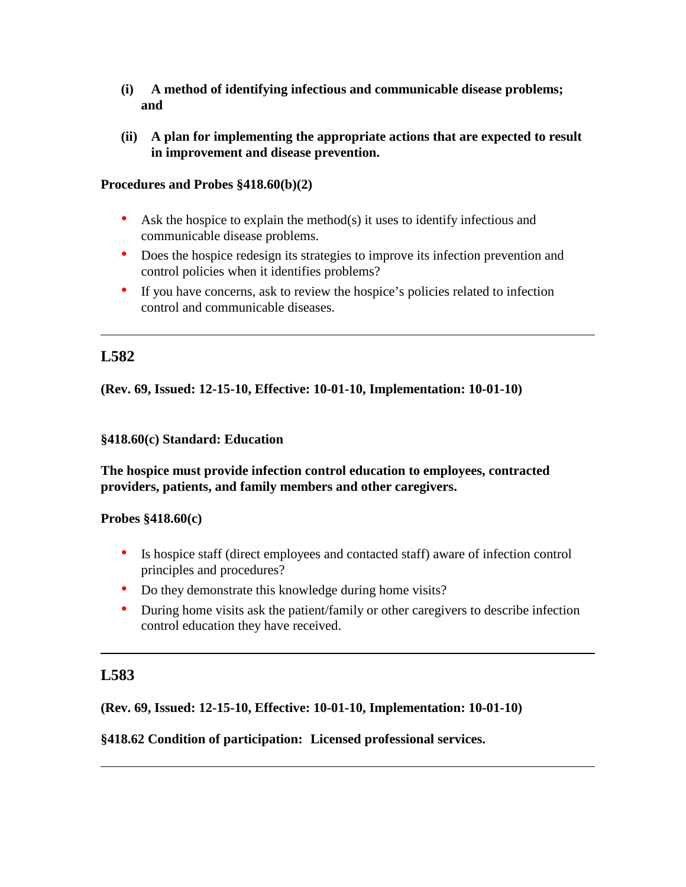- **(i) A method of identifying infectious and communicable disease problems; and**
- **(ii) A plan for implementing the appropriate actions that are expected to result in improvement and disease prevention.**

### **Procedures and Probes §418.60(b)(2)**

- Ask the hospice to explain the method(s) it uses to identify infectious and communicable disease problems.
- Does the hospice redesign its strategies to improve its infection prevention and control policies when it identifies problems?
- If you have concerns, ask to review the hospice's policies related to infection control and communicable diseases.

# **L582**

**(Rev. 69, Issued: 12-15-10, Effective: 10-01-10, Implementation: 10-01-10)** 

#### **§418.60(c) Standard: Education**

**The hospice must provide infection control education to employees, contracted providers, patients, and family members and other caregivers.**

#### **Probes §418.60(c)**

- Is hospice staff (direct employees and contacted staff) aware of infection control principles and procedures?
- Do they demonstrate this knowledge during home visits?
- During home visits ask the patient/family or other caregivers to describe infection control education they have received.

## **L583**

## **(Rev. 69, Issued: 12-15-10, Effective: 10-01-10, Implementation: 10-01-10)**

#### **§418.62 Condition of participation: Licensed professional services.**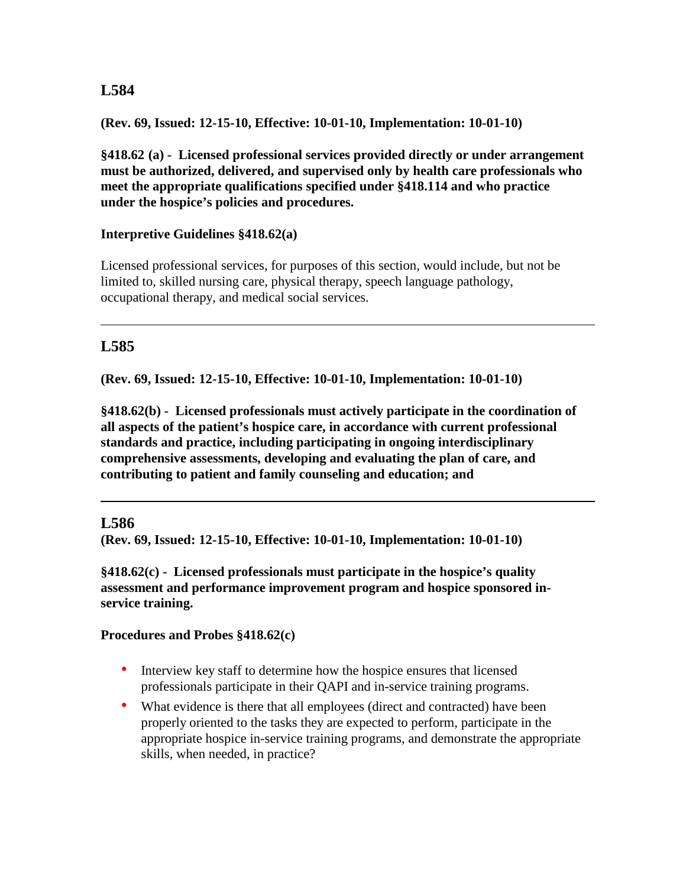**(Rev. 69, Issued: 12-15-10, Effective: 10-01-10, Implementation: 10-01-10)** 

**§418.62 (a) - Licensed professional services provided directly or under arrangement must be authorized, delivered, and supervised only by health care professionals who meet the appropriate qualifications specified under §418.114 and who practice under the hospice's policies and procedures.**

### **Interpretive Guidelines §418.62(a)**

Licensed professional services, for purposes of this section, would include, but not be limited to, skilled nursing care, physical therapy, speech language pathology, occupational therapy, and medical social services.

# **L585**

**(Rev. 69, Issued: 12-15-10, Effective: 10-01-10, Implementation: 10-01-10)** 

**§418.62(b) - Licensed professionals must actively participate in the coordination of all aspects of the patient's hospice care, in accordance with current professional standards and practice, including participating in ongoing interdisciplinary comprehensive assessments, developing and evaluating the plan of care, and contributing to patient and family counseling and education; and**

## **L586**

**(Rev. 69, Issued: 12-15-10, Effective: 10-01-10, Implementation: 10-01-10)** 

**§418.62(c) - Licensed professionals must participate in the hospice's quality assessment and performance improvement program and hospice sponsored inservice training.** 

## **Procedures and Probes §418.62(c)**

- Interview key staff to determine how the hospice ensures that licensed professionals participate in their QAPI and in-service training programs.
- What evidence is there that all employees (direct and contracted) have been properly oriented to the tasks they are expected to perform, participate in the appropriate hospice in-service training programs, and demonstrate the appropriate skills, when needed, in practice?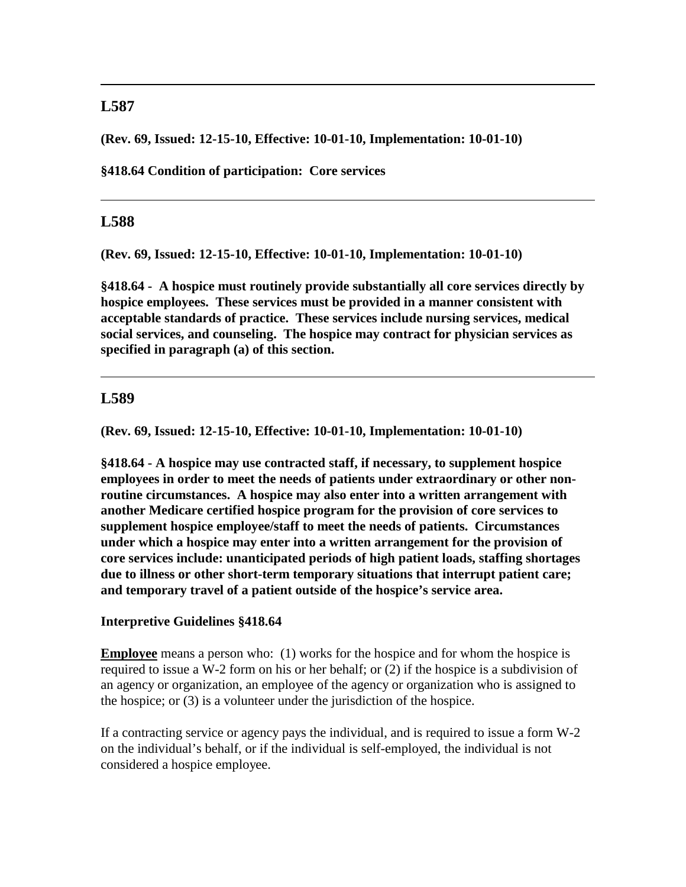**(Rev. 69, Issued: 12-15-10, Effective: 10-01-10, Implementation: 10-01-10)**

**§418.64 Condition of participation: Core services**

### **L588**

**(Rev. 69, Issued: 12-15-10, Effective: 10-01-10, Implementation: 10-01-10)**

**§418.64 - A hospice must routinely provide substantially all core services directly by hospice employees. These services must be provided in a manner consistent with acceptable standards of practice. These services include nursing services, medical social services, and counseling. The hospice may contract for physician services as specified in paragraph (a) of this section.**

### **L589**

**(Rev. 69, Issued: 12-15-10, Effective: 10-01-10, Implementation: 10-01-10)**

**§418.64 - A hospice may use contracted staff, if necessary, to supplement hospice employees in order to meet the needs of patients under extraordinary or other nonroutine circumstances. A hospice may also enter into a written arrangement with another Medicare certified hospice program for the provision of core services to supplement hospice employee/staff to meet the needs of patients. Circumstances under which a hospice may enter into a written arrangement for the provision of core services include: unanticipated periods of high patient loads, staffing shortages due to illness or other short-term temporary situations that interrupt patient care; and temporary travel of a patient outside of the hospice's service area.** 

#### **Interpretive Guidelines §418.64**

**Employee** means a person who: (1) works for the hospice and for whom the hospice is required to issue a W-2 form on his or her behalf; or (2) if the hospice is a subdivision of an agency or organization, an employee of the agency or organization who is assigned to the hospice; or (3) is a volunteer under the jurisdiction of the hospice.

If a contracting service or agency pays the individual, and is required to issue a form W-2 on the individual's behalf, or if the individual is self-employed, the individual is not considered a hospice employee.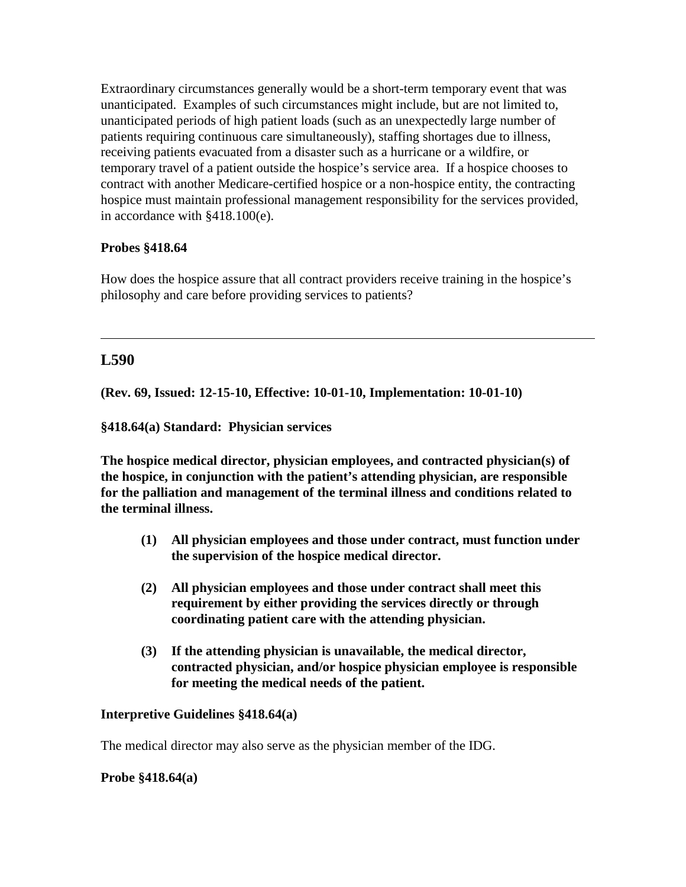Extraordinary circumstances generally would be a short-term temporary event that was unanticipated. Examples of such circumstances might include, but are not limited to, unanticipated periods of high patient loads (such as an unexpectedly large number of patients requiring continuous care simultaneously), staffing shortages due to illness, receiving patients evacuated from a disaster such as a hurricane or a wildfire, or temporary travel of a patient outside the hospice's service area. If a hospice chooses to contract with another Medicare-certified hospice or a non-hospice entity, the contracting hospice must maintain professional management responsibility for the services provided, in accordance with §418.100(e).

### **Probes §418.64**

How does the hospice assure that all contract providers receive training in the hospice's philosophy and care before providing services to patients?

### **L590**

**(Rev. 69, Issued: 12-15-10, Effective: 10-01-10, Implementation: 10-01-10)**

**§418.64(a) Standard: Physician services** 

**The hospice medical director, physician employees, and contracted physician(s) of the hospice, in conjunction with the patient's attending physician, are responsible for the palliation and management of the terminal illness and conditions related to the terminal illness.**

- **(1) All physician employees and those under contract, must function under the supervision of the hospice medical director.**
- **(2) All physician employees and those under contract shall meet this requirement by either providing the services directly or through coordinating patient care with the attending physician.**
- **(3) If the attending physician is unavailable, the medical director, contracted physician, and/or hospice physician employee is responsible for meeting the medical needs of the patient.**

#### **Interpretive Guidelines §418.64(a)**

The medical director may also serve as the physician member of the IDG.

#### **Probe §418.64(a)**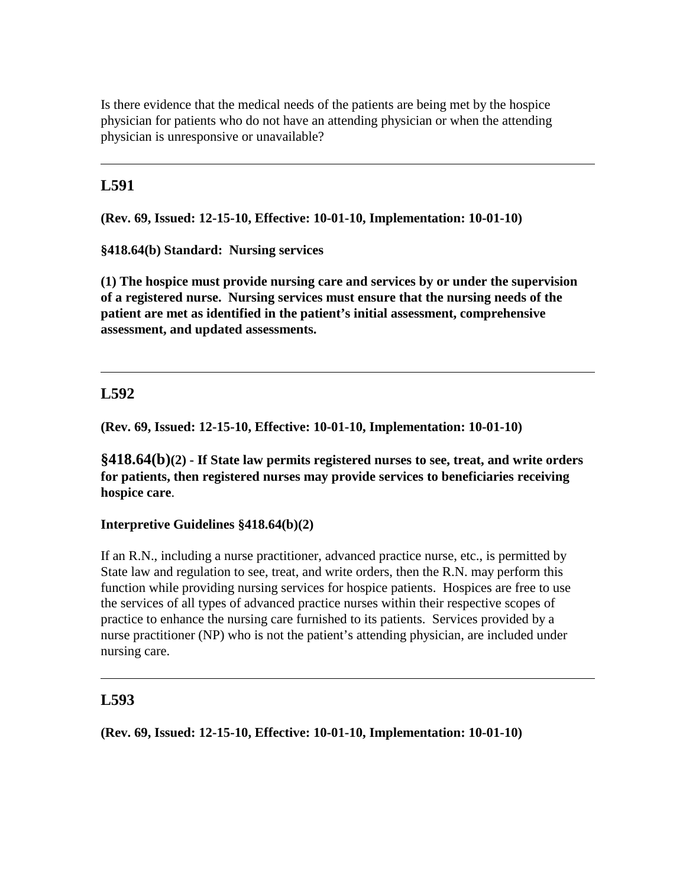Is there evidence that the medical needs of the patients are being met by the hospice physician for patients who do not have an attending physician or when the attending physician is unresponsive or unavailable?

# **L591**

**(Rev. 69, Issued: 12-15-10, Effective: 10-01-10, Implementation: 10-01-10)**

**§418.64(b) Standard: Nursing services**

**(1) The hospice must provide nursing care and services by or under the supervision of a registered nurse. Nursing services must ensure that the nursing needs of the patient are met as identified in the patient's initial assessment, comprehensive assessment, and updated assessments.**

## **L592**

**(Rev. 69, Issued: 12-15-10, Effective: 10-01-10, Implementation: 10-01-10)**

**§418.64(b)(2) - If State law permits registered nurses to see, treat, and write orders for patients, then registered nurses may provide services to beneficiaries receiving hospice care**.

### **Interpretive Guidelines §418.64(b)(2)**

If an R.N., including a nurse practitioner, advanced practice nurse, etc., is permitted by State law and regulation to see, treat, and write orders, then the R.N. may perform this function while providing nursing services for hospice patients. Hospices are free to use the services of all types of advanced practice nurses within their respective scopes of practice to enhance the nursing care furnished to its patients. Services provided by a nurse practitioner (NP) who is not the patient's attending physician, are included under nursing care.

## **L593**

**(Rev. 69, Issued: 12-15-10, Effective: 10-01-10, Implementation: 10-01-10)**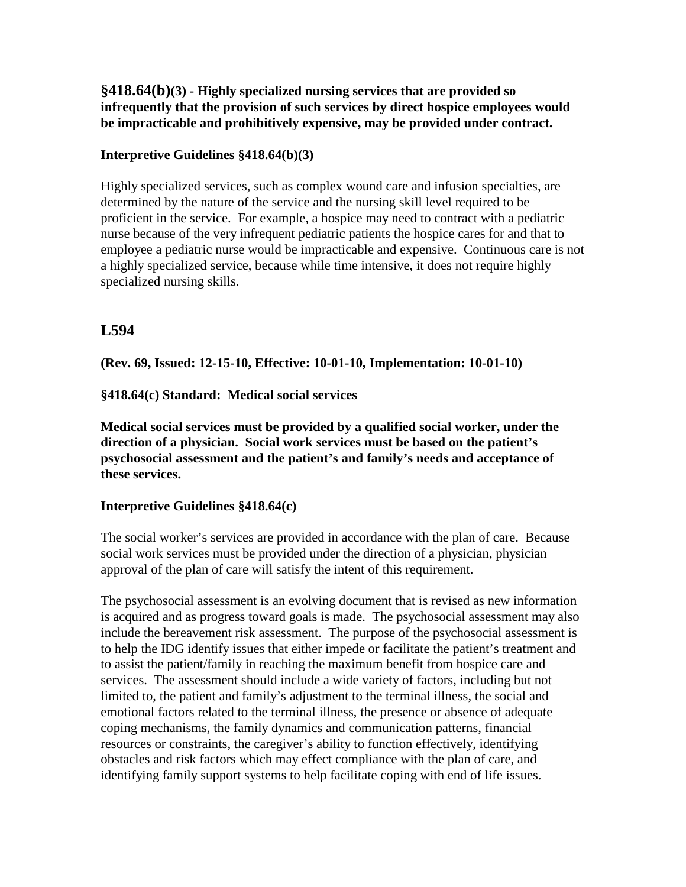## **§418.64(b)(3) - Highly specialized nursing services that are provided so infrequently that the provision of such services by direct hospice employees would be impracticable and prohibitively expensive, may be provided under contract.**

### **Interpretive Guidelines §418.64(b)(3)**

Highly specialized services, such as complex wound care and infusion specialties, are determined by the nature of the service and the nursing skill level required to be proficient in the service. For example, a hospice may need to contract with a pediatric nurse because of the very infrequent pediatric patients the hospice cares for and that to employee a pediatric nurse would be impracticable and expensive. Continuous care is not a highly specialized service, because while time intensive, it does not require highly specialized nursing skills.

## **L594**

**(Rev. 69, Issued: 12-15-10, Effective: 10-01-10, Implementation: 10-01-10)**

**§418.64(c) Standard: Medical social services**

**Medical social services must be provided by a qualified social worker, under the direction of a physician. Social work services must be based on the patient's psychosocial assessment and the patient's and family's needs and acceptance of these services.**

### **Interpretive Guidelines §418.64(c)**

The social worker's services are provided in accordance with the plan of care. Because social work services must be provided under the direction of a physician, physician approval of the plan of care will satisfy the intent of this requirement.

The psychosocial assessment is an evolving document that is revised as new information is acquired and as progress toward goals is made. The psychosocial assessment may also include the bereavement risk assessment. The purpose of the psychosocial assessment is to help the IDG identify issues that either impede or facilitate the patient's treatment and to assist the patient/family in reaching the maximum benefit from hospice care and services. The assessment should include a wide variety of factors, including but not limited to, the patient and family's adjustment to the terminal illness, the social and emotional factors related to the terminal illness, the presence or absence of adequate coping mechanisms, the family dynamics and communication patterns, financial resources or constraints, the caregiver's ability to function effectively, identifying obstacles and risk factors which may effect compliance with the plan of care, and identifying family support systems to help facilitate coping with end of life issues.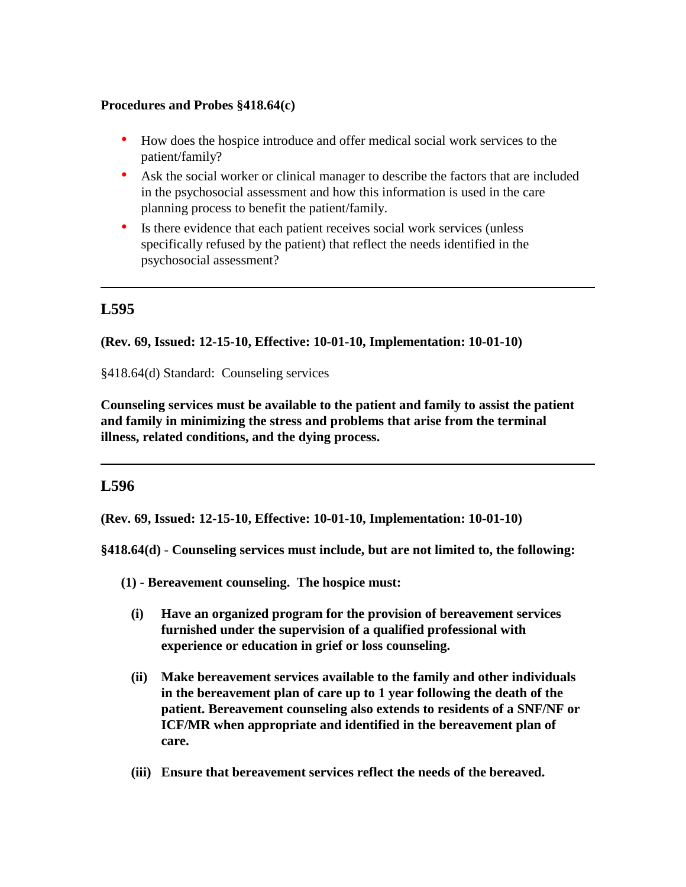### **Procedures and Probes §418.64(c)**

- How does the hospice introduce and offer medical social work services to the patient/family?
- Ask the social worker or clinical manager to describe the factors that are included in the psychosocial assessment and how this information is used in the care planning process to benefit the patient/family.
- Is there evidence that each patient receives social work services (unless specifically refused by the patient) that reflect the needs identified in the psychosocial assessment?

## **L595**

**(Rev. 69, Issued: 12-15-10, Effective: 10-01-10, Implementation: 10-01-10)**

§418.64(d) Standard: Counseling services

**Counseling services must be available to the patient and family to assist the patient and family in minimizing the stress and problems that arise from the terminal illness, related conditions, and the dying process.** 

### **L596**

**(Rev. 69, Issued: 12-15-10, Effective: 10-01-10, Implementation: 10-01-10)**

**§418.64(d)** - **Counseling services must include, but are not limited to, the following:**

- **(1) - Bereavement counseling. The hospice must:**
	- **(i) Have an organized program for the provision of bereavement services furnished under the supervision of a qualified professional with experience or education in grief or loss counseling.**
	- **(ii) Make bereavement services available to the family and other individuals in the bereavement plan of care up to 1 year following the death of the patient. Bereavement counseling also extends to residents of a SNF/NF or ICF/MR when appropriate and identified in the bereavement plan of care.**
	- **(iii) Ensure that bereavement services reflect the needs of the bereaved.**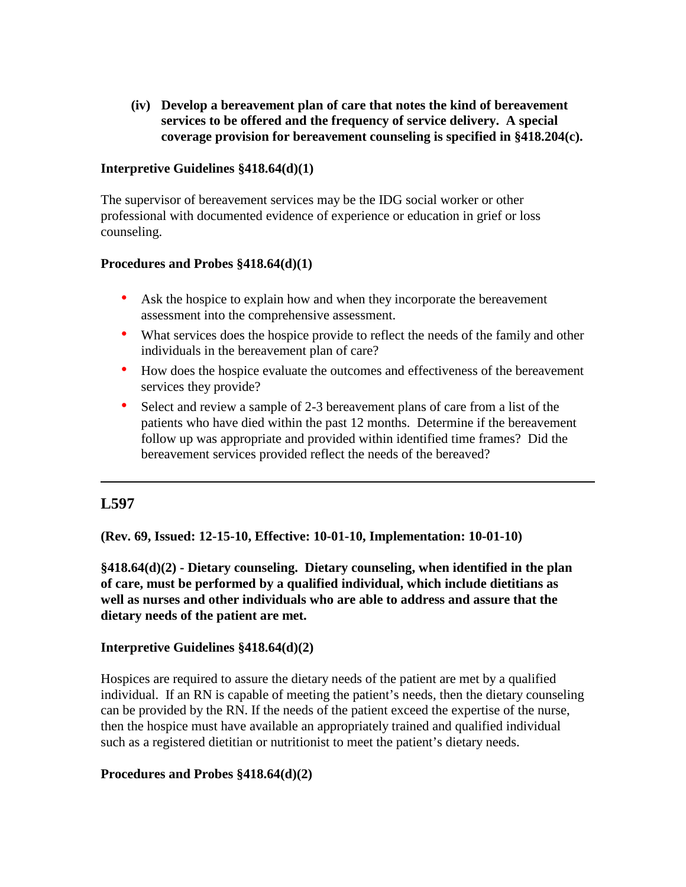**(iv) Develop a bereavement plan of care that notes the kind of bereavement services to be offered and the frequency of service delivery. A special coverage provision for bereavement counseling is specified in §418.204(c).**

#### **Interpretive Guidelines §418.64(d)(1)**

The supervisor of bereavement services may be the IDG social worker or other professional with documented evidence of experience or education in grief or loss counseling.

### **Procedures and Probes §418.64(d)(1)**

- Ask the hospice to explain how and when they incorporate the bereavement assessment into the comprehensive assessment.
- What services does the hospice provide to reflect the needs of the family and other individuals in the bereavement plan of care?
- How does the hospice evaluate the outcomes and effectiveness of the bereavement services they provide?
- Select and review a sample of 2-3 bereavement plans of care from a list of the patients who have died within the past 12 months. Determine if the bereavement follow up was appropriate and provided within identified time frames? Did the bereavement services provided reflect the needs of the bereaved?

## **L597**

**(Rev. 69, Issued: 12-15-10, Effective: 10-01-10, Implementation: 10-01-10)**

**§418.64(d)(2) - Dietary counseling. Dietary counseling, when identified in the plan of care, must be performed by a qualified individual, which include dietitians as well as nurses and other individuals who are able to address and assure that the dietary needs of the patient are met.**

#### **Interpretive Guidelines §418.64(d)(2)**

Hospices are required to assure the dietary needs of the patient are met by a qualified individual. If an RN is capable of meeting the patient's needs, then the dietary counseling can be provided by the RN. If the needs of the patient exceed the expertise of the nurse, then the hospice must have available an appropriately trained and qualified individual such as a registered dietitian or nutritionist to meet the patient's dietary needs.

### **Procedures and Probes §418.64(d)(2)**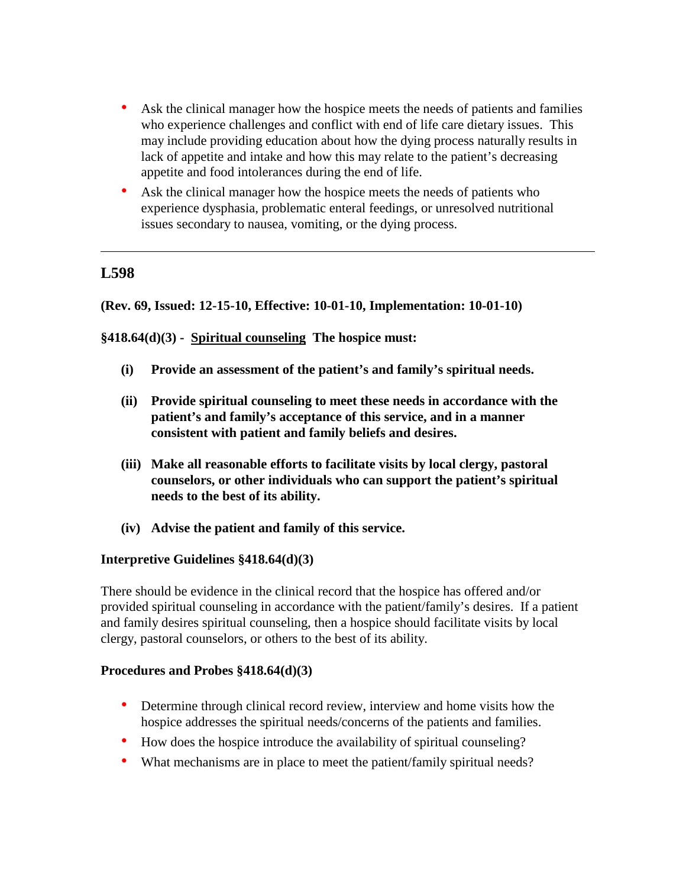- Ask the clinical manager how the hospice meets the needs of patients and families who experience challenges and conflict with end of life care dietary issues. This may include providing education about how the dying process naturally results in lack of appetite and intake and how this may relate to the patient's decreasing appetite and food intolerances during the end of life.
- Ask the clinical manager how the hospice meets the needs of patients who experience dysphasia, problematic enteral feedings, or unresolved nutritional issues secondary to nausea, vomiting, or the dying process.

### **(Rev. 69, Issued: 12-15-10, Effective: 10-01-10, Implementation: 10-01-10)**

### **§418.64(d)(3) - Spiritual counseling The hospice must:**

- **(i) Provide an assessment of the patient's and family's spiritual needs.**
- **(ii) Provide spiritual counseling to meet these needs in accordance with the patient's and family's acceptance of this service, and in a manner consistent with patient and family beliefs and desires.**
- **(iii) Make all reasonable efforts to facilitate visits by local clergy, pastoral counselors, or other individuals who can support the patient's spiritual needs to the best of its ability.**
- **(iv) Advise the patient and family of this service.**

#### **Interpretive Guidelines §418.64(d)(3)**

There should be evidence in the clinical record that the hospice has offered and/or provided spiritual counseling in accordance with the patient/family's desires. If a patient and family desires spiritual counseling, then a hospice should facilitate visits by local clergy, pastoral counselors, or others to the best of its ability.

#### **Procedures and Probes §418.64(d)(3)**

- Determine through clinical record review, interview and home visits how the hospice addresses the spiritual needs/concerns of the patients and families.
- How does the hospice introduce the availability of spiritual counseling?
- What mechanisms are in place to meet the patient/family spiritual needs?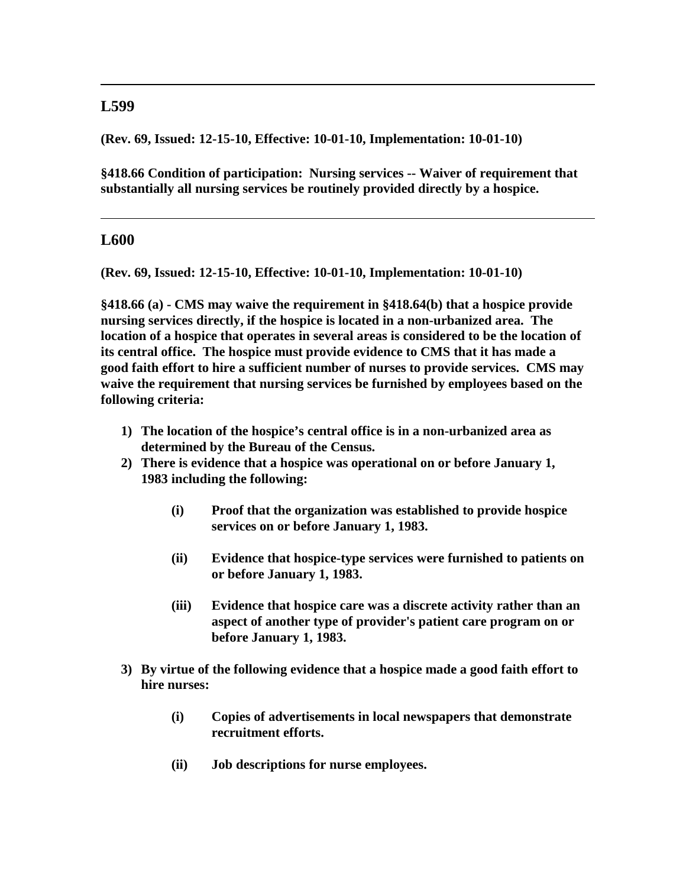**(Rev. 69, Issued: 12-15-10, Effective: 10-01-10, Implementation: 10-01-10)**

**§418.66 Condition of participation: Nursing services -- Waiver of requirement that substantially all nursing services be routinely provided directly by a hospice.**

### **L600**

**(Rev. 69, Issued: 12-15-10, Effective: 10-01-10, Implementation: 10-01-10)**

**§418.66 (a) - CMS may waive the requirement in §418.64(b) that a hospice provide nursing services directly, if the hospice is located in a non-urbanized area. The location of a hospice that operates in several areas is considered to be the location of its central office. The hospice must provide evidence to CMS that it has made a good faith effort to hire a sufficient number of nurses to provide services. CMS may waive the requirement that nursing services be furnished by employees based on the following criteria:**

- **1) The location of the hospice's central office is in a non-urbanized area as determined by the Bureau of the Census.**
- **2) There is evidence that a hospice was operational on or before January 1, 1983 including the following:**
	- **(i) Proof that the organization was established to provide hospice services on or before January 1, 1983.**
	- **(ii) Evidence that hospice-type services were furnished to patients on or before January 1, 1983.**
	- **(iii) Evidence that hospice care was a discrete activity rather than an aspect of another type of provider's patient care program on or before January 1, 1983.**
- **3) By virtue of the following evidence that a hospice made a good faith effort to hire nurses:**
	- **(i) Copies of advertisements in local newspapers that demonstrate recruitment efforts.**
	- **(ii) Job descriptions for nurse employees.**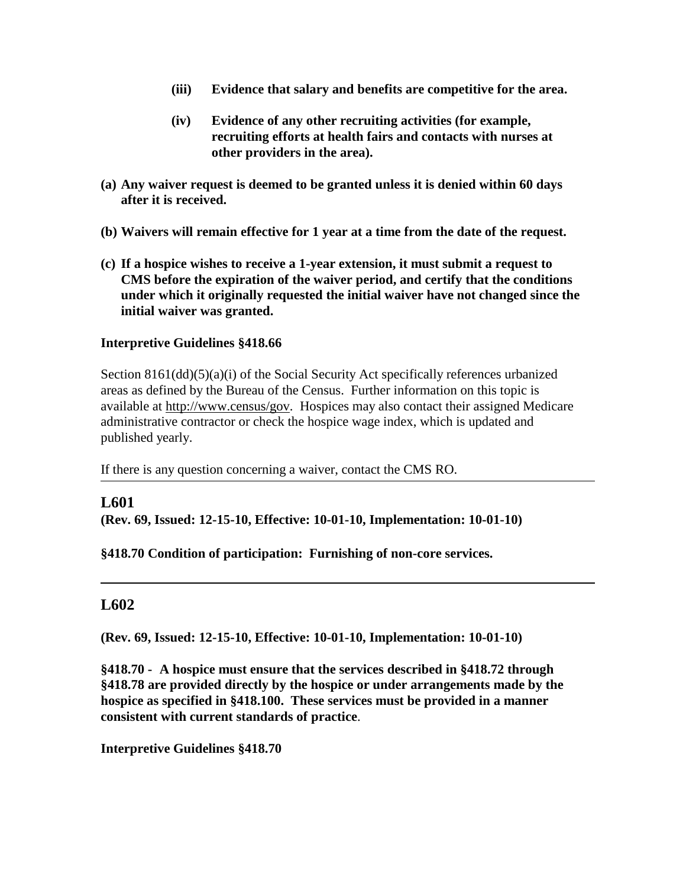- **(iii) Evidence that salary and benefits are competitive for the area.**
- **(iv) Evidence of any other recruiting activities (for example, recruiting efforts at health fairs and contacts with nurses at other providers in the area).**
- **(a) Any waiver request is deemed to be granted unless it is denied within 60 days after it is received.**
- **(b) Waivers will remain effective for 1 year at a time from the date of the request.**
- **(c) If a hospice wishes to receive a 1-year extension, it must submit a request to CMS before the expiration of the waiver period, and certify that the conditions under which it originally requested the initial waiver have not changed since the initial waiver was granted.**

### **Interpretive Guidelines §418.66**

Section 8161(dd)(5)(a)(i) of the Social Security Act specifically references urbanized areas as defined by the Bureau of the Census. Further information on this topic is available at [http://www.census/gov.](http://www.census/gov) Hospices may also contact their assigned Medicare administrative contractor or check the hospice wage index, which is updated and published yearly.

If there is any question concerning a waiver, contact the CMS RO.

### **L601**

**(Rev. 69, Issued: 12-15-10, Effective: 10-01-10, Implementation: 10-01-10)**

### **§418.70 Condition of participation: Furnishing of non-core services.**

### **L602**

**(Rev. 69, Issued: 12-15-10, Effective: 10-01-10, Implementation: 10-01-10)**

**§418.70 - A hospice must ensure that the services described in §418.72 through §418.78 are provided directly by the hospice or under arrangements made by the hospice as specified in §418.100. These services must be provided in a manner consistent with current standards of practice**.

**Interpretive Guidelines §418.70**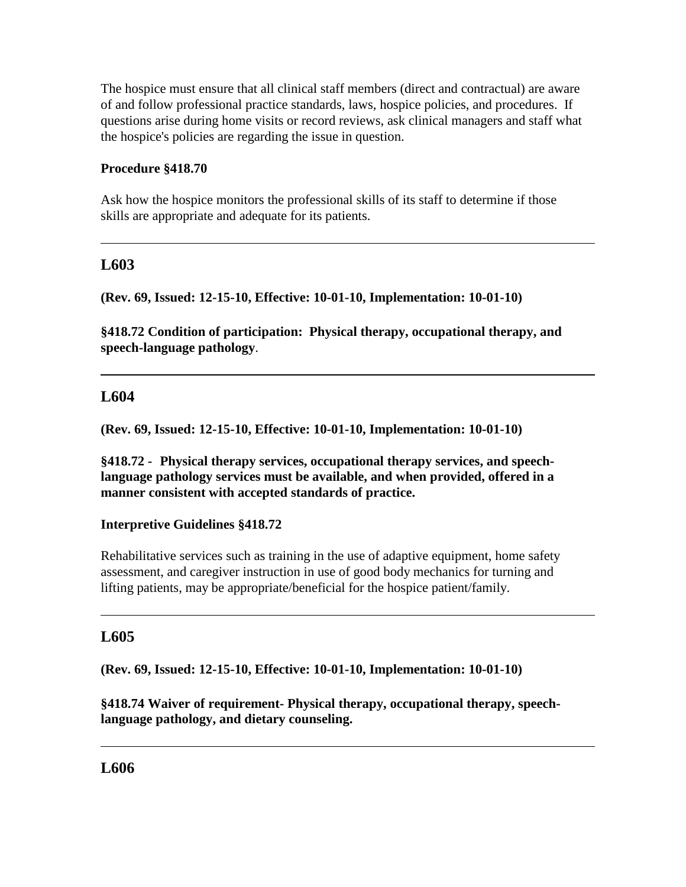The hospice must ensure that all clinical staff members (direct and contractual) are aware of and follow professional practice standards, laws, hospice policies, and procedures.If questions arise during home visits or record reviews, ask clinical managers and staff what the hospice's policies are regarding the issue in question.

### **Procedure §418.70**

Ask how the hospice monitors the professional skills of its staff to determine if those skills are appropriate and adequate for its patients.

## **L603**

**(Rev. 69, Issued: 12-15-10, Effective: 10-01-10, Implementation: 10-01-10)**

**§418.72 Condition of participation: Physical therapy, occupational therapy, and speech-language pathology**.

## **L604**

**(Rev. 69, Issued: 12-15-10, Effective: 10-01-10, Implementation: 10-01-10)**

**§418.72 - Physical therapy services, occupational therapy services, and speechlanguage pathology services must be available, and when provided, offered in a manner consistent with accepted standards of practice.** 

### **Interpretive Guidelines §418.72**

Rehabilitative services such as training in the use of adaptive equipment, home safety assessment, and caregiver instruction in use of good body mechanics for turning and lifting patients, may be appropriate/beneficial for the hospice patient/family.

## **L605**

**(Rev. 69, Issued: 12-15-10, Effective: 10-01-10, Implementation: 10-01-10)**

**§418.74 Waiver of requirement- Physical therapy, occupational therapy, speechlanguage pathology, and dietary counseling.** 

## **L606**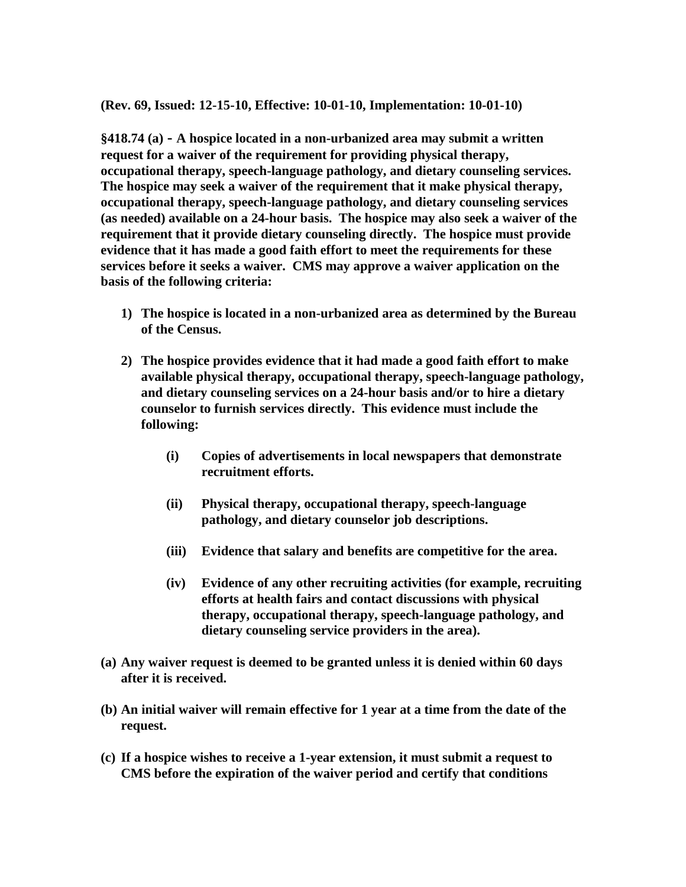**(Rev. 69, Issued: 12-15-10, Effective: 10-01-10, Implementation: 10-01-10)**

**§418.74 (a) - A hospice located in a non-urbanized area may submit a written request for a waiver of the requirement for providing physical therapy, occupational therapy, speech-language pathology, and dietary counseling services. The hospice may seek a waiver of the requirement that it make physical therapy, occupational therapy, speech-language pathology, and dietary counseling services (as needed) available on a 24-hour basis. The hospice may also seek a waiver of the requirement that it provide dietary counseling directly. The hospice must provide evidence that it has made a good faith effort to meet the requirements for these services before it seeks a waiver. CMS may approve a waiver application on the basis of the following criteria:** 

- **1) The hospice is located in a non-urbanized area as determined by the Bureau of the Census.**
- **2) The hospice provides evidence that it had made a good faith effort to make available physical therapy, occupational therapy, speech-language pathology, and dietary counseling services on a 24-hour basis and/or to hire a dietary counselor to furnish services directly. This evidence must include the following:**
	- **(i) Copies of advertisements in local newspapers that demonstrate recruitment efforts.**
	- **(ii) Physical therapy, occupational therapy, speech-language pathology, and dietary counselor job descriptions.**
	- **(iii) Evidence that salary and benefits are competitive for the area.**
	- **(iv) Evidence of any other recruiting activities (for example, recruiting efforts at health fairs and contact discussions with physical therapy, occupational therapy, speech-language pathology, and dietary counseling service providers in the area).**
- **(a) Any waiver request is deemed to be granted unless it is denied within 60 days after it is received.**
- **(b) An initial waiver will remain effective for 1 year at a time from the date of the request.**
- **(c) If a hospice wishes to receive a 1-year extension, it must submit a request to CMS before the expiration of the waiver period and certify that conditions**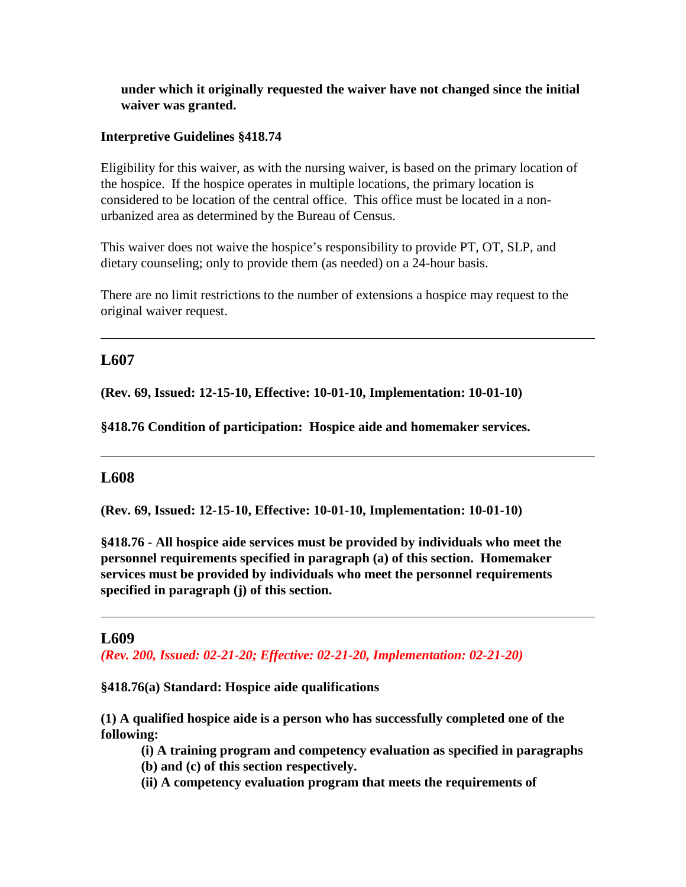### **under which it originally requested the waiver have not changed since the initial waiver was granted.**

#### **Interpretive Guidelines §418.74**

Eligibility for this waiver, as with the nursing waiver, is based on the primary location of the hospice. If the hospice operates in multiple locations, the primary location is considered to be location of the central office. This office must be located in a nonurbanized area as determined by the Bureau of Census.

This waiver does not waive the hospice's responsibility to provide PT, OT, SLP, and dietary counseling; only to provide them (as needed) on a 24-hour basis.

There are no limit restrictions to the number of extensions a hospice may request to the original waiver request.

## **L607**

**(Rev. 69, Issued: 12-15-10, Effective: 10-01-10, Implementation: 10-01-10)**

**§418.76 Condition of participation: Hospice aide and homemaker services.**

### **L608**

**(Rev. 69, Issued: 12-15-10, Effective: 10-01-10, Implementation: 10-01-10)**

**§418.76 - All hospice aide services must be provided by individuals who meet the personnel requirements specified in paragraph (a) of this section. Homemaker services must be provided by individuals who meet the personnel requirements specified in paragraph (j) of this section.**

### **L609**

*(Rev. 200, Issued: 02-21-20; Effective: 02-21-20, Implementation: 02-21-20)*

**§418.76(a) Standard: Hospice aide qualifications**

**(1) A qualified hospice aide is a person who has successfully completed one of the following:**

- **(i) A training program and competency evaluation as specified in paragraphs (b) and (c) of this section respectively.**
- **(ii) A competency evaluation program that meets the requirements of**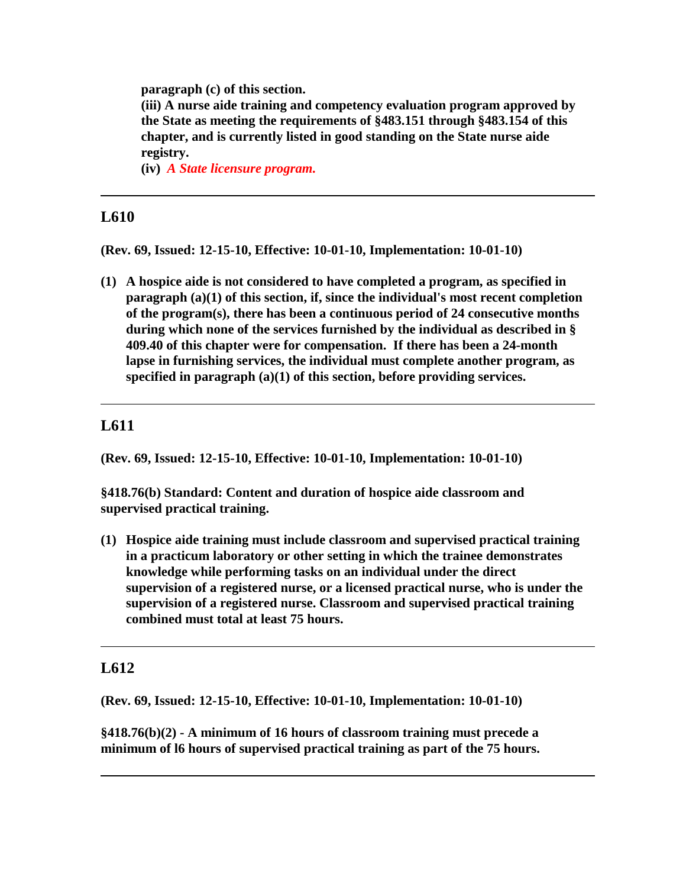**paragraph (c) of this section.**

**(iii) A nurse aide training and competency evaluation program approved by the State as meeting the requirements of §483.151 through §483.154 of this chapter, and is currently listed in good standing on the State nurse aide registry.**

**(iv)** *A State licensure program.*

# **L610**

**(Rev. 69, Issued: 12-15-10, Effective: 10-01-10, Implementation: 10-01-10)**

**(1) A hospice aide is not considered to have completed a program, as specified in paragraph (a)(1) of this section, if, since the individual's most recent completion of the program(s), there has been a continuous period of 24 consecutive months during which none of the services furnished by the individual as described in § 409.40 of this chapter were for compensation. If there has been a 24-month lapse in furnishing services, the individual must complete another program, as specified in paragraph (a)(1) of this section, before providing services.**

## **L611**

**(Rev. 69, Issued: 12-15-10, Effective: 10-01-10, Implementation: 10-01-10)**

**§418.76(b) Standard: Content and duration of hospice aide classroom and supervised practical training.**

**(1) Hospice aide training must include classroom and supervised practical training in a practicum laboratory or other setting in which the trainee demonstrates knowledge while performing tasks on an individual under the direct supervision of a registered nurse, or a licensed practical nurse, who is under the supervision of a registered nurse. Classroom and supervised practical training combined must total at least 75 hours.**

## **L612**

**(Rev. 69, Issued: 12-15-10, Effective: 10-01-10, Implementation: 10-01-10)**

**§418.76(b)(2) - A minimum of 16 hours of classroom training must precede a minimum of l6 hours of supervised practical training as part of the 75 hours.**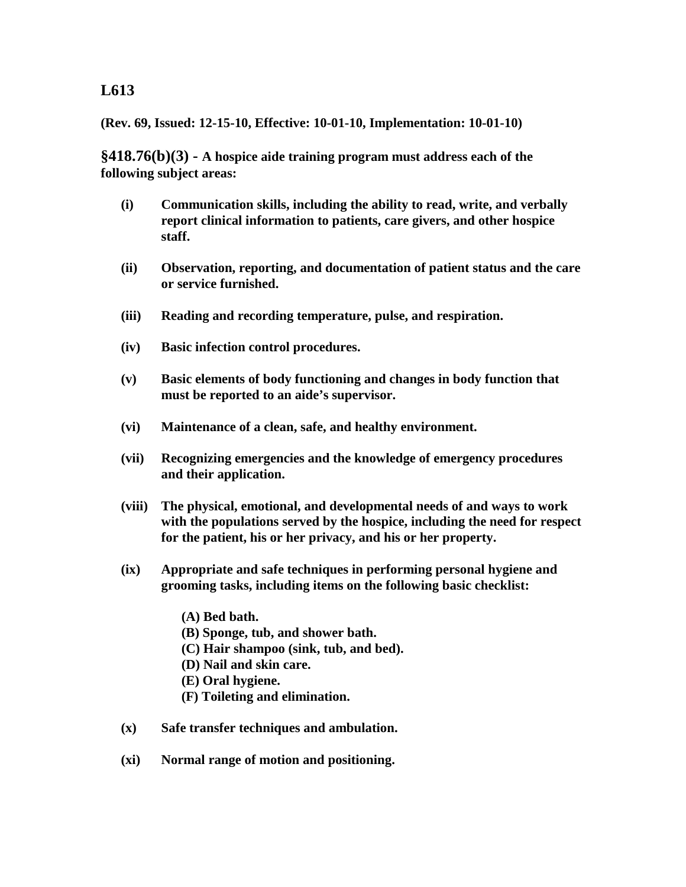### **(Rev. 69, Issued: 12-15-10, Effective: 10-01-10, Implementation: 10-01-10)**

**§418.76(b)(3) - A hospice aide training program must address each of the following subject areas:**

- **(i) Communication skills, including the ability to read, write, and verbally report clinical information to patients, care givers, and other hospice staff.**
- **(ii) Observation, reporting, and documentation of patient status and the care or service furnished.**
- **(iii) Reading and recording temperature, pulse, and respiration.**
- **(iv) Basic infection control procedures.**
- **(v) Basic elements of body functioning and changes in body function that must be reported to an aide's supervisor.**
- **(vi) Maintenance of a clean, safe, and healthy environment.**
- **(vii) Recognizing emergencies and the knowledge of emergency procedures and their application.**
- **(viii) The physical, emotional, and developmental needs of and ways to work with the populations served by the hospice, including the need for respect for the patient, his or her privacy, and his or her property.**
- **(ix) Appropriate and safe techniques in performing personal hygiene and grooming tasks, including items on the following basic checklist:**
	- **(A) Bed bath.**
	- **(B) Sponge, tub, and shower bath.**
	- **(C) Hair shampoo (sink, tub, and bed).**
	- **(D) Nail and skin care.**
	- **(E) Oral hygiene.**
	- **(F) Toileting and elimination.**
- **(x) Safe transfer techniques and ambulation.**
- **(xi) Normal range of motion and positioning.**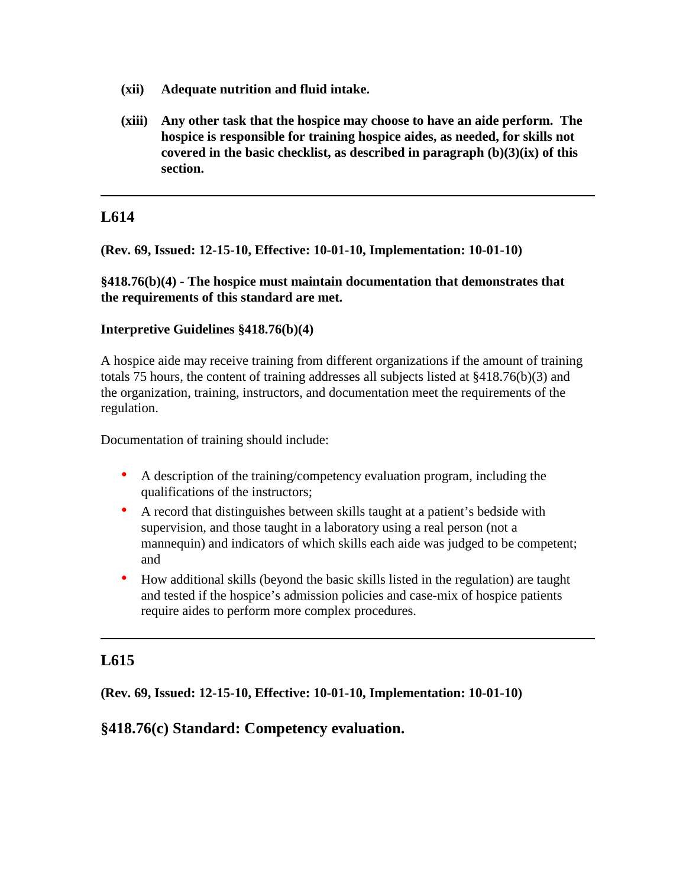- **(xii) Adequate nutrition and fluid intake.**
- **(xiii) Any other task that the hospice may choose to have an aide perform. The hospice is responsible for training hospice aides, as needed, for skills not covered in the basic checklist, as described in paragraph (b)(3)(ix) of this section.**

**(Rev. 69, Issued: 12-15-10, Effective: 10-01-10, Implementation: 10-01-10)**

**§418.76(b)(4) - The hospice must maintain documentation that demonstrates that the requirements of this standard are met.**

### **Interpretive Guidelines §418.76(b)(4)**

A hospice aide may receive training from different organizations if the amount of training totals 75 hours, the content of training addresses all subjects listed at §418.76(b)(3) and the organization, training, instructors, and documentation meet the requirements of the regulation.

Documentation of training should include:

- A description of the training/competency evaluation program, including the qualifications of the instructors;
- A record that distinguishes between skills taught at a patient's bedside with supervision, and those taught in a laboratory using a real person (not a mannequin) and indicators of which skills each aide was judged to be competent; and
- How additional skills (beyond the basic skills listed in the regulation) are taught and tested if the hospice's admission policies and case-mix of hospice patients require aides to perform more complex procedures.

# **L615**

**(Rev. 69, Issued: 12-15-10, Effective: 10-01-10, Implementation: 10-01-10)**

## **§418.76(c) Standard: Competency evaluation.**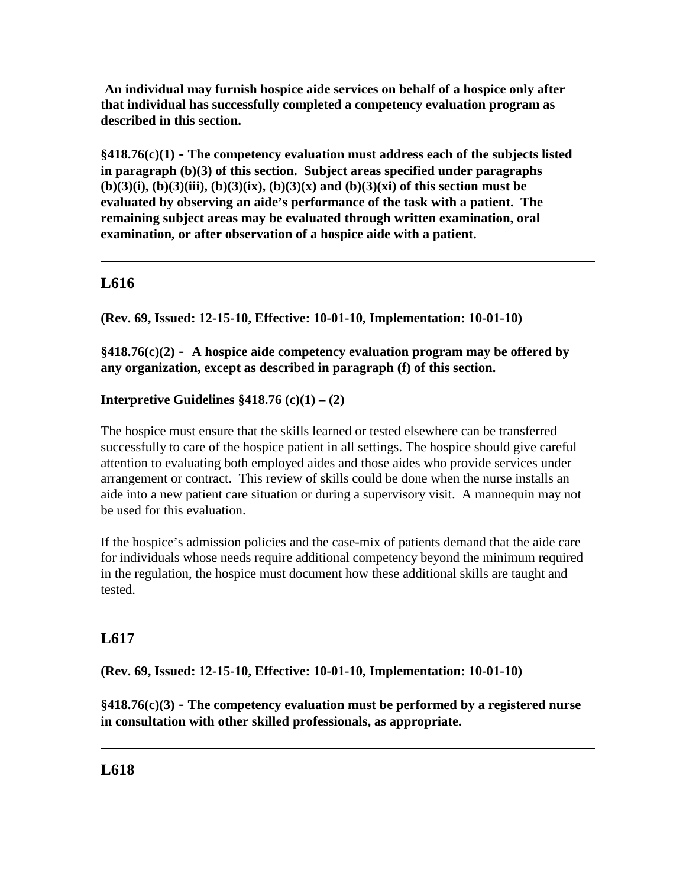**An individual may furnish hospice aide services on behalf of a hospice only after that individual has successfully completed a competency evaluation program as described in this section.** 

**§418.76(c)(1) - The competency evaluation must address each of the subjects listed in paragraph (b)(3) of this section. Subject areas specified under paragraphs (b)(3)(i), (b)(3)(iii), (b)(3)(ix), (b)(3)(x) and (b)(3)(xi) of this section must be evaluated by observing an aide's performance of the task with a patient. The remaining subject areas may be evaluated through written examination, oral examination, or after observation of a hospice aide with a patient.**

# **L616**

**(Rev. 69, Issued: 12-15-10, Effective: 10-01-10, Implementation: 10-01-10)**

**§418.76(c)(2) - A hospice aide competency evaluation program may be offered by any organization, except as described in paragraph (f) of this section.**

# **Interpretive Guidelines**  $§418.76$  **(c)(1) – (2)**

The hospice must ensure that the skills learned or tested elsewhere can be transferred successfully to care of the hospice patient in all settings. The hospice should give careful attention to evaluating both employed aides and those aides who provide services under arrangement or contract. This review of skills could be done when the nurse installs an aide into a new patient care situation or during a supervisory visit. A mannequin may not be used for this evaluation.

If the hospice's admission policies and the case-mix of patients demand that the aide care for individuals whose needs require additional competency beyond the minimum required in the regulation, the hospice must document how these additional skills are taught and tested.

# **L617**

**(Rev. 69, Issued: 12-15-10, Effective: 10-01-10, Implementation: 10-01-10)**

**§418.76(c)(3) - The competency evaluation must be performed by a registered nurse in consultation with other skilled professionals, as appropriate.**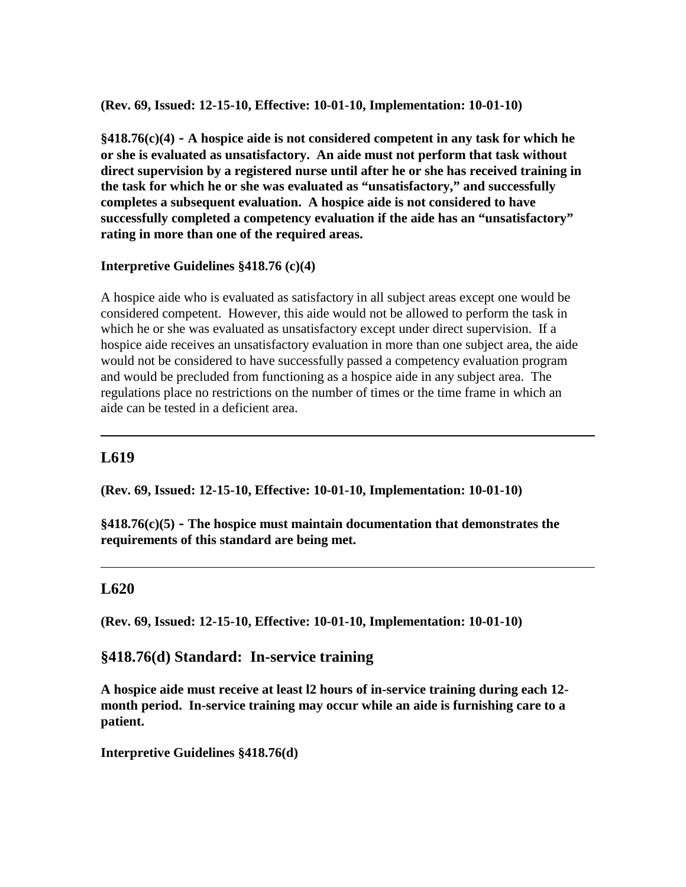**(Rev. 69, Issued: 12-15-10, Effective: 10-01-10, Implementation: 10-01-10)**

**§418.76(c)(4) - A hospice aide is not considered competent in any task for which he or she is evaluated as unsatisfactory. An aide must not perform that task without direct supervision by a registered nurse until after he or she has received training in the task for which he or she was evaluated as "unsatisfactory," and successfully completes a subsequent evaluation. A hospice aide is not considered to have successfully completed a competency evaluation if the aide has an "unsatisfactory" rating in more than one of the required areas.** 

### **Interpretive Guidelines §418.76 (c)(4)**

A hospice aide who is evaluated as satisfactory in all subject areas except one would be considered competent. However, this aide would not be allowed to perform the task in which he or she was evaluated as unsatisfactory except under direct supervision. If a hospice aide receives an unsatisfactory evaluation in more than one subject area, the aide would not be considered to have successfully passed a competency evaluation program and would be precluded from functioning as a hospice aide in any subject area. The regulations place no restrictions on the number of times or the time frame in which an aide can be tested in a deficient area.

## **L619**

**(Rev. 69, Issued: 12-15-10, Effective: 10-01-10, Implementation: 10-01-10)**

**§418.76(c)(5) - The hospice must maintain documentation that demonstrates the requirements of this standard are being met.**

## **L620**

**(Rev. 69, Issued: 12-15-10, Effective: 10-01-10, Implementation: 10-01-10)**

## **§418.76(d) Standard: In-service training**

**A hospice aide must receive at least l2 hours of in-service training during each 12 month period. In-service training may occur while an aide is furnishing care to a patient.**

**Interpretive Guidelines §418.76(d)**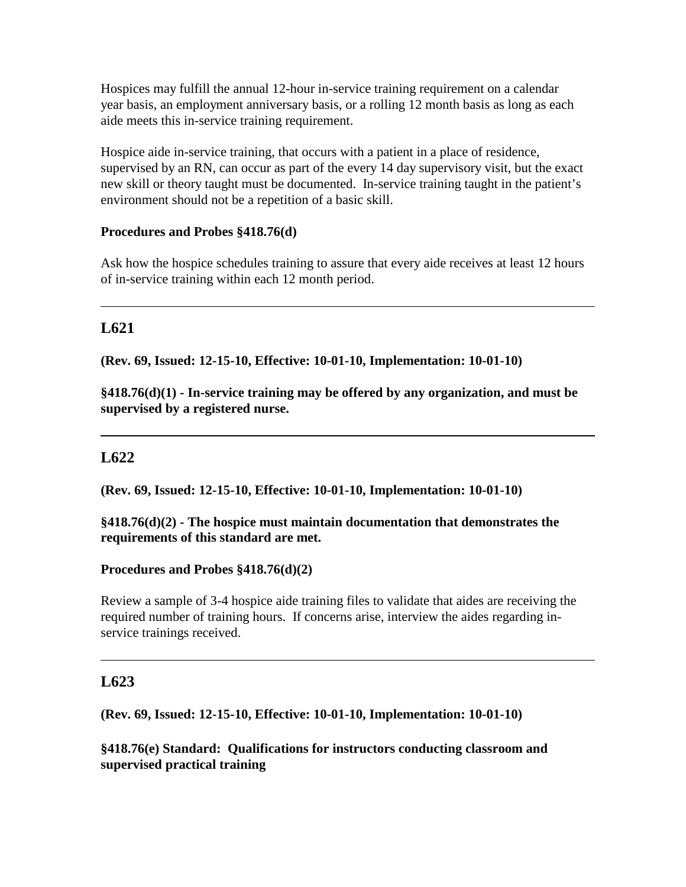Hospices may fulfill the annual 12-hour in-service training requirement on a calendar year basis, an employment anniversary basis, or a rolling 12 month basis as long as each aide meets this in-service training requirement.

Hospice aide in-service training, that occurs with a patient in a place of residence, supervised by an RN, can occur as part of the every 14 day supervisory visit, but the exact new skill or theory taught must be documented. In-service training taught in the patient's environment should not be a repetition of a basic skill.

### **Procedures and Probes §418.76(d)**

Ask how the hospice schedules training to assure that every aide receives at least 12 hours of in-service training within each 12 month period.

# **L621**

**(Rev. 69, Issued: 12-15-10, Effective: 10-01-10, Implementation: 10-01-10)**

**§418.76(d)(1) - In-service training may be offered by any organization, and must be supervised by a registered nurse.**

# **L622**

**(Rev. 69, Issued: 12-15-10, Effective: 10-01-10, Implementation: 10-01-10)**

### **§418.76(d)(2) - The hospice must maintain documentation that demonstrates the requirements of this standard are met.**

### **Procedures and Probes §418.76(d)(2)**

Review a sample of 3-4 hospice aide training files to validate that aides are receiving the required number of training hours. If concerns arise, interview the aides regarding inservice trainings received.

## **L623**

**(Rev. 69, Issued: 12-15-10, Effective: 10-01-10, Implementation: 10-01-10)**

**§418.76(e) Standard: Qualifications for instructors conducting classroom and supervised practical training**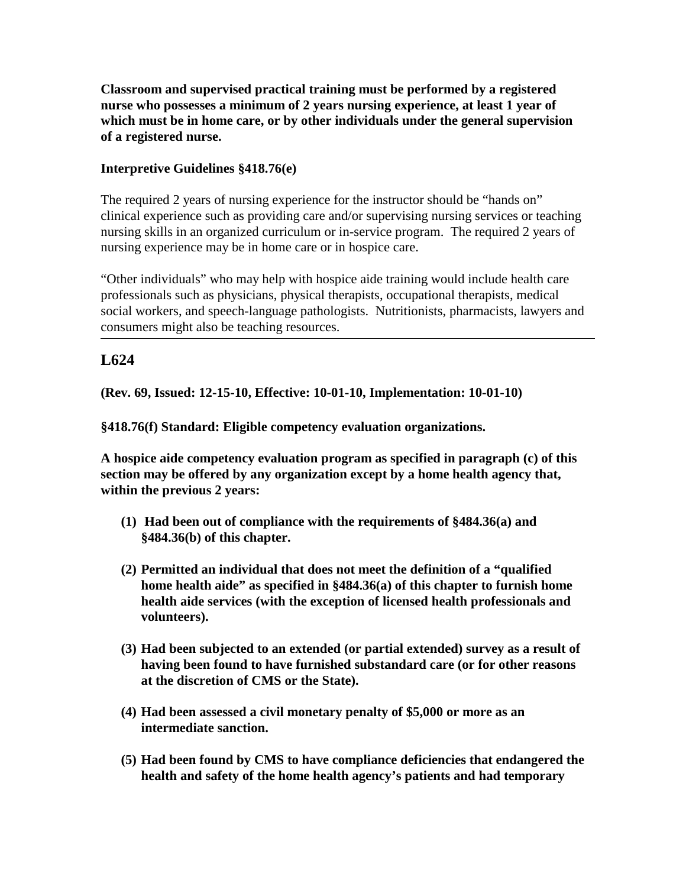**Classroom and supervised practical training must be performed by a registered nurse who possesses a minimum of 2 years nursing experience, at least 1 year of which must be in home care, or by other individuals under the general supervision of a registered nurse.**

## **Interpretive Guidelines §418.76(e)**

The required 2 years of nursing experience for the instructor should be "hands on" clinical experience such as providing care and/or supervising nursing services or teaching nursing skills in an organized curriculum or in-service program. The required 2 years of nursing experience may be in home care or in hospice care.

"Other individuals" who may help with hospice aide training would include health care professionals such as physicians, physical therapists, occupational therapists, medical social workers, and speech-language pathologists. Nutritionists, pharmacists, lawyers and consumers might also be teaching resources.

# **L624**

**(Rev. 69, Issued: 12-15-10, Effective: 10-01-10, Implementation: 10-01-10)**

**§418.76(f) Standard: Eligible competency evaluation organizations.**

**A hospice aide competency evaluation program as specified in paragraph (c) of this section may be offered by any organization except by a home health agency that, within the previous 2 years:**

- **(1) Had been out of compliance with the requirements of §484.36(a) and §484.36(b) of this chapter.**
- **(2) Permitted an individual that does not meet the definition of a "qualified home health aide" as specified in §484.36(a) of this chapter to furnish home health aide services (with the exception of licensed health professionals and volunteers).**
- **(3) Had been subjected to an extended (or partial extended) survey as a result of having been found to have furnished substandard care (or for other reasons at the discretion of CMS or the State).**
- **(4) Had been assessed a civil monetary penalty of \$5,000 or more as an intermediate sanction.**
- **(5) Had been found by CMS to have compliance deficiencies that endangered the health and safety of the home health agency's patients and had temporary**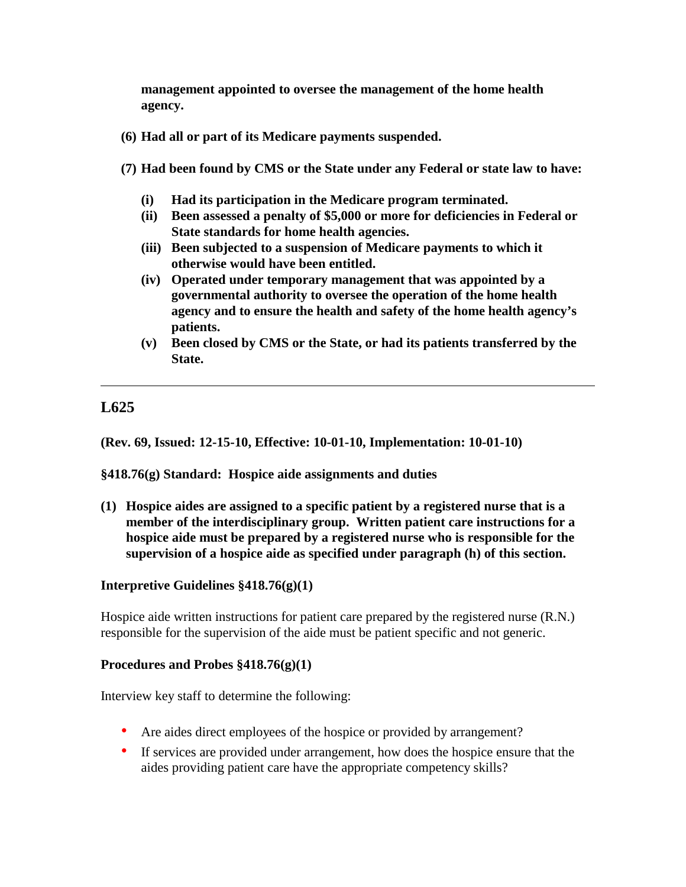**management appointed to oversee the management of the home health agency.**

- **(6) Had all or part of its Medicare payments suspended.**
- **(7) Had been found by CMS or the State under any Federal or state law to have:** 
	- **(i) Had its participation in the Medicare program terminated.**
	- **(ii) Been assessed a penalty of \$5,000 or more for deficiencies in Federal or State standards for home health agencies.**
	- **(iii) Been subjected to a suspension of Medicare payments to which it otherwise would have been entitled.**
	- **(iv) Operated under temporary management that was appointed by a governmental authority to oversee the operation of the home health agency and to ensure the health and safety of the home health agency's patients.**
	- **(v) Been closed by CMS or the State, or had its patients transferred by the State.**

# **L625**

**(Rev. 69, Issued: 12-15-10, Effective: 10-01-10, Implementation: 10-01-10)**

**§418.76(g) Standard: Hospice aide assignments and duties**

**(1) Hospice aides are assigned to a specific patient by a registered nurse that is a member of the interdisciplinary group. Written patient care instructions for a hospice aide must be prepared by a registered nurse who is responsible for the supervision of a hospice aide as specified under paragraph (h) of this section.**

### **Interpretive Guidelines §418.76(g)(1)**

Hospice aide written instructions for patient care prepared by the registered nurse (R.N.) responsible for the supervision of the aide must be patient specific and not generic.

#### **Procedures and Probes §418.76(g)(1)**

Interview key staff to determine the following:

- Are aides direct employees of the hospice or provided by arrangement?
- If services are provided under arrangement, how does the hospice ensure that the aides providing patient care have the appropriate competency skills?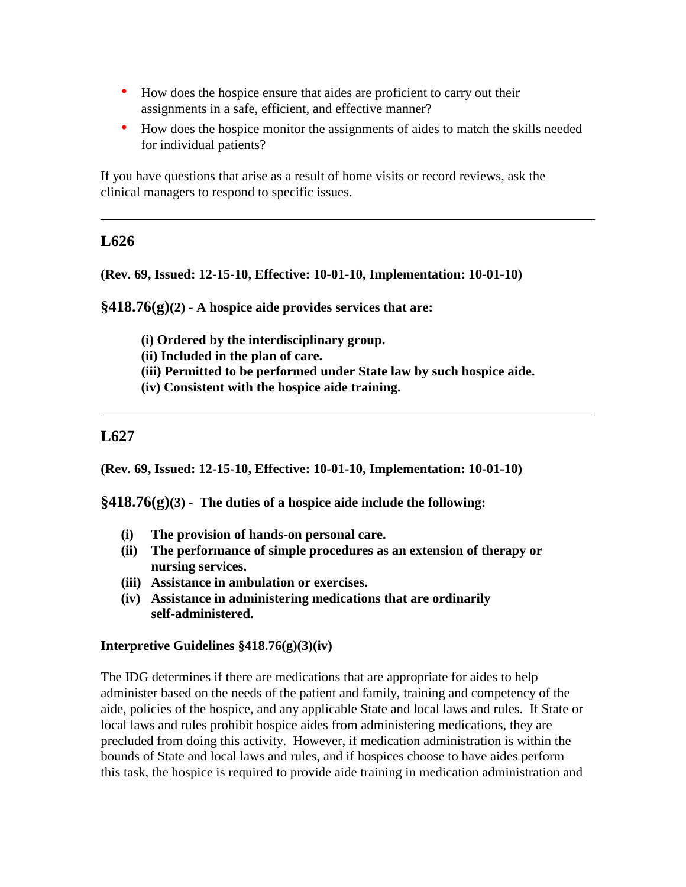- How does the hospice ensure that aides are proficient to carry out their assignments in a safe, efficient, and effective manner?
- How does the hospice monitor the assignments of aides to match the skills needed for individual patients?

If you have questions that arise as a result of home visits or record reviews, ask the clinical managers to respond to specific issues.

## **L626**

#### **(Rev. 69, Issued: 12-15-10, Effective: 10-01-10, Implementation: 10-01-10)**

**§418.76(g)(2) - A hospice aide provides services that are:**

- **(i) Ordered by the interdisciplinary group.**
- **(ii) Included in the plan of care.**
- **(iii) Permitted to be performed under State law by such hospice aide.**
- **(iv) Consistent with the hospice aide training.**

### **L627**

**(Rev. 69, Issued: 12-15-10, Effective: 10-01-10, Implementation: 10-01-10)**

**§418.76(g)(3) - The duties of a hospice aide include the following:**

- **(i) The provision of hands-on personal care.**
- **(ii) The performance of simple procedures as an extension of therapy or nursing services.**
- **(iii) Assistance in ambulation or exercises.**
- **(iv) Assistance in administering medications that are ordinarily self-administered.**

#### **Interpretive Guidelines §418.76(g)(3)(iv)**

The IDG determines if there are medications that are appropriate for aides to help administer based on the needs of the patient and family, training and competency of the aide, policies of the hospice, and any applicable State and local laws and rules. If State or local laws and rules prohibit hospice aides from administering medications, they are precluded from doing this activity. However, if medication administration is within the bounds of State and local laws and rules, and if hospices choose to have aides perform this task, the hospice is required to provide aide training in medication administration and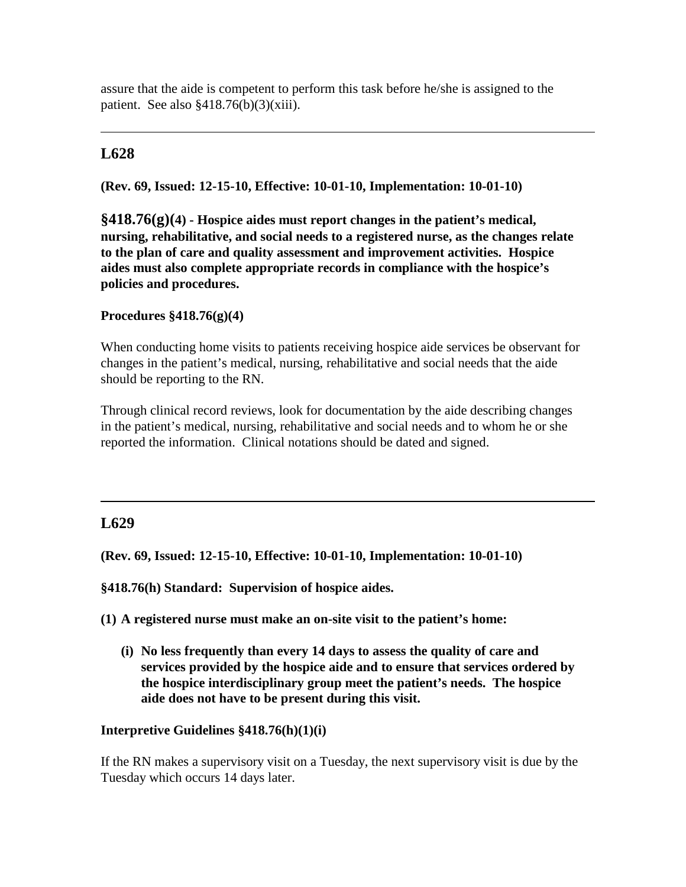assure that the aide is competent to perform this task before he/she is assigned to the patient. See also  $§418.76(b)(3)(xiii)$ .

# **L628**

**(Rev. 69, Issued: 12-15-10, Effective: 10-01-10, Implementation: 10-01-10)**

**§418.76(g)(4) - Hospice aides must report changes in the patient's medical, nursing, rehabilitative, and social needs to a registered nurse, as the changes relate to the plan of care and quality assessment and improvement activities. Hospice aides must also complete appropriate records in compliance with the hospice's policies and procedures.**

### **Procedures §418.76(g)(4)**

When conducting home visits to patients receiving hospice aide services be observant for changes in the patient's medical, nursing, rehabilitative and social needs that the aide should be reporting to the RN.

Through clinical record reviews, look for documentation by the aide describing changes in the patient's medical, nursing, rehabilitative and social needs and to whom he or she reported the information. Clinical notations should be dated and signed.

# **L629**

**(Rev. 69, Issued: 12-15-10, Effective: 10-01-10, Implementation: 10-01-10)**

**§418.76(h) Standard: Supervision of hospice aides.**

**(1) A registered nurse must make an on-site visit to the patient's home:**

**(i) No less frequently than every 14 days to assess the quality of care and services provided by the hospice aide and to ensure that services ordered by the hospice interdisciplinary group meet the patient's needs. The hospice aide does not have to be present during this visit.**

## **Interpretive Guidelines §418.76(h)(1)(i)**

If the RN makes a supervisory visit on a Tuesday, the next supervisory visit is due by the Tuesday which occurs 14 days later.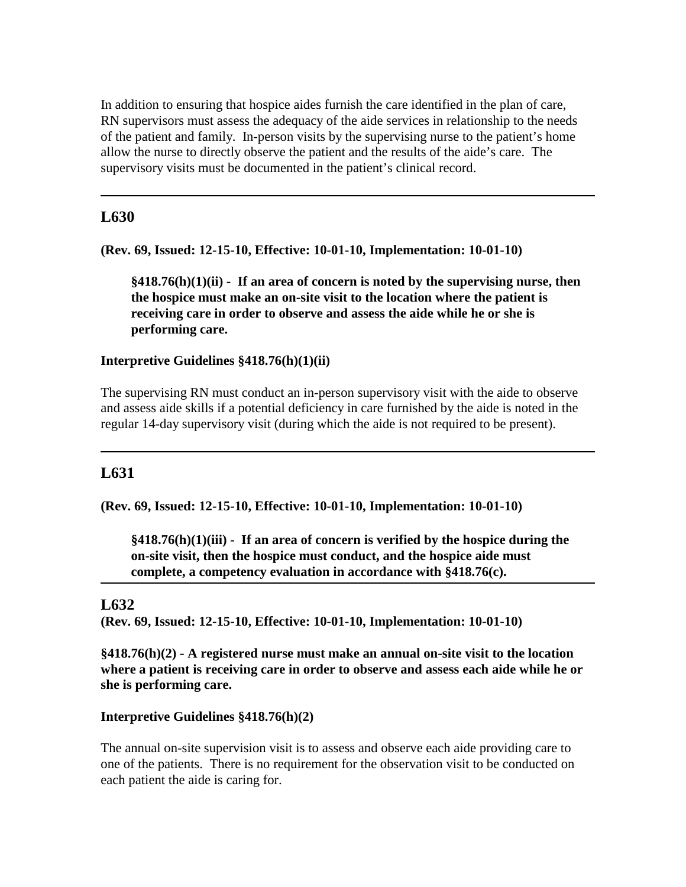In addition to ensuring that hospice aides furnish the care identified in the plan of care, RN supervisors must assess the adequacy of the aide services in relationship to the needs of the patient and family. In-person visits by the supervising nurse to the patient's home allow the nurse to directly observe the patient and the results of the aide's care. The supervisory visits must be documented in the patient's clinical record.

# **L630**

**(Rev. 69, Issued: 12-15-10, Effective: 10-01-10, Implementation: 10-01-10)**

**§418.76(h)(1)(ii) - If an area of concern is noted by the supervising nurse, then the hospice must make an on-site visit to the location where the patient is receiving care in order to observe and assess the aide while he or she is performing care.** 

### **Interpretive Guidelines §418.76(h)(1)(ii)**

The supervising RN must conduct an in-person supervisory visit with the aide to observe and assess aide skills if a potential deficiency in care furnished by the aide is noted in the regular 14-day supervisory visit (during which the aide is not required to be present).

## **L631**

**(Rev. 69, Issued: 12-15-10, Effective: 10-01-10, Implementation: 10-01-10)**

**§418.76(h)(1)(iii) - If an area of concern is verified by the hospice during the on-site visit, then the hospice must conduct, and the hospice aide must complete, a competency evaluation in accordance with §418.76(c).**

## **L632**

**(Rev. 69, Issued: 12-15-10, Effective: 10-01-10, Implementation: 10-01-10)**

**§418.76(h)(2) - A registered nurse must make an annual on-site visit to the location where a patient is receiving care in order to observe and assess each aide while he or she is performing care.** 

### **Interpretive Guidelines §418.76(h)(2)**

The annual on-site supervision visit is to assess and observe each aide providing care to one of the patients. There is no requirement for the observation visit to be conducted on each patient the aide is caring for.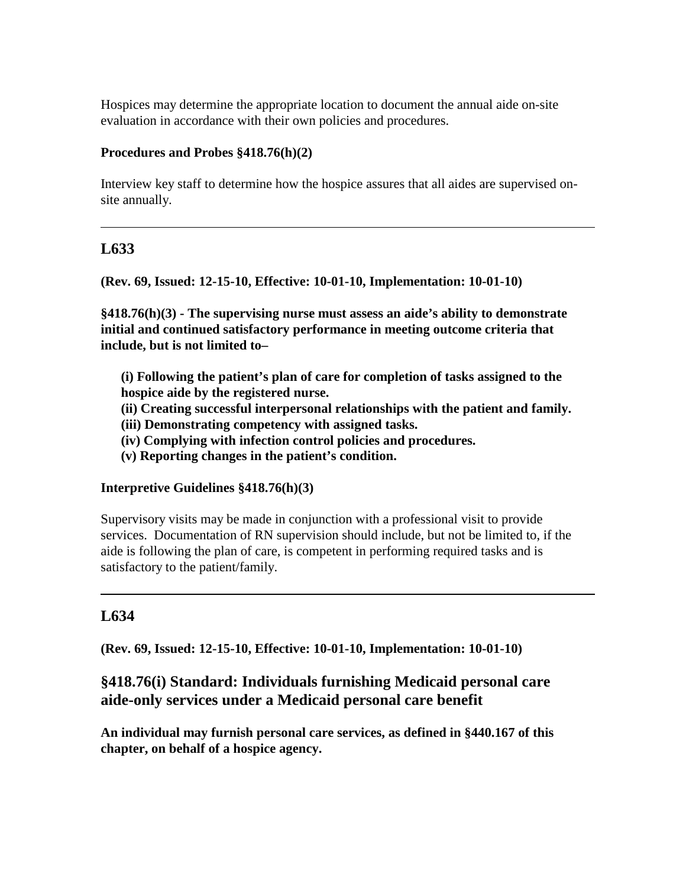Hospices may determine the appropriate location to document the annual aide on-site evaluation in accordance with their own policies and procedures.

### **Procedures and Probes §418.76(h)(2)**

Interview key staff to determine how the hospice assures that all aides are supervised onsite annually.

## **L633**

**(Rev. 69, Issued: 12-15-10, Effective: 10-01-10, Implementation: 10-01-10)**

**§418.76(h)(3) - The supervising nurse must assess an aide's ability to demonstrate initial and continued satisfactory performance in meeting outcome criteria that include, but is not limited to–**

**(i) Following the patient's plan of care for completion of tasks assigned to the hospice aide by the registered nurse.**

**(ii) Creating successful interpersonal relationships with the patient and family.**

- **(iii) Demonstrating competency with assigned tasks.**
- **(iv) Complying with infection control policies and procedures.**
- **(v) Reporting changes in the patient's condition.**

### **Interpretive Guidelines §418.76(h)(3)**

Supervisory visits may be made in conjunction with a professional visit to provide services. Documentation of RN supervision should include, but not be limited to, if the aide is following the plan of care, is competent in performing required tasks and is satisfactory to the patient/family.

# **L634**

**(Rev. 69, Issued: 12-15-10, Effective: 10-01-10, Implementation: 10-01-10)**

## **§418.76(i) Standard: Individuals furnishing Medicaid personal care aide-only services under a Medicaid personal care benefit**

**An individual may furnish personal care services, as defined in §440.167 of this chapter, on behalf of a hospice agency.**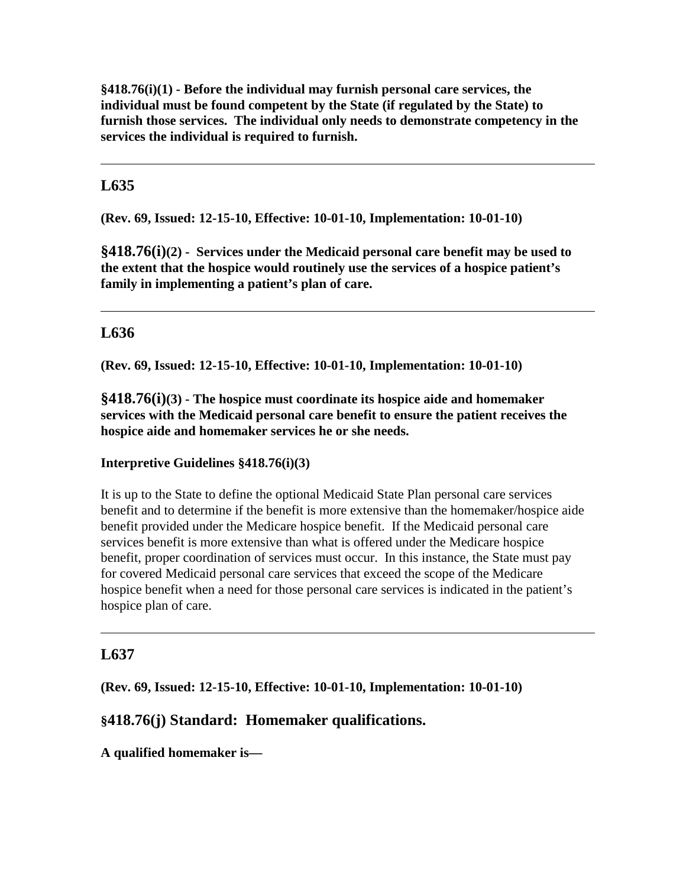**§418.76(i)(1) - Before the individual may furnish personal care services, the individual must be found competent by the State (if regulated by the State) to furnish those services. The individual only needs to demonstrate competency in the services the individual is required to furnish.**

# **L635**

**(Rev. 69, Issued: 12-15-10, Effective: 10-01-10, Implementation: 10-01-10)**

**§418.76(i)(2) - Services under the Medicaid personal care benefit may be used to the extent that the hospice would routinely use the services of a hospice patient's family in implementing a patient's plan of care.**

# **L636**

**(Rev. 69, Issued: 12-15-10, Effective: 10-01-10, Implementation: 10-01-10)**

**§418.76(i)(3) - The hospice must coordinate its hospice aide and homemaker services with the Medicaid personal care benefit to ensure the patient receives the hospice aide and homemaker services he or she needs.**

#### **Interpretive Guidelines §418.76(i)(3)**

It is up to the State to define the optional Medicaid State Plan personal care services benefit and to determine if the benefit is more extensive than the homemaker/hospice aide benefit provided under the Medicare hospice benefit. If the Medicaid personal care services benefit is more extensive than what is offered under the Medicare hospice benefit, proper coordination of services must occur. In this instance, the State must pay for covered Medicaid personal care services that exceed the scope of the Medicare hospice benefit when a need for those personal care services is indicated in the patient's hospice plan of care.

## **L637**

**(Rev. 69, Issued: 12-15-10, Effective: 10-01-10, Implementation: 10-01-10)**

### **§418.76(j) Standard: Homemaker qualifications.**

**A qualified homemaker is—**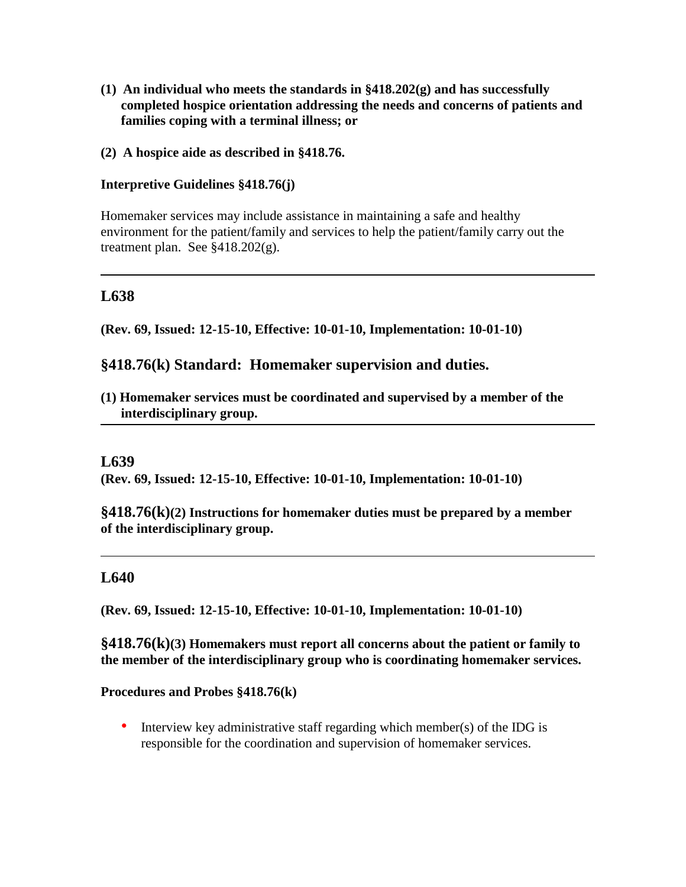- **(1) An individual who meets the standards in §418.202(g) and has successfully completed hospice orientation addressing the needs and concerns of patients and families coping with a terminal illness; or**
- **(2) A hospice aide as described in §418.76.**

### **Interpretive Guidelines §418.76(j)**

Homemaker services may include assistance in maintaining a safe and healthy environment for the patient/family and services to help the patient/family carry out the treatment plan. See  $§418.202(g)$ .

## **L638**

**(Rev. 69, Issued: 12-15-10, Effective: 10-01-10, Implementation: 10-01-10)**

### **§418.76(k) Standard: Homemaker supervision and duties.**

**(1) Homemaker services must be coordinated and supervised by a member of the interdisciplinary group.**

### **L639**

**(Rev. 69, Issued: 12-15-10, Effective: 10-01-10, Implementation: 10-01-10)**

**§418.76(k)(2) Instructions for homemaker duties must be prepared by a member of the interdisciplinary group.**

### **L640**

**(Rev. 69, Issued: 12-15-10, Effective: 10-01-10, Implementation: 10-01-10)**

**§418.76(k)(3) Homemakers must report all concerns about the patient or family to the member of the interdisciplinary group who is coordinating homemaker services.**

#### **Procedures and Probes §418.76(k)**

• Interview key administrative staff regarding which member(s) of the IDG is responsible for the coordination and supervision of homemaker services.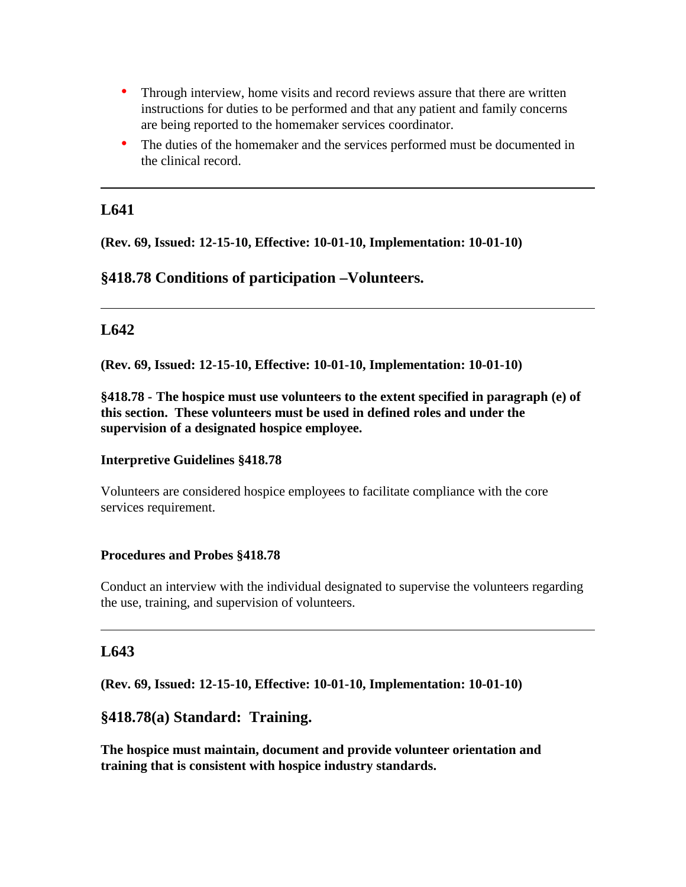- Through interview, home visits and record reviews assure that there are written instructions for duties to be performed and that any patient and family concerns are being reported to the homemaker services coordinator.
- The duties of the homemaker and the services performed must be documented in the clinical record.

**(Rev. 69, Issued: 12-15-10, Effective: 10-01-10, Implementation: 10-01-10)**

## **§418.78 Conditions of participation –Volunteers.**

## **L642**

**(Rev. 69, Issued: 12-15-10, Effective: 10-01-10, Implementation: 10-01-10)**

**§418.78 - The hospice must use volunteers to the extent specified in paragraph (e) of this section. These volunteers must be used in defined roles and under the supervision of a designated hospice employee.** 

#### **Interpretive Guidelines §418.78**

Volunteers are considered hospice employees to facilitate compliance with the core services requirement.

#### **Procedures and Probes §418.78**

Conduct an interview with the individual designated to supervise the volunteers regarding the use, training, and supervision of volunteers.

### **L643**

**(Rev. 69, Issued: 12-15-10, Effective: 10-01-10, Implementation: 10-01-10)**

## **§418.78(a) Standard: Training.**

**The hospice must maintain, document and provide volunteer orientation and training that is consistent with hospice industry standards.**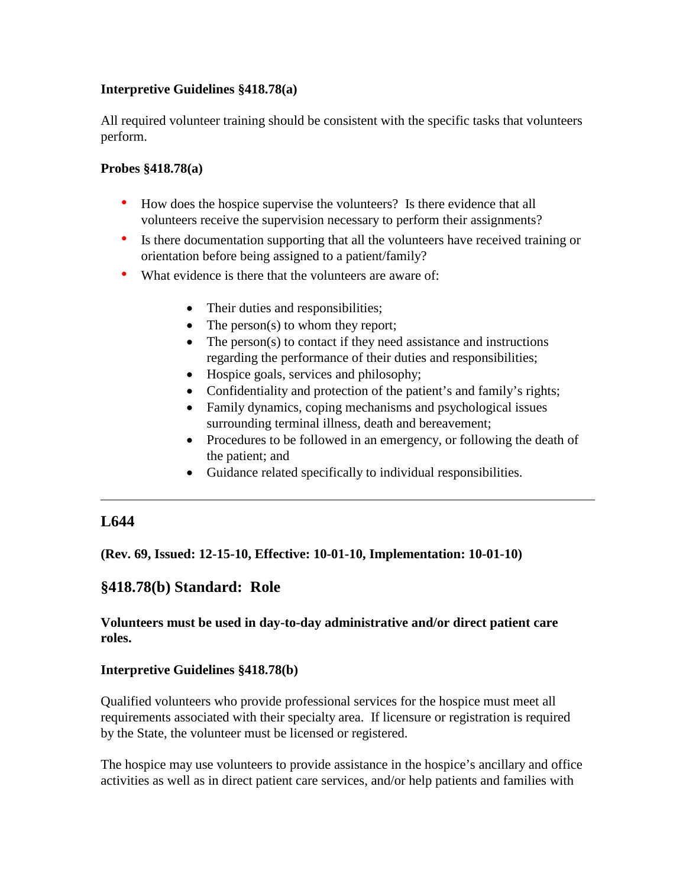### **Interpretive Guidelines §418.78(a)**

All required volunteer training should be consistent with the specific tasks that volunteers perform.

### **Probes §418.78(a)**

- How does the hospice supervise the volunteers? Is there evidence that all volunteers receive the supervision necessary to perform their assignments?
- Is there documentation supporting that all the volunteers have received training or orientation before being assigned to a patient/family?
- What evidence is there that the volunteers are aware of:
	- Their duties and responsibilities;
	- The person(s) to whom they report;
	- The person(s) to contact if they need assistance and instructions regarding the performance of their duties and responsibilities;
	- Hospice goals, services and philosophy;
	- Confidentiality and protection of the patient's and family's rights;
	- Family dynamics, coping mechanisms and psychological issues surrounding terminal illness, death and bereavement;
	- Procedures to be followed in an emergency, or following the death of the patient; and
	- Guidance related specifically to individual responsibilities.

# **L644**

**(Rev. 69, Issued: 12-15-10, Effective: 10-01-10, Implementation: 10-01-10)**

# **§418.78(b) Standard: Role**

### **Volunteers must be used in day-to-day administrative and/or direct patient care roles.**

### **Interpretive Guidelines §418.78(b)**

Qualified volunteers who provide professional services for the hospice must meet all requirements associated with their specialty area. If licensure or registration is required by the State, the volunteer must be licensed or registered.

The hospice may use volunteers to provide assistance in the hospice's ancillary and office activities as well as in direct patient care services, and/or help patients and families with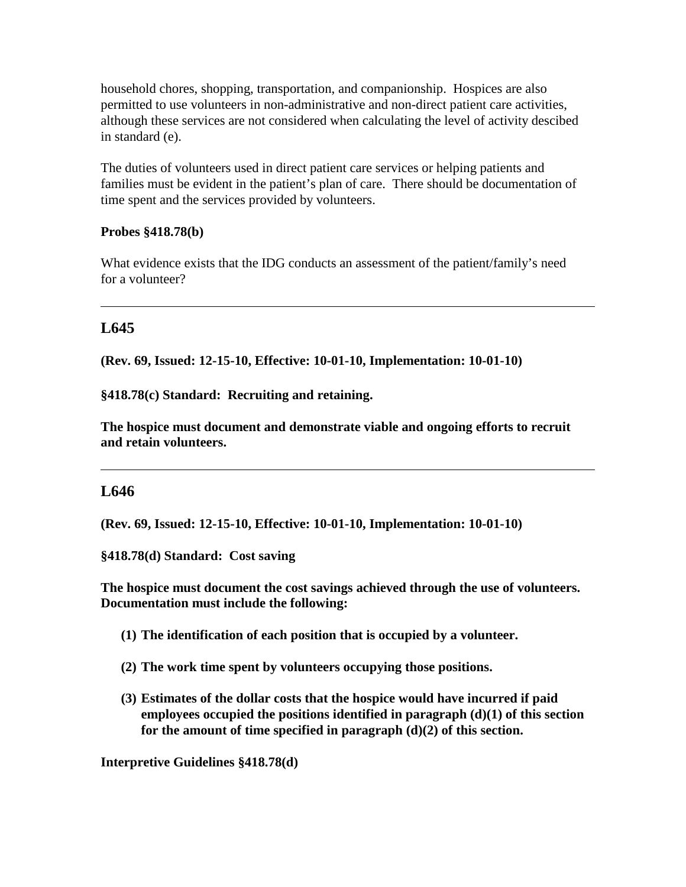household chores, shopping, transportation, and companionship. Hospices are also permitted to use volunteers in non-administrative and non-direct patient care activities, although these services are not considered when calculating the level of activity descibed in standard (e).

The duties of volunteers used in direct patient care services or helping patients and families must be evident in the patient's plan of care. There should be documentation of time spent and the services provided by volunteers.

### **Probes §418.78(b)**

What evidence exists that the IDG conducts an assessment of the patient/family's need for a volunteer?

# **L645**

**(Rev. 69, Issued: 12-15-10, Effective: 10-01-10, Implementation: 10-01-10)**

**§418.78(c) Standard: Recruiting and retaining.** 

**The hospice must document and demonstrate viable and ongoing efforts to recruit and retain volunteers.**

## **L646**

**(Rev. 69, Issued: 12-15-10, Effective: 10-01-10, Implementation: 10-01-10)**

**§418.78(d) Standard: Cost saving** 

**The hospice must document the cost savings achieved through the use of volunteers. Documentation must include the following:**

- **(1) The identification of each position that is occupied by a volunteer.**
- **(2) The work time spent by volunteers occupying those positions.**
- **(3) Estimates of the dollar costs that the hospice would have incurred if paid employees occupied the positions identified in paragraph (d)(1) of this section for the amount of time specified in paragraph (d)(2) of this section.**

**Interpretive Guidelines §418.78(d)**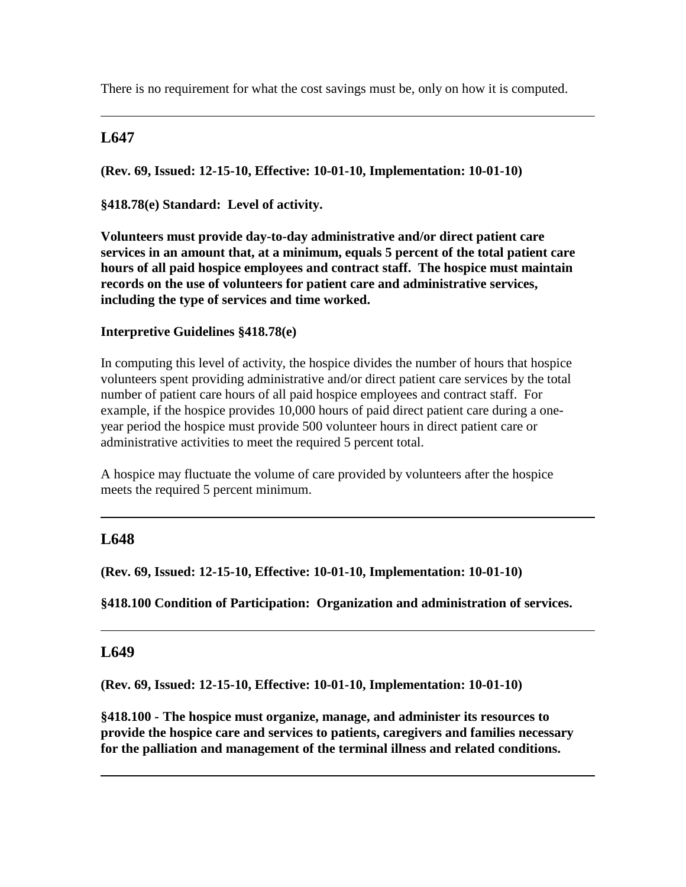There is no requirement for what the cost savings must be, only on how it is computed.

# **L647**

**(Rev. 69, Issued: 12-15-10, Effective: 10-01-10, Implementation: 10-01-10)**

**§418.78(e) Standard: Level of activity.**

**Volunteers must provide day-to-day administrative and/or direct patient care services in an amount that, at a minimum, equals 5 percent of the total patient care hours of all paid hospice employees and contract staff. The hospice must maintain records on the use of volunteers for patient care and administrative services, including the type of services and time worked.**

## **Interpretive Guidelines §418.78(e)**

In computing this level of activity, the hospice divides the number of hours that hospice volunteers spent providing administrative and/or direct patient care services by the total number of patient care hours of all paid hospice employees and contract staff. For example, if the hospice provides 10,000 hours of paid direct patient care during a oneyear period the hospice must provide 500 volunteer hours in direct patient care or administrative activities to meet the required 5 percent total.

A hospice may fluctuate the volume of care provided by volunteers after the hospice meets the required 5 percent minimum.

## **L648**

**(Rev. 69, Issued: 12-15-10, Effective: 10-01-10, Implementation: 10-01-10)**

**§418.100 Condition of Participation: Organization and administration of services.**

## **L649**

**(Rev. 69, Issued: 12-15-10, Effective: 10-01-10, Implementation: 10-01-10)**

**§418.100 - The hospice must organize, manage, and administer its resources to provide the hospice care and services to patients, caregivers and families necessary for the palliation and management of the terminal illness and related conditions.**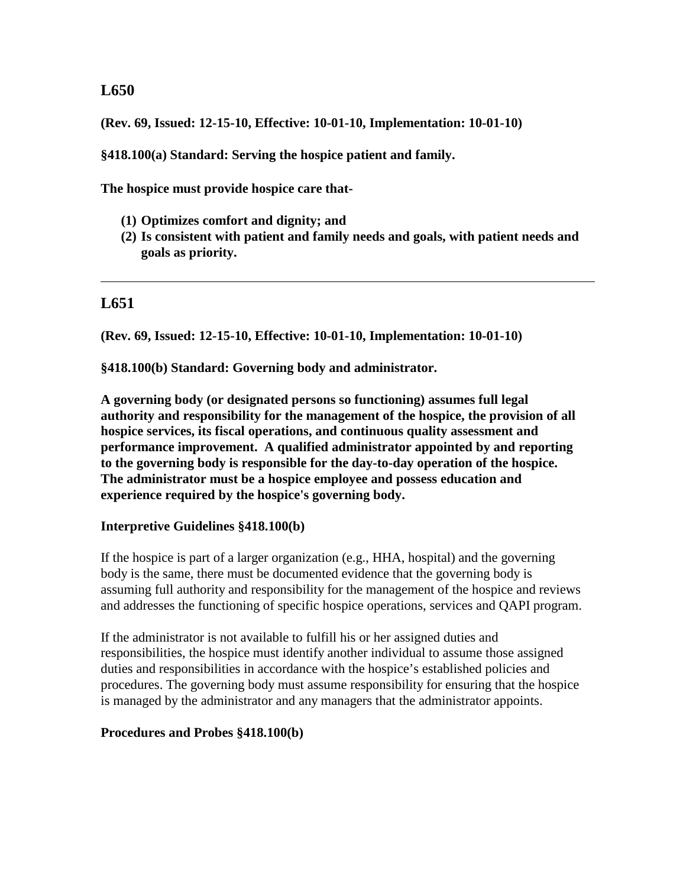**(Rev. 69, Issued: 12-15-10, Effective: 10-01-10, Implementation: 10-01-10)**

**§418.100(a) Standard: Serving the hospice patient and family.**

**The hospice must provide hospice care that-**

- **(1) Optimizes comfort and dignity; and**
- **(2) Is consistent with patient and family needs and goals, with patient needs and goals as priority.**

## **L651**

**(Rev. 69, Issued: 12-15-10, Effective: 10-01-10, Implementation: 10-01-10)**

**§418.100(b) Standard: Governing body and administrator.** 

**A governing body (or designated persons so functioning) assumes full legal authority and responsibility for the management of the hospice, the provision of all hospice services, its fiscal operations, and continuous quality assessment and performance improvement. A qualified administrator appointed by and reporting to the governing body is responsible for the day-to-day operation of the hospice. The administrator must be a hospice employee and possess education and experience required by the hospice's governing body.** 

#### **Interpretive Guidelines §418.100(b)**

If the hospice is part of a larger organization (e.g., HHA, hospital) and the governing body is the same, there must be documented evidence that the governing body is assuming full authority and responsibility for the management of the hospice and reviews and addresses the functioning of specific hospice operations, services and QAPI program.

If the administrator is not available to fulfill his or her assigned duties and responsibilities, the hospice must identify another individual to assume those assigned duties and responsibilities in accordance with the hospice's established policies and procedures. The governing body must assume responsibility for ensuring that the hospice is managed by the administrator and any managers that the administrator appoints.

#### **Procedures and Probes §418.100(b)**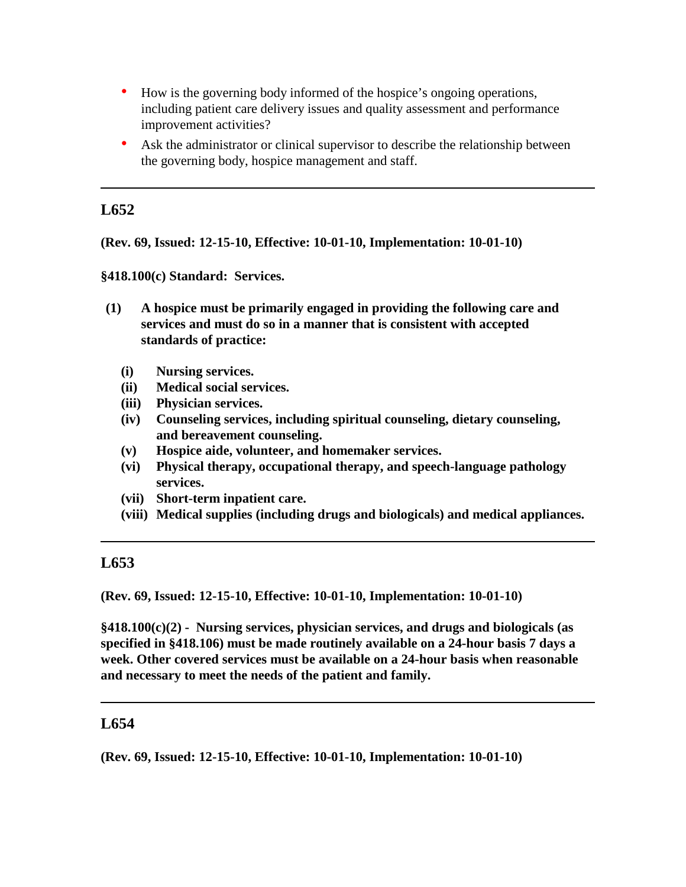- How is the governing body informed of the hospice's ongoing operations, including patient care delivery issues and quality assessment and performance improvement activities?
- Ask the administrator or clinical supervisor to describe the relationship between the governing body, hospice management and staff.

**(Rev. 69, Issued: 12-15-10, Effective: 10-01-10, Implementation: 10-01-10)**

**§418.100(c) Standard: Services.**

- **(1) A hospice must be primarily engaged in providing the following care and services and must do so in a manner that is consistent with accepted standards of practice:**
	- **(i) Nursing services.**
	- **(ii) Medical social services.**
	- **(iii) Physician services.**
	- **(iv) Counseling services, including spiritual counseling, dietary counseling, and bereavement counseling.**
	- **(v) Hospice aide, volunteer, and homemaker services.**
	- **(vi) Physical therapy, occupational therapy, and speech-language pathology services.**
	- **(vii) Short-term inpatient care.**
	- **(viii) Medical supplies (including drugs and biologicals) and medical appliances.**

## **L653**

**(Rev. 69, Issued: 12-15-10, Effective: 10-01-10, Implementation: 10-01-10)**

**§418.100(c)(2) - Nursing services, physician services, and drugs and biologicals (as specified in §418.106) must be made routinely available on a 24-hour basis 7 days a week. Other covered services must be available on a 24-hour basis when reasonable and necessary to meet the needs of the patient and family.**

### **L654**

**(Rev. 69, Issued: 12-15-10, Effective: 10-01-10, Implementation: 10-01-10)**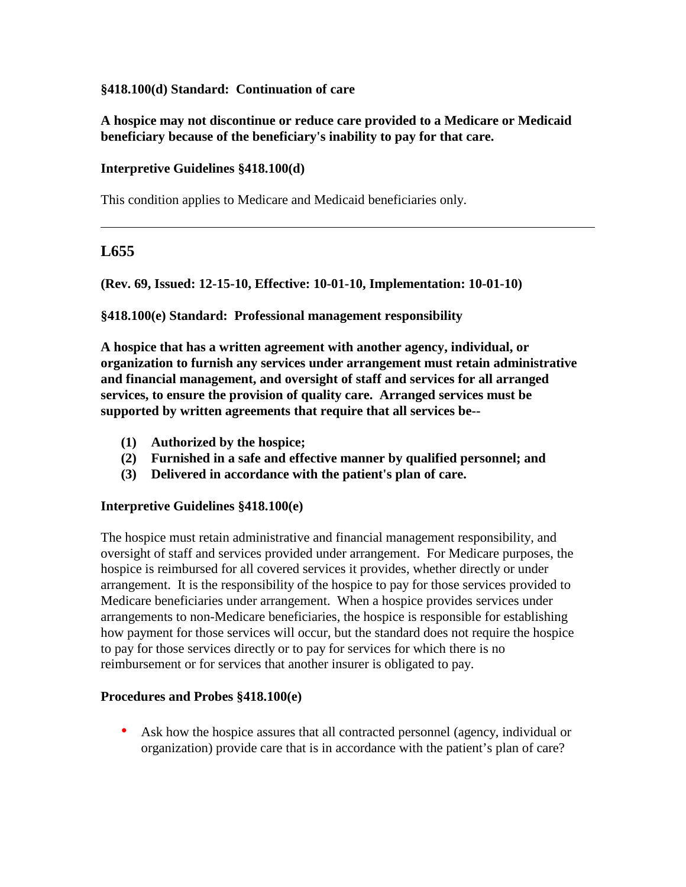### **§418.100(d) Standard: Continuation of care**

**A hospice may not discontinue or reduce care provided to a Medicare or Medicaid beneficiary because of the beneficiary's inability to pay for that care.** 

### **Interpretive Guidelines §418.100(d)**

This condition applies to Medicare and Medicaid beneficiaries only.

# **L655**

**(Rev. 69, Issued: 12-15-10, Effective: 10-01-10, Implementation: 10-01-10)**

**§418.100(e) Standard: Professional management responsibility**

**A hospice that has a written agreement with another agency, individual, or organization to furnish any services under arrangement must retain administrative and financial management, and oversight of staff and services for all arranged services, to ensure the provision of quality care. Arranged services must be supported by written agreements that require that all services be--**

- **(1) Authorized by the hospice;**
- **(2) Furnished in a safe and effective manner by qualified personnel; and**
- **(3) Delivered in accordance with the patient's plan of care.**

#### **Interpretive Guidelines §418.100(e)**

The hospice must retain administrative and financial management responsibility, and oversight of staff and services provided under arrangement. For Medicare purposes, the hospice is reimbursed for all covered services it provides, whether directly or under arrangement. It is the responsibility of the hospice to pay for those services provided to Medicare beneficiaries under arrangement. When a hospice provides services under arrangements to non-Medicare beneficiaries, the hospice is responsible for establishing how payment for those services will occur, but the standard does not require the hospice to pay for those services directly or to pay for services for which there is no reimbursement or for services that another insurer is obligated to pay.

### **Procedures and Probes §418.100(e)**

• Ask how the hospice assures that all contracted personnel (agency, individual or organization) provide care that is in accordance with the patient's plan of care?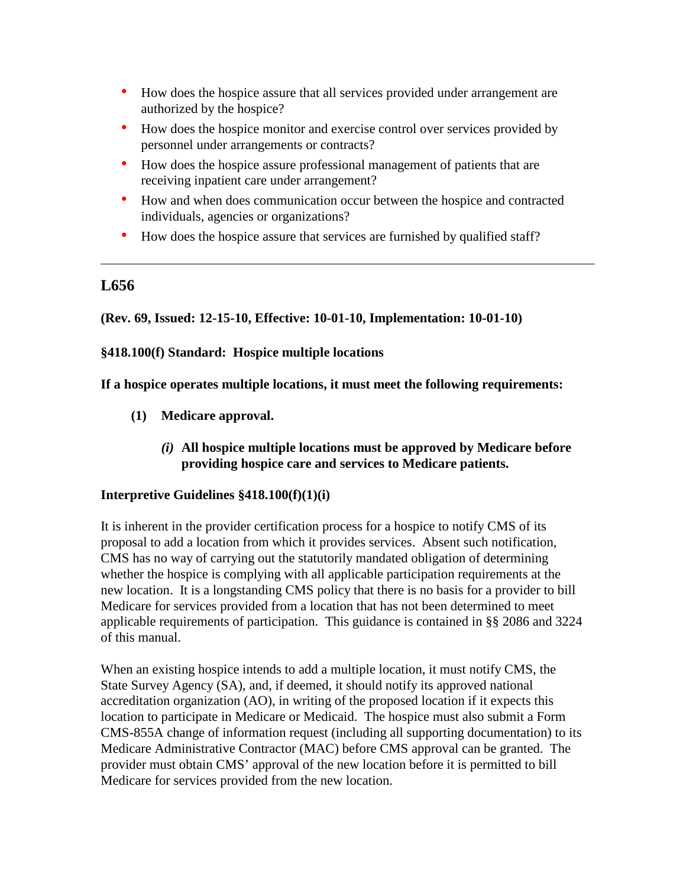- How does the hospice assure that all services provided under arrangement are authorized by the hospice?
- How does the hospice monitor and exercise control over services provided by personnel under arrangements or contracts?
- How does the hospice assure professional management of patients that are receiving inpatient care under arrangement?
- How and when does communication occur between the hospice and contracted individuals, agencies or organizations?
- How does the hospice assure that services are furnished by qualified staff?

**(Rev. 69, Issued: 12-15-10, Effective: 10-01-10, Implementation: 10-01-10)**

**§418.100(f) Standard: Hospice multiple locations**

**If a hospice operates multiple locations, it must meet the following requirements:**

- **(1) Medicare approval.**
	- *(i)* **All hospice multiple locations must be approved by Medicare before providing hospice care and services to Medicare patients.**

## **Interpretive Guidelines §418.100(f)(1)(i)**

It is inherent in the provider certification process for a hospice to notify CMS of its proposal to add a location from which it provides services. Absent such notification, CMS has no way of carrying out the statutorily mandated obligation of determining whether the hospice is complying with all applicable participation requirements at the new location. It is a longstanding CMS policy that there is no basis for a provider to bill Medicare for services provided from a location that has not been determined to meet applicable requirements of participation. This guidance is contained in §§ 2086 and 3224 of this manual.

When an existing hospice intends to add a multiple location, it must notify CMS, the State Survey Agency (SA), and, if deemed, it should notify its approved national accreditation organization (AO), in writing of the proposed location if it expects this location to participate in Medicare or Medicaid. The hospice must also submit a Form CMS-855A change of information request (including all supporting documentation) to its Medicare Administrative Contractor (MAC) before CMS approval can be granted. The provider must obtain CMS' approval of the new location before it is permitted to bill Medicare for services provided from the new location.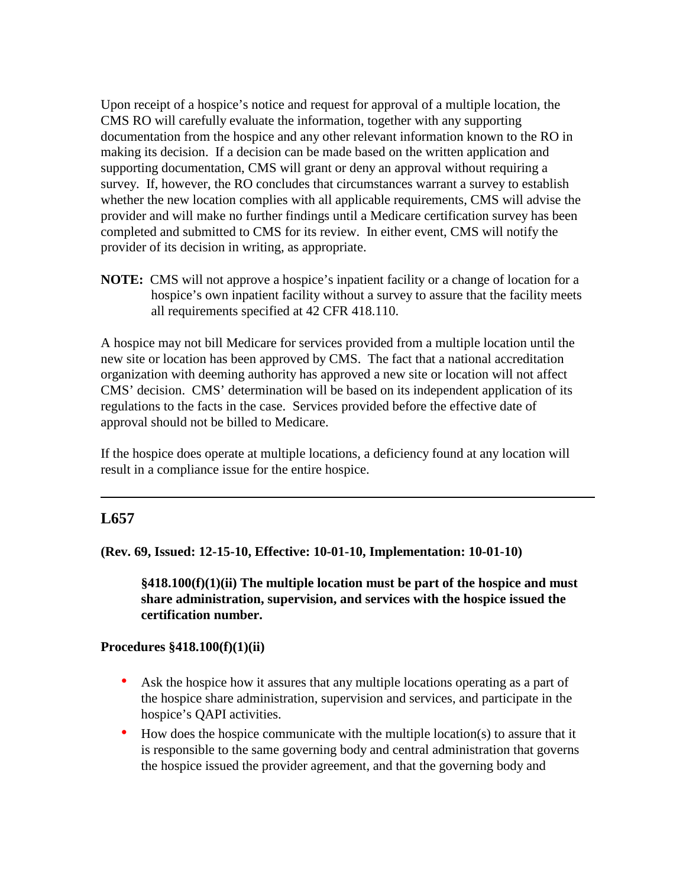Upon receipt of a hospice's notice and request for approval of a multiple location, the CMS RO will carefully evaluate the information, together with any supporting documentation from the hospice and any other relevant information known to the RO in making its decision. If a decision can be made based on the written application and supporting documentation, CMS will grant or deny an approval without requiring a survey. If, however, the RO concludes that circumstances warrant a survey to establish whether the new location complies with all applicable requirements, CMS will advise the provider and will make no further findings until a Medicare certification survey has been completed and submitted to CMS for its review. In either event, CMS will notify the provider of its decision in writing, as appropriate.

**NOTE:** CMS will not approve a hospice's inpatient facility or a change of location for a hospice's own inpatient facility without a survey to assure that the facility meets all requirements specified at 42 CFR 418.110.

A hospice may not bill Medicare for services provided from a multiple location until the new site or location has been approved by CMS. The fact that a national accreditation organization with deeming authority has approved a new site or location will not affect CMS' decision. CMS' determination will be based on its independent application of its regulations to the facts in the case. Services provided before the effective date of approval should not be billed to Medicare.

If the hospice does operate at multiple locations, a deficiency found at any location will result in a compliance issue for the entire hospice.

## **L657**

**(Rev. 69, Issued: 12-15-10, Effective: 10-01-10, Implementation: 10-01-10)**

**§418.100(f)(1)(ii) The multiple location must be part of the hospice and must share administration, supervision, and services with the hospice issued the certification number.**

#### **Procedures §418.100(f)(1)(ii)**

- Ask the hospice how it assures that any multiple locations operating as a part of the hospice share administration, supervision and services, and participate in the hospice's QAPI activities.
- How does the hospice communicate with the multiple location(s) to assure that it is responsible to the same governing body and central administration that governs the hospice issued the provider agreement, and that the governing body and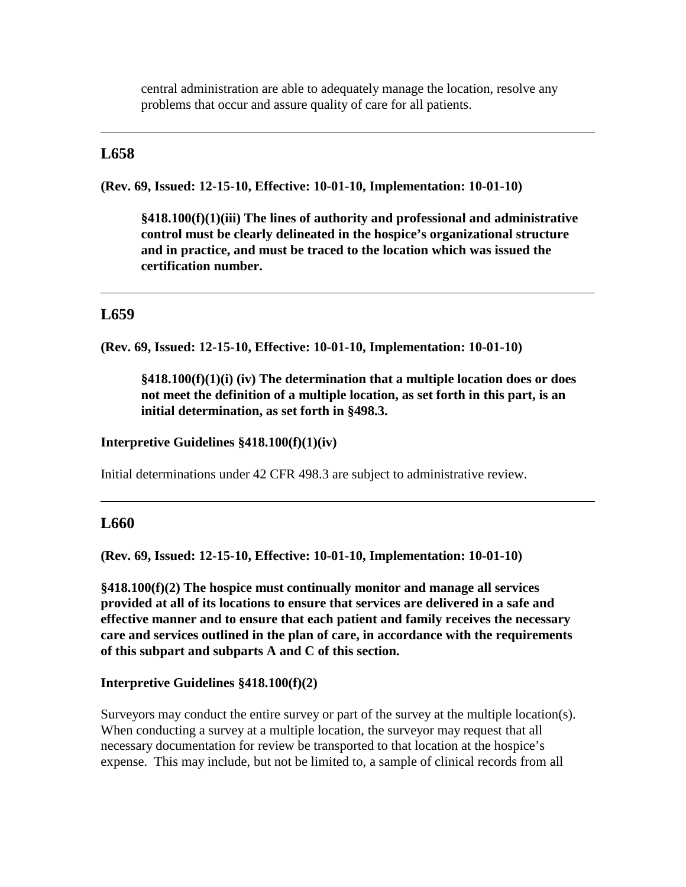central administration are able to adequately manage the location, resolve any problems that occur and assure quality of care for all patients.

## **L658**

**(Rev. 69, Issued: 12-15-10, Effective: 10-01-10, Implementation: 10-01-10)**

**§418.100(f)(1)(iii) The lines of authority and professional and administrative control must be clearly delineated in the hospice's organizational structure and in practice, and must be traced to the location which was issued the certification number.**

# **L659**

**(Rev. 69, Issued: 12-15-10, Effective: 10-01-10, Implementation: 10-01-10)**

**§418.100(f)(1)(i) (iv) The determination that a multiple location does or does not meet the definition of a multiple location, as set forth in this part, is an initial determination, as set forth in §498.3.**

**Interpretive Guidelines §418.100(f)(1)(iv)**

Initial determinations under 42 CFR 498.3 are subject to administrative review.

## **L660**

**(Rev. 69, Issued: 12-15-10, Effective: 10-01-10, Implementation: 10-01-10)**

**§418.100(f)(2) The hospice must continually monitor and manage all services provided at all of its locations to ensure that services are delivered in a safe and effective manner and to ensure that each patient and family receives the necessary care and services outlined in the plan of care, in accordance with the requirements of this subpart and subparts A and C of this section.**

### **Interpretive Guidelines §418.100(f)(2)**

Surveyors may conduct the entire survey or part of the survey at the multiple location(s). When conducting a survey at a multiple location, the surveyor may request that all necessary documentation for review be transported to that location at the hospice's expense. This may include, but not be limited to, a sample of clinical records from all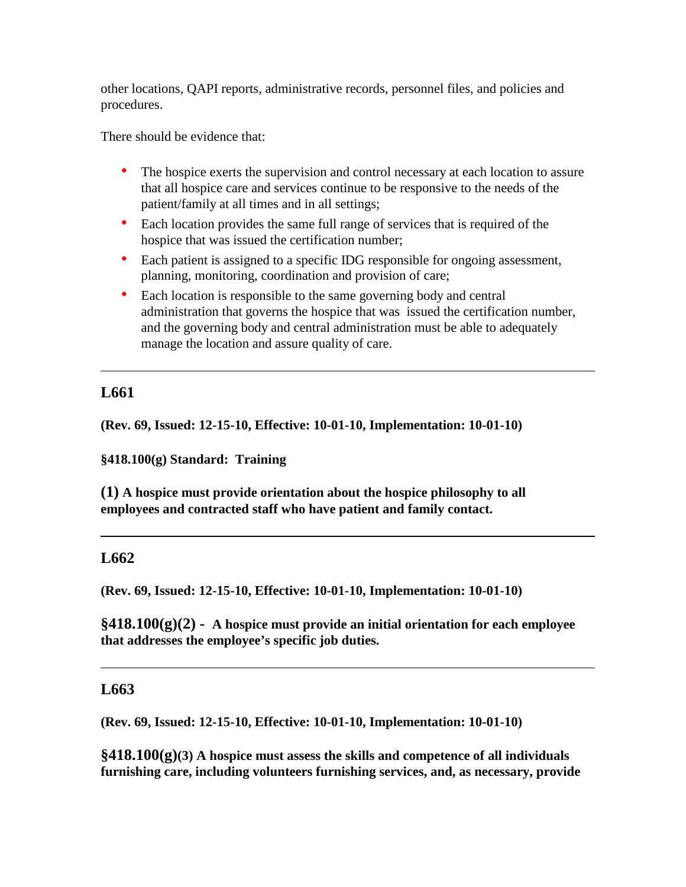other locations, QAPI reports, administrative records, personnel files, and policies and procedures.

There should be evidence that:

- The hospice exerts the supervision and control necessary at each location to assure that all hospice care and services continue to be responsive to the needs of the patient/family at all times and in all settings;
- Each location provides the same full range of services that is required of the hospice that was issued the certification number;
- Each patient is assigned to a specific IDG responsible for ongoing assessment, planning, monitoring, coordination and provision of care;
- Each location is responsible to the same governing body and central administration that governs the hospice that was issued the certification number, and the governing body and central administration must be able to adequately manage the location and assure quality of care.

# **L661**

**(Rev. 69, Issued: 12-15-10, Effective: 10-01-10, Implementation: 10-01-10)**

**§418.100(g) Standard: Training**

**(1) A hospice must provide orientation about the hospice philosophy to all employees and contracted staff who have patient and family contact.**

## **L662**

**(Rev. 69, Issued: 12-15-10, Effective: 10-01-10, Implementation: 10-01-10)**

**§418.100(g)(2) - A hospice must provide an initial orientation for each employee that addresses the employee's specific job duties.**

## **L663**

**(Rev. 69, Issued: 12-15-10, Effective: 10-01-10, Implementation: 10-01-10)**

**§418.100(g)(3) A hospice must assess the skills and competence of all individuals furnishing care, including volunteers furnishing services, and, as necessary, provide**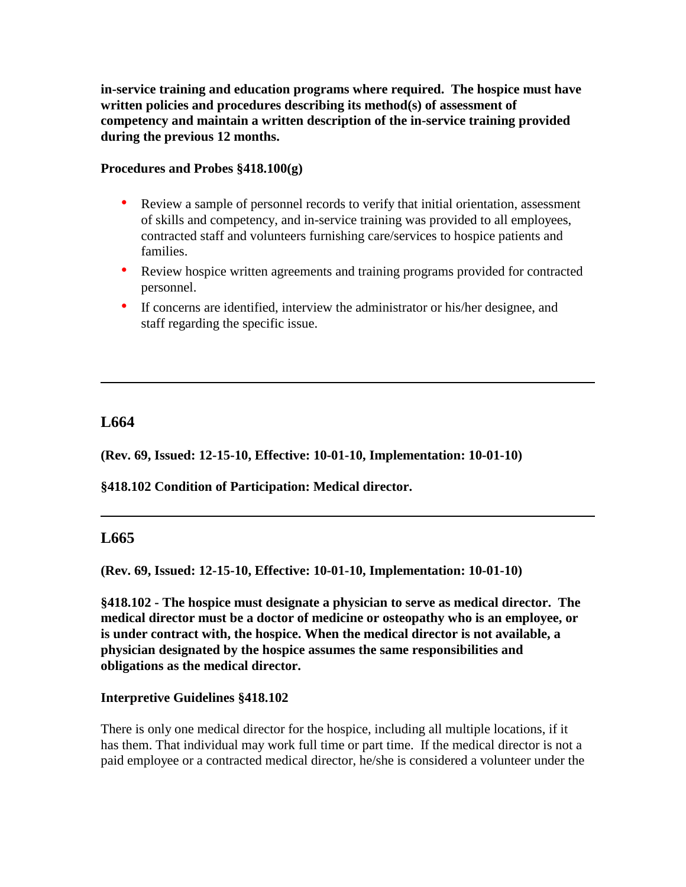**in-service training and education programs where required. The hospice must have written policies and procedures describing its method(s) of assessment of competency and maintain a written description of the in-service training provided during the previous 12 months.** 

### **Procedures and Probes §418.100(g)**

- Review a sample of personnel records to verify that initial orientation, assessment of skills and competency, and in-service training was provided to all employees, contracted staff and volunteers furnishing care/services to hospice patients and families.
- Review hospice written agreements and training programs provided for contracted personnel.
- If concerns are identified, interview the administrator or his/her designee, and staff regarding the specific issue.

# **L664**

**(Rev. 69, Issued: 12-15-10, Effective: 10-01-10, Implementation: 10-01-10)**

**§418.102 Condition of Participation: Medical director.**

# **L665**

**(Rev. 69, Issued: 12-15-10, Effective: 10-01-10, Implementation: 10-01-10)**

**§418.102 - The hospice must designate a physician to serve as medical director. The medical director must be a doctor of medicine or osteopathy who is an employee, or is under contract with, the hospice. When the medical director is not available, a physician designated by the hospice assumes the same responsibilities and obligations as the medical director.**

#### **Interpretive Guidelines §418.102**

There is only one medical director for the hospice, including all multiple locations, if it has them. That individual may work full time or part time. If the medical director is not a paid employee or a contracted medical director, he/she is considered a volunteer under the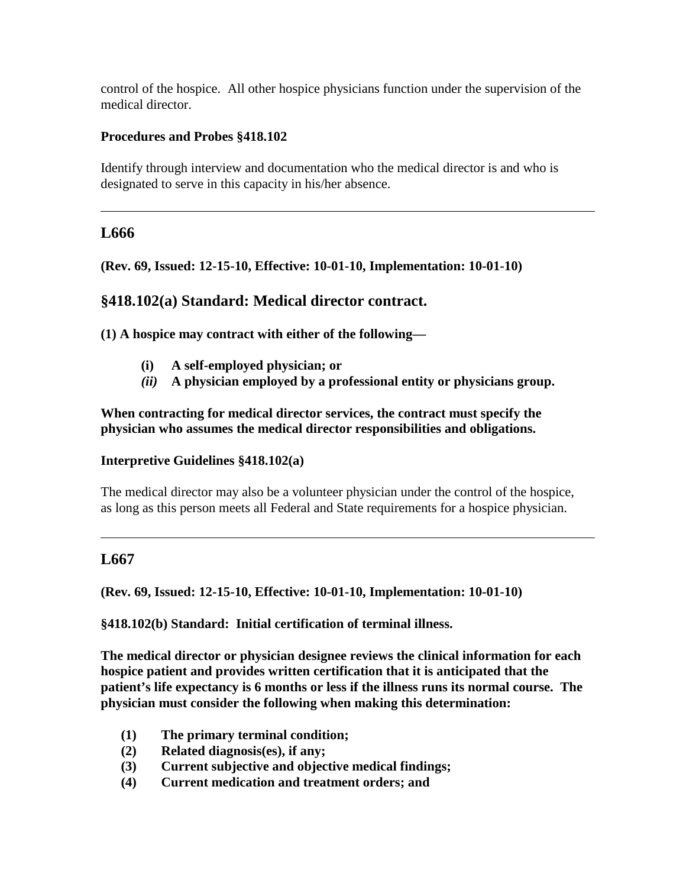control of the hospice. All other hospice physicians function under the supervision of the medical director.

## **Procedures and Probes §418.102**

Identify through interview and documentation who the medical director is and who is designated to serve in this capacity in his/her absence.

# **L666**

**(Rev. 69, Issued: 12-15-10, Effective: 10-01-10, Implementation: 10-01-10)**

# **§418.102(a) Standard: Medical director contract.**

**(1) A hospice may contract with either of the following—**

- **(i) A self-employed physician; or**
- *(ii)* **A physician employed by a professional entity or physicians group.**

**When contracting for medical director services, the contract must specify the physician who assumes the medical director responsibilities and obligations.**

## **Interpretive Guidelines §418.102(a)**

The medical director may also be a volunteer physician under the control of the hospice, as long as this person meets all Federal and State requirements for a hospice physician.

# **L667**

**(Rev. 69, Issued: 12-15-10, Effective: 10-01-10, Implementation: 10-01-10)**

**§418.102(b) Standard: Initial certification of terminal illness.**

**The medical director or physician designee reviews the clinical information for each hospice patient and provides written certification that it is anticipated that the patient's life expectancy is 6 months or less if the illness runs its normal course. The physician must consider the following when making this determination:** 

- **(1) The primary terminal condition;**
- **(2) Related diagnosis(es), if any;**
- **(3) Current subjective and objective medical findings;**
- **(4) Current medication and treatment orders; and**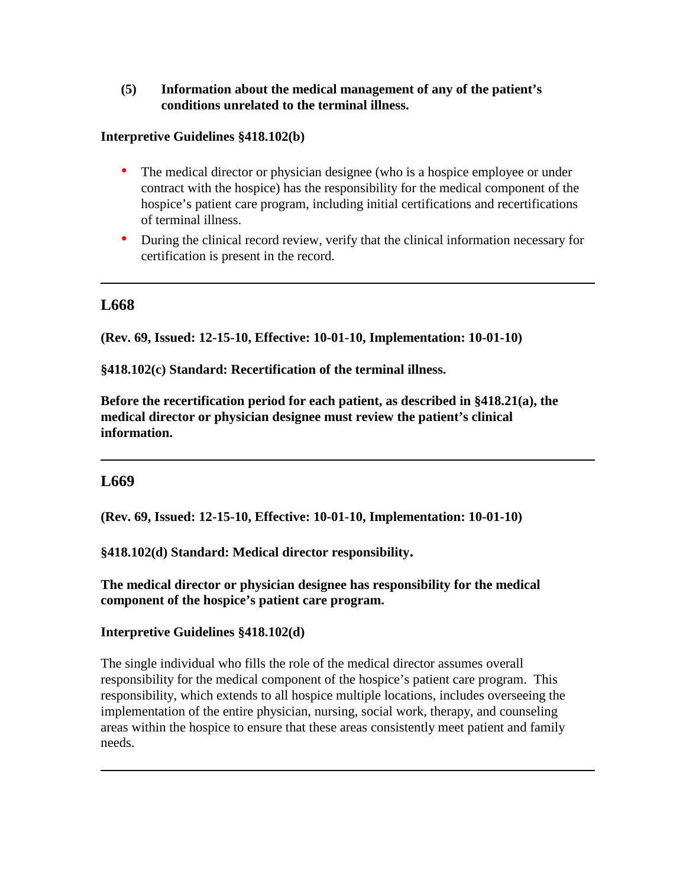### **(5) Information about the medical management of any of the patient's conditions unrelated to the terminal illness.**

### **Interpretive Guidelines §418.102(b)**

- The medical director or physician designee (who is a hospice employee or under contract with the hospice) has the responsibility for the medical component of the hospice's patient care program, including initial certifications and recertifications of terminal illness.
- During the clinical record review, verify that the clinical information necessary for certification is present in the record.

## **L668**

**(Rev. 69, Issued: 12-15-10, Effective: 10-01-10, Implementation: 10-01-10)**

**§418.102(c) Standard: Recertification of the terminal illness.** 

**Before the recertification period for each patient, as described in §418.21(a), the medical director or physician designee must review the patient's clinical information.**

## **L669**

**(Rev. 69, Issued: 12-15-10, Effective: 10-01-10, Implementation: 10-01-10)**

**§418.102(d) Standard: Medical director responsibility.**

**The medical director or physician designee has responsibility for the medical component of the hospice's patient care program.**

## **Interpretive Guidelines §418.102(d)**

The single individual who fills the role of the medical director assumes overall responsibility for the medical component of the hospice's patient care program. This responsibility, which extends to all hospice multiple locations, includes overseeing the implementation of the entire physician, nursing, social work, therapy, and counseling areas within the hospice to ensure that these areas consistently meet patient and family needs.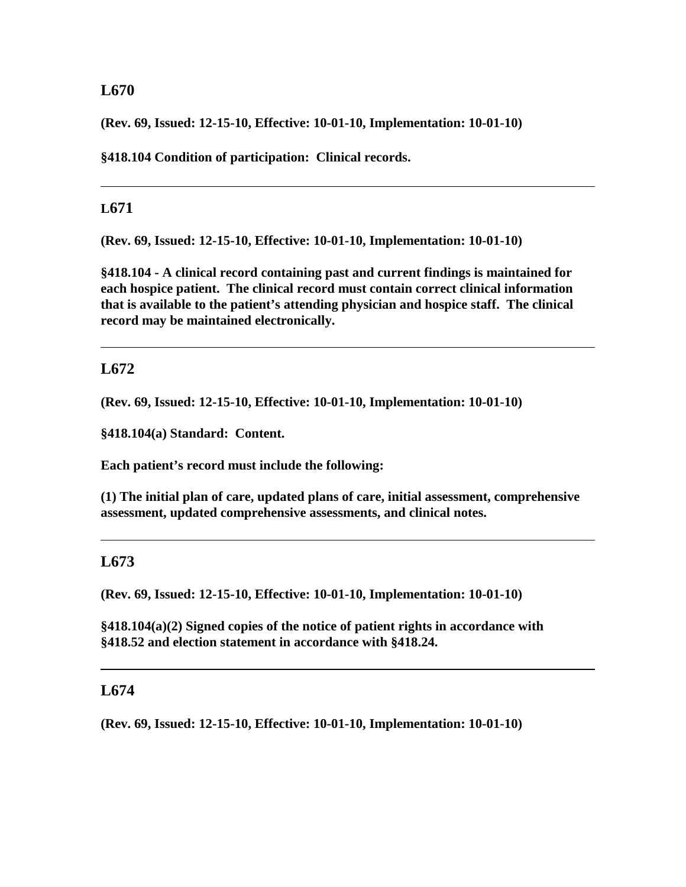## **L670**

**(Rev. 69, Issued: 12-15-10, Effective: 10-01-10, Implementation: 10-01-10)**

**§418.104 Condition of participation: Clinical records.**

## **L671**

**(Rev. 69, Issued: 12-15-10, Effective: 10-01-10, Implementation: 10-01-10)**

**§418.104 - A clinical record containing past and current findings is maintained for each hospice patient. The clinical record must contain correct clinical information that is available to the patient's attending physician and hospice staff. The clinical record may be maintained electronically.**

# **L672**

**(Rev. 69, Issued: 12-15-10, Effective: 10-01-10, Implementation: 10-01-10)**

**§418.104(a) Standard: Content.**

**Each patient's record must include the following:**

**(1) The initial plan of care, updated plans of care, initial assessment, comprehensive assessment, updated comprehensive assessments, and clinical notes.**

# **L673**

**(Rev. 69, Issued: 12-15-10, Effective: 10-01-10, Implementation: 10-01-10)**

**§418.104(a)(2) Signed copies of the notice of patient rights in accordance with §418.52 and election statement in accordance with §418.24.**

## **L674**

**(Rev. 69, Issued: 12-15-10, Effective: 10-01-10, Implementation: 10-01-10)**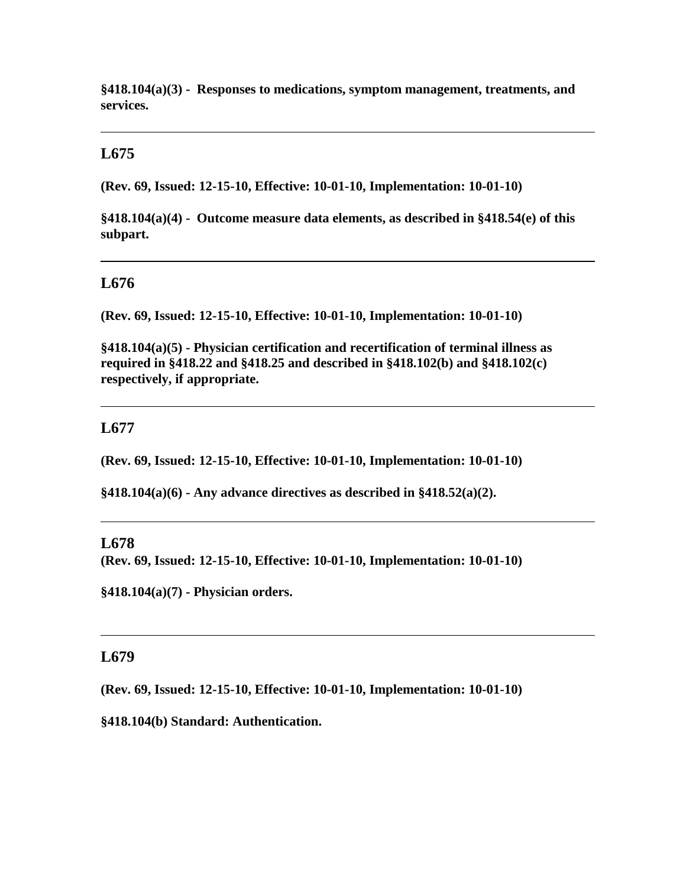**§418.104(a)(3) - Responses to medications, symptom management, treatments, and services.**

## **L675**

**(Rev. 69, Issued: 12-15-10, Effective: 10-01-10, Implementation: 10-01-10)**

**§418.104(a)(4) - Outcome measure data elements, as described in §418.54(e) of this subpart.**

### **L676**

**(Rev. 69, Issued: 12-15-10, Effective: 10-01-10, Implementation: 10-01-10)**

**§418.104(a)(5) - Physician certification and recertification of terminal illness as required in §418.22 and §418.25 and described in §418.102(b) and §418.102(c) respectively, if appropriate.**

### **L677**

**(Rev. 69, Issued: 12-15-10, Effective: 10-01-10, Implementation: 10-01-10)**

**§418.104(a)(6) - Any advance directives as described in §418.52(a)(2).**

### **L678**

**(Rev. 69, Issued: 12-15-10, Effective: 10-01-10, Implementation: 10-01-10)**

**§418.104(a)(7) - Physician orders.**

## **L679**

**(Rev. 69, Issued: 12-15-10, Effective: 10-01-10, Implementation: 10-01-10)**

**§418.104(b) Standard: Authentication.**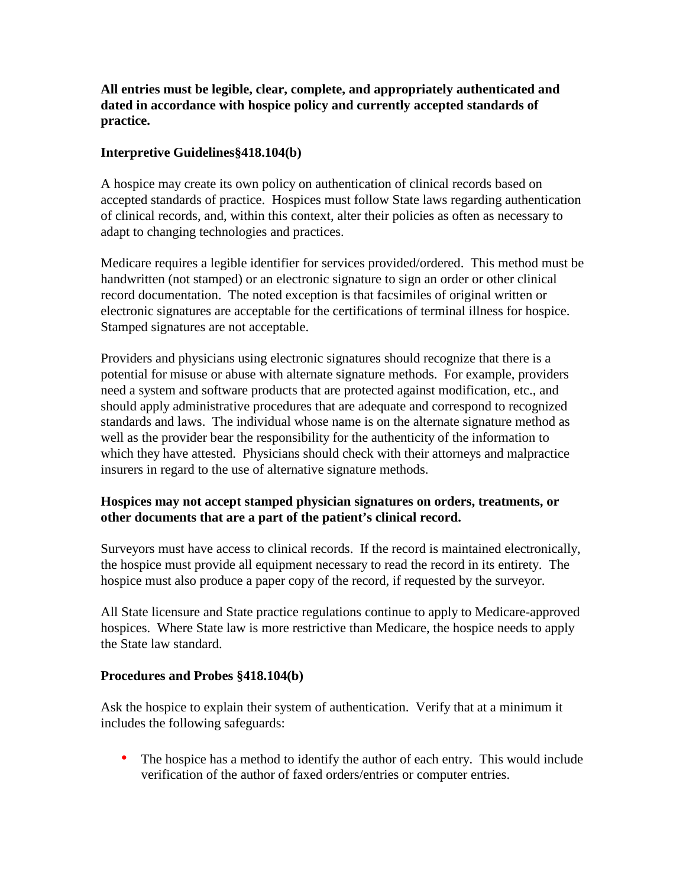**All entries must be legible, clear, complete, and appropriately authenticated and dated in accordance with hospice policy and currently accepted standards of practice.** 

## **Interpretive Guidelines§418.104(b)**

A hospice may create its own policy on authentication of clinical records based on accepted standards of practice. Hospices must follow State laws regarding authentication of clinical records, and, within this context, alter their policies as often as necessary to adapt to changing technologies and practices.

Medicare requires a legible identifier for services provided/ordered. This method must be handwritten (not stamped) or an electronic signature to sign an order or other clinical record documentation. The noted exception is that facsimiles of original written or electronic signatures are acceptable for the certifications of terminal illness for hospice. Stamped signatures are not acceptable.

Providers and physicians using electronic signatures should recognize that there is a potential for misuse or abuse with alternate signature methods. For example, providers need a system and software products that are protected against modification, etc., and should apply administrative procedures that are adequate and correspond to recognized standards and laws. The individual whose name is on the alternate signature method as well as the provider bear the responsibility for the authenticity of the information to which they have attested. Physicians should check with their attorneys and malpractice insurers in regard to the use of alternative signature methods.

## **Hospices may not accept stamped physician signatures on orders, treatments, or other documents that are a part of the patient's clinical record.**

Surveyors must have access to clinical records. If the record is maintained electronically, the hospice must provide all equipment necessary to read the record in its entirety. The hospice must also produce a paper copy of the record, if requested by the surveyor.

All State licensure and State practice regulations continue to apply to Medicare-approved hospices. Where State law is more restrictive than Medicare, the hospice needs to apply the State law standard.

## **Procedures and Probes §418.104(b)**

Ask the hospice to explain their system of authentication. Verify that at a minimum it includes the following safeguards:

• The hospice has a method to identify the author of each entry. This would include verification of the author of faxed orders/entries or computer entries.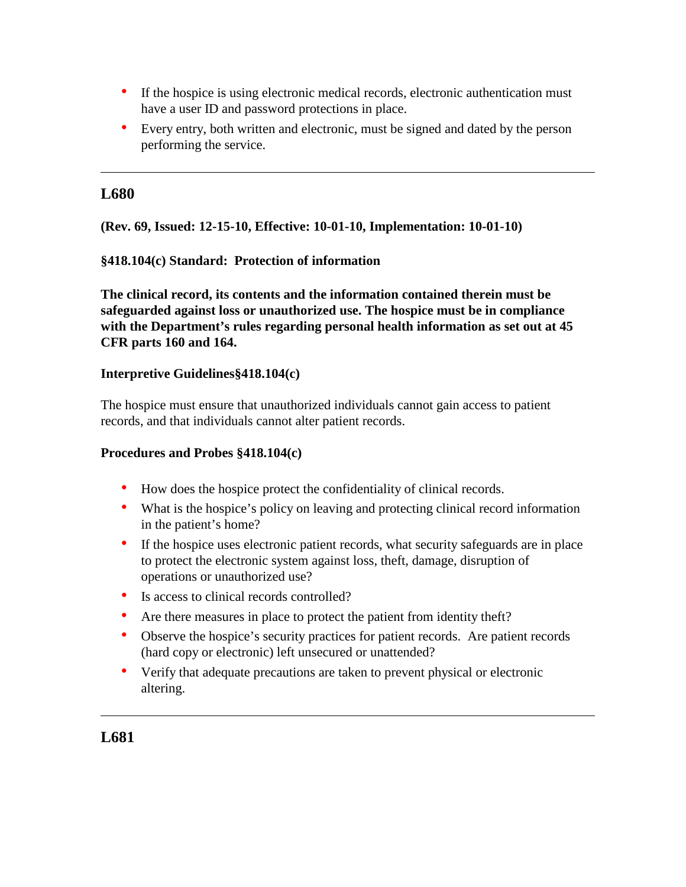- If the hospice is using electronic medical records, electronic authentication must have a user ID and password protections in place.
- Every entry, both written and electronic, must be signed and dated by the person performing the service.

## **L680**

**(Rev. 69, Issued: 12-15-10, Effective: 10-01-10, Implementation: 10-01-10)**

### **§418.104(c) Standard: Protection of information**

**The clinical record, its contents and the information contained therein must be safeguarded against loss or unauthorized use. The hospice must be in compliance with the Department's rules regarding personal health information as set out at 45 CFR parts 160 and 164.**

#### **Interpretive Guidelines§418.104(c)**

The hospice must ensure that unauthorized individuals cannot gain access to patient records, and that individuals cannot alter patient records.

#### **Procedures and Probes §418.104(c)**

- How does the hospice protect the confidentiality of clinical records.
- What is the hospice's policy on leaving and protecting clinical record information in the patient's home?
- If the hospice uses electronic patient records, what security safeguards are in place to protect the electronic system against loss, theft, damage, disruption of operations or unauthorized use?
- Is access to clinical records controlled?
- Are there measures in place to protect the patient from identity theft?
- Observe the hospice's security practices for patient records. Are patient records (hard copy or electronic) left unsecured or unattended?
- Verify that adequate precautions are taken to prevent physical or electronic altering.

# **L681**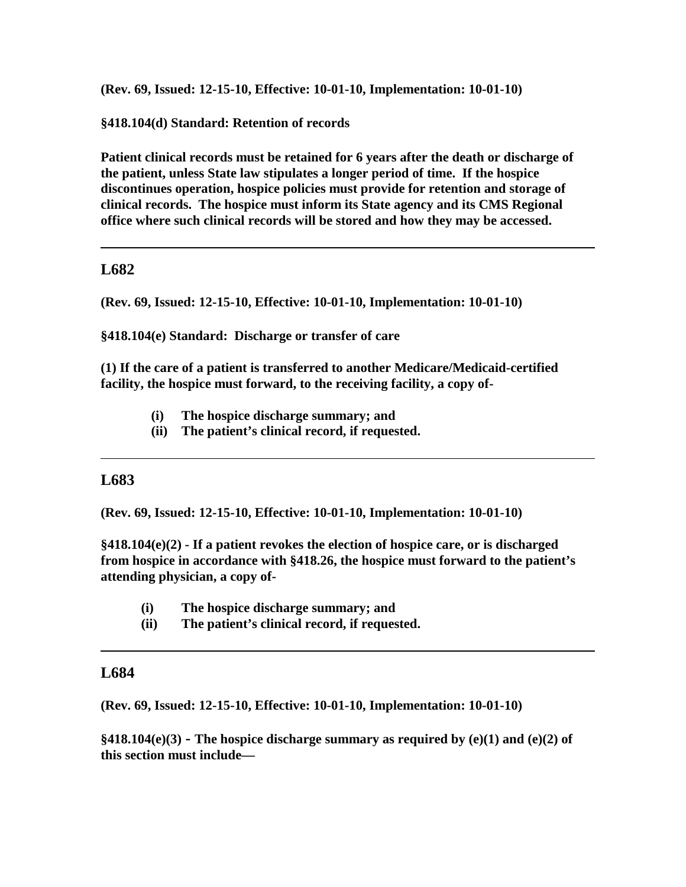**(Rev. 69, Issued: 12-15-10, Effective: 10-01-10, Implementation: 10-01-10)**

**§418.104(d) Standard: Retention of records**

**Patient clinical records must be retained for 6 years after the death or discharge of the patient, unless State law stipulates a longer period of time. If the hospice discontinues operation, hospice policies must provide for retention and storage of clinical records. The hospice must inform its State agency and its CMS Regional office where such clinical records will be stored and how they may be accessed.**

## **L682**

**(Rev. 69, Issued: 12-15-10, Effective: 10-01-10, Implementation: 10-01-10)**

**§418.104(e) Standard: Discharge or transfer of care**

**(1) If the care of a patient is transferred to another Medicare/Medicaid-certified facility, the hospice must forward, to the receiving facility, a copy of-**

- **(i) The hospice discharge summary; and**
- **(ii) The patient's clinical record, if requested.**

# **L683**

**(Rev. 69, Issued: 12-15-10, Effective: 10-01-10, Implementation: 10-01-10)**

**§418.104(e)(2) - If a patient revokes the election of hospice care, or is discharged from hospice in accordance with §418.26, the hospice must forward to the patient's attending physician, a copy of-**

- **(i) The hospice discharge summary; and**
- **(ii) The patient's clinical record, if requested.**

## **L684**

**(Rev. 69, Issued: 12-15-10, Effective: 10-01-10, Implementation: 10-01-10)**

**§418.104(e)(3) - The hospice discharge summary as required by (e)(1) and (e)(2) of this section must include—**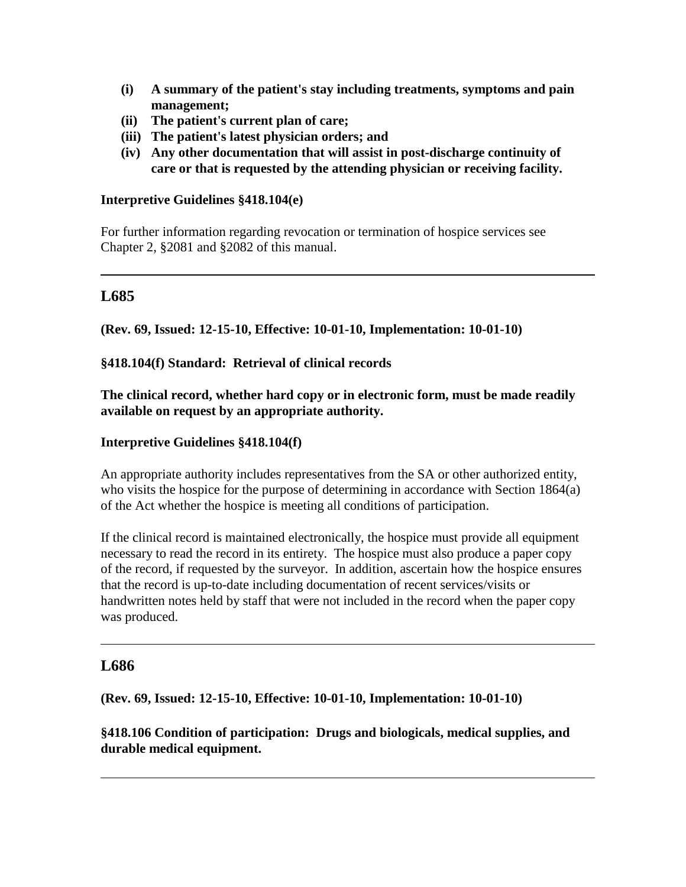- **(i) A summary of the patient's stay including treatments, symptoms and pain management;**
- **(ii) The patient's current plan of care;**
- **(iii) The patient's latest physician orders; and**
- **(iv) Any other documentation that will assist in post-discharge continuity of care or that is requested by the attending physician or receiving facility.**

## **Interpretive Guidelines §418.104(e)**

For further information regarding revocation or termination of hospice services see Chapter 2, §2081 and §2082 of this manual.

# **L685**

**(Rev. 69, Issued: 12-15-10, Effective: 10-01-10, Implementation: 10-01-10)**

## **§418.104(f) Standard: Retrieval of clinical records**

**The clinical record, whether hard copy or in electronic form, must be made readily available on request by an appropriate authority.** 

### **Interpretive Guidelines §418.104(f)**

An appropriate authority includes representatives from the SA or other authorized entity, who visits the hospice for the purpose of determining in accordance with Section 1864(a) of the Act whether the hospice is meeting all conditions of participation.

If the clinical record is maintained electronically, the hospice must provide all equipment necessary to read the record in its entirety. The hospice must also produce a paper copy of the record, if requested by the surveyor. In addition, ascertain how the hospice ensures that the record is up-to-date including documentation of recent services/visits or handwritten notes held by staff that were not included in the record when the paper copy was produced.

## **L686**

**(Rev. 69, Issued: 12-15-10, Effective: 10-01-10, Implementation: 10-01-10)**

**§418.106 Condition of participation: Drugs and biologicals, medical supplies, and durable medical equipment.**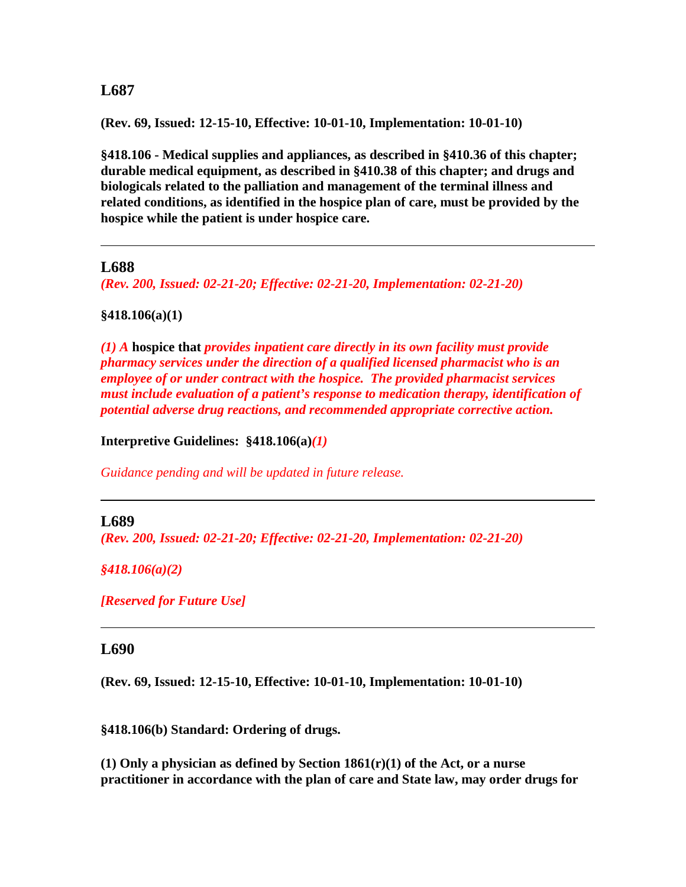## **L687**

**(Rev. 69, Issued: 12-15-10, Effective: 10-01-10, Implementation: 10-01-10)**

**§418.106 - Medical supplies and appliances, as described in §410.36 of this chapter; durable medical equipment, as described in §410.38 of this chapter; and drugs and biologicals related to the palliation and management of the terminal illness and related conditions, as identified in the hospice plan of care, must be provided by the hospice while the patient is under hospice care.**

#### **L688**

*(Rev. 200, Issued: 02-21-20; Effective: 02-21-20, Implementation: 02-21-20)*

#### **§418.106(a)(1)**

*(1) A* **hospice that** *provides inpatient care directly in its own facility must provide pharmacy services under the direction of a qualified licensed pharmacist who is an employee of or under contract with the hospice. The provided pharmacist services must include evaluation of a patient's response to medication therapy, identification of potential adverse drug reactions, and recommended appropriate corrective action.*

**Interpretive Guidelines: §418.106(a)***(1)*

*Guidance pending and will be updated in future release.* 

#### **L689**

*(Rev. 200, Issued: 02-21-20; Effective: 02-21-20, Implementation: 02-21-20)*

*§418.106(a)(2)*

*[Reserved for Future Use]*

#### **L690**

**(Rev. 69, Issued: 12-15-10, Effective: 10-01-10, Implementation: 10-01-10)**

**§418.106(b) Standard: Ordering of drugs.**

**(1) Only a physician as defined by Section 1861(r)(1) of the Act, or a nurse practitioner in accordance with the plan of care and State law, may order drugs for**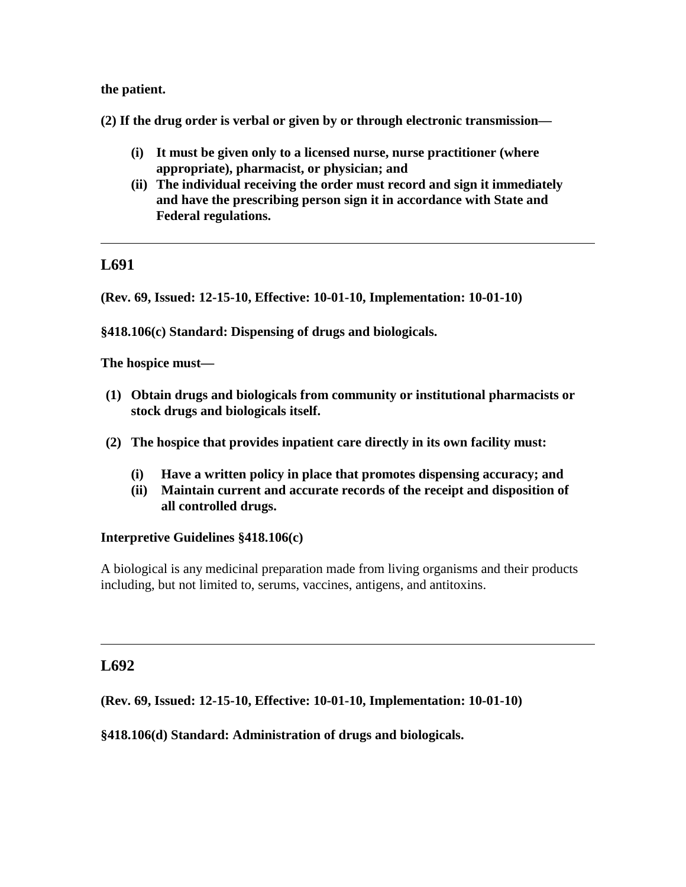**the patient.** 

**(2) If the drug order is verbal or given by or through electronic transmission—**

- **(i) It must be given only to a licensed nurse, nurse practitioner (where appropriate), pharmacist, or physician; and**
- **(ii) The individual receiving the order must record and sign it immediately and have the prescribing person sign it in accordance with State and Federal regulations.**

# **L691**

**(Rev. 69, Issued: 12-15-10, Effective: 10-01-10, Implementation: 10-01-10)**

**§418.106(c) Standard: Dispensing of drugs and biologicals.**

**The hospice must—**

- **(1) Obtain drugs and biologicals from community or institutional pharmacists or stock drugs and biologicals itself.**
- **(2) The hospice that provides inpatient care directly in its own facility must:**
	- **(i) Have a written policy in place that promotes dispensing accuracy; and**
	- **(ii) Maintain current and accurate records of the receipt and disposition of all controlled drugs.**

## **Interpretive Guidelines §418.106(c)**

A biological is any medicinal preparation made from living organisms and their products including, but not limited to, serums, vaccines, antigens, and antitoxins.

# **L692**

**(Rev. 69, Issued: 12-15-10, Effective: 10-01-10, Implementation: 10-01-10)**

**§418.106(d) Standard: Administration of drugs and biologicals.**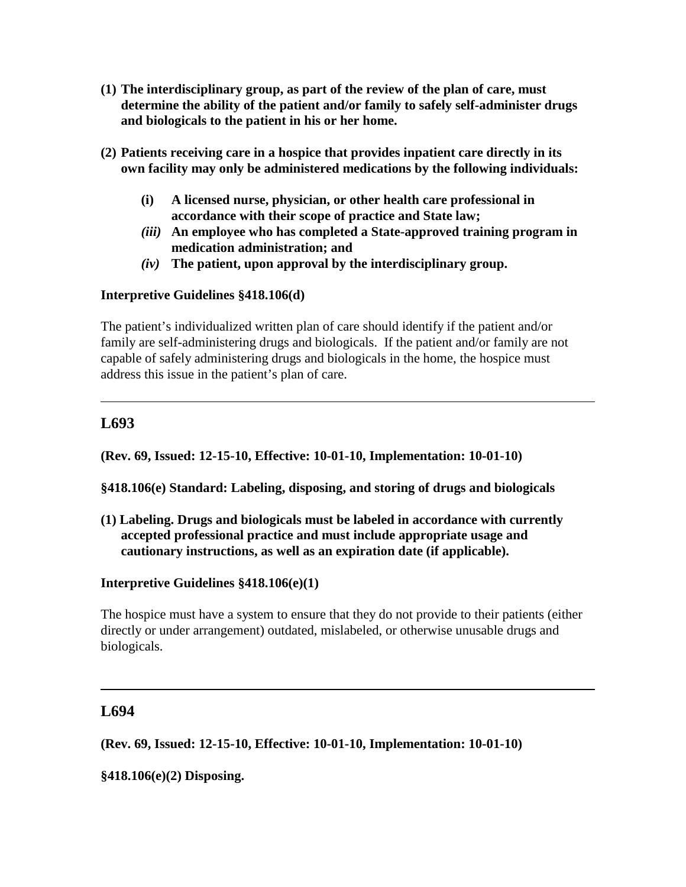- **(1) The interdisciplinary group, as part of the review of the plan of care, must determine the ability of the patient and/or family to safely self-administer drugs and biologicals to the patient in his or her home.**
- **(2) Patients receiving care in a hospice that provides inpatient care directly in its own facility may only be administered medications by the following individuals:** 
	- **(i) A licensed nurse, physician, or other health care professional in accordance with their scope of practice and State law;**
	- *(iii)* **An employee who has completed a State-approved training program in medication administration; and**
	- *(iv)* **The patient, upon approval by the interdisciplinary group.**

## **Interpretive Guidelines §418.106(d)**

The patient's individualized written plan of care should identify if the patient and/or family are self-administering drugs and biologicals. If the patient and/or family are not capable of safely administering drugs and biologicals in the home, the hospice must address this issue in the patient's plan of care.

# **L693**

**(Rev. 69, Issued: 12-15-10, Effective: 10-01-10, Implementation: 10-01-10)**

**§418.106(e) Standard: Labeling, disposing, and storing of drugs and biologicals**

**(1) Labeling. Drugs and biologicals must be labeled in accordance with currently accepted professional practice and must include appropriate usage and cautionary instructions, as well as an expiration date (if applicable).** 

## **Interpretive Guidelines §418.106(e)(1)**

The hospice must have a system to ensure that they do not provide to their patients (either directly or under arrangement) outdated, mislabeled, or otherwise unusable drugs and biologicals.

# **L694**

**(Rev. 69, Issued: 12-15-10, Effective: 10-01-10, Implementation: 10-01-10)**

**§418.106(e)(2) Disposing.**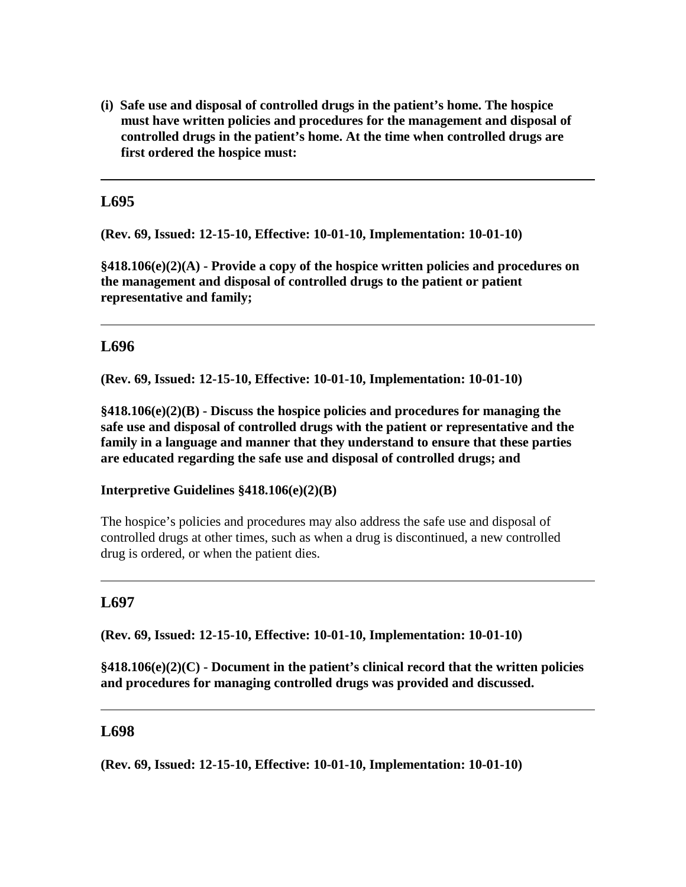**(i) Safe use and disposal of controlled drugs in the patient's home. The hospice must have written policies and procedures for the management and disposal of controlled drugs in the patient's home. At the time when controlled drugs are first ordered the hospice must:**

# **L695**

**(Rev. 69, Issued: 12-15-10, Effective: 10-01-10, Implementation: 10-01-10)**

**§418.106(e)(2)(A) - Provide a copy of the hospice written policies and procedures on the management and disposal of controlled drugs to the patient or patient representative and family;**

## **L696**

**(Rev. 69, Issued: 12-15-10, Effective: 10-01-10, Implementation: 10-01-10)**

**§418.106(e)(2)(B) - Discuss the hospice policies and procedures for managing the safe use and disposal of controlled drugs with the patient or representative and the family in a language and manner that they understand to ensure that these parties are educated regarding the safe use and disposal of controlled drugs; and**

**Interpretive Guidelines §418.106(e)(2)(B)**

The hospice's policies and procedures may also address the safe use and disposal of controlled drugs at other times, such as when a drug is discontinued, a new controlled drug is ordered, or when the patient dies.

# **L697**

**(Rev. 69, Issued: 12-15-10, Effective: 10-01-10, Implementation: 10-01-10)**

**§418.106(e)(2)(C) - Document in the patient's clinical record that the written policies and procedures for managing controlled drugs was provided and discussed.** 

# **L698**

**(Rev. 69, Issued: 12-15-10, Effective: 10-01-10, Implementation: 10-01-10)**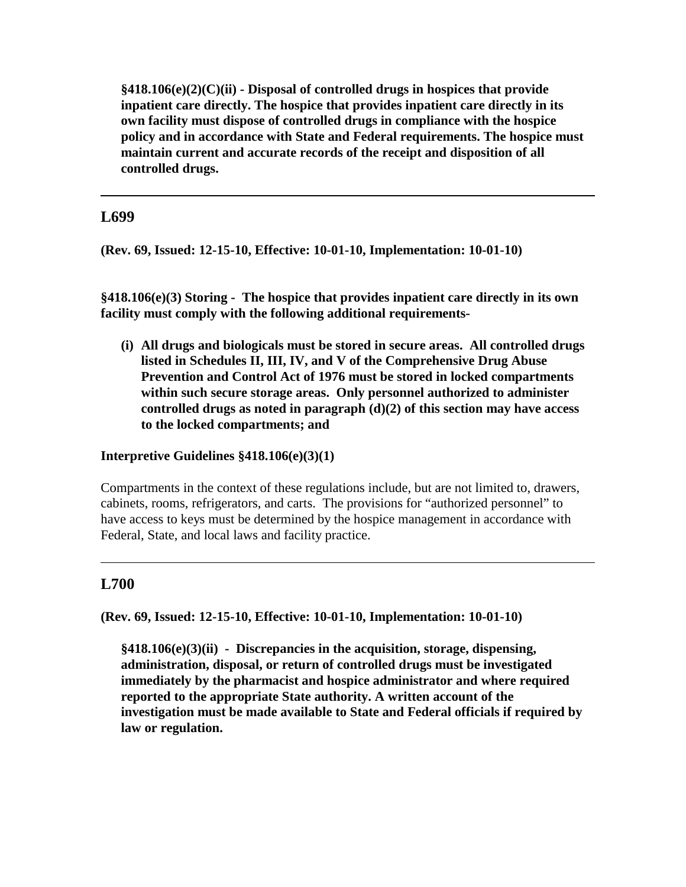**§418.106(e)(2)(C)(ii) - Disposal of controlled drugs in hospices that provide inpatient care directly. The hospice that provides inpatient care directly in its own facility must dispose of controlled drugs in compliance with the hospice policy and in accordance with State and Federal requirements. The hospice must maintain current and accurate records of the receipt and disposition of all controlled drugs.**

# **L699**

**(Rev. 69, Issued: 12-15-10, Effective: 10-01-10, Implementation: 10-01-10)**

**§418.106(e)(3) Storing - The hospice that provides inpatient care directly in its own facility must comply with the following additional requirements-**

**(i) All drugs and biologicals must be stored in secure areas. All controlled drugs listed in Schedules II, III, IV, and V of the Comprehensive Drug Abuse Prevention and Control Act of 1976 must be stored in locked compartments within such secure storage areas. Only personnel authorized to administer controlled drugs as noted in paragraph (d)(2) of this section may have access to the locked compartments; and**

## **Interpretive Guidelines §418.106(e)(3)(1)**

Compartments in the context of these regulations include, but are not limited to, drawers, cabinets, rooms, refrigerators, and carts. The provisions for "authorized personnel" to have access to keys must be determined by the hospice management in accordance with Federal, State, and local laws and facility practice.

# **L700**

**(Rev. 69, Issued: 12-15-10, Effective: 10-01-10, Implementation: 10-01-10)**

**§418.106(e)(3)(ii) - Discrepancies in the acquisition, storage, dispensing, administration, disposal, or return of controlled drugs must be investigated immediately by the pharmacist and hospice administrator and where required reported to the appropriate State authority. A written account of the investigation must be made available to State and Federal officials if required by law or regulation.**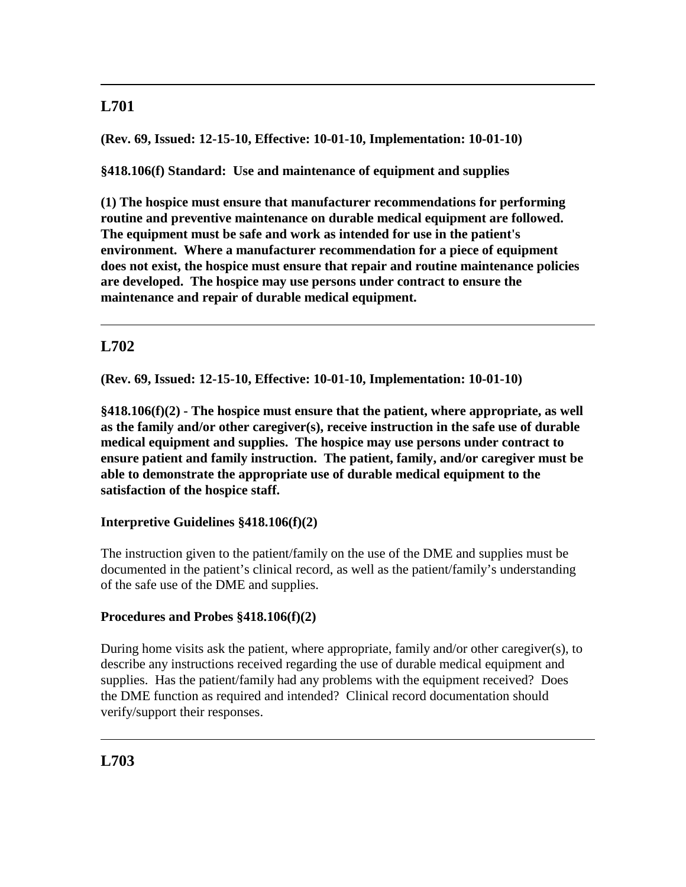# **L701**

**(Rev. 69, Issued: 12-15-10, Effective: 10-01-10, Implementation: 10-01-10)**

**§418.106(f) Standard: Use and maintenance of equipment and supplies**

**(1) The hospice must ensure that manufacturer recommendations for performing routine and preventive maintenance on durable medical equipment are followed. The equipment must be safe and work as intended for use in the patient's environment. Where a manufacturer recommendation for a piece of equipment does not exist, the hospice must ensure that repair and routine maintenance policies are developed. The hospice may use persons under contract to ensure the maintenance and repair of durable medical equipment.** 

# **L702**

**(Rev. 69, Issued: 12-15-10, Effective: 10-01-10, Implementation: 10-01-10)**

**§418.106(f)(2) - The hospice must ensure that the patient, where appropriate, as well as the family and/or other caregiver(s), receive instruction in the safe use of durable medical equipment and supplies. The hospice may use persons under contract to ensure patient and family instruction. The patient, family, and/or caregiver must be able to demonstrate the appropriate use of durable medical equipment to the satisfaction of the hospice staff.**

# **Interpretive Guidelines §418.106(f)(2)**

The instruction given to the patient/family on the use of the DME and supplies must be documented in the patient's clinical record, as well as the patient/family's understanding of the safe use of the DME and supplies.

# **Procedures and Probes §418.106(f)(2)**

During home visits ask the patient, where appropriate, family and/or other caregiver(s), to describe any instructions received regarding the use of durable medical equipment and supplies. Has the patient/family had any problems with the equipment received? Does the DME function as required and intended? Clinical record documentation should verify/support their responses.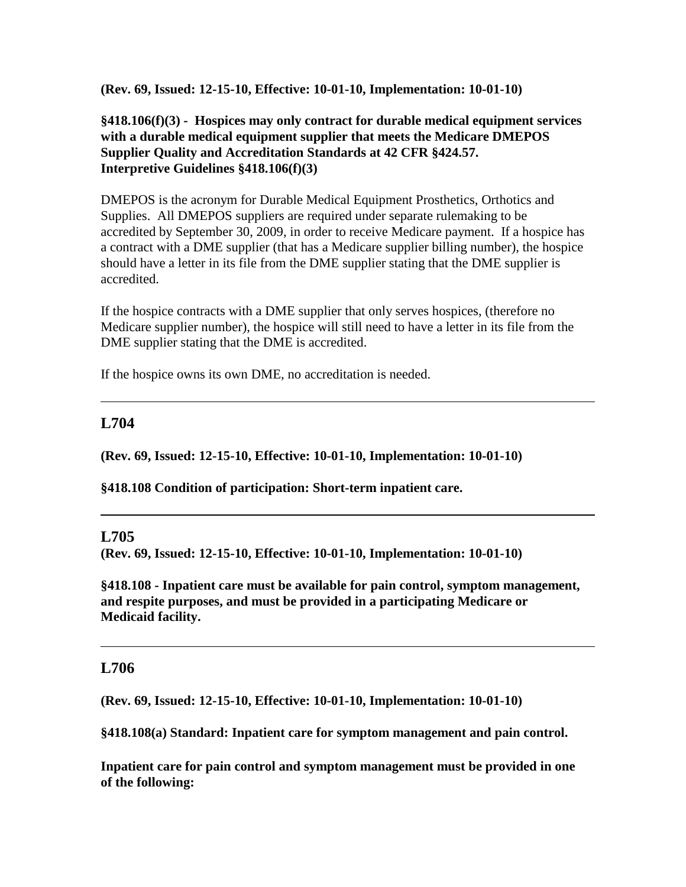**(Rev. 69, Issued: 12-15-10, Effective: 10-01-10, Implementation: 10-01-10)**

## **§418.106(f)(3) - Hospices may only contract for durable medical equipment services with a durable medical equipment supplier that meets the Medicare DMEPOS Supplier Quality and Accreditation Standards at 42 CFR §424.57. Interpretive Guidelines §418.106(f)(3)**

DMEPOS is the acronym for Durable Medical Equipment Prosthetics, Orthotics and Supplies. All DMEPOS suppliers are required under separate rulemaking to be accredited by September 30, 2009, in order to receive Medicare payment. If a hospice has a contract with a DME supplier (that has a Medicare supplier billing number), the hospice should have a letter in its file from the DME supplier stating that the DME supplier is accredited.

If the hospice contracts with a DME supplier that only serves hospices, (therefore no Medicare supplier number), the hospice will still need to have a letter in its file from the DME supplier stating that the DME is accredited.

If the hospice owns its own DME, no accreditation is needed.

## **L704**

**(Rev. 69, Issued: 12-15-10, Effective: 10-01-10, Implementation: 10-01-10)**

**§418.108 Condition of participation: Short-term inpatient care.**

#### **L705**

**(Rev. 69, Issued: 12-15-10, Effective: 10-01-10, Implementation: 10-01-10)**

**§418.108 - Inpatient care must be available for pain control, symptom management, and respite purposes, and must be provided in a participating Medicare or Medicaid facility.**

## **L706**

**(Rev. 69, Issued: 12-15-10, Effective: 10-01-10, Implementation: 10-01-10)**

**§418.108(a) Standard: Inpatient care for symptom management and pain control.** 

**Inpatient care for pain control and symptom management must be provided in one of the following:**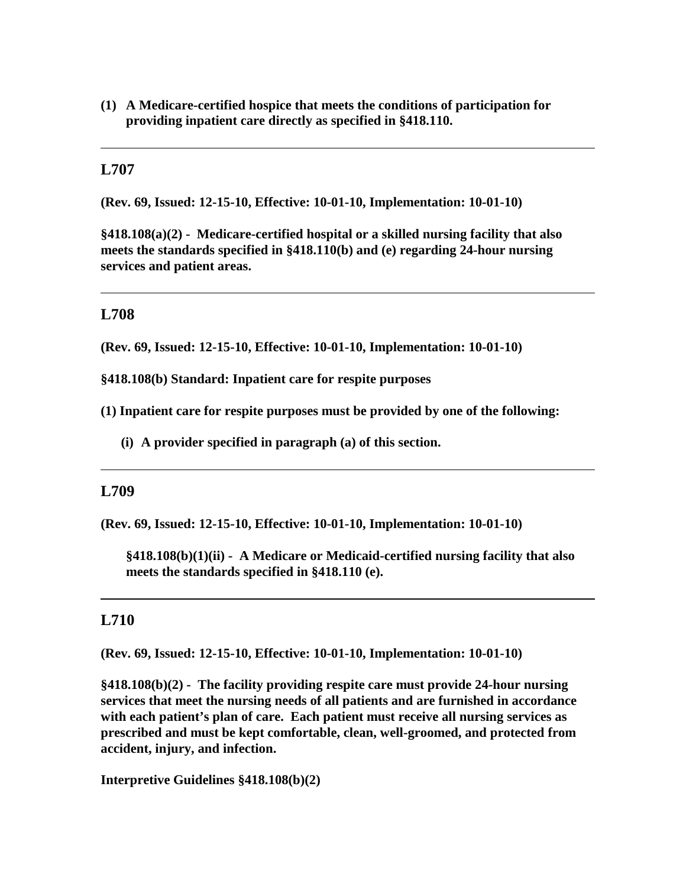**(1) A Medicare-certified hospice that meets the conditions of participation for providing inpatient care directly as specified in §418.110.** 

## **L707**

**(Rev. 69, Issued: 12-15-10, Effective: 10-01-10, Implementation: 10-01-10)**

**§418.108(a)(2) - Medicare-certified hospital or a skilled nursing facility that also meets the standards specified in §418.110(b) and (e) regarding 24-hour nursing services and patient areas.** 

## **L708**

**(Rev. 69, Issued: 12-15-10, Effective: 10-01-10, Implementation: 10-01-10)**

**§418.108(b) Standard: Inpatient care for respite purposes**

**(1) Inpatient care for respite purposes must be provided by one of the following:** 

**(i) A provider specified in paragraph (a) of this section.** 

#### **L709**

**(Rev. 69, Issued: 12-15-10, Effective: 10-01-10, Implementation: 10-01-10)**

**§418.108(b)(1)(ii) - A Medicare or Medicaid-certified nursing facility that also meets the standards specified in §418.110 (e).**

### **L710**

**(Rev. 69, Issued: 12-15-10, Effective: 10-01-10, Implementation: 10-01-10)**

**§418.108(b)(2) - The facility providing respite care must provide 24-hour nursing services that meet the nursing needs of all patients and are furnished in accordance with each patient's plan of care. Each patient must receive all nursing services as prescribed and must be kept comfortable, clean, well-groomed, and protected from accident, injury, and infection.** 

**Interpretive Guidelines §418.108(b)(2)**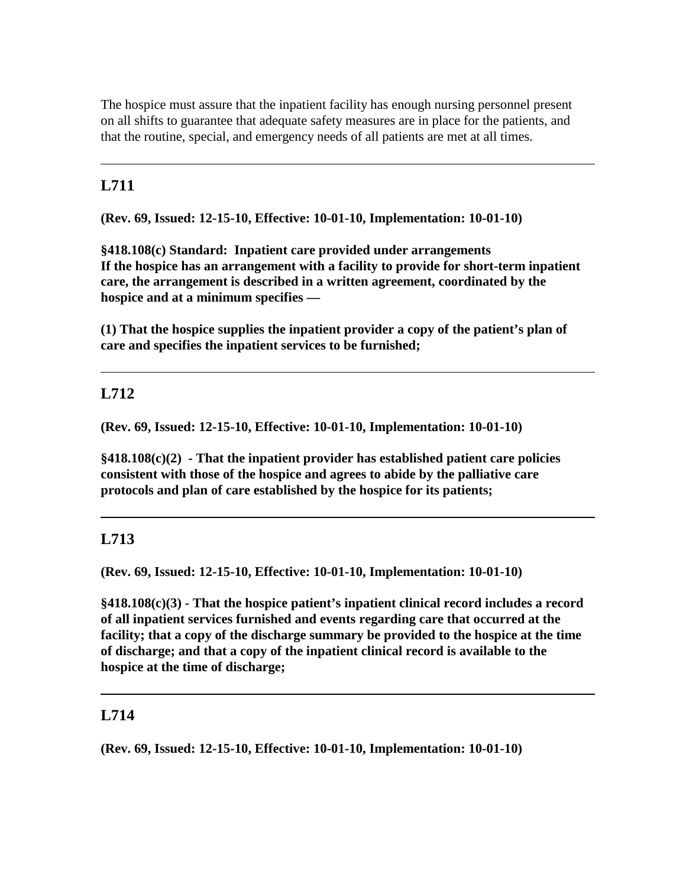The hospice must assure that the inpatient facility has enough nursing personnel present on all shifts to guarantee that adequate safety measures are in place for the patients, and that the routine, special, and emergency needs of all patients are met at all times.

# **L711**

**(Rev. 69, Issued: 12-15-10, Effective: 10-01-10, Implementation: 10-01-10)**

**§418.108(c) Standard: Inpatient care provided under arrangements If the hospice has an arrangement with a facility to provide for short-term inpatient care, the arrangement is described in a written agreement, coordinated by the hospice and at a minimum specifies —**

**(1) That the hospice supplies the inpatient provider a copy of the patient's plan of care and specifies the inpatient services to be furnished;**

# **L712**

**(Rev. 69, Issued: 12-15-10, Effective: 10-01-10, Implementation: 10-01-10)**

**§418.108(c)(2) - That the inpatient provider has established patient care policies consistent with those of the hospice and agrees to abide by the palliative care protocols and plan of care established by the hospice for its patients;**

# **L713**

**(Rev. 69, Issued: 12-15-10, Effective: 10-01-10, Implementation: 10-01-10)**

**§418.108(c)(3) - That the hospice patient's inpatient clinical record includes a record of all inpatient services furnished and events regarding care that occurred at the facility; that a copy of the discharge summary be provided to the hospice at the time of discharge; and that a copy of the inpatient clinical record is available to the hospice at the time of discharge;**

# **L714**

**(Rev. 69, Issued: 12-15-10, Effective: 10-01-10, Implementation: 10-01-10)**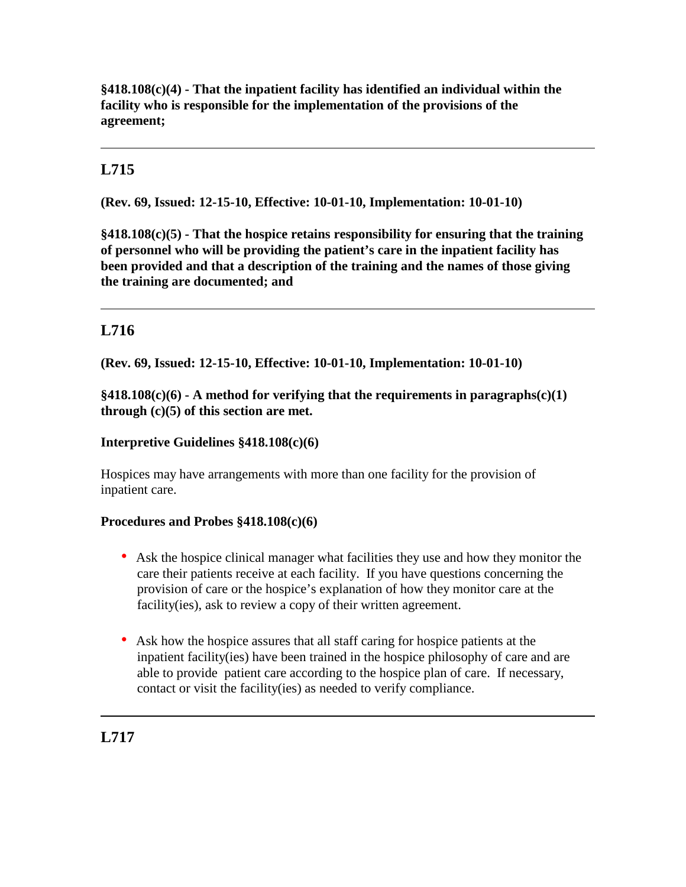**§418.108(c)(4) - That the inpatient facility has identified an individual within the facility who is responsible for the implementation of the provisions of the agreement;**

# **L715**

**(Rev. 69, Issued: 12-15-10, Effective: 10-01-10, Implementation: 10-01-10)**

**§418.108(c)(5) - That the hospice retains responsibility for ensuring that the training of personnel who will be providing the patient's care in the inpatient facility has been provided and that a description of the training and the names of those giving the training are documented; and**

# **L716**

**(Rev. 69, Issued: 12-15-10, Effective: 10-01-10, Implementation: 10-01-10)**

**§418.108(c)(6) - A method for verifying that the requirements in paragraphs(c)(1) through (c)(5) of this section are met.**

### **Interpretive Guidelines §418.108(c)(6)**

Hospices may have arrangements with more than one facility for the provision of inpatient care.

#### **Procedures and Probes §418.108(c)(6)**

- Ask the hospice clinical manager what facilities they use and how they monitor the care their patients receive at each facility. If you have questions concerning the provision of care or the hospice's explanation of how they monitor care at the facility(ies), ask to review a copy of their written agreement.
- Ask how the hospice assures that all staff caring for hospice patients at the inpatient facility(ies) have been trained in the hospice philosophy of care and are able to provide patient care according to the hospice plan of care. If necessary, contact or visit the facility(ies) as needed to verify compliance.

**L717**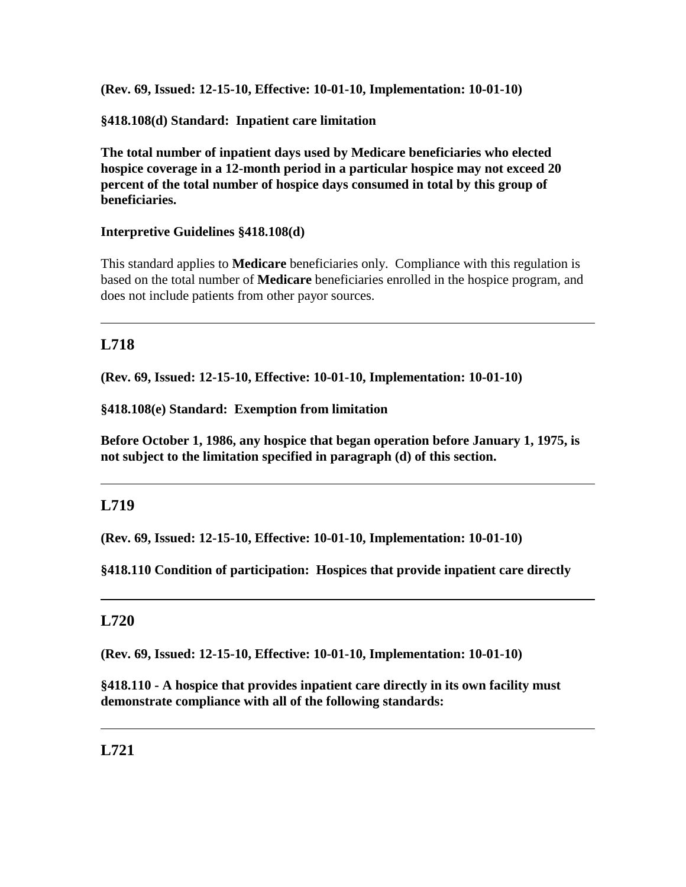**(Rev. 69, Issued: 12-15-10, Effective: 10-01-10, Implementation: 10-01-10)**

**§418.108(d) Standard: Inpatient care limitation** 

**The total number of inpatient days used by Medicare beneficiaries who elected hospice coverage in a 12-month period in a particular hospice may not exceed 20 percent of the total number of hospice days consumed in total by this group of beneficiaries.** 

# **Interpretive Guidelines §418.108(d)**

This standard applies to **Medicare** beneficiaries only. Compliance with this regulation is based on the total number of **Medicare** beneficiaries enrolled in the hospice program, and does not include patients from other payor sources.

# **L718**

**(Rev. 69, Issued: 12-15-10, Effective: 10-01-10, Implementation: 10-01-10)**

## **§418.108(e) Standard: Exemption from limitation**

**Before October 1, 1986, any hospice that began operation before January 1, 1975, is not subject to the limitation specified in paragraph (d) of this section.** 

# **L719**

**(Rev. 69, Issued: 12-15-10, Effective: 10-01-10, Implementation: 10-01-10)**

**§418.110 Condition of participation: Hospices that provide inpatient care directly**

# **L720**

**(Rev. 69, Issued: 12-15-10, Effective: 10-01-10, Implementation: 10-01-10)**

**§418.110 - A hospice that provides inpatient care directly in its own facility must demonstrate compliance with all of the following standards:**

# **L721**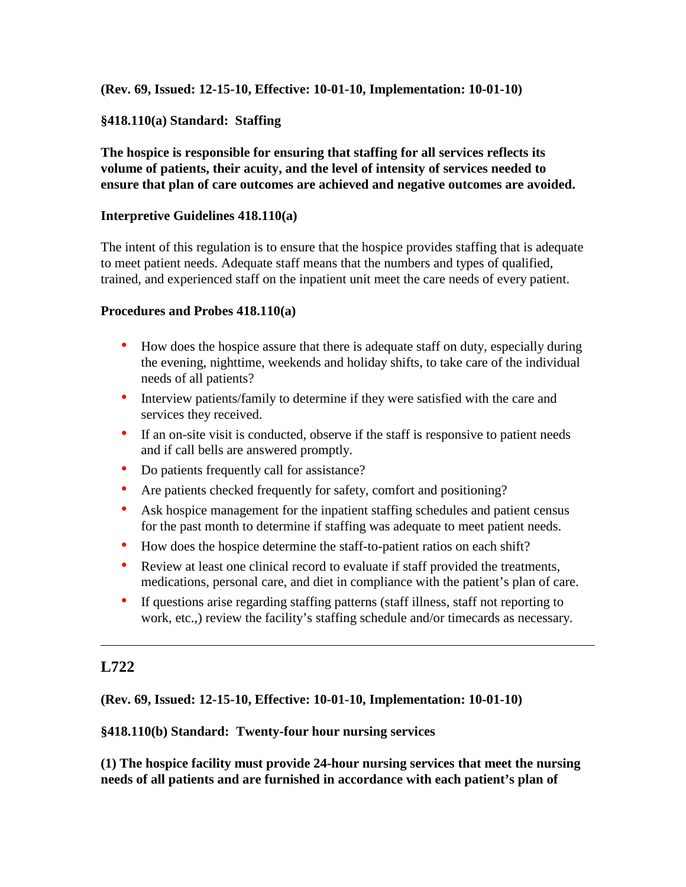**(Rev. 69, Issued: 12-15-10, Effective: 10-01-10, Implementation: 10-01-10)**

## **§418.110(a) Standard: Staffing**

**The hospice is responsible for ensuring that staffing for all services reflects its volume of patients, their acuity, and the level of intensity of services needed to ensure that plan of care outcomes are achieved and negative outcomes are avoided.**

#### **Interpretive Guidelines 418.110(a)**

The intent of this regulation is to ensure that the hospice provides staffing that is adequate to meet patient needs. Adequate staff means that the numbers and types of qualified, trained, and experienced staff on the inpatient unit meet the care needs of every patient.

#### **Procedures and Probes 418.110(a)**

- How does the hospice assure that there is adequate staff on duty, especially during the evening, nighttime, weekends and holiday shifts, to take care of the individual needs of all patients?
- Interview patients/family to determine if they were satisfied with the care and services they received.
- If an on-site visit is conducted, observe if the staff is responsive to patient needs and if call bells are answered promptly.
- Do patients frequently call for assistance?
- Are patients checked frequently for safety, comfort and positioning?
- Ask hospice management for the inpatient staffing schedules and patient census for the past month to determine if staffing was adequate to meet patient needs.
- How does the hospice determine the staff-to-patient ratios on each shift?
- Review at least one clinical record to evaluate if staff provided the treatments, medications, personal care, and diet in compliance with the patient's plan of care.
- If questions arise regarding staffing patterns (staff illness, staff not reporting to work, etc.,) review the facility's staffing schedule and/or timecards as necessary.

# **L722**

**(Rev. 69, Issued: 12-15-10, Effective: 10-01-10, Implementation: 10-01-10)**

#### **§418.110(b) Standard: Twenty-four hour nursing services**

**(1) The hospice facility must provide 24-hour nursing services that meet the nursing needs of all patients and are furnished in accordance with each patient's plan of**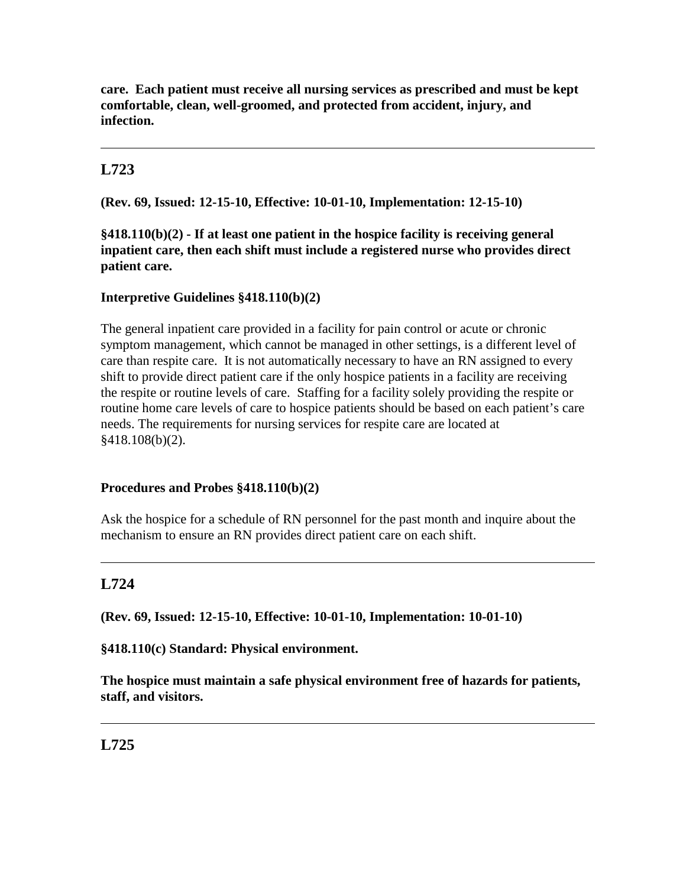**care. Each patient must receive all nursing services as prescribed and must be kept comfortable, clean, well-groomed, and protected from accident, injury, and infection.**

# **L723**

**(Rev. 69, Issued: 12-15-10, Effective: 10-01-10, Implementation: 12-15-10)**

**§418.110(b)(2) - If at least one patient in the hospice facility is receiving general inpatient care, then each shift must include a registered nurse who provides direct patient care.** 

## **Interpretive Guidelines §418.110(b)(2)**

The general inpatient care provided in a facility for pain control or acute or chronic symptom management, which cannot be managed in other settings, is a different level of care than respite care. It is not automatically necessary to have an RN assigned to every shift to provide direct patient care if the only hospice patients in a facility are receiving the respite or routine levels of care. Staffing for a facility solely providing the respite or routine home care levels of care to hospice patients should be based on each patient's care needs. The requirements for nursing services for respite care are located at §418.108(b)(2).

## **Procedures and Probes §418.110(b)(2)**

Ask the hospice for a schedule of RN personnel for the past month and inquire about the mechanism to ensure an RN provides direct patient care on each shift.

# **L724**

**(Rev. 69, Issued: 12-15-10, Effective: 10-01-10, Implementation: 10-01-10)**

**§418.110(c) Standard: Physical environment.**

**The hospice must maintain a safe physical environment free of hazards for patients, staff, and visitors.**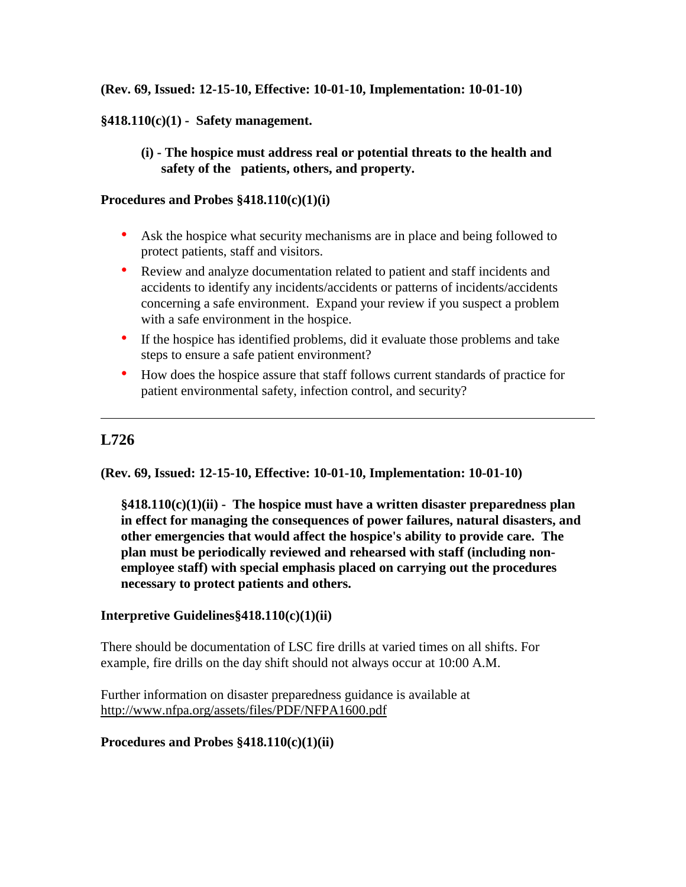### **(Rev. 69, Issued: 12-15-10, Effective: 10-01-10, Implementation: 10-01-10)**

### **§418.110(c)(1) - Safety management.**

**(i) - The hospice must address real or potential threats to the health and safety of the patients, others, and property.** 

#### **Procedures and Probes §418.110(c)(1)(i)**

- Ask the hospice what security mechanisms are in place and being followed to protect patients, staff and visitors.
- Review and analyze documentation related to patient and staff incidents and accidents to identify any incidents/accidents or patterns of incidents/accidents concerning a safe environment. Expand your review if you suspect a problem with a safe environment in the hospice.
- If the hospice has identified problems, did it evaluate those problems and take steps to ensure a safe patient environment?
- How does the hospice assure that staff follows current standards of practice for patient environmental safety, infection control, and security?

## **L726**

**(Rev. 69, Issued: 12-15-10, Effective: 10-01-10, Implementation: 10-01-10)**

**§418.110(c)(1)(ii) - The hospice must have a written disaster preparedness plan in effect for managing the consequences of power failures, natural disasters, and other emergencies that would affect the hospice's ability to provide care. The plan must be periodically reviewed and rehearsed with staff (including nonemployee staff) with special emphasis placed on carrying out the procedures necessary to protect patients and others.**

#### **Interpretive Guidelines§418.110(c)(1)(ii)**

There should be documentation of LSC fire drills at varied times on all shifts. For example, fire drills on the day shift should not always occur at 10:00 A.M.

Further information on disaster preparedness guidance is available at <http://www.nfpa.org/assets/files/PDF/NFPA1600.pdf>

#### **Procedures and Probes §418.110(c)(1)(ii)**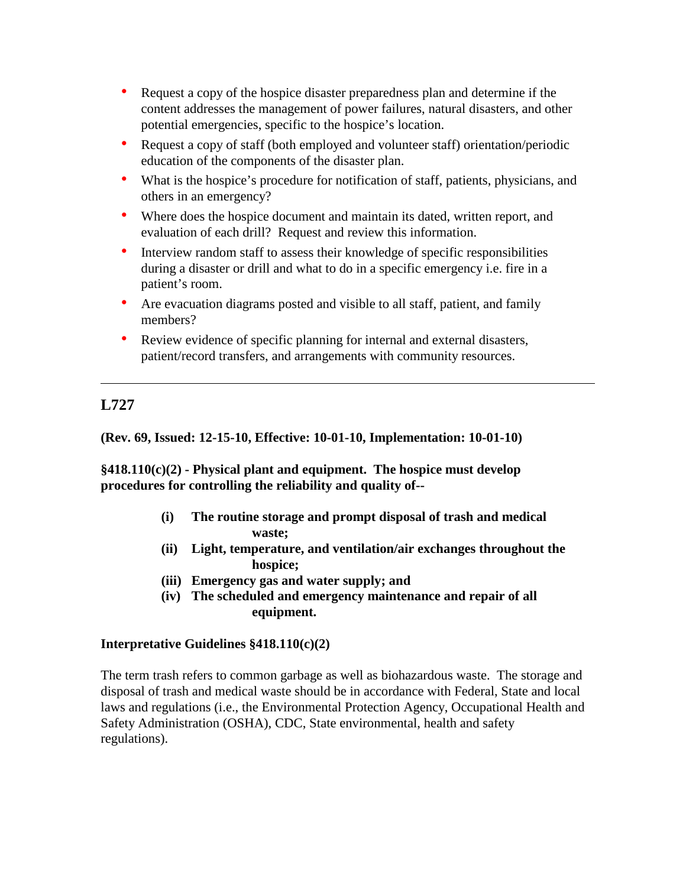- Request a copy of the hospice disaster preparedness plan and determine if the content addresses the management of power failures, natural disasters, and other potential emergencies, specific to the hospice's location.
- Request a copy of staff (both employed and volunteer staff) orientation/periodic education of the components of the disaster plan.
- What is the hospice's procedure for notification of staff, patients, physicians, and others in an emergency?
- Where does the hospice document and maintain its dated, written report, and evaluation of each drill? Request and review this information.
- Interview random staff to assess their knowledge of specific responsibilities during a disaster or drill and what to do in a specific emergency i.e. fire in a patient's room.
- Are evacuation diagrams posted and visible to all staff, patient, and family members?
- Review evidence of specific planning for internal and external disasters, patient/record transfers, and arrangements with community resources.

# **L727**

**(Rev. 69, Issued: 12-15-10, Effective: 10-01-10, Implementation: 10-01-10)**

**§418.110(c)(2) - Physical plant and equipment. The hospice must develop procedures for controlling the reliability and quality of--**

- **(i) The routine storage and prompt disposal of trash and medical waste;**
- **(ii) Light, temperature, and ventilation/air exchanges throughout the hospice;**
- **(iii) Emergency gas and water supply; and**
- **(iv) The scheduled and emergency maintenance and repair of all equipment.**

## **Interpretative Guidelines §418.110(c)(2)**

The term trash refers to common garbage as well as biohazardous waste. The storage and disposal of trash and medical waste should be in accordance with Federal, State and local laws and regulations (i.e., the Environmental Protection Agency, Occupational Health and Safety Administration (OSHA), CDC, State environmental, health and safety regulations).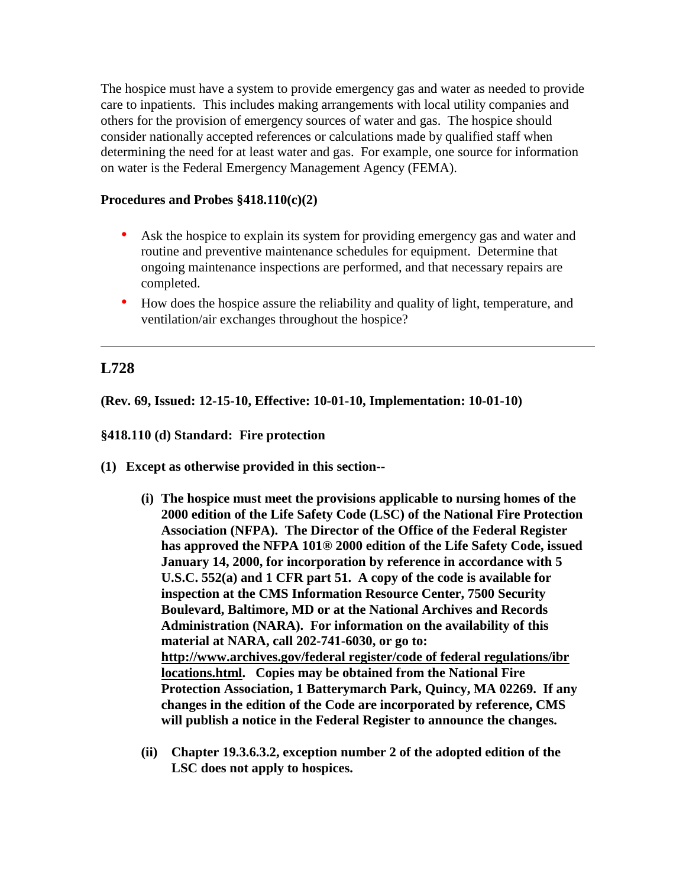The hospice must have a system to provide emergency gas and water as needed to provide care to inpatients. This includes making arrangements with local utility companies and others for the provision of emergency sources of water and gas. The hospice should consider nationally accepted references or calculations made by qualified staff when determining the need for at least water and gas. For example, one source for information on water is the Federal Emergency Management Agency (FEMA).

#### **Procedures and Probes §418.110(c)(2)**

- Ask the hospice to explain its system for providing emergency gas and water and routine and preventive maintenance schedules for equipment. Determine that ongoing maintenance inspections are performed, and that necessary repairs are completed.
- How does the hospice assure the reliability and quality of light, temperature, and ventilation/air exchanges throughout the hospice?

# **L728**

**(Rev. 69, Issued: 12-15-10, Effective: 10-01-10, Implementation: 10-01-10)**

### **§418.110 (d) Standard: Fire protection**

- **(1) Except as otherwise provided in this section--**
	- **(i) The hospice must meet the provisions applicable to nursing homes of the 2000 edition of the Life Safety Code (LSC) of the National Fire Protection Association (NFPA). The Director of the Office of the Federal Register has approved the NFPA 101® 2000 edition of the Life Safety Code, issued January 14, 2000, for incorporation by reference in accordance with 5 U.S.C. 552(a) and 1 CFR part 51. A copy of the code is available for inspection at the CMS Information Resource Center, 7500 Security Boulevard, Baltimore, MD or at the National Archives and Records Administration (NARA). For information on the availability of this material at NARA, call 202-741-6030, or go to: [http://www.archives.gov/federal register/code of federal regulations/ibr](http://www.archives.gov/federal%20register/code%20of%20federal%20regulations/ibr%20locations.html)  [locations.html.](http://www.archives.gov/federal%20register/code%20of%20federal%20regulations/ibr%20locations.html) Copies may be obtained from the National Fire Protection Association, 1 Batterymarch Park, Quincy, MA 02269. If any changes in the edition of the Code are incorporated by reference, CMS will publish a notice in the Federal Register to announce the changes.**
	- **(ii) Chapter 19.3.6.3.2, exception number 2 of the adopted edition of the LSC does not apply to hospices.**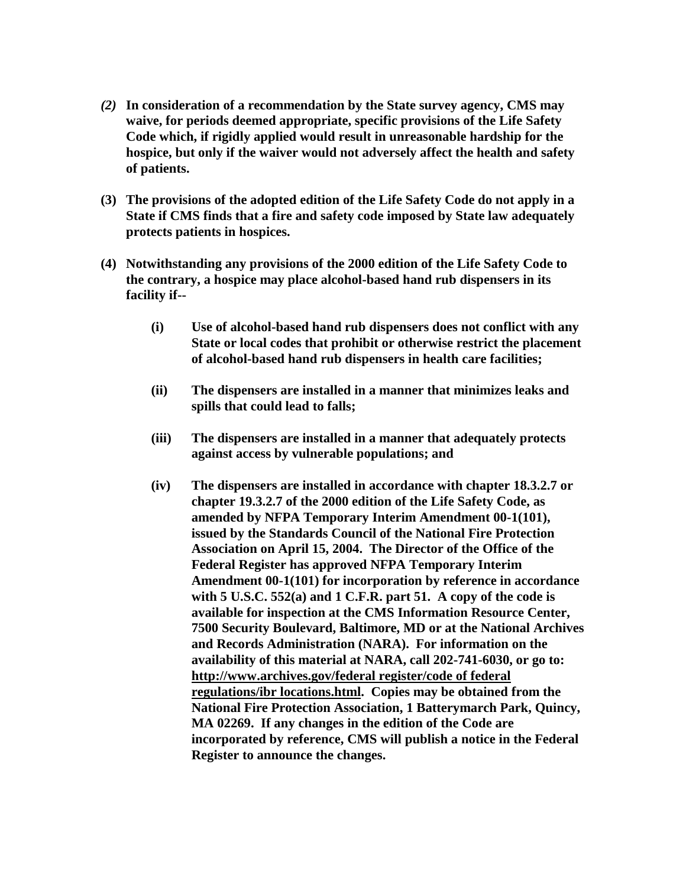- *(2)* **In consideration of a recommendation by the State survey agency, CMS may waive, for periods deemed appropriate, specific provisions of the Life Safety Code which, if rigidly applied would result in unreasonable hardship for the hospice, but only if the waiver would not adversely affect the health and safety of patients.**
- **(3) The provisions of the adopted edition of the Life Safety Code do not apply in a State if CMS finds that a fire and safety code imposed by State law adequately protects patients in hospices.**
- **(4) Notwithstanding any provisions of the 2000 edition of the Life Safety Code to the contrary, a hospice may place alcohol-based hand rub dispensers in its facility if--**
	- **(i) Use of alcohol-based hand rub dispensers does not conflict with any State or local codes that prohibit or otherwise restrict the placement of alcohol-based hand rub dispensers in health care facilities;**
	- **(ii) The dispensers are installed in a manner that minimizes leaks and spills that could lead to falls;**
	- **(iii) The dispensers are installed in a manner that adequately protects against access by vulnerable populations; and**
	- **(iv) The dispensers are installed in accordance with chapter 18.3.2.7 or chapter 19.3.2.7 of the 2000 edition of the Life Safety Code, as amended by NFPA Temporary Interim Amendment 00-1(101), issued by the Standards Council of the National Fire Protection Association on April 15, 2004. The Director of the Office of the Federal Register has approved NFPA Temporary Interim Amendment 00-1(101) for incorporation by reference in accordance with 5 U.S.C. 552(a) and 1 C.F.R. part 51. A copy of the code is available for inspection at the CMS Information Resource Center, 7500 Security Boulevard, Baltimore, MD or at the National Archives and Records Administration (NARA). For information on the availability of this material at NARA, call 202-741-6030, or go to: [http://www.archives.gov/federal register/code of federal](http://www.archives.gov/federal%20register/code%20of%20federal%20regulations/ibr%20locations.html)  [regulations/ibr locations.html.](http://www.archives.gov/federal%20register/code%20of%20federal%20regulations/ibr%20locations.html) Copies may be obtained from the National Fire Protection Association, 1 Batterymarch Park, Quincy, MA 02269. If any changes in the edition of the Code are incorporated by reference, CMS will publish a notice in the Federal Register to announce the changes.**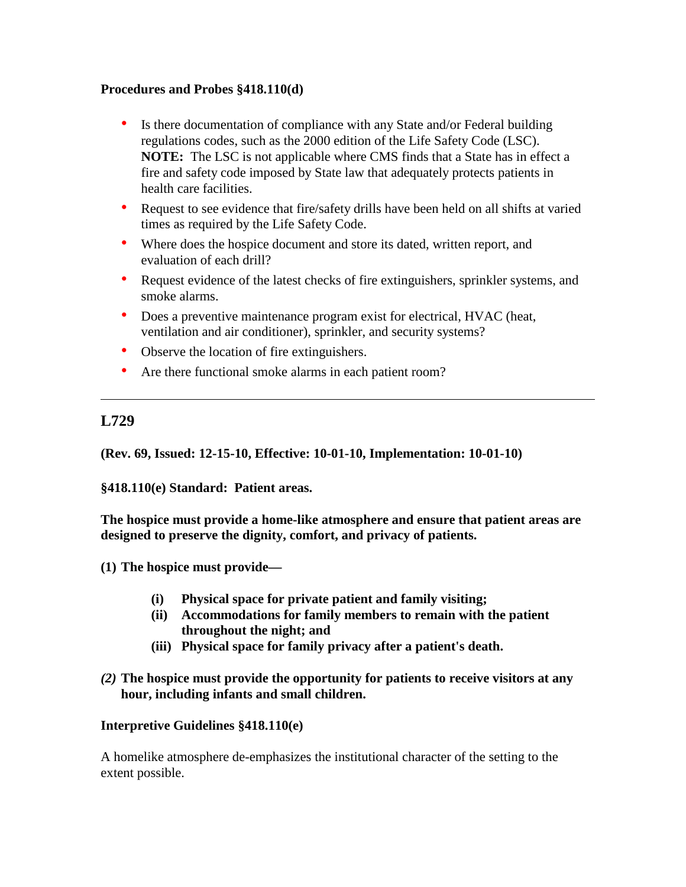### **Procedures and Probes §418.110(d)**

- Is there documentation of compliance with any State and/or Federal building regulations codes, such as the 2000 edition of the Life Safety Code (LSC). **NOTE:** The LSC is not applicable where CMS finds that a State has in effect a fire and safety code imposed by State law that adequately protects patients in health care facilities.
- Request to see evidence that fire/safety drills have been held on all shifts at varied times as required by the Life Safety Code.
- Where does the hospice document and store its dated, written report, and evaluation of each drill?
- Request evidence of the latest checks of fire extinguishers, sprinkler systems, and smoke alarms.
- Does a preventive maintenance program exist for electrical, HVAC (heat, ventilation and air conditioner), sprinkler, and security systems?
- Observe the location of fire extinguishers.
- Are there functional smoke alarms in each patient room?

# **L729**

**(Rev. 69, Issued: 12-15-10, Effective: 10-01-10, Implementation: 10-01-10)**

**§418.110(e) Standard: Patient areas.** 

**The hospice must provide a home-like atmosphere and ensure that patient areas are designed to preserve the dignity, comfort, and privacy of patients.** 

- **(1) The hospice must provide—**
	- **(i) Physical space for private patient and family visiting;**
	- **(ii) Accommodations for family members to remain with the patient throughout the night; and**
	- **(iii) Physical space for family privacy after a patient's death.**
- *(2)* **The hospice must provide the opportunity for patients to receive visitors at any hour, including infants and small children.**

## **Interpretive Guidelines §418.110(e)**

A homelike atmosphere de-emphasizes the institutional character of the setting to the extent possible.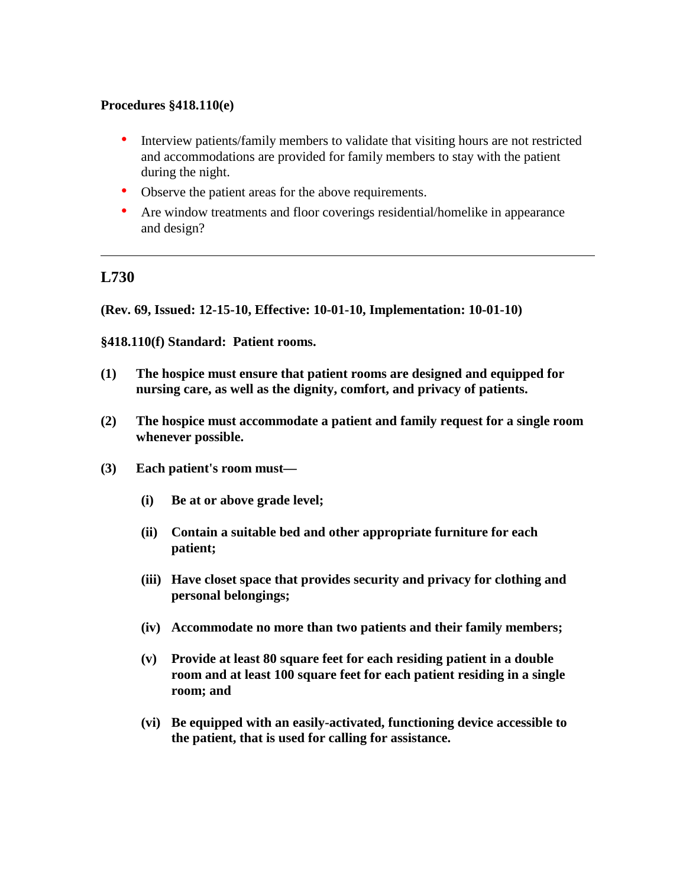#### **Procedures §418.110(e)**

- Interview patients/family members to validate that visiting hours are not restricted and accommodations are provided for family members to stay with the patient during the night.
- Observe the patient areas for the above requirements.
- Are window treatments and floor coverings residential/homelike in appearance and design?

# **L730**

**(Rev. 69, Issued: 12-15-10, Effective: 10-01-10, Implementation: 10-01-10)**

**§418.110(f) Standard: Patient rooms.** 

- **(1) The hospice must ensure that patient rooms are designed and equipped for nursing care, as well as the dignity, comfort, and privacy of patients.**
- **(2) The hospice must accommodate a patient and family request for a single room whenever possible.**
- **(3) Each patient's room must—**
	- **(i) Be at or above grade level;**
	- **(ii) Contain a suitable bed and other appropriate furniture for each patient;**
	- **(iii) Have closet space that provides security and privacy for clothing and personal belongings;**
	- **(iv) Accommodate no more than two patients and their family members;**
	- **(v) Provide at least 80 square feet for each residing patient in a double room and at least 100 square feet for each patient residing in a single room; and**
	- **(vi) Be equipped with an easily-activated, functioning device accessible to the patient, that is used for calling for assistance.**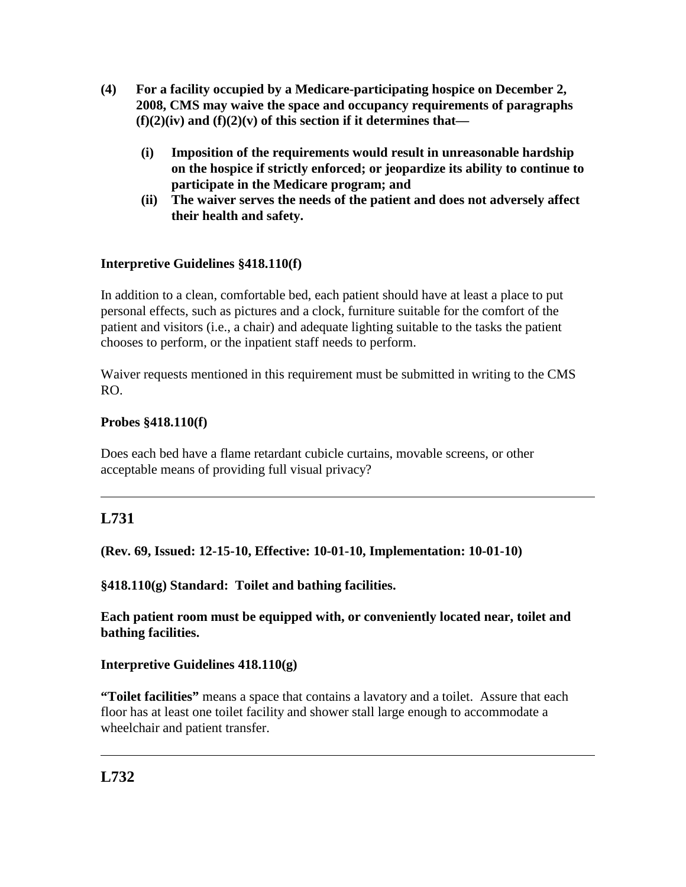- **(4) For a facility occupied by a Medicare-participating hospice on December 2, 2008, CMS may waive the space and occupancy requirements of paragraphs (f)(2)(iv) and (f)(2)(v) of this section if it determines that—**
	- **(i) Imposition of the requirements would result in unreasonable hardship on the hospice if strictly enforced; or jeopardize its ability to continue to participate in the Medicare program; and**
	- **(ii) The waiver serves the needs of the patient and does not adversely affect their health and safety.**

# **Interpretive Guidelines §418.110(f)**

In addition to a clean, comfortable bed, each patient should have at least a place to put personal effects, such as pictures and a clock, furniture suitable for the comfort of the patient and visitors (i.e., a chair) and adequate lighting suitable to the tasks the patient chooses to perform, or the inpatient staff needs to perform.

Waiver requests mentioned in this requirement must be submitted in writing to the CMS RO.

## **Probes §418.110(f)**

Does each bed have a flame retardant cubicle curtains, movable screens, or other acceptable means of providing full visual privacy?

# **L731**

**(Rev. 69, Issued: 12-15-10, Effective: 10-01-10, Implementation: 10-01-10)**

**§418.110(g) Standard: Toilet and bathing facilities.**

**Each patient room must be equipped with, or conveniently located near, toilet and bathing facilities.** 

## **Interpretive Guidelines 418.110(g)**

**"Toilet facilities"** means a space that contains a lavatory and a toilet. Assure that each floor has at least one toilet facility and shower stall large enough to accommodate a wheelchair and patient transfer.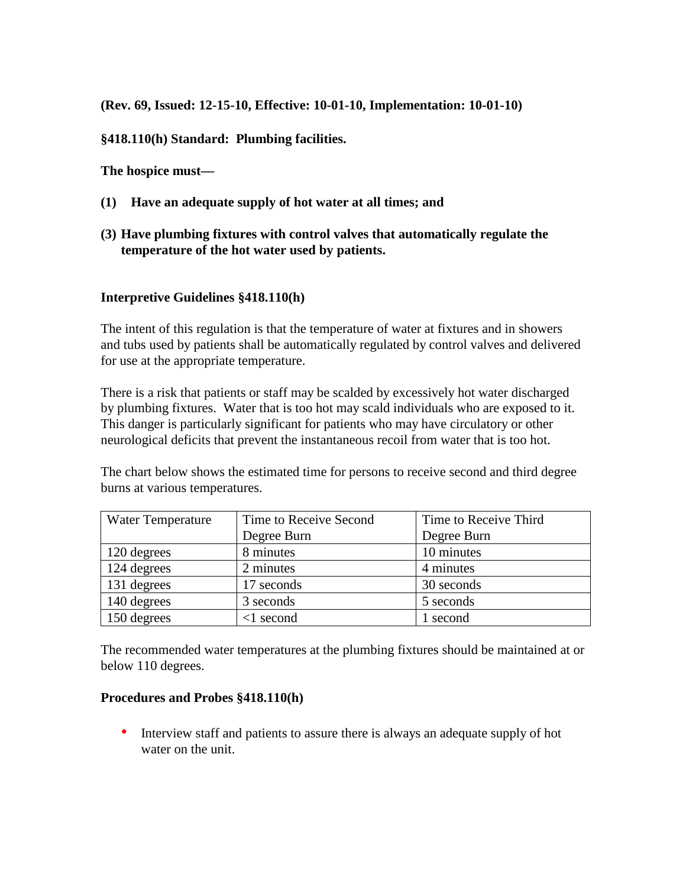**(Rev. 69, Issued: 12-15-10, Effective: 10-01-10, Implementation: 10-01-10)**

**§418.110(h) Standard: Plumbing facilities.** 

**The hospice must—**

- **(1) Have an adequate supply of hot water at all times; and**
- **(3) Have plumbing fixtures with control valves that automatically regulate the temperature of the hot water used by patients.**

### **Interpretive Guidelines §418.110(h)**

The intent of this regulation is that the temperature of water at fixtures and in showers and tubs used by patients shall be automatically regulated by control valves and delivered for use at the appropriate temperature.

There is a risk that patients or staff may be scalded by excessively hot water discharged by plumbing fixtures. Water that is too hot may scald individuals who are exposed to it. This danger is particularly significant for patients who may have circulatory or other neurological deficits that prevent the instantaneous recoil from water that is too hot.

The chart below shows the estimated time for persons to receive second and third degree burns at various temperatures.

| <b>Water Temperature</b> | Time to Receive Second | Time to Receive Third |
|--------------------------|------------------------|-----------------------|
|                          | Degree Burn            | Degree Burn           |
| $\vert$ 120 degrees      | 8 minutes              | 10 minutes            |
| 124 degrees              | 2 minutes              | 4 minutes             |
| 131 degrees              | 17 seconds             | 30 seconds            |
| 140 degrees              | 3 seconds              | 5 seconds             |
| 150 degrees              | $\leq$ 1 second        | 1 second              |

The recommended water temperatures at the plumbing fixtures should be maintained at or below 110 degrees.

#### **Procedures and Probes §418.110(h)**

• Interview staff and patients to assure there is always an adequate supply of hot water on the unit.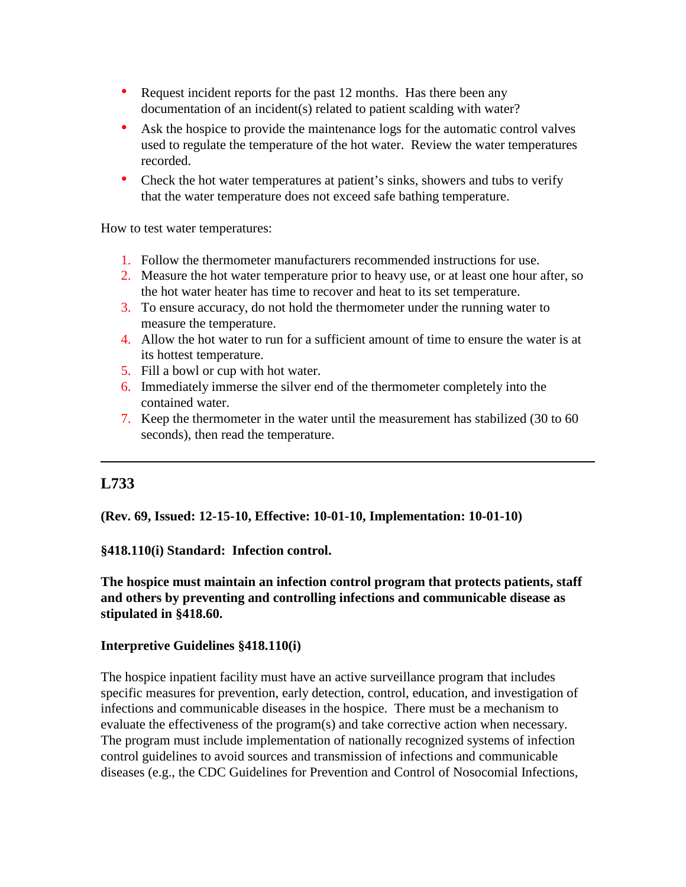- Request incident reports for the past 12 months. Has there been any documentation of an incident(s) related to patient scalding with water?
- Ask the hospice to provide the maintenance logs for the automatic control valves used to regulate the temperature of the hot water. Review the water temperatures recorded.
- Check the hot water temperatures at patient's sinks, showers and tubs to verify that the water temperature does not exceed safe bathing temperature.

How to test water temperatures:

- 1. Follow the thermometer manufacturers recommended instructions for use.
- 2. Measure the hot water temperature prior to heavy use, or at least one hour after, so the hot water heater has time to recover and heat to its set temperature.
- 3. To ensure accuracy, do not hold the thermometer under the running water to measure the temperature.
- 4. Allow the hot water to run for a sufficient amount of time to ensure the water is at its hottest temperature.
- 5. Fill a bowl or cup with hot water.
- 6. Immediately immerse the silver end of the thermometer completely into the contained water.
- 7. Keep the thermometer in the water until the measurement has stabilized (30 to 60 seconds), then read the temperature.

# **L733**

**(Rev. 69, Issued: 12-15-10, Effective: 10-01-10, Implementation: 10-01-10)**

**§418.110(i) Standard: Infection control.**

**The hospice must maintain an infection control program that protects patients, staff and others by preventing and controlling infections and communicable disease as stipulated in §418.60.**

#### **Interpretive Guidelines §418.110(i)**

The hospice inpatient facility must have an active surveillance program that includes specific measures for prevention, early detection, control, education, and investigation of infections and communicable diseases in the hospice. There must be a mechanism to evaluate the effectiveness of the program(s) and take corrective action when necessary. The program must include implementation of nationally recognized systems of infection control guidelines to avoid sources and transmission of infections and communicable diseases (e.g., the CDC Guidelines for Prevention and Control of Nosocomial Infections,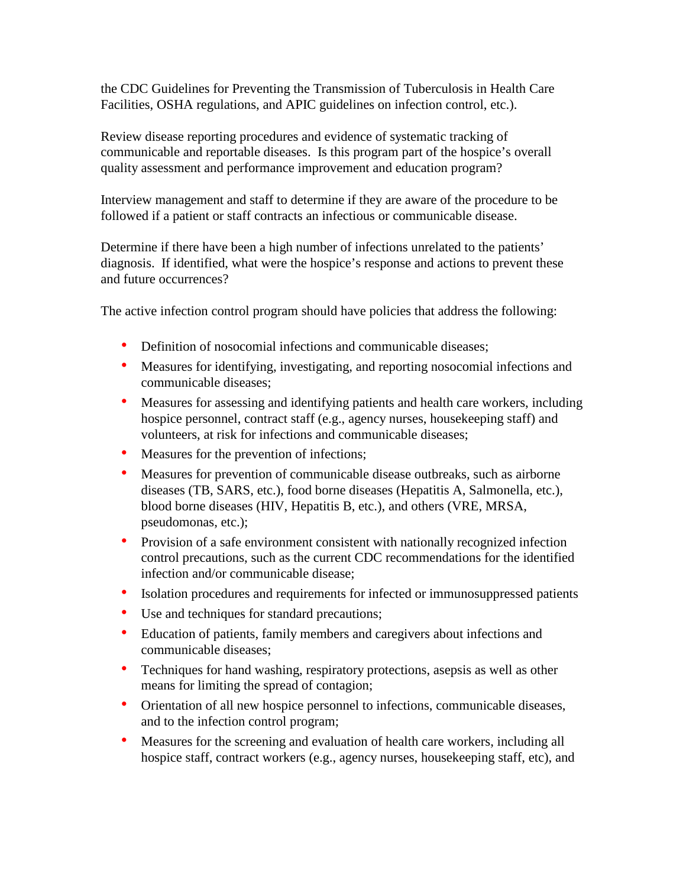the CDC Guidelines for Preventing the Transmission of Tuberculosis in Health Care Facilities, OSHA regulations, and APIC guidelines on infection control, etc.).

Review disease reporting procedures and evidence of systematic tracking of communicable and reportable diseases. Is this program part of the hospice's overall quality assessment and performance improvement and education program?

Interview management and staff to determine if they are aware of the procedure to be followed if a patient or staff contracts an infectious or communicable disease.

Determine if there have been a high number of infections unrelated to the patients' diagnosis. If identified, what were the hospice's response and actions to prevent these and future occurrences?

The active infection control program should have policies that address the following:

- Definition of nosocomial infections and communicable diseases;
- Measures for identifying, investigating, and reporting nosocomial infections and communicable diseases;
- Measures for assessing and identifying patients and health care workers, including hospice personnel, contract staff (e.g., agency nurses, housekeeping staff) and volunteers, at risk for infections and communicable diseases;
- Measures for the prevention of infections;
- Measures for prevention of communicable disease outbreaks, such as airborne diseases (TB, SARS, etc.), food borne diseases (Hepatitis A, Salmonella, etc.), blood borne diseases (HIV, Hepatitis B, etc.), and others (VRE, MRSA, pseudomonas, etc.);
- Provision of a safe environment consistent with nationally recognized infection control precautions, such as the current CDC recommendations for the identified infection and/or communicable disease;
- Isolation procedures and requirements for infected or immunosuppressed patients
- Use and techniques for standard precautions;
- Education of patients, family members and caregivers about infections and communicable diseases;
- Techniques for hand washing, respiratory protections, asepsis as well as other means for limiting the spread of contagion;
- Orientation of all new hospice personnel to infections, communicable diseases, and to the infection control program;
- Measures for the screening and evaluation of health care workers, including all hospice staff, contract workers (e.g., agency nurses, housekeeping staff, etc), and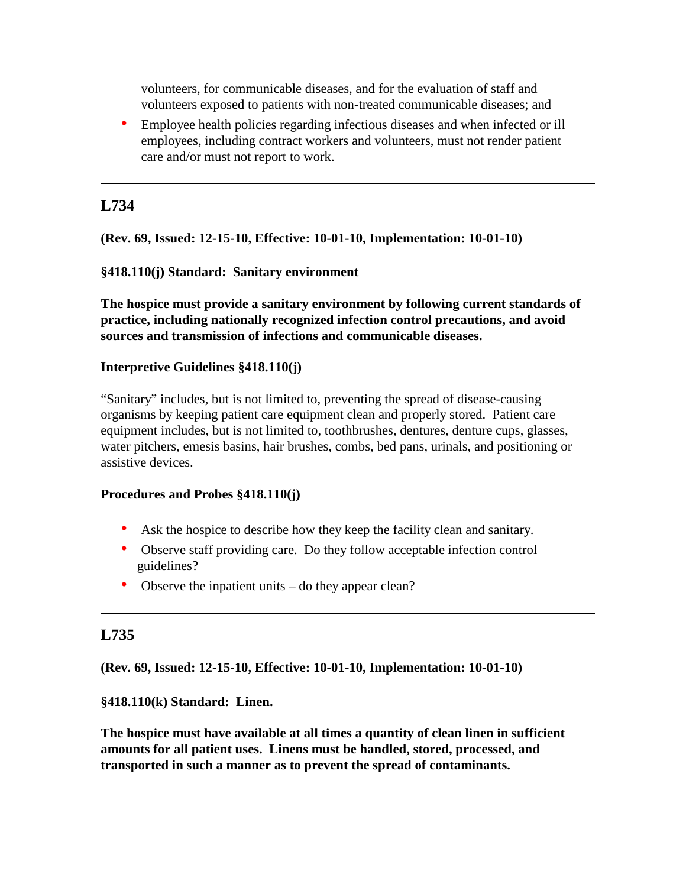volunteers, for communicable diseases, and for the evaluation of staff and volunteers exposed to patients with non-treated communicable diseases; and

• Employee health policies regarding infectious diseases and when infected or ill employees, including contract workers and volunteers, must not render patient care and/or must not report to work.

# **L734**

**(Rev. 69, Issued: 12-15-10, Effective: 10-01-10, Implementation: 10-01-10)**

## **§418.110(j) Standard: Sanitary environment**

**The hospice must provide a sanitary environment by following current standards of practice, including nationally recognized infection control precautions, and avoid sources and transmission of infections and communicable diseases.**

## **Interpretive Guidelines §418.110(j)**

"Sanitary" includes, but is not limited to, preventing the spread of disease-causing organisms by keeping patient care equipment clean and properly stored. Patient care equipment includes, but is not limited to, toothbrushes, dentures, denture cups, glasses, water pitchers, emesis basins, hair brushes, combs, bed pans, urinals, and positioning or assistive devices.

## **Procedures and Probes §418.110(j)**

- Ask the hospice to describe how they keep the facility clean and sanitary.
- Observe staff providing care. Do they follow acceptable infection control guidelines?
- Observe the inpatient units do they appear clean?

# **L735**

**(Rev. 69, Issued: 12-15-10, Effective: 10-01-10, Implementation: 10-01-10)**

**§418.110(k) Standard: Linen.** 

**The hospice must have available at all times a quantity of clean linen in sufficient amounts for all patient uses. Linens must be handled, stored, processed, and transported in such a manner as to prevent the spread of contaminants.**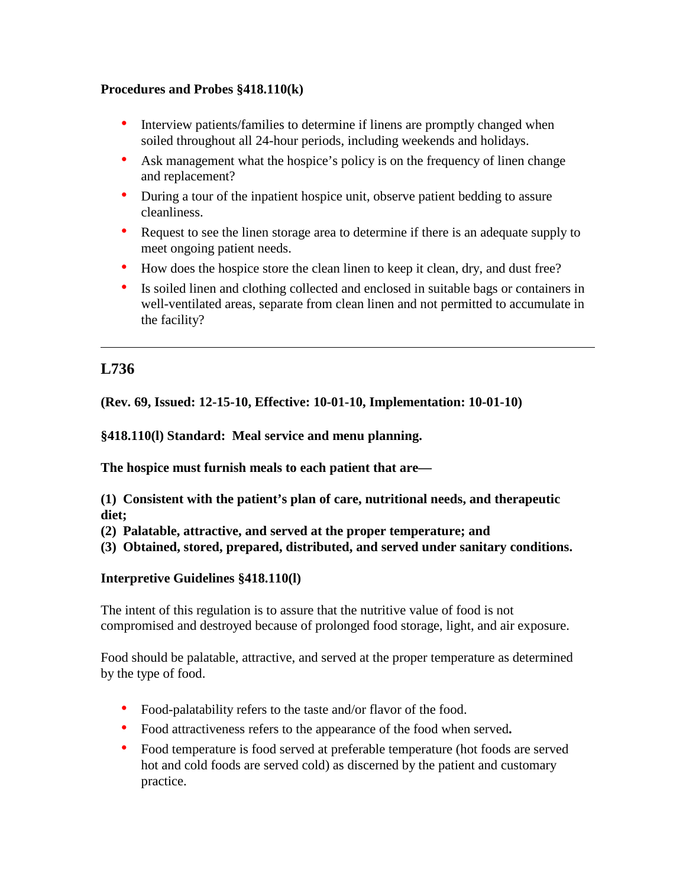## **Procedures and Probes §418.110(k)**

- Interview patients/families to determine if linens are promptly changed when soiled throughout all 24-hour periods, including weekends and holidays.
- Ask management what the hospice's policy is on the frequency of linen change and replacement?
- During a tour of the inpatient hospice unit, observe patient bedding to assure cleanliness.
- Request to see the linen storage area to determine if there is an adequate supply to meet ongoing patient needs.
- How does the hospice store the clean linen to keep it clean, dry, and dust free?
- Is soiled linen and clothing collected and enclosed in suitable bags or containers in well-ventilated areas, separate from clean linen and not permitted to accumulate in the facility?

# **L736**

**(Rev. 69, Issued: 12-15-10, Effective: 10-01-10, Implementation: 10-01-10)**

**§418.110(l) Standard: Meal service and menu planning.** 

**The hospice must furnish meals to each patient that are—**

**(1) Consistent with the patient's plan of care, nutritional needs, and therapeutic diet;**

**(2) Palatable, attractive, and served at the proper temperature; and** 

**(3) Obtained, stored, prepared, distributed, and served under sanitary conditions.**

# **Interpretive Guidelines §418.110(l)**

The intent of this regulation is to assure that the nutritive value of food is not compromised and destroyed because of prolonged food storage, light, and air exposure.

Food should be palatable, attractive, and served at the proper temperature as determined by the type of food.

- Food-palatability refers to the taste and/or flavor of the food.
- Food attractiveness refers to the appearance of the food when served**.**
- Food temperature is food served at preferable temperature (hot foods are served hot and cold foods are served cold) as discerned by the patient and customary practice.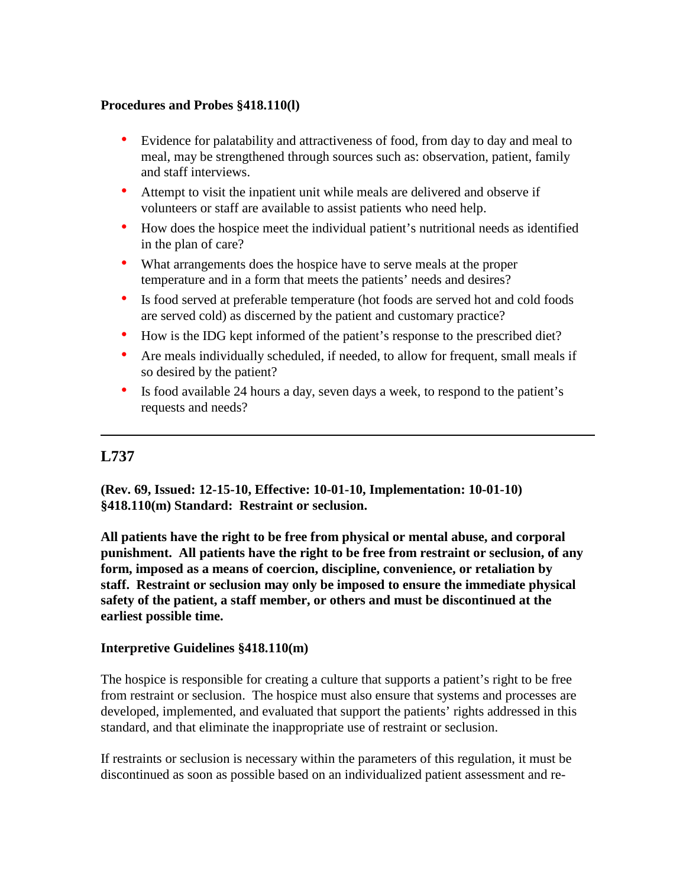### **Procedures and Probes §418.110(l)**

- Evidence for palatability and attractiveness of food, from day to day and meal to meal, may be strengthened through sources such as: observation, patient, family and staff interviews.
- Attempt to visit the inpatient unit while meals are delivered and observe if volunteers or staff are available to assist patients who need help.
- How does the hospice meet the individual patient's nutritional needs as identified in the plan of care?
- What arrangements does the hospice have to serve meals at the proper temperature and in a form that meets the patients' needs and desires?
- Is food served at preferable temperature (hot foods are served hot and cold foods are served cold) as discerned by the patient and customary practice?
- How is the IDG kept informed of the patient's response to the prescribed diet?
- Are meals individually scheduled, if needed, to allow for frequent, small meals if so desired by the patient?
- Is food available 24 hours a day, seven days a week, to respond to the patient's requests and needs?

# **L737**

**(Rev. 69, Issued: 12-15-10, Effective: 10-01-10, Implementation: 10-01-10) §418.110(m) Standard: Restraint or seclusion.** 

**All patients have the right to be free from physical or mental abuse, and corporal punishment. All patients have the right to be free from restraint or seclusion, of any form, imposed as a means of coercion, discipline, convenience, or retaliation by staff. Restraint or seclusion may only be imposed to ensure the immediate physical safety of the patient, a staff member, or others and must be discontinued at the earliest possible time.**

## **Interpretive Guidelines §418.110(m)**

The hospice is responsible for creating a culture that supports a patient's right to be free from restraint or seclusion. The hospice must also ensure that systems and processes are developed, implemented, and evaluated that support the patients' rights addressed in this standard, and that eliminate the inappropriate use of restraint or seclusion.

If restraints or seclusion is necessary within the parameters of this regulation, it must be discontinued as soon as possible based on an individualized patient assessment and re-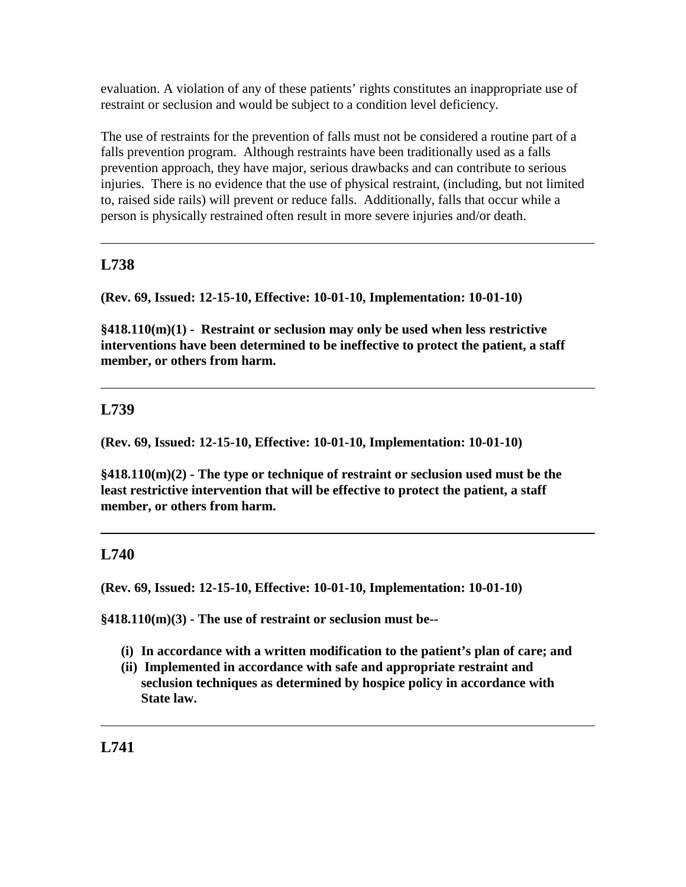evaluation. A violation of any of these patients' rights constitutes an inappropriate use of restraint or seclusion and would be subject to a condition level deficiency.

The use of restraints for the prevention of falls must not be considered a routine part of a falls prevention program. Although restraints have been traditionally used as a falls prevention approach, they have major, serious drawbacks and can contribute to serious injuries. There is no evidence that the use of physical restraint, (including, but not limited to, raised side rails) will prevent or reduce falls. Additionally, falls that occur while a person is physically restrained often result in more severe injuries and/or death.

# **L738**

**(Rev. 69, Issued: 12-15-10, Effective: 10-01-10, Implementation: 10-01-10)**

**§418.110(m)(1) - Restraint or seclusion may only be used when less restrictive interventions have been determined to be ineffective to protect the patient, a staff member, or others from harm.**

# **L739**

**(Rev. 69, Issued: 12-15-10, Effective: 10-01-10, Implementation: 10-01-10)**

**§418.110(m)(2) - The type or technique of restraint or seclusion used must be the least restrictive intervention that will be effective to protect the patient, a staff member, or others from harm.**

# **L740**

**(Rev. 69, Issued: 12-15-10, Effective: 10-01-10, Implementation: 10-01-10)**

**§418.110(m)(3) - The use of restraint or seclusion must be--**

- **(i) In accordance with a written modification to the patient's plan of care; and**
- **(ii) Implemented in accordance with safe and appropriate restraint and seclusion techniques as determined by hospice policy in accordance with State law.**

**L741**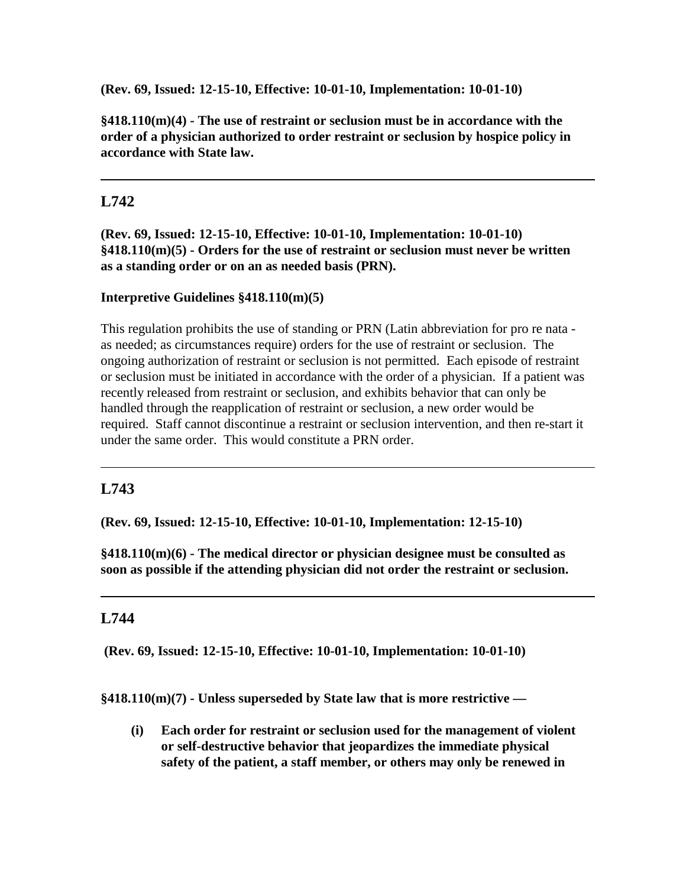**(Rev. 69, Issued: 12-15-10, Effective: 10-01-10, Implementation: 10-01-10)**

**§418.110(m)(4) - The use of restraint or seclusion must be in accordance with the order of a physician authorized to order restraint or seclusion by hospice policy in accordance with State law.**

# **L742**

**(Rev. 69, Issued: 12-15-10, Effective: 10-01-10, Implementation: 10-01-10) §418.110(m)(5) - Orders for the use of restraint or seclusion must never be written as a standing order or on an as needed basis (PRN).**

#### **Interpretive Guidelines §418.110(m)(5)**

This regulation prohibits the use of standing or PRN (Latin abbreviation for pro re nata as needed; as circumstances require) orders for the use of restraint or seclusion. The ongoing authorization of restraint or seclusion is not permitted. Each episode of restraint or seclusion must be initiated in accordance with the order of a physician. If a patient was recently released from restraint or seclusion, and exhibits behavior that can only be handled through the reapplication of restraint or seclusion, a new order would be required. Staff cannot discontinue a restraint or seclusion intervention, and then re-start it under the same order. This would constitute a PRN order.

# **L743**

**(Rev. 69, Issued: 12-15-10, Effective: 10-01-10, Implementation: 12-15-10)**

**§418.110(m)(6) - The medical director or physician designee must be consulted as soon as possible if the attending physician did not order the restraint or seclusion.**

# **L744**

**(Rev. 69, Issued: 12-15-10, Effective: 10-01-10, Implementation: 10-01-10)**

**§418.110(m)(7) - Unless superseded by State law that is more restrictive —**

**(i) Each order for restraint or seclusion used for the management of violent or self-destructive behavior that jeopardizes the immediate physical safety of the patient, a staff member, or others may only be renewed in**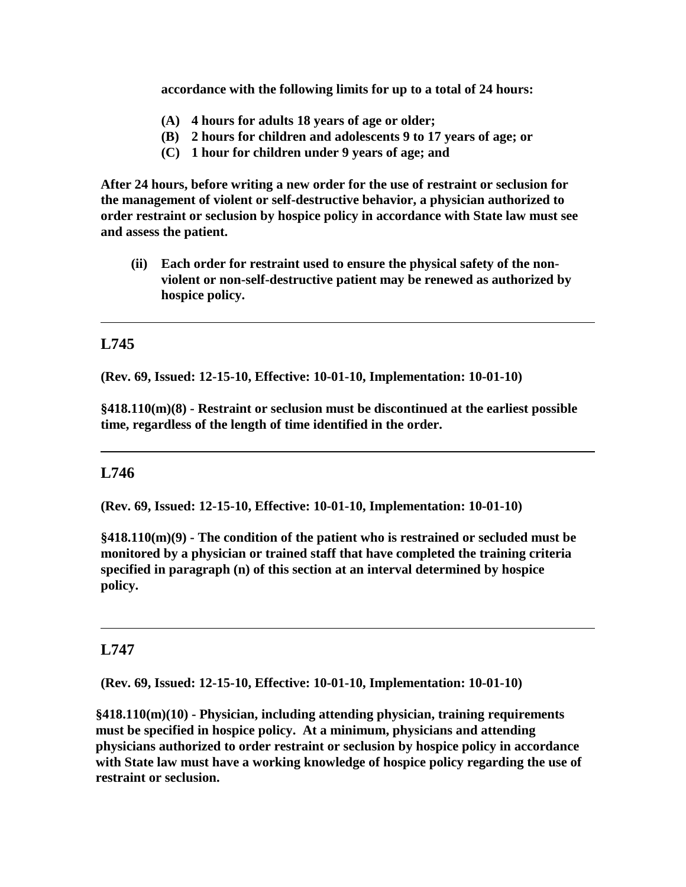**accordance with the following limits for up to a total of 24 hours:**

- **(A) 4 hours for adults 18 years of age or older;**
- **(B) 2 hours for children and adolescents 9 to 17 years of age; or**
- **(C) 1 hour for children under 9 years of age; and**

**After 24 hours, before writing a new order for the use of restraint or seclusion for the management of violent or self-destructive behavior, a physician authorized to order restraint or seclusion by hospice policy in accordance with State law must see and assess the patient.** 

**(ii) Each order for restraint used to ensure the physical safety of the nonviolent or non-self-destructive patient may be renewed as authorized by hospice policy.**

## **L745**

**(Rev. 69, Issued: 12-15-10, Effective: 10-01-10, Implementation: 10-01-10)**

**§418.110(m)(8) - Restraint or seclusion must be discontinued at the earliest possible time, regardless of the length of time identified in the order.**

# **L746**

**(Rev. 69, Issued: 12-15-10, Effective: 10-01-10, Implementation: 10-01-10)**

**§418.110(m)(9) - The condition of the patient who is restrained or secluded must be monitored by a physician or trained staff that have completed the training criteria specified in paragraph (n) of this section at an interval determined by hospice policy.**

#### **L747**

**(Rev. 69, Issued: 12-15-10, Effective: 10-01-10, Implementation: 10-01-10)**

**§418.110(m)(10) - Physician, including attending physician, training requirements must be specified in hospice policy. At a minimum, physicians and attending physicians authorized to order restraint or seclusion by hospice policy in accordance with State law must have a working knowledge of hospice policy regarding the use of restraint or seclusion.**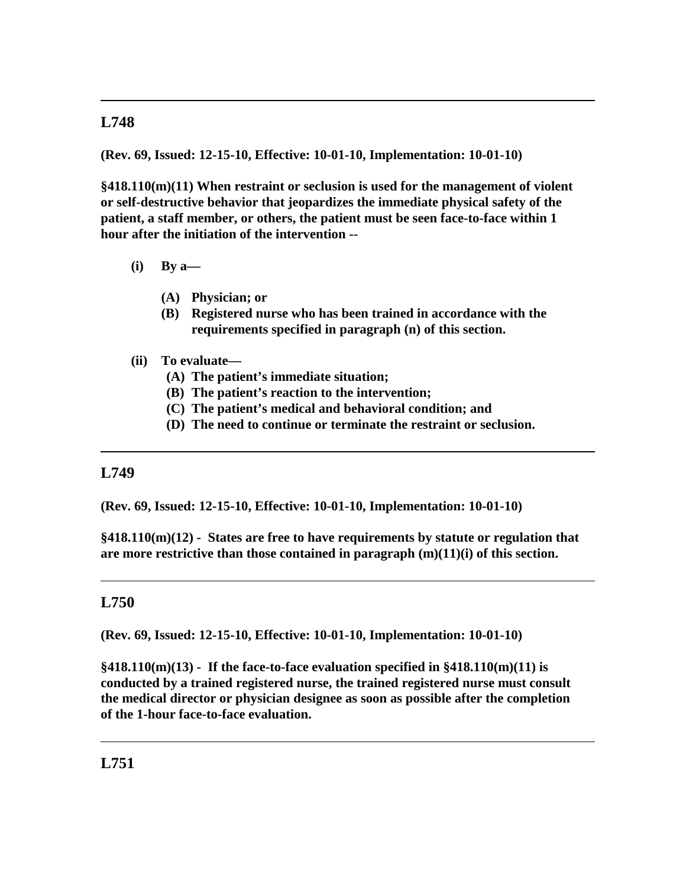**(Rev. 69, Issued: 12-15-10, Effective: 10-01-10, Implementation: 10-01-10)**

**§418.110(m)(11) When restraint or seclusion is used for the management of violent or self-destructive behavior that jeopardizes the immediate physical safety of the patient, a staff member, or others, the patient must be seen face-to-face within 1 hour after the initiation of the intervention --**

- **(i) By a—**
	- **(A) Physician; or**
	- **(B) Registered nurse who has been trained in accordance with the requirements specified in paragraph (n) of this section.**
- **(ii) To evaluate—**
	- **(A) The patient's immediate situation;**
	- **(B) The patient's reaction to the intervention;**
	- **(C) The patient's medical and behavioral condition; and**
	- **(D) The need to continue or terminate the restraint or seclusion.**

#### **L749**

**(Rev. 69, Issued: 12-15-10, Effective: 10-01-10, Implementation: 10-01-10)**

**§418.110(m)(12) - States are free to have requirements by statute or regulation that are more restrictive than those contained in paragraph (m)(11)(i) of this section.**

# **L750**

**(Rev. 69, Issued: 12-15-10, Effective: 10-01-10, Implementation: 10-01-10)**

**§418.110(m)(13) - If the face-to-face evaluation specified in §418.110(m)(11) is conducted by a trained registered nurse, the trained registered nurse must consult the medical director or physician designee as soon as possible after the completion of the 1-hour face-to-face evaluation.**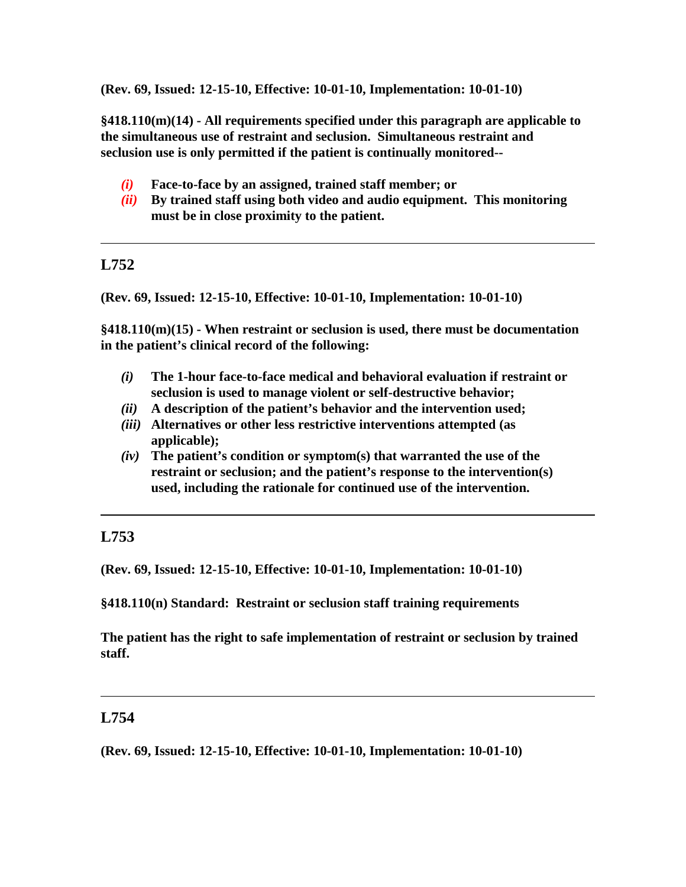**(Rev. 69, Issued: 12-15-10, Effective: 10-01-10, Implementation: 10-01-10)**

**§418.110(m)(14) - All requirements specified under this paragraph are applicable to the simultaneous use of restraint and seclusion. Simultaneous restraint and seclusion use is only permitted if the patient is continually monitored--**

- *(i)* **Face-to-face by an assigned, trained staff member; or**
- *(ii)* **By trained staff using both video and audio equipment. This monitoring must be in close proximity to the patient.**

# **L752**

**(Rev. 69, Issued: 12-15-10, Effective: 10-01-10, Implementation: 10-01-10)**

**§418.110(m)(15) - When restraint or seclusion is used, there must be documentation in the patient's clinical record of the following:**

- *(i)* **The 1-hour face-to-face medical and behavioral evaluation if restraint or seclusion is used to manage violent or self-destructive behavior;**
- *(ii)* **A description of the patient's behavior and the intervention used;**
- *(iii)* **Alternatives or other less restrictive interventions attempted (as applicable);**
- *(iv)* **The patient's condition or symptom(s) that warranted the use of the restraint or seclusion; and the patient's response to the intervention(s) used, including the rationale for continued use of the intervention.**

# **L753**

**(Rev. 69, Issued: 12-15-10, Effective: 10-01-10, Implementation: 10-01-10)**

**§418.110(n) Standard: Restraint or seclusion staff training requirements**

**The patient has the right to safe implementation of restraint or seclusion by trained staff.**

# **L754**

**(Rev. 69, Issued: 12-15-10, Effective: 10-01-10, Implementation: 10-01-10)**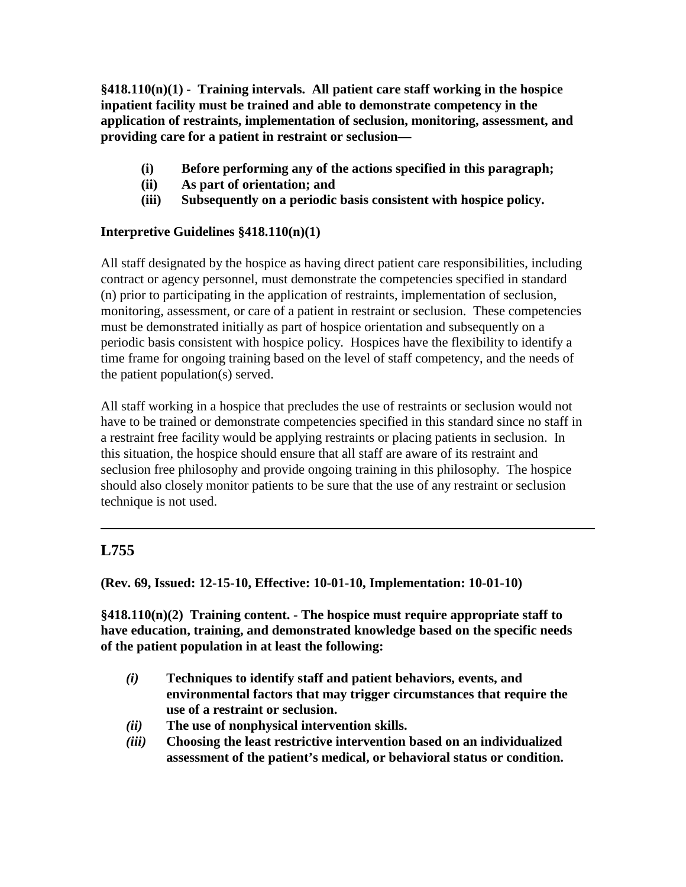**§418.110(n)(1) - Training intervals. All patient care staff working in the hospice inpatient facility must be trained and able to demonstrate competency in the application of restraints, implementation of seclusion, monitoring, assessment, and providing care for a patient in restraint or seclusion—**

- **(i) Before performing any of the actions specified in this paragraph;**
- **(ii) As part of orientation; and**
- **(iii) Subsequently on a periodic basis consistent with hospice policy.**

## **Interpretive Guidelines §418.110(n)(1)**

All staff designated by the hospice as having direct patient care responsibilities, including contract or agency personnel, must demonstrate the competencies specified in standard (n) prior to participating in the application of restraints, implementation of seclusion, monitoring, assessment, or care of a patient in restraint or seclusion. These competencies must be demonstrated initially as part of hospice orientation and subsequently on a periodic basis consistent with hospice policy. Hospices have the flexibility to identify a time frame for ongoing training based on the level of staff competency, and the needs of the patient population(s) served.

All staff working in a hospice that precludes the use of restraints or seclusion would not have to be trained or demonstrate competencies specified in this standard since no staff in a restraint free facility would be applying restraints or placing patients in seclusion. In this situation, the hospice should ensure that all staff are aware of its restraint and seclusion free philosophy and provide ongoing training in this philosophy. The hospice should also closely monitor patients to be sure that the use of any restraint or seclusion technique is not used.

# **L755**

**(Rev. 69, Issued: 12-15-10, Effective: 10-01-10, Implementation: 10-01-10)**

**§418.110(n)(2) Training content. - The hospice must require appropriate staff to have education, training, and demonstrated knowledge based on the specific needs of the patient population in at least the following:**

- *(i)* **Techniques to identify staff and patient behaviors, events, and environmental factors that may trigger circumstances that require the use of a restraint or seclusion.**
- *(ii)* **The use of nonphysical intervention skills.**
- *(iii)* **Choosing the least restrictive intervention based on an individualized assessment of the patient's medical, or behavioral status or condition.**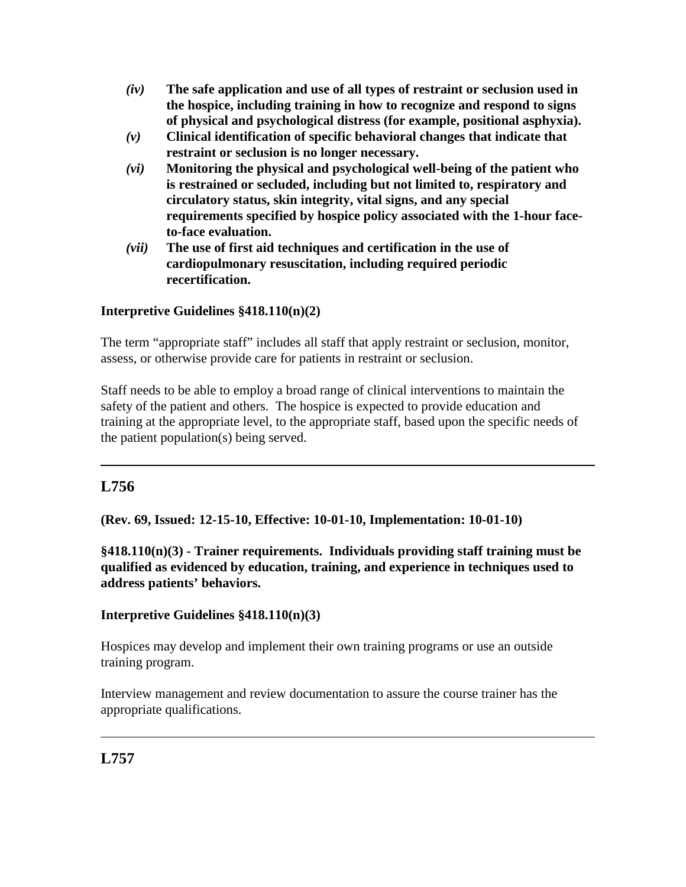- *(iv)* **The safe application and use of all types of restraint or seclusion used in the hospice, including training in how to recognize and respond to signs of physical and psychological distress (for example, positional asphyxia).**
- *(v)* **Clinical identification of specific behavioral changes that indicate that restraint or seclusion is no longer necessary.**
- *(vi)* **Monitoring the physical and psychological well-being of the patient who is restrained or secluded, including but not limited to, respiratory and circulatory status, skin integrity, vital signs, and any special requirements specified by hospice policy associated with the 1-hour faceto-face evaluation.**
- *(vii)* **The use of first aid techniques and certification in the use of cardiopulmonary resuscitation, including required periodic recertification.**

# **Interpretive Guidelines §418.110(n)(2)**

The term "appropriate staff" includes all staff that apply restraint or seclusion, monitor, assess, or otherwise provide care for patients in restraint or seclusion.

Staff needs to be able to employ a broad range of clinical interventions to maintain the safety of the patient and others. The hospice is expected to provide education and training at the appropriate level, to the appropriate staff, based upon the specific needs of the patient population(s) being served.

# **L756**

**(Rev. 69, Issued: 12-15-10, Effective: 10-01-10, Implementation: 10-01-10)**

**§418.110(n)(3) - Trainer requirements. Individuals providing staff training must be qualified as evidenced by education, training, and experience in techniques used to address patients' behaviors.**

#### **Interpretive Guidelines §418.110(n)(3)**

Hospices may develop and implement their own training programs or use an outside training program.

Interview management and review documentation to assure the course trainer has the appropriate qualifications.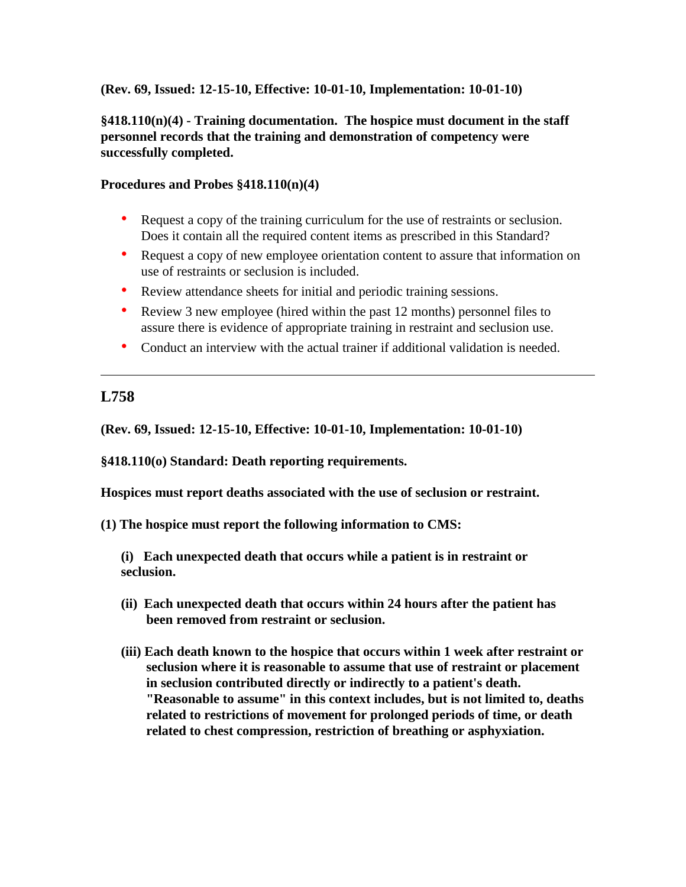#### **(Rev. 69, Issued: 12-15-10, Effective: 10-01-10, Implementation: 10-01-10)**

#### **§418.110(n)(4) - Training documentation. The hospice must document in the staff personnel records that the training and demonstration of competency were successfully completed.**

#### **Procedures and Probes §418.110(n)(4)**

- Request a copy of the training curriculum for the use of restraints or seclusion. Does it contain all the required content items as prescribed in this Standard?
- Request a copy of new employee orientation content to assure that information on use of restraints or seclusion is included.
- Review attendance sheets for initial and periodic training sessions.
- Review 3 new employee (hired within the past 12 months) personnel files to assure there is evidence of appropriate training in restraint and seclusion use.
- Conduct an interview with the actual trainer if additional validation is needed.

# **L758**

**(Rev. 69, Issued: 12-15-10, Effective: 10-01-10, Implementation: 10-01-10)**

**§418.110(o) Standard: Death reporting requirements.**

**Hospices must report deaths associated with the use of seclusion or restraint.** 

**(1) The hospice must report the following information to CMS:**

**(i) Each unexpected death that occurs while a patient is in restraint or seclusion.**

- **(ii) Each unexpected death that occurs within 24 hours after the patient has been removed from restraint or seclusion.**
- **(iii) Each death known to the hospice that occurs within 1 week after restraint or seclusion where it is reasonable to assume that use of restraint or placement in seclusion contributed directly or indirectly to a patient's death. "Reasonable to assume" in this context includes, but is not limited to, deaths related to restrictions of movement for prolonged periods of time, or death related to chest compression, restriction of breathing or asphyxiation.**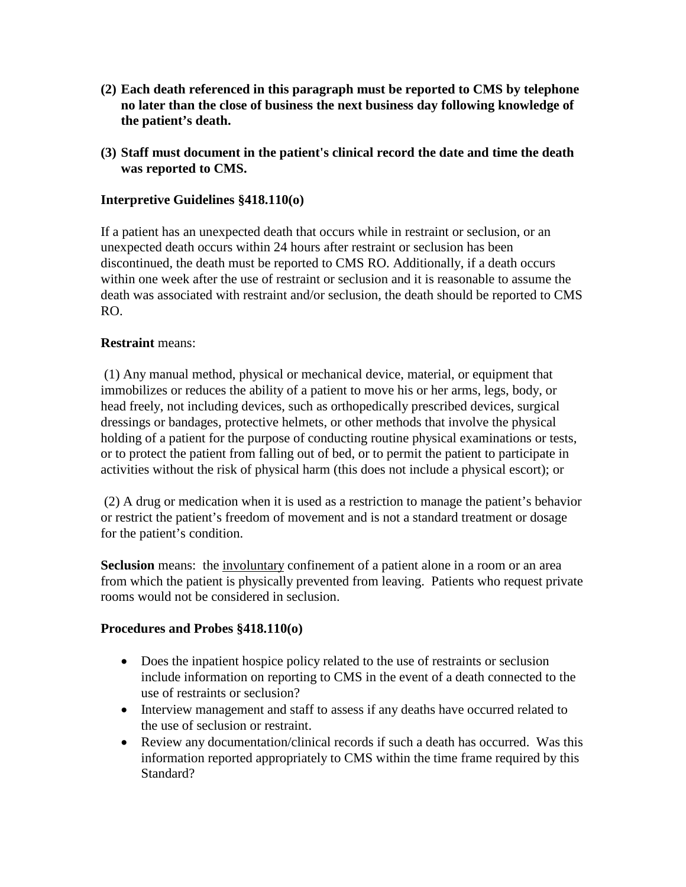- **(2) Each death referenced in this paragraph must be reported to CMS by telephone no later than the close of business the next business day following knowledge of the patient's death.**
- **(3) Staff must document in the patient's clinical record the date and time the death was reported to CMS.**

### **Interpretive Guidelines §418.110(o)**

If a patient has an unexpected death that occurs while in restraint or seclusion, or an unexpected death occurs within 24 hours after restraint or seclusion has been discontinued, the death must be reported to CMS RO. Additionally, if a death occurs within one week after the use of restraint or seclusion and it is reasonable to assume the death was associated with restraint and/or seclusion, the death should be reported to CMS RO.

#### **Restraint** means:

(1) Any manual method, physical or mechanical device, material, or equipment that immobilizes or reduces the ability of a patient to move his or her arms, legs, body, or head freely, not including devices, such as orthopedically prescribed devices, surgical dressings or bandages, protective helmets, or other methods that involve the physical holding of a patient for the purpose of conducting routine physical examinations or tests, or to protect the patient from falling out of bed, or to permit the patient to participate in activities without the risk of physical harm (this does not include a physical escort); or

(2) A drug or medication when it is used as a restriction to manage the patient's behavior or restrict the patient's freedom of movement and is not a standard treatment or dosage for the patient's condition.

**Seclusion** means: the <u>involuntary</u> confinement of a patient alone in a room or an area from which the patient is physically prevented from leaving. Patients who request private rooms would not be considered in seclusion.

#### **Procedures and Probes §418.110(o)**

- Does the inpatient hospice policy related to the use of restraints or seclusion include information on reporting to CMS in the event of a death connected to the use of restraints or seclusion?
- Interview management and staff to assess if any deaths have occurred related to the use of seclusion or restraint.
- Review any documentation/clinical records if such a death has occurred. Was this information reported appropriately to CMS within the time frame required by this Standard?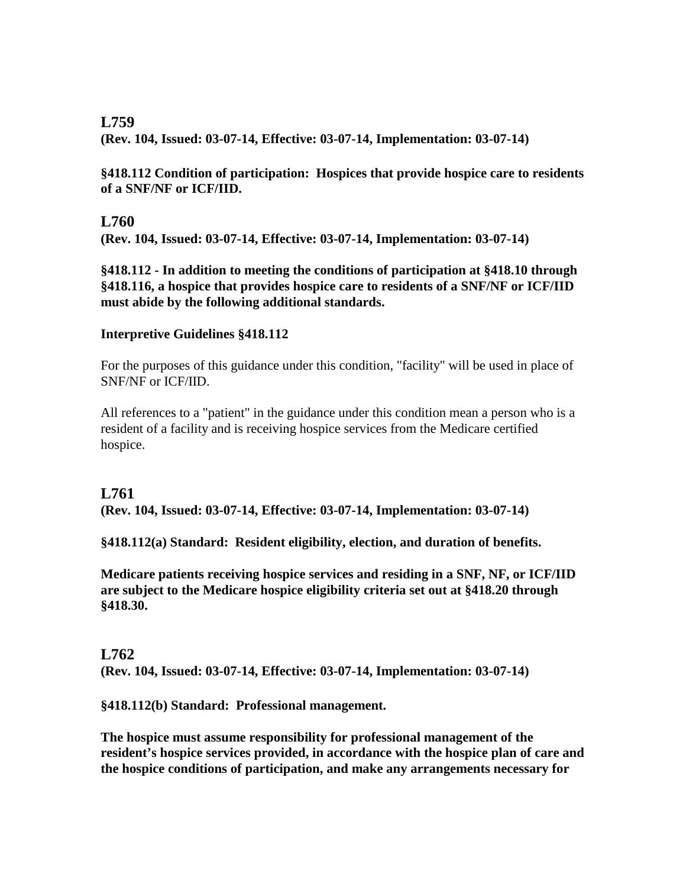**(Rev. 104, Issued: 03-07-14, Effective: 03-07-14, Implementation: 03-07-14)**

**§418.112 Condition of participation: Hospices that provide hospice care to residents of a SNF/NF or ICF/IID.**

#### **L760**

**(Rev. 104, Issued: 03-07-14, Effective: 03-07-14, Implementation: 03-07-14)**

**§418.112 - In addition to meeting the conditions of participation at §418.10 through §418.116, a hospice that provides hospice care to residents of a SNF/NF or ICF/IID must abide by the following additional standards.**

#### **Interpretive Guidelines §418.112**

For the purposes of this guidance under this condition, "facility" will be used in place of SNF/NF or ICF/IID.

All references to a "patient" in the guidance under this condition mean a person who is a resident of a facility and is receiving hospice services from the Medicare certified hospice.

# **L761**

**(Rev. 104, Issued: 03-07-14, Effective: 03-07-14, Implementation: 03-07-14)**

**§418.112(a) Standard: Resident eligibility, election, and duration of benefits.** 

**Medicare patients receiving hospice services and residing in a SNF, NF, or ICF/IID are subject to the Medicare hospice eligibility criteria set out at §418.20 through §418.30.**

#### **L762**

**(Rev. 104, Issued: 03-07-14, Effective: 03-07-14, Implementation: 03-07-14)**

**§418.112(b) Standard: Professional management.**

**The hospice must assume responsibility for professional management of the resident's hospice services provided, in accordance with the hospice plan of care and the hospice conditions of participation, and make any arrangements necessary for**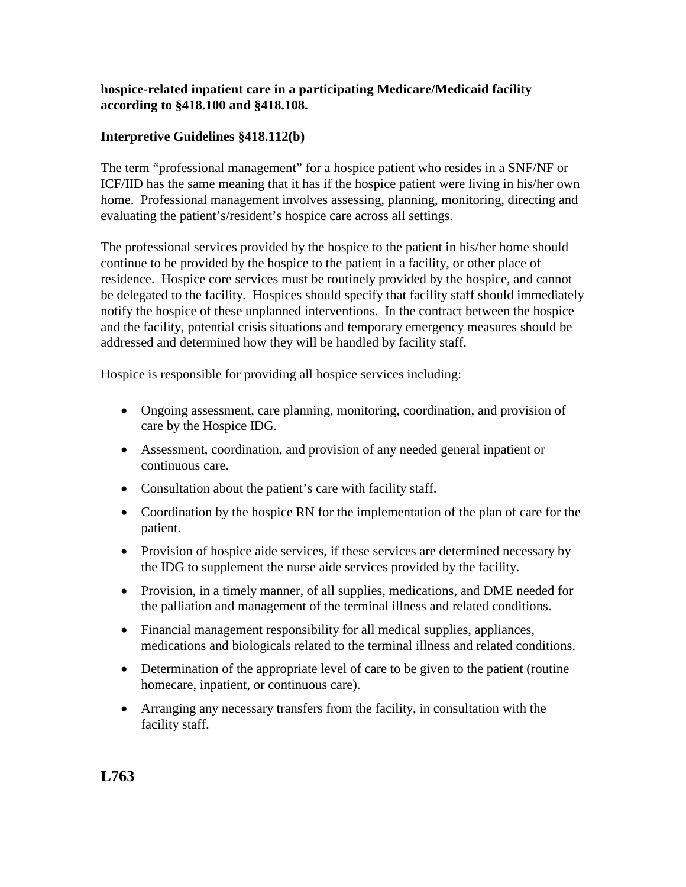#### **hospice-related inpatient care in a participating Medicare/Medicaid facility according to §418.100 and §418.108.**

### **Interpretive Guidelines §418.112(b)**

The term "professional management" for a hospice patient who resides in a SNF/NF or ICF/IID has the same meaning that it has if the hospice patient were living in his/her own home. Professional management involves assessing, planning, monitoring, directing and evaluating the patient's/resident's hospice care across all settings.

The professional services provided by the hospice to the patient in his/her home should continue to be provided by the hospice to the patient in a facility, or other place of residence. Hospice core services must be routinely provided by the hospice, and cannot be delegated to the facility. Hospices should specify that facility staff should immediately notify the hospice of these unplanned interventions. In the contract between the hospice and the facility, potential crisis situations and temporary emergency measures should be addressed and determined how they will be handled by facility staff.

Hospice is responsible for providing all hospice services including:

- Ongoing assessment, care planning, monitoring, coordination, and provision of care by the Hospice IDG.
- Assessment, coordination, and provision of any needed general inpatient or continuous care.
- Consultation about the patient's care with facility staff.
- Coordination by the hospice RN for the implementation of the plan of care for the patient.
- Provision of hospice aide services, if these services are determined necessary by the IDG to supplement the nurse aide services provided by the facility.
- Provision, in a timely manner, of all supplies, medications, and DME needed for the palliation and management of the terminal illness and related conditions.
- Financial management responsibility for all medical supplies, appliances, medications and biologicals related to the terminal illness and related conditions.
- Determination of the appropriate level of care to be given to the patient (routine homecare, inpatient, or continuous care).
- Arranging any necessary transfers from the facility, in consultation with the facility staff.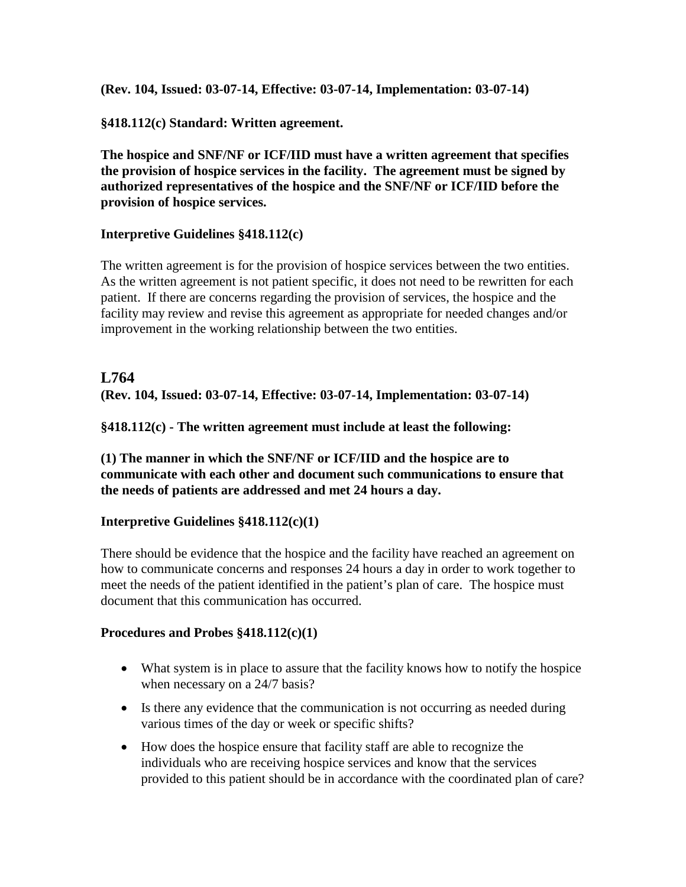**(Rev. 104, Issued: 03-07-14, Effective: 03-07-14, Implementation: 03-07-14)**

**§418.112(c) Standard: Written agreement.**

**The hospice and SNF/NF or ICF/IID must have a written agreement that specifies the provision of hospice services in the facility. The agreement must be signed by authorized representatives of the hospice and the SNF/NF or ICF/IID before the provision of hospice services.** 

#### **Interpretive Guidelines §418.112(c)**

The written agreement is for the provision of hospice services between the two entities. As the written agreement is not patient specific, it does not need to be rewritten for each patient. If there are concerns regarding the provision of services, the hospice and the facility may review and revise this agreement as appropriate for needed changes and/or improvement in the working relationship between the two entities.

# **L764 (Rev. 104, Issued: 03-07-14, Effective: 03-07-14, Implementation: 03-07-14)**

**§418.112(c) - The written agreement must include at least the following:**

**(1) The manner in which the SNF/NF or ICF/IID and the hospice are to communicate with each other and document such communications to ensure that the needs of patients are addressed and met 24 hours a day.**

#### **Interpretive Guidelines §418.112(c)(1)**

There should be evidence that the hospice and the facility have reached an agreement on how to communicate concerns and responses 24 hours a day in order to work together to meet the needs of the patient identified in the patient's plan of care. The hospice must document that this communication has occurred.

#### **Procedures and Probes §418.112(c)(1)**

- What system is in place to assure that the facility knows how to notify the hospice when necessary on a 24/7 basis?
- Is there any evidence that the communication is not occurring as needed during various times of the day or week or specific shifts?
- How does the hospice ensure that facility staff are able to recognize the individuals who are receiving hospice services and know that the services provided to this patient should be in accordance with the coordinated plan of care?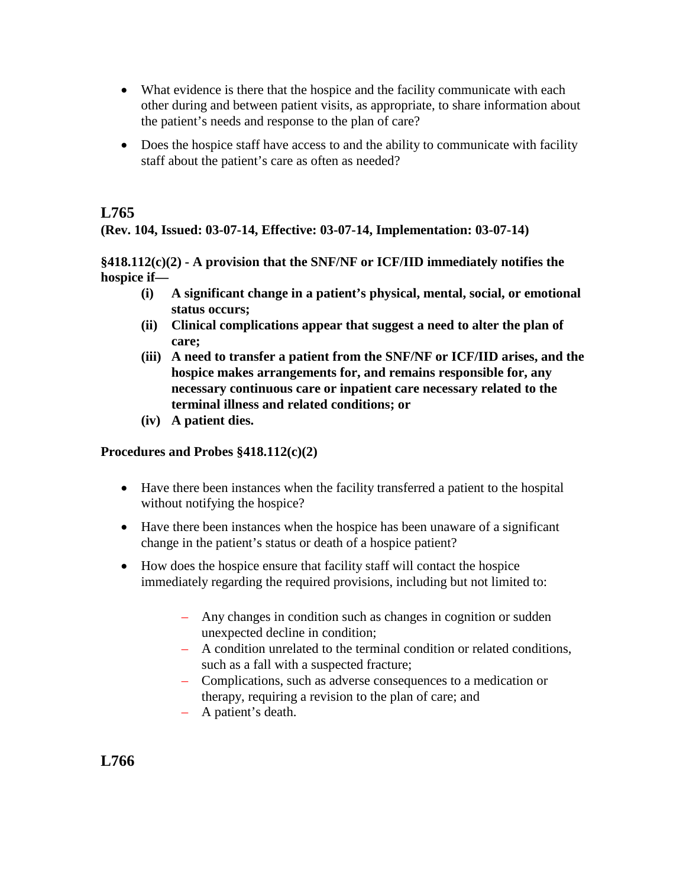- What evidence is there that the hospice and the facility communicate with each other during and between patient visits, as appropriate, to share information about the patient's needs and response to the plan of care?
- Does the hospice staff have access to and the ability to communicate with facility staff about the patient's care as often as needed?

**(Rev. 104, Issued: 03-07-14, Effective: 03-07-14, Implementation: 03-07-14)**

**§418.112(c)(2) - A provision that the SNF/NF or ICF/IID immediately notifies the hospice if—**

- **(i) A significant change in a patient's physical, mental, social, or emotional status occurs;**
- **(ii) Clinical complications appear that suggest a need to alter the plan of care;**
- **(iii) A need to transfer a patient from the SNF/NF or ICF/IID arises, and the hospice makes arrangements for, and remains responsible for, any necessary continuous care or inpatient care necessary related to the terminal illness and related conditions; or**
- **(iv) A patient dies.**

#### **Procedures and Probes §418.112(c)(2)**

- Have there been instances when the facility transferred a patient to the hospital without notifying the hospice?
- Have there been instances when the hospice has been unaware of a significant change in the patient's status or death of a hospice patient?
- How does the hospice ensure that facility staff will contact the hospice immediately regarding the required provisions, including but not limited to:
	- Any changes in condition such as changes in cognition or sudden unexpected decline in condition;
	- A condition unrelated to the terminal condition or related conditions, such as a fall with a suspected fracture;
	- Complications, such as adverse consequences to a medication or therapy, requiring a revision to the plan of care; and
	- A patient's death.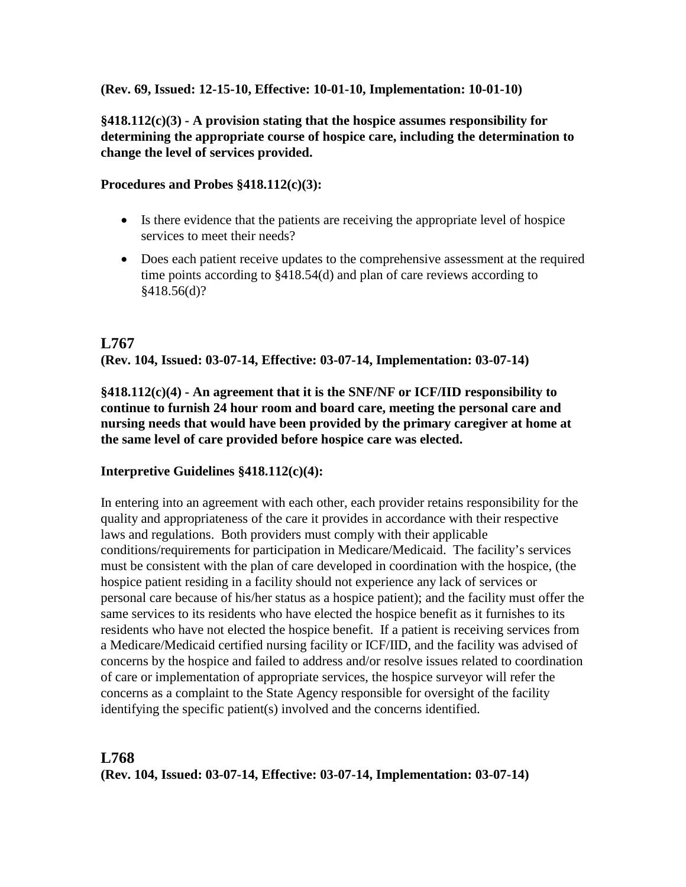#### **(Rev. 69, Issued: 12-15-10, Effective: 10-01-10, Implementation: 10-01-10)**

## **§418.112(c)(3) - A provision stating that the hospice assumes responsibility for determining the appropriate course of hospice care, including the determination to change the level of services provided.**

#### **Procedures and Probes §418.112(c)(3):**

- Is there evidence that the patients are receiving the appropriate level of hospice services to meet their needs?
- Does each patient receive updates to the comprehensive assessment at the required time points according to §418.54(d) and plan of care reviews according to §418.56(d)?

# **L767 (Rev. 104, Issued: 03-07-14, Effective: 03-07-14, Implementation: 03-07-14)**

**§418.112(c)(4) - An agreement that it is the SNF/NF or ICF/IID responsibility to continue to furnish 24 hour room and board care, meeting the personal care and nursing needs that would have been provided by the primary caregiver at home at the same level of care provided before hospice care was elected.**

#### **Interpretive Guidelines §418.112(c)(4):**

In entering into an agreement with each other, each provider retains responsibility for the quality and appropriateness of the care it provides in accordance with their respective laws and regulations. Both providers must comply with their applicable conditions/requirements for participation in Medicare/Medicaid. The facility's services must be consistent with the plan of care developed in coordination with the hospice, (the hospice patient residing in a facility should not experience any lack of services or personal care because of his/her status as a hospice patient); and the facility must offer the same services to its residents who have elected the hospice benefit as it furnishes to its residents who have not elected the hospice benefit. If a patient is receiving services from a Medicare/Medicaid certified nursing facility or ICF/IID, and the facility was advised of concerns by the hospice and failed to address and/or resolve issues related to coordination of care or implementation of appropriate services, the hospice surveyor will refer the concerns as a complaint to the State Agency responsible for oversight of the facility identifying the specific patient(s) involved and the concerns identified.

# **L768 (Rev. 104, Issued: 03-07-14, Effective: 03-07-14, Implementation: 03-07-14)**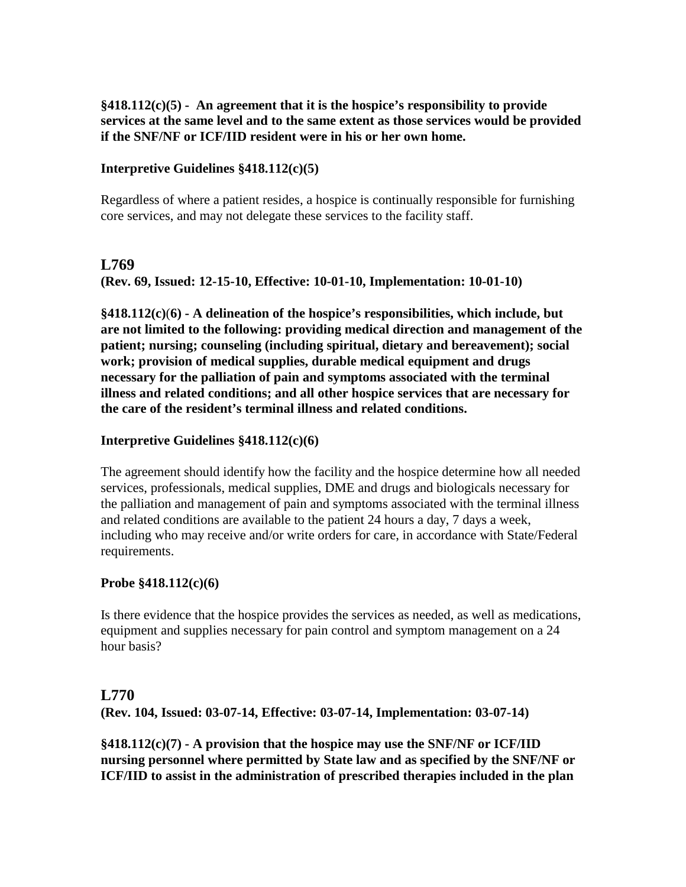**§418.112(c)(5) - An agreement that it is the hospice's responsibility to provide services at the same level and to the same extent as those services would be provided if the SNF/NF or ICF/IID resident were in his or her own home.**

#### **Interpretive Guidelines §418.112(c)(5)**

Regardless of where a patient resides, a hospice is continually responsible for furnishing core services, and may not delegate these services to the facility staff.

#### **L769**

**(Rev. 69, Issued: 12-15-10, Effective: 10-01-10, Implementation: 10-01-10)**

**§418.112(c)**(**6) - A delineation of the hospice's responsibilities, which include, but are not limited to the following: providing medical direction and management of the patient; nursing; counseling (including spiritual, dietary and bereavement); social work; provision of medical supplies, durable medical equipment and drugs necessary for the palliation of pain and symptoms associated with the terminal illness and related conditions; and all other hospice services that are necessary for the care of the resident's terminal illness and related conditions.**

#### **Interpretive Guidelines §418.112(c)(6)**

The agreement should identify how the facility and the hospice determine how all needed services, professionals, medical supplies, DME and drugs and biologicals necessary for the palliation and management of pain and symptoms associated with the terminal illness and related conditions are available to the patient 24 hours a day, 7 days a week, including who may receive and/or write orders for care, in accordance with State/Federal requirements.

#### **Probe §418.112(c)(6)**

Is there evidence that the hospice provides the services as needed, as well as medications, equipment and supplies necessary for pain control and symptom management on a 24 hour basis?

#### **L770**

**(Rev. 104, Issued: 03-07-14, Effective: 03-07-14, Implementation: 03-07-14)**

**§418.112(c)(7) - A provision that the hospice may use the SNF/NF or ICF/IID nursing personnel where permitted by State law and as specified by the SNF/NF or ICF/IID to assist in the administration of prescribed therapies included in the plan**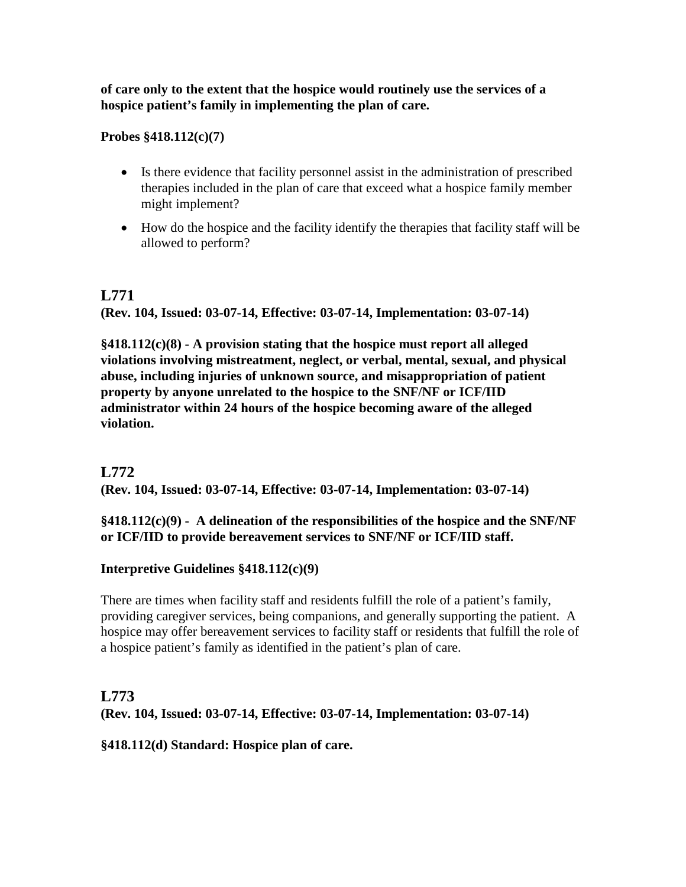**of care only to the extent that the hospice would routinely use the services of a hospice patient's family in implementing the plan of care.** 

**Probes §418.112(c)(7)**

- Is there evidence that facility personnel assist in the administration of prescribed therapies included in the plan of care that exceed what a hospice family member might implement?
- How do the hospice and the facility identify the therapies that facility staff will be allowed to perform?

# **L771 (Rev. 104, Issued: 03-07-14, Effective: 03-07-14, Implementation: 03-07-14)**

**§418.112(c)(8) - A provision stating that the hospice must report all alleged violations involving mistreatment, neglect, or verbal, mental, sexual, and physical abuse, including injuries of unknown source, and misappropriation of patient property by anyone unrelated to the hospice to the SNF/NF or ICF/IID administrator within 24 hours of the hospice becoming aware of the alleged violation.**

# **L772**

**(Rev. 104, Issued: 03-07-14, Effective: 03-07-14, Implementation: 03-07-14)**

#### **§418.112(c)(9) - A delineation of the responsibilities of the hospice and the SNF/NF or ICF/IID to provide bereavement services to SNF/NF or ICF/IID staff.**

#### **Interpretive Guidelines §418.112(c)(9)**

There are times when facility staff and residents fulfill the role of a patient's family, providing caregiver services, being companions, and generally supporting the patient. A hospice may offer bereavement services to facility staff or residents that fulfill the role of a hospice patient's family as identified in the patient's plan of care.

# **L773 (Rev. 104, Issued: 03-07-14, Effective: 03-07-14, Implementation: 03-07-14)**

#### **§418.112(d) Standard: Hospice plan of care.**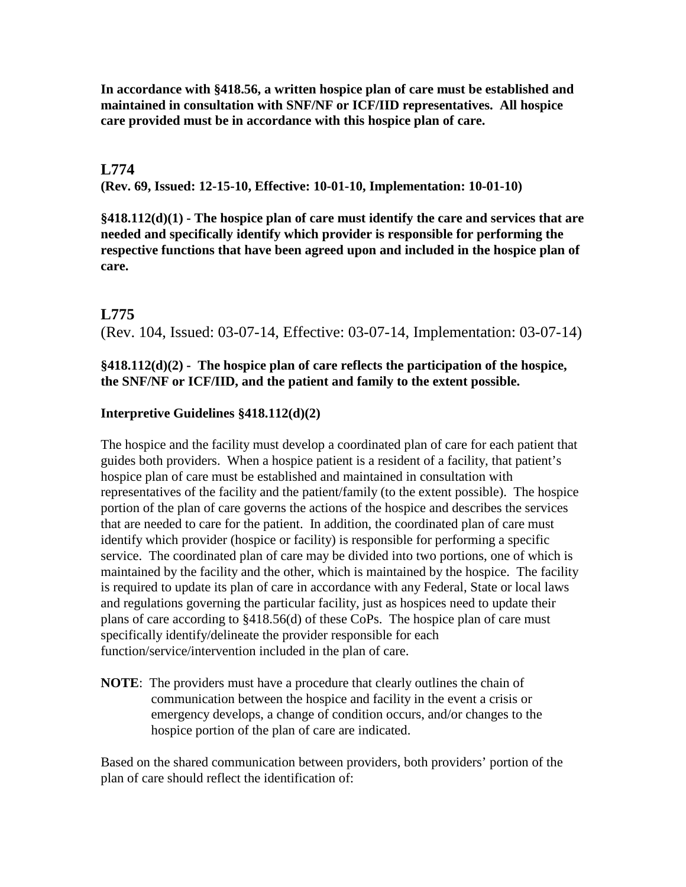**In accordance with §418.56, a written hospice plan of care must be established and maintained in consultation with SNF/NF or ICF/IID representatives. All hospice care provided must be in accordance with this hospice plan of care.**

#### **L774**

**(Rev. 69, Issued: 12-15-10, Effective: 10-01-10, Implementation: 10-01-10)**

**§418.112(d)(1) - The hospice plan of care must identify the care and services that are needed and specifically identify which provider is responsible for performing the respective functions that have been agreed upon and included in the hospice plan of care.**

#### **L775**

(Rev. 104, Issued: 03-07-14, Effective: 03-07-14, Implementation: 03-07-14)

#### **§418.112(d)(2) - The hospice plan of care reflects the participation of the hospice, the SNF/NF or ICF/IID, and the patient and family to the extent possible.**

#### **Interpretive Guidelines §418.112(d)(2)**

The hospice and the facility must develop a coordinated plan of care for each patient that guides both providers. When a hospice patient is a resident of a facility, that patient's hospice plan of care must be established and maintained in consultation with representatives of the facility and the patient/family (to the extent possible). The hospice portion of the plan of care governs the actions of the hospice and describes the services that are needed to care for the patient. In addition, the coordinated plan of care must identify which provider (hospice or facility) is responsible for performing a specific service. The coordinated plan of care may be divided into two portions, one of which is maintained by the facility and the other, which is maintained by the hospice. The facility is required to update its plan of care in accordance with any Federal, State or local laws and regulations governing the particular facility, just as hospices need to update their plans of care according to §418.56(d) of these CoPs. The hospice plan of care must specifically identify/delineate the provider responsible for each function/service/intervention included in the plan of care.

**NOTE**: The providers must have a procedure that clearly outlines the chain of communication between the hospice and facility in the event a crisis or emergency develops, a change of condition occurs, and/or changes to the hospice portion of the plan of care are indicated.

Based on the shared communication between providers, both providers' portion of the plan of care should reflect the identification of: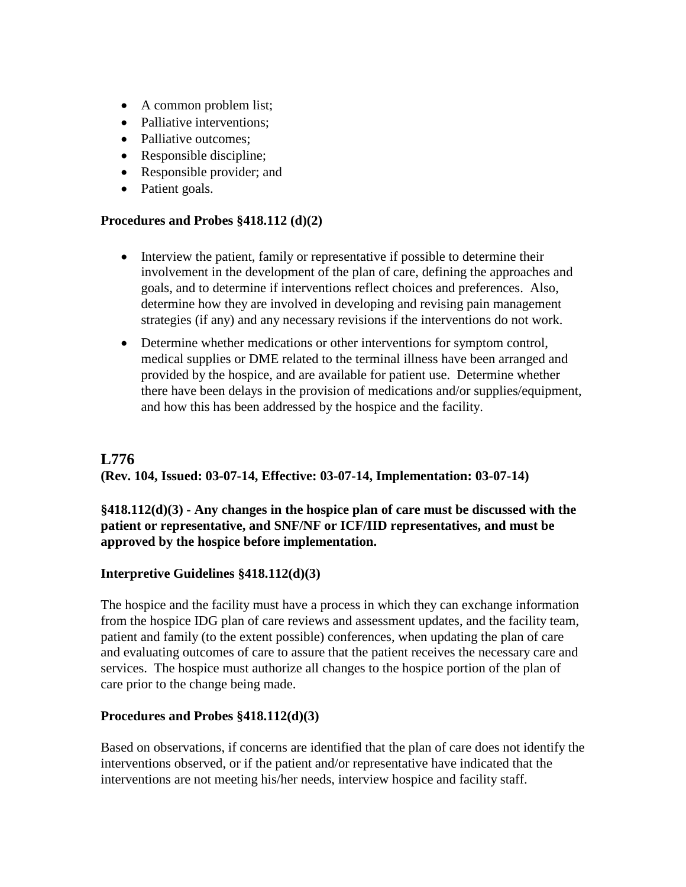- A common problem list;
- Palliative interventions;
- Palliative outcomes;
- Responsible discipline;
- Responsible provider; and
- Patient goals.

#### **Procedures and Probes §418.112 (d)(2)**

- Interview the patient, family or representative if possible to determine their involvement in the development of the plan of care, defining the approaches and goals, and to determine if interventions reflect choices and preferences. Also, determine how they are involved in developing and revising pain management strategies (if any) and any necessary revisions if the interventions do not work.
- Determine whether medications or other interventions for symptom control, medical supplies or DME related to the terminal illness have been arranged and provided by the hospice, and are available for patient use. Determine whether there have been delays in the provision of medications and/or supplies/equipment, and how this has been addressed by the hospice and the facility.

# **L776**

#### **(Rev. 104, Issued: 03-07-14, Effective: 03-07-14, Implementation: 03-07-14)**

#### **§418.112(d)(3) - Any changes in the hospice plan of care must be discussed with the patient or representative, and SNF/NF or ICF/IID representatives, and must be approved by the hospice before implementation.**

#### **Interpretive Guidelines §418.112(d)(3)**

The hospice and the facility must have a process in which they can exchange information from the hospice IDG plan of care reviews and assessment updates, and the facility team, patient and family (to the extent possible) conferences, when updating the plan of care and evaluating outcomes of care to assure that the patient receives the necessary care and services. The hospice must authorize all changes to the hospice portion of the plan of care prior to the change being made.

#### **Procedures and Probes §418.112(d)(3)**

Based on observations, if concerns are identified that the plan of care does not identify the interventions observed, or if the patient and/or representative have indicated that the interventions are not meeting his/her needs, interview hospice and facility staff.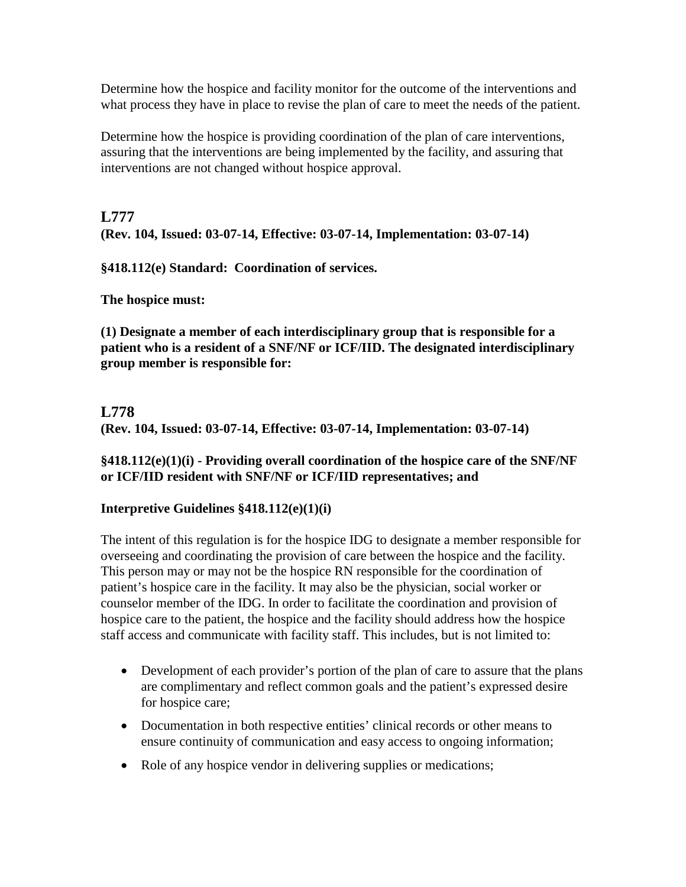Determine how the hospice and facility monitor for the outcome of the interventions and what process they have in place to revise the plan of care to meet the needs of the patient.

Determine how the hospice is providing coordination of the plan of care interventions, assuring that the interventions are being implemented by the facility, and assuring that interventions are not changed without hospice approval.

# **L777 (Rev. 104, Issued: 03-07-14, Effective: 03-07-14, Implementation: 03-07-14)**

**§418.112(e) Standard: Coordination of services.**

**The hospice must:** 

**(1) Designate a member of each interdisciplinary group that is responsible for a patient who is a resident of a SNF/NF or ICF/IID. The designated interdisciplinary group member is responsible for:**

# **L778**

**(Rev. 104, Issued: 03-07-14, Effective: 03-07-14, Implementation: 03-07-14)**

## **§418.112(e)(1)(i) - Providing overall coordination of the hospice care of the SNF/NF or ICF/IID resident with SNF/NF or ICF/IID representatives; and**

# **Interpretive Guidelines §418.112(e)(1)(i)**

The intent of this regulation is for the hospice IDG to designate a member responsible for overseeing and coordinating the provision of care between the hospice and the facility. This person may or may not be the hospice RN responsible for the coordination of patient's hospice care in the facility. It may also be the physician, social worker or counselor member of the IDG. In order to facilitate the coordination and provision of hospice care to the patient, the hospice and the facility should address how the hospice staff access and communicate with facility staff. This includes, but is not limited to:

- Development of each provider's portion of the plan of care to assure that the plans are complimentary and reflect common goals and the patient's expressed desire for hospice care;
- Documentation in both respective entities' clinical records or other means to ensure continuity of communication and easy access to ongoing information;
- Role of any hospice vendor in delivering supplies or medications;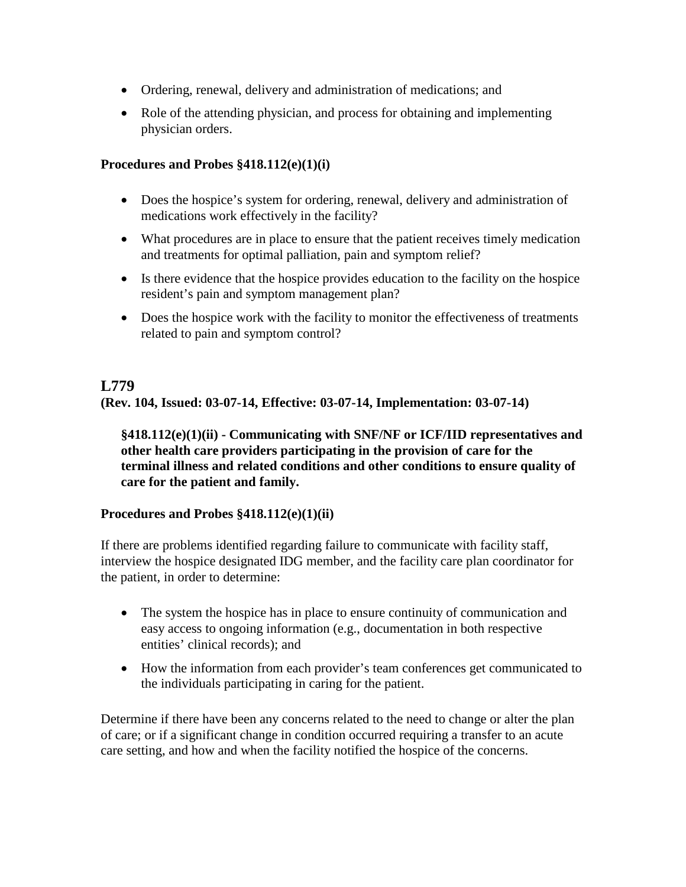- Ordering, renewal, delivery and administration of medications; and
- Role of the attending physician, and process for obtaining and implementing physician orders.

#### **Procedures and Probes §418.112(e)(1)(i)**

- Does the hospice's system for ordering, renewal, delivery and administration of medications work effectively in the facility?
- What procedures are in place to ensure that the patient receives timely medication and treatments for optimal palliation, pain and symptom relief?
- Is there evidence that the hospice provides education to the facility on the hospice resident's pain and symptom management plan?
- Does the hospice work with the facility to monitor the effectiveness of treatments related to pain and symptom control?

#### **L779**

**(Rev. 104, Issued: 03-07-14, Effective: 03-07-14, Implementation: 03-07-14)**

**§418.112(e)(1)(ii) - Communicating with SNF/NF or ICF/IID representatives and other health care providers participating in the provision of care for the terminal illness and related conditions and other conditions to ensure quality of care for the patient and family.** 

#### **Procedures and Probes §418.112(e)(1)(ii)**

If there are problems identified regarding failure to communicate with facility staff, interview the hospice designated IDG member, and the facility care plan coordinator for the patient, in order to determine:

- The system the hospice has in place to ensure continuity of communication and easy access to ongoing information (e.g., documentation in both respective entities' clinical records); and
- How the information from each provider's team conferences get communicated to the individuals participating in caring for the patient.

Determine if there have been any concerns related to the need to change or alter the plan of care; or if a significant change in condition occurred requiring a transfer to an acute care setting, and how and when the facility notified the hospice of the concerns.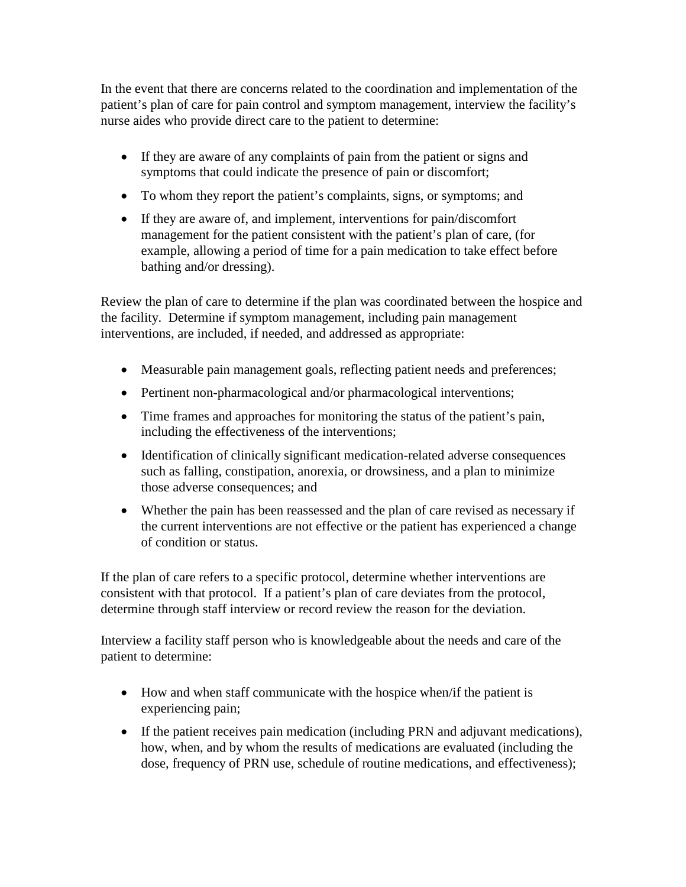In the event that there are concerns related to the coordination and implementation of the patient's plan of care for pain control and symptom management, interview the facility's nurse aides who provide direct care to the patient to determine:

- If they are aware of any complaints of pain from the patient or signs and symptoms that could indicate the presence of pain or discomfort;
- To whom they report the patient's complaints, signs, or symptoms; and
- If they are aware of, and implement, interventions for pain/discomfort management for the patient consistent with the patient's plan of care, (for example, allowing a period of time for a pain medication to take effect before bathing and/or dressing).

Review the plan of care to determine if the plan was coordinated between the hospice and the facility. Determine if symptom management, including pain management interventions, are included, if needed, and addressed as appropriate:

- Measurable pain management goals, reflecting patient needs and preferences;
- Pertinent non-pharmacological and/or pharmacological interventions;
- Time frames and approaches for monitoring the status of the patient's pain, including the effectiveness of the interventions;
- Identification of clinically significant medication-related adverse consequences such as falling, constipation, anorexia, or drowsiness, and a plan to minimize those adverse consequences; and
- Whether the pain has been reassessed and the plan of care revised as necessary if the current interventions are not effective or the patient has experienced a change of condition or status.

If the plan of care refers to a specific protocol, determine whether interventions are consistent with that protocol. If a patient's plan of care deviates from the protocol, determine through staff interview or record review the reason for the deviation.

Interview a facility staff person who is knowledgeable about the needs and care of the patient to determine:

- How and when staff communicate with the hospice when/if the patient is experiencing pain;
- If the patient receives pain medication (including PRN and adjuvant medications), how, when, and by whom the results of medications are evaluated (including the dose, frequency of PRN use, schedule of routine medications, and effectiveness);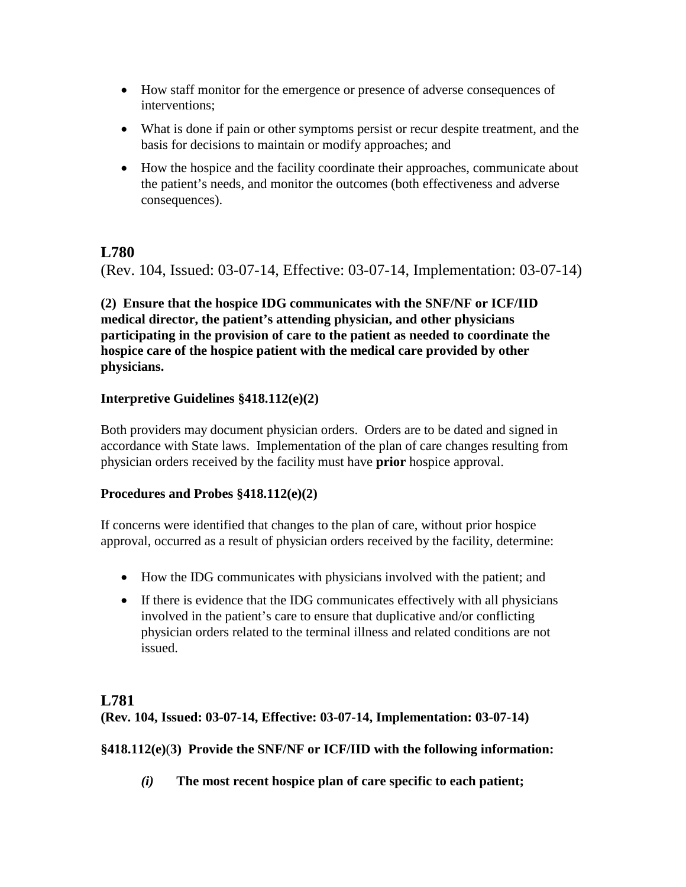- How staff monitor for the emergence or presence of adverse consequences of interventions;
- What is done if pain or other symptoms persist or recur despite treatment, and the basis for decisions to maintain or modify approaches; and
- How the hospice and the facility coordinate their approaches, communicate about the patient's needs, and monitor the outcomes (both effectiveness and adverse consequences).

(Rev. 104, Issued: 03-07-14, Effective: 03-07-14, Implementation: 03-07-14)

**(2) Ensure that the hospice IDG communicates with the SNF/NF or ICF/IID medical director, the patient's attending physician, and other physicians participating in the provision of care to the patient as needed to coordinate the hospice care of the hospice patient with the medical care provided by other physicians.** 

# **Interpretive Guidelines §418.112(e)(2)**

Both providers may document physician orders. Orders are to be dated and signed in accordance with State laws. Implementation of the plan of care changes resulting from physician orders received by the facility must have **prior** hospice approval.

# **Procedures and Probes §418.112(e)(2)**

If concerns were identified that changes to the plan of care, without prior hospice approval, occurred as a result of physician orders received by the facility, determine:

- How the IDG communicates with physicians involved with the patient; and
- If there is evidence that the IDG communicates effectively with all physicians involved in the patient's care to ensure that duplicative and/or conflicting physician orders related to the terminal illness and related conditions are not issued.

# **L781**

**(Rev. 104, Issued: 03-07-14, Effective: 03-07-14, Implementation: 03-07-14)**

# **§418.112(e)**(**3) Provide the SNF/NF or ICF/IID with the following information:**

*(i)* **The most recent hospice plan of care specific to each patient;**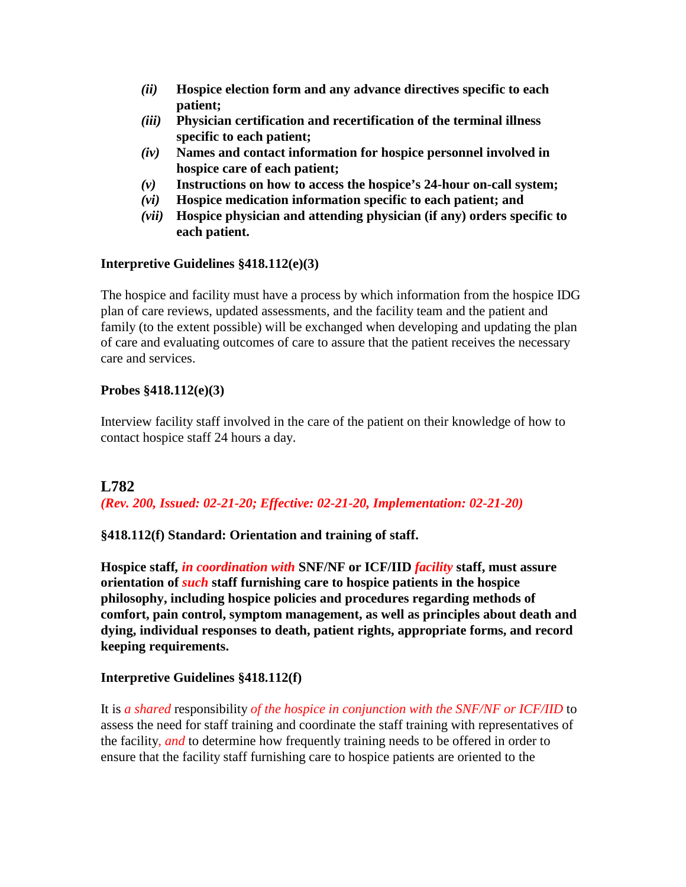- *(ii)* **Hospice election form and any advance directives specific to each patient;**
- *(iii)* **Physician certification and recertification of the terminal illness specific to each patient;**
- *(iv)* **Names and contact information for hospice personnel involved in hospice care of each patient;**
- *(v)* **Instructions on how to access the hospice's 24-hour on-call system;**
- *(vi)* **Hospice medication information specific to each patient; and**
- *(vii)* **Hospice physician and attending physician (if any) orders specific to each patient.**

#### **Interpretive Guidelines §418.112(e)(3)**

The hospice and facility must have a process by which information from the hospice IDG plan of care reviews, updated assessments, and the facility team and the patient and family (to the extent possible) will be exchanged when developing and updating the plan of care and evaluating outcomes of care to assure that the patient receives the necessary care and services.

## **Probes §418.112(e)(3)**

Interview facility staff involved in the care of the patient on their knowledge of how to contact hospice staff 24 hours a day.

# **L782**

*(Rev. 200, Issued: 02-21-20; Effective: 02-21-20, Implementation: 02-21-20)*

# **§418.112(f) Standard: Orientation and training of staff.**

**Hospice staff***, in coordination with* **SNF/NF or ICF/IID** *facility* **staff, must assure orientation of** *such* **staff furnishing care to hospice patients in the hospice philosophy, including hospice policies and procedures regarding methods of comfort, pain control, symptom management, as well as principles about death and dying, individual responses to death, patient rights, appropriate forms, and record keeping requirements.**

# **Interpretive Guidelines §418.112(f)**

It is *a shared* responsibility *of the hospice in conjunction with the SNF/NF or ICF/IID* to assess the need for staff training and coordinate the staff training with representatives of the facility*, and* to determine how frequently training needs to be offered in order to ensure that the facility staff furnishing care to hospice patients are oriented to the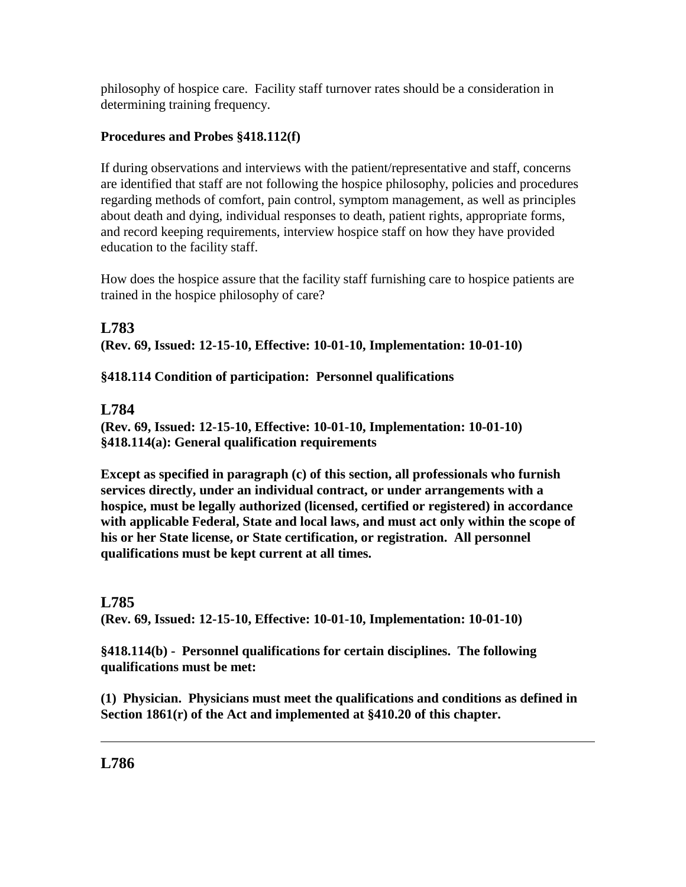philosophy of hospice care. Facility staff turnover rates should be a consideration in determining training frequency.

# **Procedures and Probes §418.112(f)**

If during observations and interviews with the patient/representative and staff, concerns are identified that staff are not following the hospice philosophy, policies and procedures regarding methods of comfort, pain control, symptom management, as well as principles about death and dying, individual responses to death, patient rights, appropriate forms, and record keeping requirements, interview hospice staff on how they have provided education to the facility staff.

How does the hospice assure that the facility staff furnishing care to hospice patients are trained in the hospice philosophy of care?

# **L783 (Rev. 69, Issued: 12-15-10, Effective: 10-01-10, Implementation: 10-01-10)**

# **§418.114 Condition of participation: Personnel qualifications**

# **L784**

**(Rev. 69, Issued: 12-15-10, Effective: 10-01-10, Implementation: 10-01-10) §418.114(a): General qualification requirements**

**Except as specified in paragraph (c) of this section, all professionals who furnish services directly, under an individual contract, or under arrangements with a hospice, must be legally authorized (licensed, certified or registered) in accordance with applicable Federal, State and local laws, and must act only within the scope of his or her State license, or State certification, or registration. All personnel qualifications must be kept current at all times.**

# **L785**

**(Rev. 69, Issued: 12-15-10, Effective: 10-01-10, Implementation: 10-01-10)**

**§418.114(b) - Personnel qualifications for certain disciplines. The following qualifications must be met:**

**(1) Physician. Physicians must meet the qualifications and conditions as defined in Section 1861(r) of the Act and implemented at §410.20 of this chapter.**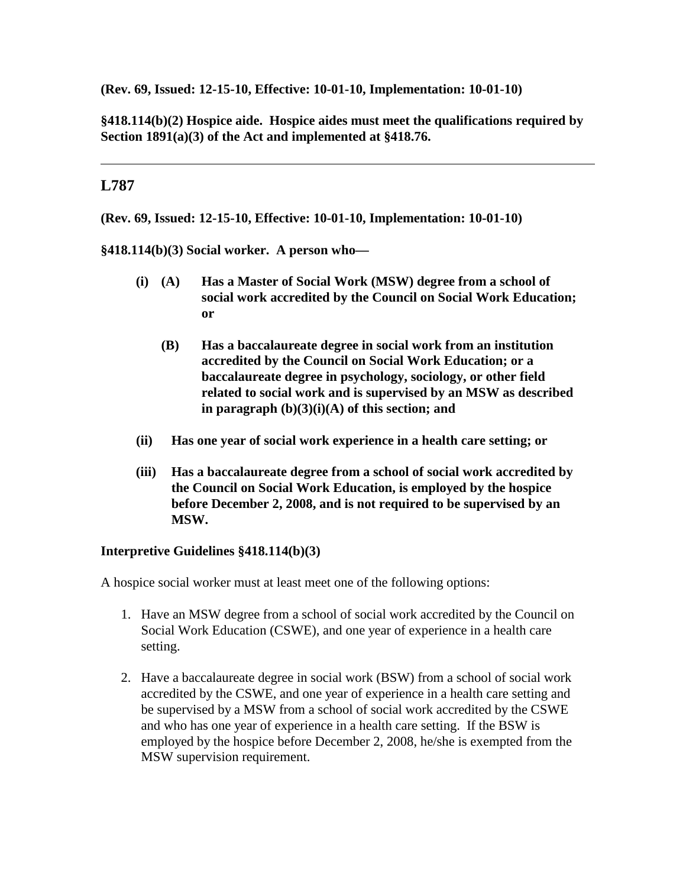**(Rev. 69, Issued: 12-15-10, Effective: 10-01-10, Implementation: 10-01-10)**

**§418.114(b)(2) Hospice aide. Hospice aides must meet the qualifications required by Section 1891(a)(3) of the Act and implemented at §418.76.**

## **L787**

**(Rev. 69, Issued: 12-15-10, Effective: 10-01-10, Implementation: 10-01-10)**

**§418.114(b)(3) Social worker. A person who—**

- **(i) (A) Has a Master of Social Work (MSW) degree from a school of social work accredited by the Council on Social Work Education; or**
	- **(B) Has a baccalaureate degree in social work from an institution accredited by the Council on Social Work Education; or a baccalaureate degree in psychology, sociology, or other field related to social work and is supervised by an MSW as described in paragraph (b)(3)(i)(A) of this section; and**
- **(ii) Has one year of social work experience in a health care setting; or**
- **(iii) Has a baccalaureate degree from a school of social work accredited by the Council on Social Work Education, is employed by the hospice before December 2, 2008, and is not required to be supervised by an MSW.**

#### **Interpretive Guidelines §418.114(b)(3)**

A hospice social worker must at least meet one of the following options:

- 1. Have an MSW degree from a school of social work accredited by the Council on Social Work Education (CSWE), and one year of experience in a health care setting.
- 2. Have a baccalaureate degree in social work (BSW) from a school of social work accredited by the CSWE, and one year of experience in a health care setting and be supervised by a MSW from a school of social work accredited by the CSWE and who has one year of experience in a health care setting. If the BSW is employed by the hospice before December 2, 2008, he/she is exempted from the MSW supervision requirement.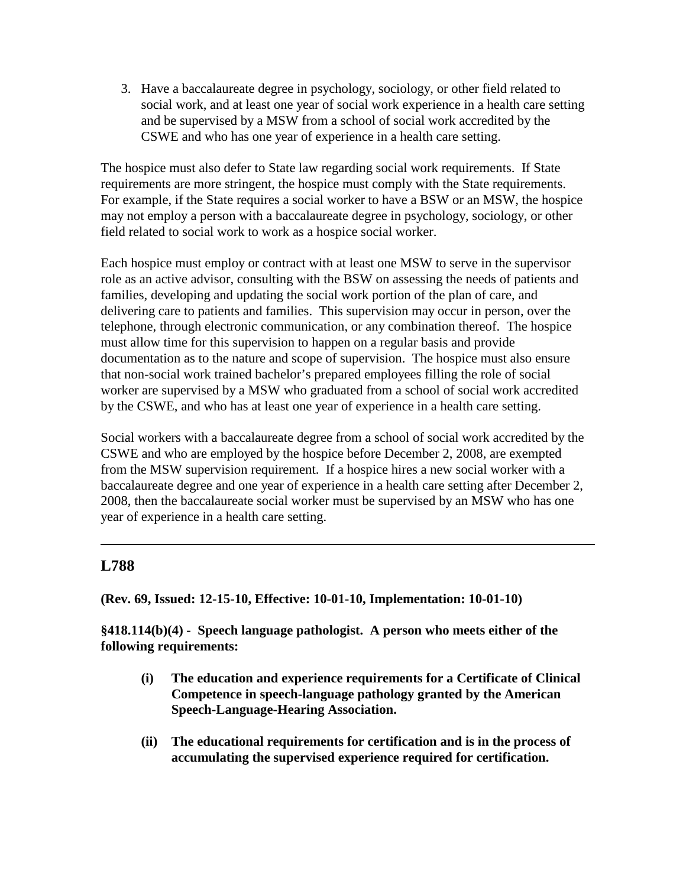3. Have a baccalaureate degree in psychology, sociology, or other field related to social work, and at least one year of social work experience in a health care setting and be supervised by a MSW from a school of social work accredited by the CSWE and who has one year of experience in a health care setting.

The hospice must also defer to State law regarding social work requirements. If State requirements are more stringent, the hospice must comply with the State requirements. For example, if the State requires a social worker to have a BSW or an MSW, the hospice may not employ a person with a baccalaureate degree in psychology, sociology, or other field related to social work to work as a hospice social worker.

Each hospice must employ or contract with at least one MSW to serve in the supervisor role as an active advisor, consulting with the BSW on assessing the needs of patients and families, developing and updating the social work portion of the plan of care, and delivering care to patients and families. This supervision may occur in person, over the telephone, through electronic communication, or any combination thereof. The hospice must allow time for this supervision to happen on a regular basis and provide documentation as to the nature and scope of supervision. The hospice must also ensure that non-social work trained bachelor's prepared employees filling the role of social worker are supervised by a MSW who graduated from a school of social work accredited by the CSWE, and who has at least one year of experience in a health care setting.

Social workers with a baccalaureate degree from a school of social work accredited by the CSWE and who are employed by the hospice before December 2, 2008, are exempted from the MSW supervision requirement. If a hospice hires a new social worker with a baccalaureate degree and one year of experience in a health care setting after December 2, 2008, then the baccalaureate social worker must be supervised by an MSW who has one year of experience in a health care setting.

# **L788**

**(Rev. 69, Issued: 12-15-10, Effective: 10-01-10, Implementation: 10-01-10)**

**§418.114(b)(4) - Speech language pathologist. A person who meets either of the following requirements:**

- **(i) The education and experience requirements for a Certificate of Clinical Competence in speech-language pathology granted by the American Speech-Language-Hearing Association.**
- **(ii) The educational requirements for certification and is in the process of accumulating the supervised experience required for certification.**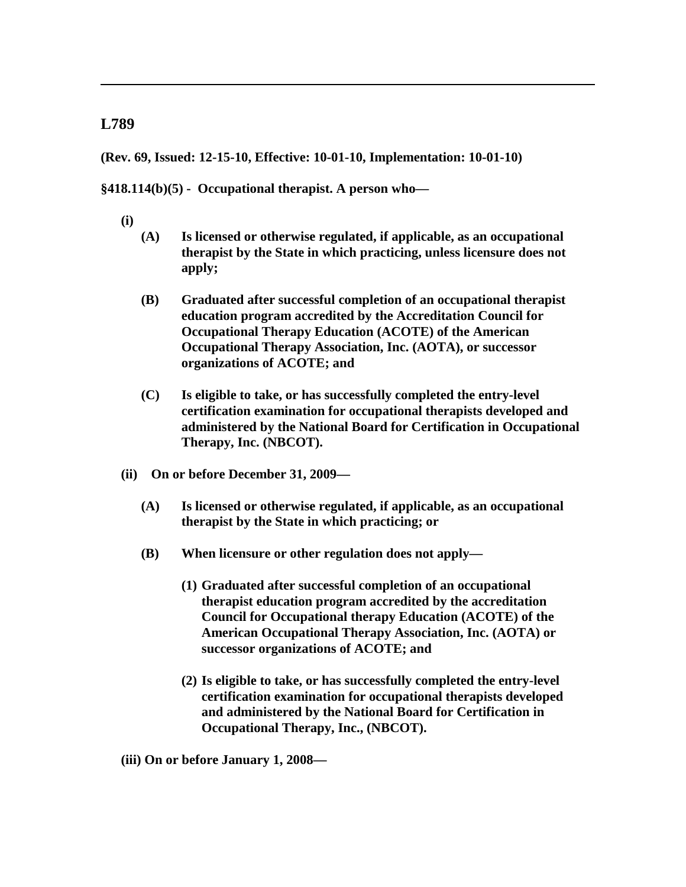**(Rev. 69, Issued: 12-15-10, Effective: 10-01-10, Implementation: 10-01-10)**

**§418.114(b)(5) - Occupational therapist. A person who—**

- **(i)**
- **(A) Is licensed or otherwise regulated, if applicable, as an occupational therapist by the State in which practicing, unless licensure does not apply;**
- **(B) Graduated after successful completion of an occupational therapist education program accredited by the Accreditation Council for Occupational Therapy Education (ACOTE) of the American Occupational Therapy Association, Inc. (AOTA), or successor organizations of ACOTE; and**
- **(C) Is eligible to take, or has successfully completed the entry-level certification examination for occupational therapists developed and administered by the National Board for Certification in Occupational Therapy, Inc. (NBCOT).**
- **(ii) On or before December 31, 2009—**
	- **(A) Is licensed or otherwise regulated, if applicable, as an occupational therapist by the State in which practicing; or**
	- **(B) When licensure or other regulation does not apply—**
		- **(1) Graduated after successful completion of an occupational therapist education program accredited by the accreditation Council for Occupational therapy Education (ACOTE) of the American Occupational Therapy Association, Inc. (AOTA) or successor organizations of ACOTE; and**
		- **(2) Is eligible to take, or has successfully completed the entry-level certification examination for occupational therapists developed and administered by the National Board for Certification in Occupational Therapy, Inc., (NBCOT).**
- **(iii) On or before January 1, 2008—**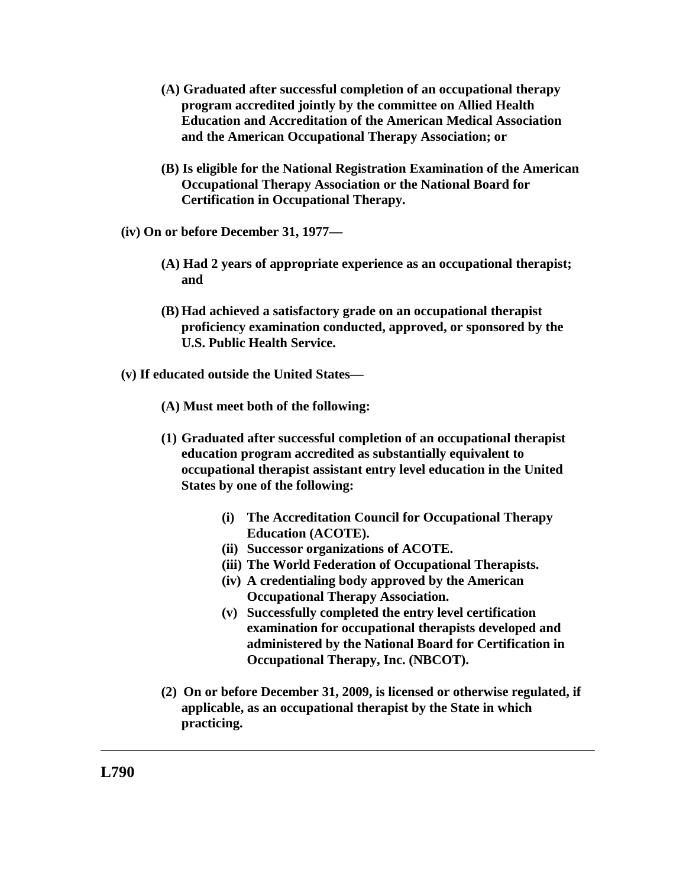- **(A) Graduated after successful completion of an occupational therapy program accredited jointly by the committee on Allied Health Education and Accreditation of the American Medical Association and the American Occupational Therapy Association; or**
- **(B) Is eligible for the National Registration Examination of the American Occupational Therapy Association or the National Board for Certification in Occupational Therapy.**
- **(iv) On or before December 31, 1977—**
	- **(A) Had 2 years of appropriate experience as an occupational therapist; and**
	- **(B) Had achieved a satisfactory grade on an occupational therapist proficiency examination conducted, approved, or sponsored by the U.S. Public Health Service.**
- **(v) If educated outside the United States—**
	- **(A) Must meet both of the following:**
	- **(1) Graduated after successful completion of an occupational therapist education program accredited as substantially equivalent to occupational therapist assistant entry level education in the United States by one of the following:**
		- **(i) The Accreditation Council for Occupational Therapy Education (ACOTE).**
		- **(ii) Successor organizations of ACOTE.**
		- **(iii) The World Federation of Occupational Therapists.**
		- **(iv) A credentialing body approved by the American Occupational Therapy Association.**
		- **(v) Successfully completed the entry level certification examination for occupational therapists developed and administered by the National Board for Certification in Occupational Therapy, Inc. (NBCOT).**
	- **(2) On or before December 31, 2009, is licensed or otherwise regulated, if applicable, as an occupational therapist by the State in which practicing.**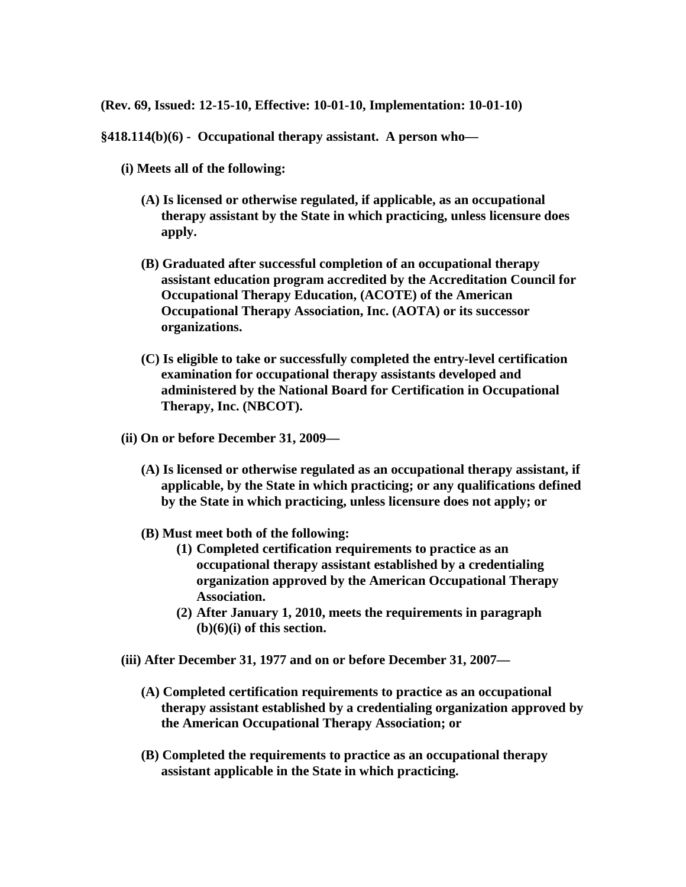**(Rev. 69, Issued: 12-15-10, Effective: 10-01-10, Implementation: 10-01-10)**

**§418.114(b)(6) - Occupational therapy assistant. A person who—**

- **(i) Meets all of the following:**
	- **(A) Is licensed or otherwise regulated, if applicable, as an occupational therapy assistant by the State in which practicing, unless licensure does apply.**
	- **(B) Graduated after successful completion of an occupational therapy assistant education program accredited by the Accreditation Council for Occupational Therapy Education, (ACOTE) of the American Occupational Therapy Association, Inc. (AOTA) or its successor organizations.**
	- **(C) Is eligible to take or successfully completed the entry-level certification examination for occupational therapy assistants developed and administered by the National Board for Certification in Occupational Therapy, Inc. (NBCOT).**
- **(ii) On or before December 31, 2009—**
	- **(A) Is licensed or otherwise regulated as an occupational therapy assistant, if applicable, by the State in which practicing; or any qualifications defined by the State in which practicing, unless licensure does not apply; or**
	- **(B) Must meet both of the following:**
		- **(1) Completed certification requirements to practice as an occupational therapy assistant established by a credentialing organization approved by the American Occupational Therapy Association.**
		- **(2) After January 1, 2010, meets the requirements in paragraph (b)(6)(i) of this section.**
- **(iii) After December 31, 1977 and on or before December 31, 2007—**
	- **(A) Completed certification requirements to practice as an occupational therapy assistant established by a credentialing organization approved by the American Occupational Therapy Association; or**
	- **(B) Completed the requirements to practice as an occupational therapy assistant applicable in the State in which practicing.**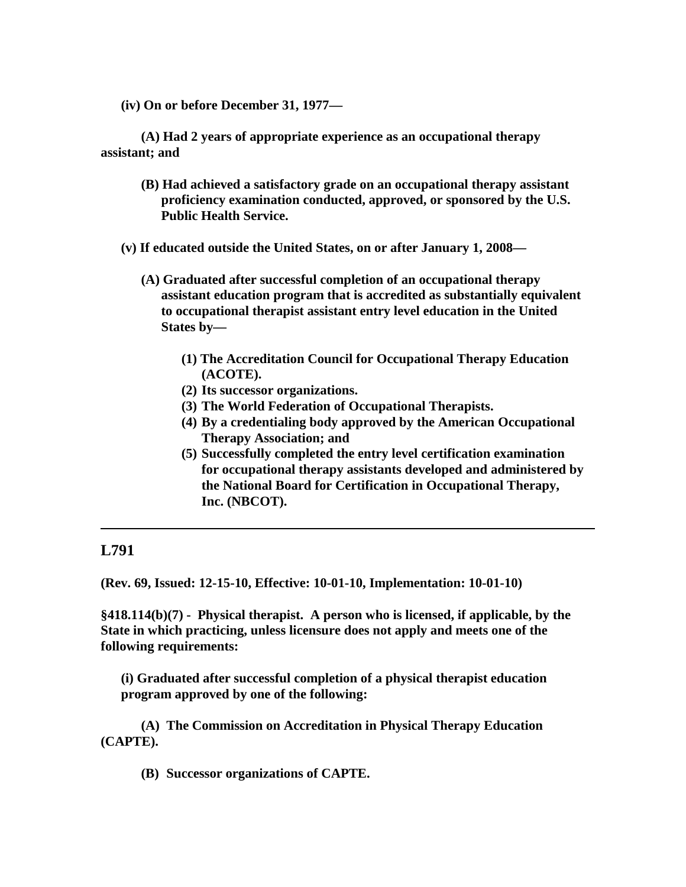**(iv) On or before December 31, 1977—**

**(A) Had 2 years of appropriate experience as an occupational therapy assistant; and**

- **(B) Had achieved a satisfactory grade on an occupational therapy assistant proficiency examination conducted, approved, or sponsored by the U.S. Public Health Service.**
- **(v) If educated outside the United States, on or after January 1, 2008—**
	- **(A) Graduated after successful completion of an occupational therapy assistant education program that is accredited as substantially equivalent to occupational therapist assistant entry level education in the United States by—**
		- **(1) The Accreditation Council for Occupational Therapy Education (ACOTE).**
		- **(2) Its successor organizations.**
		- **(3) The World Federation of Occupational Therapists.**
		- **(4) By a credentialing body approved by the American Occupational Therapy Association; and**
		- **(5) Successfully completed the entry level certification examination for occupational therapy assistants developed and administered by the National Board for Certification in Occupational Therapy, Inc. (NBCOT).**

# **L791**

**(Rev. 69, Issued: 12-15-10, Effective: 10-01-10, Implementation: 10-01-10)**

**§418.114(b)(7) - Physical therapist. A person who is licensed, if applicable, by the State in which practicing, unless licensure does not apply and meets one of the following requirements:**

**(i) Graduated after successful completion of a physical therapist education program approved by one of the following:**

**(A) The Commission on Accreditation in Physical Therapy Education (CAPTE).**

**(B) Successor organizations of CAPTE.**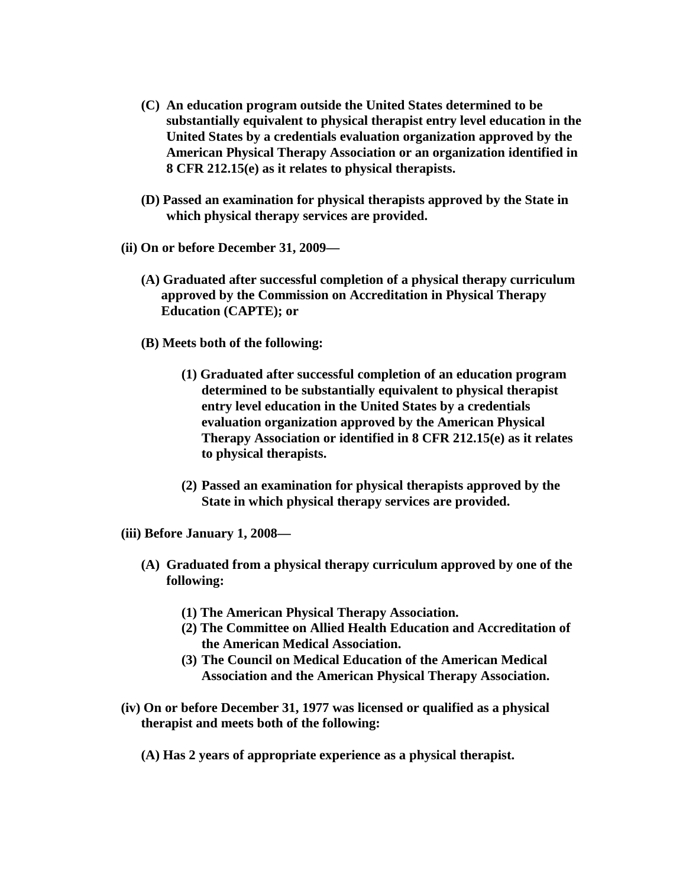- **(C) An education program outside the United States determined to be substantially equivalent to physical therapist entry level education in the United States by a credentials evaluation organization approved by the American Physical Therapy Association or an organization identified in 8 CFR 212.15(e) as it relates to physical therapists.**
- **(D) Passed an examination for physical therapists approved by the State in which physical therapy services are provided.**
- **(ii) On or before December 31, 2009—**
	- **(A) Graduated after successful completion of a physical therapy curriculum approved by the Commission on Accreditation in Physical Therapy Education (CAPTE); or**
	- **(B) Meets both of the following:**
		- **(1) Graduated after successful completion of an education program determined to be substantially equivalent to physical therapist entry level education in the United States by a credentials evaluation organization approved by the American Physical Therapy Association or identified in 8 CFR 212.15(e) as it relates to physical therapists.**
		- **(2) Passed an examination for physical therapists approved by the State in which physical therapy services are provided.**
- **(iii) Before January 1, 2008—**
	- **(A) Graduated from a physical therapy curriculum approved by one of the following:**
		- **(1) The American Physical Therapy Association.**
		- **(2) The Committee on Allied Health Education and Accreditation of the American Medical Association.**
		- **(3) The Council on Medical Education of the American Medical Association and the American Physical Therapy Association.**
- **(iv) On or before December 31, 1977 was licensed or qualified as a physical therapist and meets both of the following:**
	- **(A) Has 2 years of appropriate experience as a physical therapist.**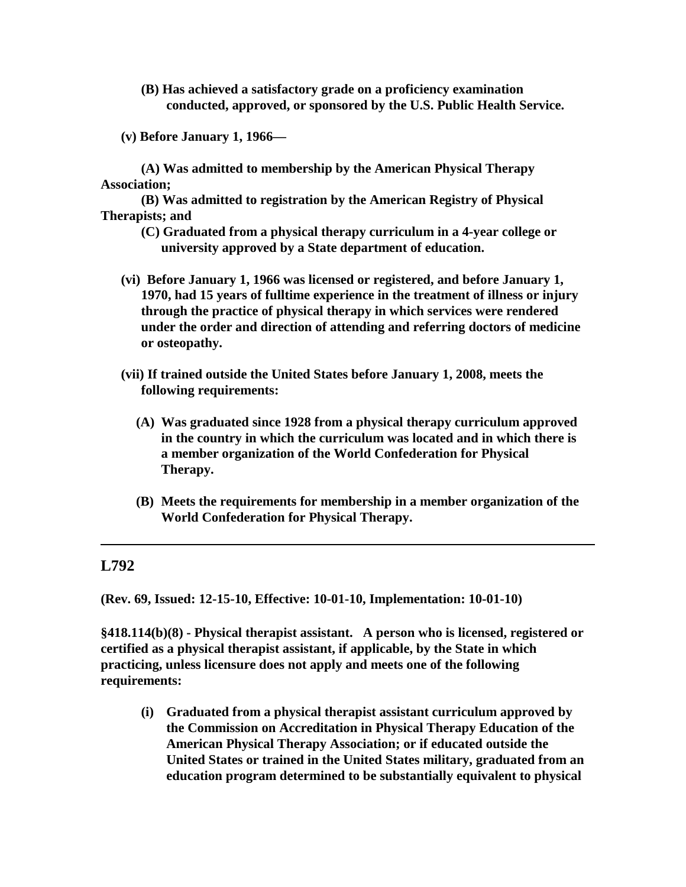- **(B) Has achieved a satisfactory grade on a proficiency examination conducted, approved, or sponsored by the U.S. Public Health Service.**
- **(v) Before January 1, 1966—**

**(A) Was admitted to membership by the American Physical Therapy Association;**

**(B) Was admitted to registration by the American Registry of Physical Therapists; and**

- **(C) Graduated from a physical therapy curriculum in a 4-year college or university approved by a State department of education.**
- **(vi) Before January 1, 1966 was licensed or registered, and before January 1, 1970, had 15 years of fulltime experience in the treatment of illness or injury through the practice of physical therapy in which services were rendered under the order and direction of attending and referring doctors of medicine or osteopathy.**
- **(vii) If trained outside the United States before January 1, 2008, meets the following requirements:**
	- **(A) Was graduated since 1928 from a physical therapy curriculum approved in the country in which the curriculum was located and in which there is a member organization of the World Confederation for Physical Therapy.**
	- **(B) Meets the requirements for membership in a member organization of the World Confederation for Physical Therapy.**

#### **L792**

**(Rev. 69, Issued: 12-15-10, Effective: 10-01-10, Implementation: 10-01-10)**

**§418.114(b)(8) - Physical therapist assistant. A person who is licensed, registered or certified as a physical therapist assistant, if applicable, by the State in which practicing, unless licensure does not apply and meets one of the following requirements:**

**(i) Graduated from a physical therapist assistant curriculum approved by the Commission on Accreditation in Physical Therapy Education of the American Physical Therapy Association; or if educated outside the United States or trained in the United States military, graduated from an education program determined to be substantially equivalent to physical**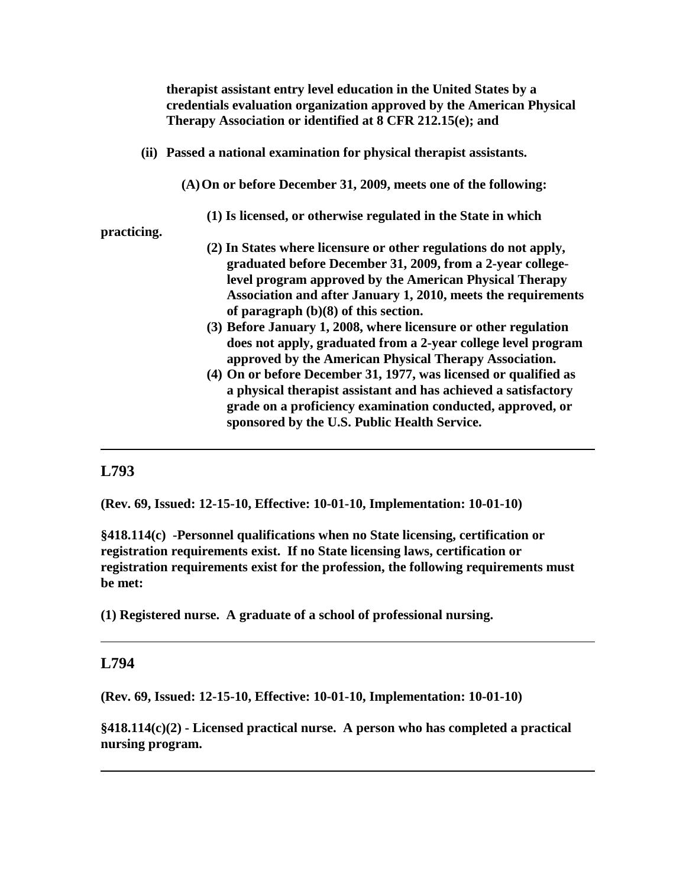**therapist assistant entry level education in the United States by a credentials evaluation organization approved by the American Physical Therapy Association or identified at 8 CFR 212.15(e); and** 

**(ii) Passed a national examination for physical therapist assistants.**

**(A)On or before December 31, 2009, meets one of the following:**

**(1) Is licensed, or otherwise regulated in the State in which** 

**practicing.**

- **(2) In States where licensure or other regulations do not apply, graduated before December 31, 2009, from a 2-year collegelevel program approved by the American Physical Therapy Association and after January 1, 2010, meets the requirements of paragraph (b)(8) of this section.**
- **(3) Before January 1, 2008, where licensure or other regulation does not apply, graduated from a 2-year college level program approved by the American Physical Therapy Association.**
- **(4) On or before December 31, 1977, was licensed or qualified as a physical therapist assistant and has achieved a satisfactory grade on a proficiency examination conducted, approved, or sponsored by the U.S. Public Health Service.**

#### **L793**

**(Rev. 69, Issued: 12-15-10, Effective: 10-01-10, Implementation: 10-01-10)**

**§418.114(c) -Personnel qualifications when no State licensing, certification or registration requirements exist. If no State licensing laws, certification or registration requirements exist for the profession, the following requirements must be met:**

**(1) Registered nurse. A graduate of a school of professional nursing.**

#### **L794**

**(Rev. 69, Issued: 12-15-10, Effective: 10-01-10, Implementation: 10-01-10)**

**§418.114(c)(2) - Licensed practical nurse. A person who has completed a practical nursing program.**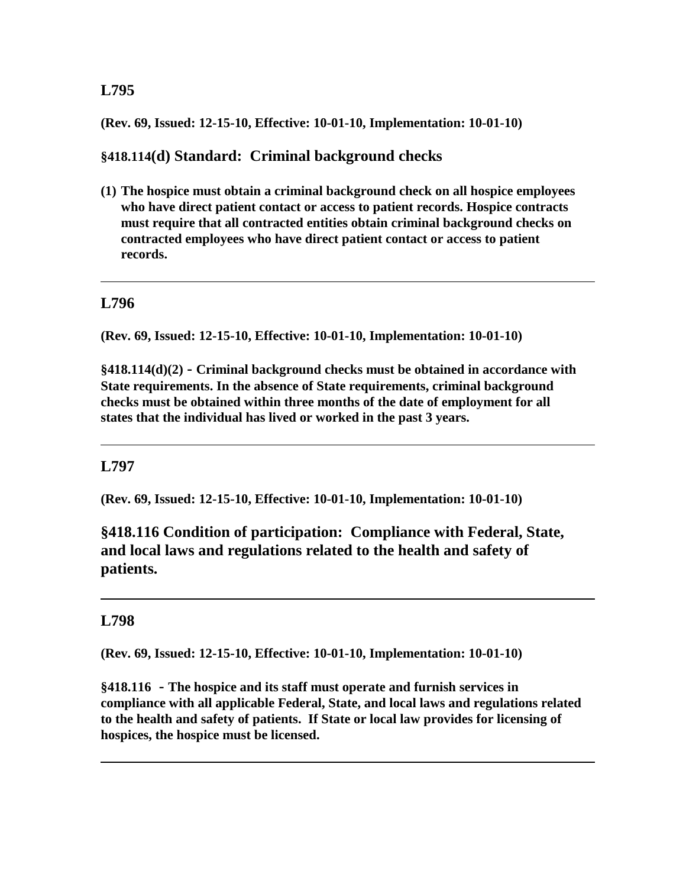#### **(Rev. 69, Issued: 12-15-10, Effective: 10-01-10, Implementation: 10-01-10)**

## **§418.114(d) Standard: Criminal background checks**

**(1) The hospice must obtain a criminal background check on all hospice employees who have direct patient contact or access to patient records. Hospice contracts must require that all contracted entities obtain criminal background checks on contracted employees who have direct patient contact or access to patient records.**

## **L796**

**(Rev. 69, Issued: 12-15-10, Effective: 10-01-10, Implementation: 10-01-10)**

**§418.114(d)(2) - Criminal background checks must be obtained in accordance with State requirements. In the absence of State requirements, criminal background checks must be obtained within three months of the date of employment for all states that the individual has lived or worked in the past 3 years.**

#### **L797**

**(Rev. 69, Issued: 12-15-10, Effective: 10-01-10, Implementation: 10-01-10)**

**§418.116 Condition of participation: Compliance with Federal, State, and local laws and regulations related to the health and safety of patients.**

#### **L798**

**(Rev. 69, Issued: 12-15-10, Effective: 10-01-10, Implementation: 10-01-10)**

**§418.116 - The hospice and its staff must operate and furnish services in compliance with all applicable Federal, State, and local laws and regulations related to the health and safety of patients. If State or local law provides for licensing of hospices, the hospice must be licensed.**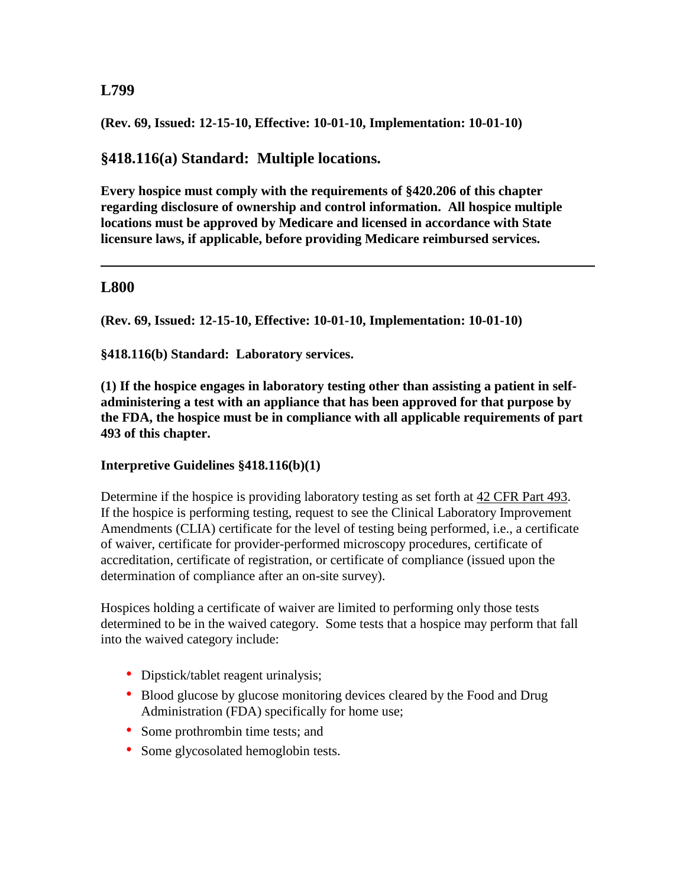**(Rev. 69, Issued: 12-15-10, Effective: 10-01-10, Implementation: 10-01-10)**

**§418.116(a) Standard: Multiple locations.** 

**Every hospice must comply with the requirements of §420.206 of this chapter regarding disclosure of ownership and control information. All hospice multiple locations must be approved by Medicare and licensed in accordance with State licensure laws, if applicable, before providing Medicare reimbursed services.**

#### **L800**

**(Rev. 69, Issued: 12-15-10, Effective: 10-01-10, Implementation: 10-01-10)**

**§418.116(b) Standard: Laboratory services.**

**(1) If the hospice engages in laboratory testing other than assisting a patient in selfadministering a test with an appliance that has been approved for that purpose by the FDA, the hospice must be in compliance with all applicable requirements of part 493 of this chapter.**

#### **Interpretive Guidelines §418.116(b)(1)**

Determine if the hospice is providing laboratory testing as set forth at 42 [CFR Part](http://www.cms.hhs.gov/regulations/) 493. If the hospice is performing testing, request to see the Clinical Laboratory Improvement Amendments (CLIA) certificate for the level of testing being performed, i.e., a certificate of waiver, certificate for provider-performed microscopy procedures, certificate of accreditation, certificate of registration, or certificate of compliance (issued upon the determination of compliance after an on-site survey).

Hospices holding a certificate of waiver are limited to performing only those tests determined to be in the waived category. Some tests that a hospice may perform that fall into the waived category include:

- Dipstick/tablet reagent urinalysis;
- Blood glucose by glucose monitoring devices cleared by the Food and Drug Administration (FDA) specifically for home use;
- Some prothrombin time tests; and
- Some glycosolated hemoglobin tests.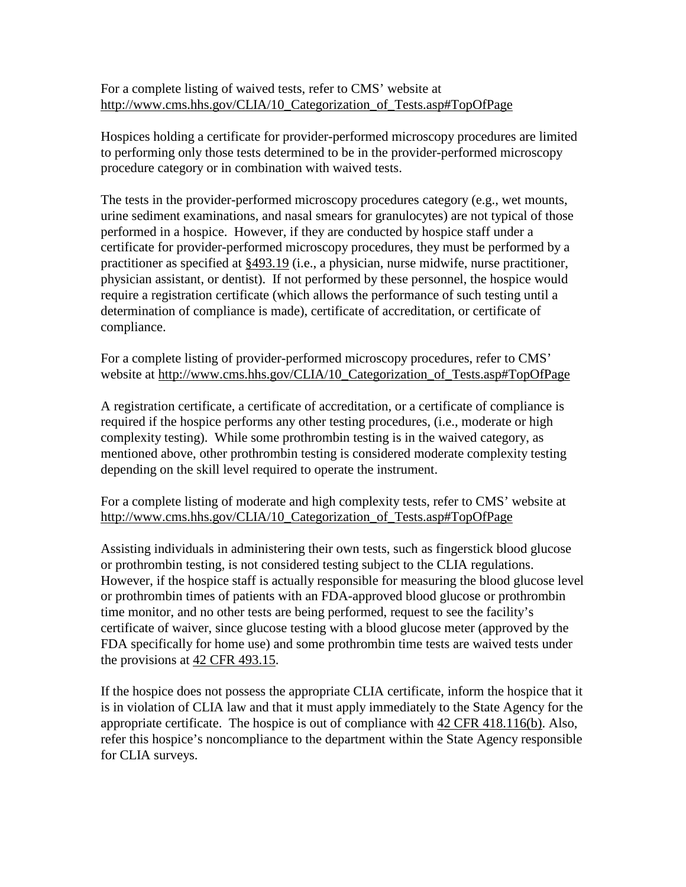For a complete listing of waived tests, refer to CMS' website at [http://www.cms.hhs.gov/CLIA/10\\_Categorization\\_of\\_Tests.asp#TopOfPage](http://www.cms.hhs.gov/CLIA/10_Categorization_of_Tests.asp#TopOfPage)

Hospices holding a certificate for provider-performed microscopy procedures are limited to performing only those tests determined to be in the provider-performed microscopy procedure category or in combination with waived tests.

The tests in the provider-performed microscopy procedures category (e.g., wet mounts, urine sediment examinations, and nasal smears for granulocytes) are not typical of those performed in a hospice. However, if they are conducted by hospice staff under a certificate for provider-performed microscopy procedures, they must be performed by a practitioner as specified at [§493.19](http://www.cms.hhs.gov/regulations/) (i.e., a physician, nurse midwife, nurse practitioner, physician assistant, or dentist). If not performed by these personnel, the hospice would require a registration certificate (which allows the performance of such testing until a determination of compliance is made), certificate of accreditation, or certificate of compliance.

For a complete listing of provider-performed microscopy procedures, refer to CMS' website at [http://www.cms.hhs.gov/CLIA/10\\_Categorization\\_of\\_Tests.asp#TopOfPage](http://www.cms.hhs.gov/CLIA/10_Categorization_of_Tests.asp#TopOfPage)

A registration certificate, a certificate of accreditation, or a certificate of compliance is required if the hospice performs any other testing procedures, (i.e., moderate or high complexity testing). While some prothrombin testing is in the waived category, as mentioned above, other prothrombin testing is considered moderate complexity testing depending on the skill level required to operate the instrument.

For a complete listing of moderate and high complexity tests, refer to CMS' website at [http://www.cms.hhs.gov/CLIA/10\\_Categorization\\_of\\_Tests.asp#TopOfPage](http://www.cms.hhs.gov/CLIA/10_Categorization_of_Tests.asp#TopOfPage)

Assisting individuals in administering their own tests, such as fingerstick blood glucose or prothrombin testing, is not considered testing subject to the CLIA regulations. However, if the hospice staff is actually responsible for measuring the blood glucose level or prothrombin times of patients with an FDA-approved blood glucose or prothrombin time monitor, and no other tests are being performed, request to see the facility's certificate of waiver, since glucose testing with a blood glucose meter (approved by the FDA specifically for home use) and some prothrombin time tests are waived tests under the provisions at [42 CFR 493.15.](http://www.cms.hhs.gov/regulations/)

If the hospice does not possess the appropriate CLIA certificate, inform the hospice that it is in violation of CLIA law and that it must apply immediately to the State Agency for the appropriate certificate. The hospice is out of compliance with [42 CFR 418.116\(b\).](http://www.cms.hhs.gov/regulations/) Also, refer this hospice's noncompliance to the department within the State Agency responsible for CLIA surveys.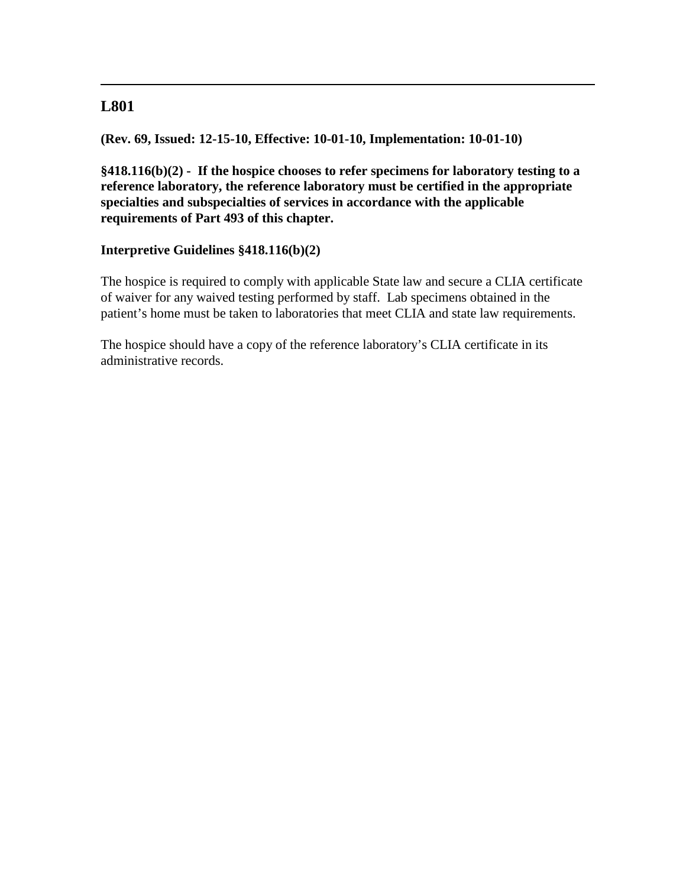## **L801**

**(Rev. 69, Issued: 12-15-10, Effective: 10-01-10, Implementation: 10-01-10)**

**§418.116(b)(2) - If the hospice chooses to refer specimens for laboratory testing to a reference laboratory, the reference laboratory must be certified in the appropriate specialties and subspecialties of services in accordance with the applicable requirements of Part 493 of this chapter.**

## **Interpretive Guidelines §418.116(b)(2)**

The hospice is required to comply with applicable State law and secure a CLIA certificate of waiver for any waived testing performed by staff. Lab specimens obtained in the patient's home must be taken to laboratories that meet CLIA and state law requirements.

The hospice should have a copy of the reference laboratory's CLIA certificate in its administrative records.